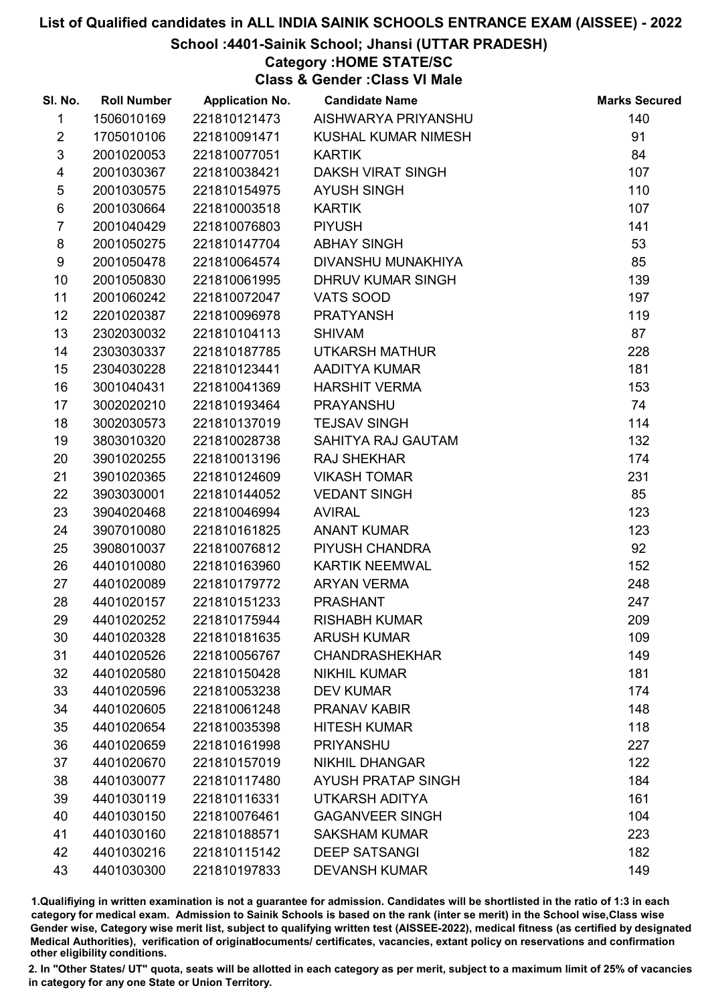### School :4401-Sainik School; Jhansi (UTTAR PRADESH)

## Category :HOME STATE/SC

Class & Gender :Class VI Male

| SI. No.                 | <b>Roll Number</b> | <b>Application No.</b> | <b>Candidate Name</b>     | <b>Marks Secured</b> |
|-------------------------|--------------------|------------------------|---------------------------|----------------------|
| $\mathbf{1}$            | 1506010169         | 221810121473           | AISHWARYA PRIYANSHU       | 140                  |
| $\overline{2}$          | 1705010106         | 221810091471           | KUSHAL KUMAR NIMESH       | 91                   |
| $\mathfrak{S}$          | 2001020053         | 221810077051           | <b>KARTIK</b>             | 84                   |
| $\overline{\mathbf{4}}$ | 2001030367         | 221810038421           | <b>DAKSH VIRAT SINGH</b>  | 107                  |
| $\sqrt{5}$              | 2001030575         | 221810154975           | <b>AYUSH SINGH</b>        | 110                  |
| 6                       | 2001030664         | 221810003518           | <b>KARTIK</b>             | 107                  |
| $\overline{7}$          | 2001040429         | 221810076803           | <b>PIYUSH</b>             | 141                  |
| 8                       | 2001050275         | 221810147704           | <b>ABHAY SINGH</b>        | 53                   |
| 9                       | 2001050478         | 221810064574           | DIVANSHU MUNAKHIYA        | 85                   |
| 10                      | 2001050830         | 221810061995           | <b>DHRUV KUMAR SINGH</b>  | 139                  |
| 11                      | 2001060242         | 221810072047           | VATS SOOD                 | 197                  |
| 12 <sup>°</sup>         | 2201020387         | 221810096978           | <b>PRATYANSH</b>          | 119                  |
| 13                      | 2302030032         | 221810104113           | <b>SHIVAM</b>             | 87                   |
| 14                      | 2303030337         | 221810187785           | UTKARSH MATHUR            | 228                  |
| 15                      | 2304030228         | 221810123441           | AADITYA KUMAR             | 181                  |
| 16                      | 3001040431         | 221810041369           | <b>HARSHIT VERMA</b>      | 153                  |
| 17                      | 3002020210         | 221810193464           | <b>PRAYANSHU</b>          | 74                   |
| 18                      | 3002030573         | 221810137019           | <b>TEJSAV SINGH</b>       | 114                  |
| 19                      | 3803010320         | 221810028738           | SAHITYA RAJ GAUTAM        | 132                  |
| 20                      | 3901020255         | 221810013196           | <b>RAJ SHEKHAR</b>        | 174                  |
| 21                      | 3901020365         | 221810124609           | <b>VIKASH TOMAR</b>       | 231                  |
| 22                      | 3903030001         | 221810144052           | <b>VEDANT SINGH</b>       | 85                   |
| 23                      | 3904020468         | 221810046994           | <b>AVIRAL</b>             | 123                  |
| 24                      | 3907010080         | 221810161825           | <b>ANANT KUMAR</b>        | 123                  |
| 25                      | 3908010037         | 221810076812           | PIYUSH CHANDRA            | 92                   |
| 26                      | 4401010080         | 221810163960           | <b>KARTIK NEEMWAL</b>     | 152                  |
| 27                      | 4401020089         | 221810179772           | <b>ARYAN VERMA</b>        | 248                  |
| 28                      | 4401020157         | 221810151233           | <b>PRASHANT</b>           | 247                  |
| 29                      | 4401020252         | 221810175944           | <b>RISHABH KUMAR</b>      | 209                  |
| 30                      | 4401020328         | 221810181635           | <b>ARUSH KUMAR</b>        | 109                  |
| 31                      | 4401020526         | 221810056767           | <b>CHANDRASHEKHAR</b>     | 149                  |
| 32                      | 4401020580         | 221810150428           | <b>NIKHIL KUMAR</b>       | 181                  |
| 33                      | 4401020596         | 221810053238           | <b>DEV KUMAR</b>          | 174                  |
| 34                      | 4401020605         | 221810061248           | <b>PRANAV KABIR</b>       | 148                  |
| 35                      | 4401020654         | 221810035398           | <b>HITESH KUMAR</b>       | 118                  |
| 36                      | 4401020659         | 221810161998           | <b>PRIYANSHU</b>          | 227                  |
| 37                      | 4401020670         | 221810157019           | <b>NIKHIL DHANGAR</b>     | 122                  |
| 38                      | 4401030077         | 221810117480           | <b>AYUSH PRATAP SINGH</b> | 184                  |
| 39                      | 4401030119         | 221810116331           | UTKARSH ADITYA            | 161                  |
| 40                      | 4401030150         | 221810076461           | <b>GAGANVEER SINGH</b>    | 104                  |
| 41                      | 4401030160         | 221810188571           | <b>SAKSHAM KUMAR</b>      | 223                  |
| 42                      | 4401030216         | 221810115142           | <b>DEEP SATSANGI</b>      | 182                  |
| 43                      | 4401030300         | 221810197833           | <b>DEVANSH KUMAR</b>      | 149                  |

1.Qualifiying in written examination is not a guarantee for admission. Candidates will be shortlisted in the ratio of 1:3 in each category for medical exam. Admission to Sainik Schools is based on the rank (inter se merit) in the School wise,Class wise Gender wise, Category wise merit list, subject to qualifying written test (AISSEE-2022), medical fitness (as certified by designated Medical Authorities), verification of originablocuments/ certificates, vacancies, extant policy on reservations and confirmation other eligibility conditions.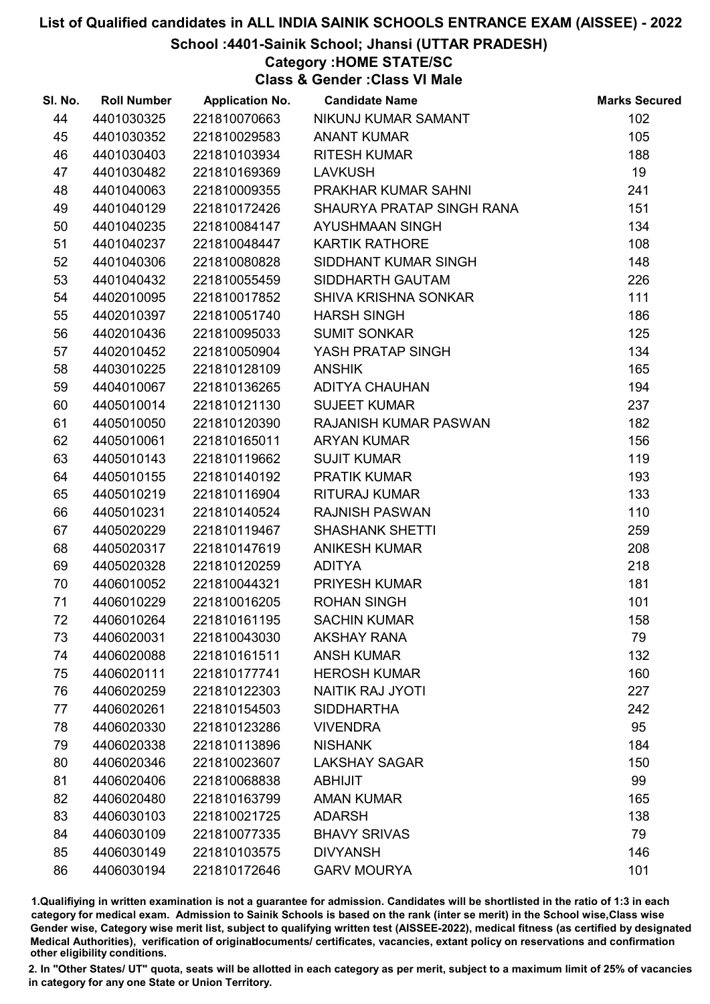School :4401-Sainik School; Jhansi (UTTAR PRADESH)

## Category :HOME STATE/SC

Class & Gender :Class VI Male

| SI. No. | <b>Roll Number</b> | <b>Application No.</b> | <b>Candidate Name</b>     | <b>Marks Secured</b> |
|---------|--------------------|------------------------|---------------------------|----------------------|
| 44      | 4401030325         | 221810070663           | NIKUNJ KUMAR SAMANT       | 102                  |
| 45      | 4401030352         | 221810029583           | <b>ANANT KUMAR</b>        | 105                  |
| 46      | 4401030403         | 221810103934           | <b>RITESH KUMAR</b>       | 188                  |
| 47      | 4401030482         | 221810169369           | <b>LAVKUSH</b>            | 19                   |
| 48      | 4401040063         | 221810009355           | PRAKHAR KUMAR SAHNI       | 241                  |
| 49      | 4401040129         | 221810172426           | SHAURYA PRATAP SINGH RANA | 151                  |
| 50      | 4401040235         | 221810084147           | <b>AYUSHMAAN SINGH</b>    | 134                  |
| 51      | 4401040237         | 221810048447           | <b>KARTIK RATHORE</b>     | 108                  |
| 52      | 4401040306         | 221810080828           | SIDDHANT KUMAR SINGH      | 148                  |
| 53      | 4401040432         | 221810055459           | SIDDHARTH GAUTAM          | 226                  |
| 54      | 4402010095         | 221810017852           | SHIVA KRISHNA SONKAR      | 111                  |
| 55      | 4402010397         | 221810051740           | <b>HARSH SINGH</b>        | 186                  |
| 56      | 4402010436         | 221810095033           | <b>SUMIT SONKAR</b>       | 125                  |
| 57      | 4402010452         | 221810050904           | YASH PRATAP SINGH         | 134                  |
| 58      | 4403010225         | 221810128109           | <b>ANSHIK</b>             | 165                  |
| 59      | 4404010067         | 221810136265           | <b>ADITYA CHAUHAN</b>     | 194                  |
| 60      | 4405010014         | 221810121130           | <b>SUJEET KUMAR</b>       | 237                  |
| 61      | 4405010050         | 221810120390           | RAJANISH KUMAR PASWAN     | 182                  |
| 62      | 4405010061         | 221810165011           | <b>ARYAN KUMAR</b>        | 156                  |
| 63      | 4405010143         | 221810119662           | <b>SUJIT KUMAR</b>        | 119                  |
| 64      | 4405010155         | 221810140192           | <b>PRATIK KUMAR</b>       | 193                  |
| 65      | 4405010219         | 221810116904           | <b>RITURAJ KUMAR</b>      | 133                  |
| 66      | 4405010231         | 221810140524           | <b>RAJNISH PASWAN</b>     | 110                  |
| 67      | 4405020229         | 221810119467           | <b>SHASHANK SHETTI</b>    | 259                  |
| 68      | 4405020317         | 221810147619           | <b>ANIKESH KUMAR</b>      | 208                  |
| 69      | 4405020328         | 221810120259           | <b>ADITYA</b>             | 218                  |
| 70      | 4406010052         | 221810044321           | <b>PRIYESH KUMAR</b>      | 181                  |
| 71      | 4406010229         | 221810016205           | <b>ROHAN SINGH</b>        | 101                  |
| 72      | 4406010264         | 221810161195           | <b>SACHIN KUMAR</b>       | 158                  |
| 73      | 4406020031         | 221810043030           | <b>AKSHAY RANA</b>        | 79                   |
| 74      | 4406020088         | 221810161511           | <b>ANSH KUMAR</b>         | 132                  |
| 75      | 4406020111         | 221810177741           | <b>HEROSH KUMAR</b>       | 160                  |
| 76      | 4406020259         | 221810122303           | <b>NAITIK RAJ JYOTI</b>   | 227                  |
| 77      | 4406020261         | 221810154503           | <b>SIDDHARTHA</b>         | 242                  |
| 78      | 4406020330         | 221810123286           | <b>VIVENDRA</b>           | 95                   |
| 79      | 4406020338         | 221810113896           | <b>NISHANK</b>            | 184                  |
| 80      | 4406020346         | 221810023607           | <b>LAKSHAY SAGAR</b>      | 150                  |
| 81      | 4406020406         | 221810068838           | <b>ABHIJIT</b>            | 99                   |
| 82      | 4406020480         | 221810163799           | <b>AMAN KUMAR</b>         | 165                  |
| 83      | 4406030103         | 221810021725           | <b>ADARSH</b>             | 138                  |
| 84      | 4406030109         | 221810077335           | <b>BHAVY SRIVAS</b>       | 79                   |
| 85      | 4406030149         | 221810103575           | <b>DIVYANSH</b>           | 146                  |
| 86      | 4406030194         | 221810172646           | <b>GARV MOURYA</b>        | 101                  |

1.Qualifiying in written examination is not a guarantee for admission. Candidates will be shortlisted in the ratio of 1:3 in each category for medical exam. Admission to Sainik Schools is based on the rank (inter se merit) in the School wise,Class wise Gender wise, Category wise merit list, subject to qualifying written test (AISSEE-2022), medical fitness (as certified by designated Medical Authorities), verification of originablocuments/ certificates, vacancies, extant policy on reservations and confirmation other eligibility conditions.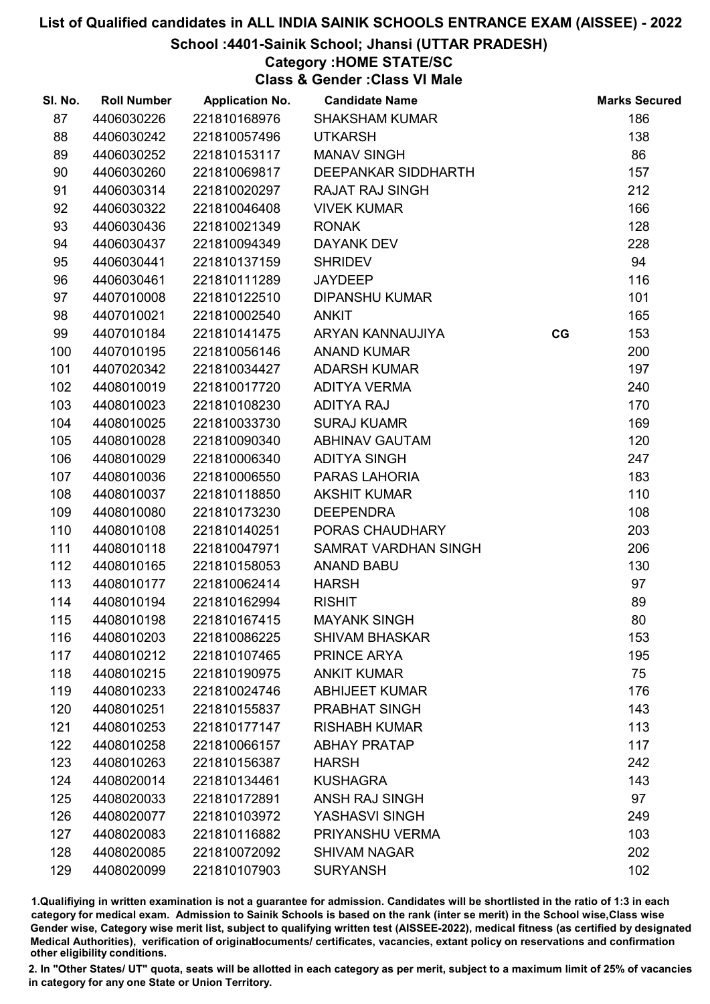## School :4401-Sainik School; Jhansi (UTTAR PRADESH)

## Category :HOME STATE/SC

Class & Gender :Class VI Male

| SI. No. | <b>Roll Number</b> | <b>Application No.</b> | <b>Candidate Name</b>  |    | <b>Marks Secured</b> |
|---------|--------------------|------------------------|------------------------|----|----------------------|
| 87      | 4406030226         | 221810168976           | <b>SHAKSHAM KUMAR</b>  |    | 186                  |
| 88      | 4406030242         | 221810057496           | <b>UTKARSH</b>         |    | 138                  |
| 89      | 4406030252         | 221810153117           | <b>MANAV SINGH</b>     |    | 86                   |
| 90      | 4406030260         | 221810069817           | DEEPANKAR SIDDHARTH    |    | 157                  |
| 91      | 4406030314         | 221810020297           | <b>RAJAT RAJ SINGH</b> |    | 212                  |
| 92      | 4406030322         | 221810046408           | <b>VIVEK KUMAR</b>     |    | 166                  |
| 93      | 4406030436         | 221810021349           | <b>RONAK</b>           |    | 128                  |
| 94      | 4406030437         | 221810094349           | <b>DAYANK DEV</b>      |    | 228                  |
| 95      | 4406030441         | 221810137159           | <b>SHRIDEV</b>         |    | 94                   |
| 96      | 4406030461         | 221810111289           | <b>JAYDEEP</b>         |    | 116                  |
| 97      | 4407010008         | 221810122510           | <b>DIPANSHU KUMAR</b>  |    | 101                  |
| 98      | 4407010021         | 221810002540           | <b>ANKIT</b>           |    | 165                  |
| 99      | 4407010184         | 221810141475           | ARYAN KANNAUJIYA       | CG | 153                  |
| 100     | 4407010195         | 221810056146           | <b>ANAND KUMAR</b>     |    | 200                  |
| 101     | 4407020342         | 221810034427           | <b>ADARSH KUMAR</b>    |    | 197                  |
| 102     | 4408010019         | 221810017720           | <b>ADITYA VERMA</b>    |    | 240                  |
| 103     | 4408010023         | 221810108230           | <b>ADITYA RAJ</b>      |    | 170                  |
| 104     | 4408010025         | 221810033730           | <b>SURAJ KUAMR</b>     |    | 169                  |
| 105     | 4408010028         | 221810090340           | <b>ABHINAV GAUTAM</b>  |    | 120                  |
| 106     | 4408010029         | 221810006340           | <b>ADITYA SINGH</b>    |    | 247                  |
| 107     | 4408010036         | 221810006550           | PARAS LAHORIA          |    | 183                  |
| 108     | 4408010037         | 221810118850           | <b>AKSHIT KUMAR</b>    |    | 110                  |
| 109     | 4408010080         | 221810173230           | <b>DEEPENDRA</b>       |    | 108                  |
| 110     | 4408010108         | 221810140251           | PORAS CHAUDHARY        |    | 203                  |
| 111     | 4408010118         | 221810047971           | SAMRAT VARDHAN SINGH   |    | 206                  |
| 112     | 4408010165         | 221810158053           | <b>ANAND BABU</b>      |    | 130                  |
| 113     | 4408010177         | 221810062414           | <b>HARSH</b>           |    | 97                   |
| 114     | 4408010194         | 221810162994           | <b>RISHIT</b>          |    | 89                   |
| 115     | 4408010198         | 221810167415           | <b>MAYANK SINGH</b>    |    | 80                   |
| 116     | 4408010203         | 221810086225           | <b>SHIVAM BHASKAR</b>  |    | 153                  |
| 117     | 4408010212         | 221810107465           | PRINCE ARYA            |    | 195                  |
| 118     | 4408010215         | 221810190975           | <b>ANKIT KUMAR</b>     |    | 75                   |
| 119     | 4408010233         | 221810024746           | <b>ABHIJEET KUMAR</b>  |    | 176                  |
| 120     | 4408010251         | 221810155837           | PRABHAT SINGH          |    | 143                  |
| 121     | 4408010253         | 221810177147           | <b>RISHABH KUMAR</b>   |    | 113                  |
| 122     | 4408010258         | 221810066157           | <b>ABHAY PRATAP</b>    |    | 117                  |
| 123     | 4408010263         | 221810156387           | <b>HARSH</b>           |    | 242                  |
| 124     | 4408020014         | 221810134461           | <b>KUSHAGRA</b>        |    | 143                  |
| 125     | 4408020033         | 221810172891           | ANSH RAJ SINGH         |    | 97                   |
| 126     | 4408020077         | 221810103972           | YASHASVI SINGH         |    | 249                  |
| 127     | 4408020083         | 221810116882           | PRIYANSHU VERMA        |    | 103                  |
| 128     | 4408020085         | 221810072092           | <b>SHIVAM NAGAR</b>    |    | 202                  |
| 129     | 4408020099         | 221810107903           | <b>SURYANSH</b>        |    | 102                  |

1.Qualifiying in written examination is not a guarantee for admission. Candidates will be shortlisted in the ratio of 1:3 in each category for medical exam. Admission to Sainik Schools is based on the rank (inter se merit) in the School wise,Class wise Gender wise, Category wise merit list, subject to qualifying written test (AISSEE-2022), medical fitness (as certified by designated Medical Authorities), verification of originablocuments/ certificates, vacancies, extant policy on reservations and confirmation other eligibility conditions.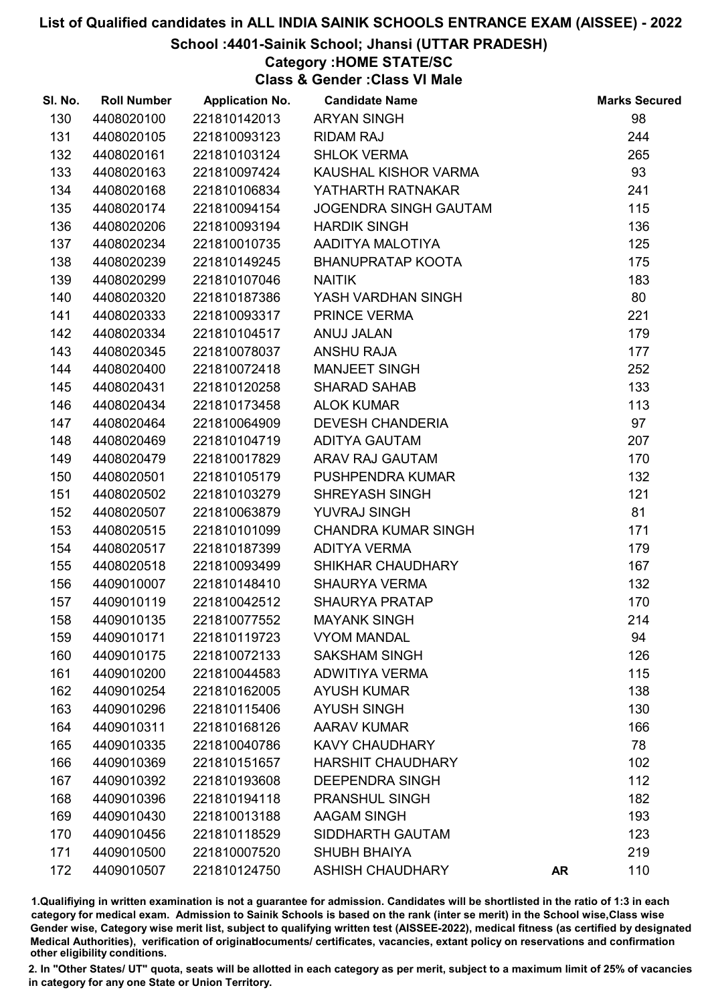School :4401-Sainik School; Jhansi (UTTAR PRADESH)

## Category :HOME STATE/SC

Class & Gender :Class VI Male

| SI. No. | <b>Roll Number</b> | <b>Application No.</b> | <b>Candidate Name</b>        |           | <b>Marks Secured</b> |
|---------|--------------------|------------------------|------------------------------|-----------|----------------------|
| 130     | 4408020100         | 221810142013           | <b>ARYAN SINGH</b>           |           | 98                   |
| 131     | 4408020105         | 221810093123           | <b>RIDAM RAJ</b>             |           | 244                  |
| 132     | 4408020161         | 221810103124           | <b>SHLOK VERMA</b>           |           | 265                  |
| 133     | 4408020163         | 221810097424           | KAUSHAL KISHOR VARMA         |           | 93                   |
| 134     | 4408020168         | 221810106834           | YATHARTH RATNAKAR            |           | 241                  |
| 135     | 4408020174         | 221810094154           | <b>JOGENDRA SINGH GAUTAM</b> |           | 115                  |
| 136     | 4408020206         | 221810093194           | <b>HARDIK SINGH</b>          |           | 136                  |
| 137     | 4408020234         | 221810010735           | AADITYA MALOTIYA             |           | 125                  |
| 138     | 4408020239         | 221810149245           | <b>BHANUPRATAP KOOTA</b>     |           | 175                  |
| 139     | 4408020299         | 221810107046           | <b>NAITIK</b>                |           | 183                  |
| 140     | 4408020320         | 221810187386           | YASH VARDHAN SINGH           |           | 80                   |
| 141     | 4408020333         | 221810093317           | PRINCE VERMA                 |           | 221                  |
| 142     | 4408020334         | 221810104517           | ANUJ JALAN                   |           | 179                  |
| 143     | 4408020345         | 221810078037           | <b>ANSHU RAJA</b>            |           | 177                  |
| 144     | 4408020400         | 221810072418           | <b>MANJEET SINGH</b>         |           | 252                  |
| 145     | 4408020431         | 221810120258           | <b>SHARAD SAHAB</b>          |           | 133                  |
| 146     | 4408020434         | 221810173458           | <b>ALOK KUMAR</b>            |           | 113                  |
| 147     | 4408020464         | 221810064909           | <b>DEVESH CHANDERIA</b>      |           | 97                   |
| 148     | 4408020469         | 221810104719           | <b>ADITYA GAUTAM</b>         |           | 207                  |
| 149     | 4408020479         | 221810017829           | ARAV RAJ GAUTAM              |           | 170                  |
| 150     | 4408020501         | 221810105179           | PUSHPENDRA KUMAR             |           | 132                  |
| 151     | 4408020502         | 221810103279           | <b>SHREYASH SINGH</b>        |           | 121                  |
| 152     | 4408020507         | 221810063879           | YUVRAJ SINGH                 |           | 81                   |
| 153     | 4408020515         | 221810101099           | <b>CHANDRA KUMAR SINGH</b>   |           | 171                  |
| 154     | 4408020517         | 221810187399           | ADITYA VERMA                 |           | 179                  |
| 155     | 4408020518         | 221810093499           | SHIKHAR CHAUDHARY            |           | 167                  |
| 156     | 4409010007         | 221810148410           | <b>SHAURYA VERMA</b>         |           | 132                  |
| 157     | 4409010119         | 221810042512           | <b>SHAURYA PRATAP</b>        |           | 170                  |
| 158     | 4409010135         | 221810077552           | <b>MAYANK SINGH</b>          |           | 214                  |
| 159     | 4409010171         | 221810119723           | <b>VYOM MANDAL</b>           |           | 94                   |
| 160     | 4409010175         | 221810072133           | <b>SAKSHAM SINGH</b>         |           | 126                  |
| 161     | 4409010200         | 221810044583           | <b>ADWITIYA VERMA</b>        |           | 115                  |
| 162     | 4409010254         | 221810162005           | <b>AYUSH KUMAR</b>           |           | 138                  |
| 163     | 4409010296         | 221810115406           | <b>AYUSH SINGH</b>           |           | 130                  |
| 164     | 4409010311         | 221810168126           | <b>AARAV KUMAR</b>           |           | 166                  |
| 165     | 4409010335         | 221810040786           | <b>KAVY CHAUDHARY</b>        |           | 78                   |
| 166     | 4409010369         | 221810151657           | <b>HARSHIT CHAUDHARY</b>     |           | 102                  |
| 167     | 4409010392         | 221810193608           | <b>DEEPENDRA SINGH</b>       |           | 112                  |
| 168     | 4409010396         | 221810194118           | PRANSHUL SINGH               |           | 182                  |
| 169     | 4409010430         | 221810013188           | <b>AAGAM SINGH</b>           |           | 193                  |
| 170     | 4409010456         | 221810118529           | SIDDHARTH GAUTAM             |           | 123                  |
| 171     | 4409010500         | 221810007520           | <b>SHUBH BHAIYA</b>          |           | 219                  |
| 172     | 4409010507         | 221810124750           | <b>ASHISH CHAUDHARY</b>      | <b>AR</b> | 110                  |

1.Qualifiying in written examination is not a guarantee for admission. Candidates will be shortlisted in the ratio of 1:3 in each category for medical exam. Admission to Sainik Schools is based on the rank (inter se merit) in the School wise,Class wise Gender wise, Category wise merit list, subject to qualifying written test (AISSEE-2022), medical fitness (as certified by designated Medical Authorities), verification of originablocuments/ certificates, vacancies, extant policy on reservations and confirmation other eligibility conditions.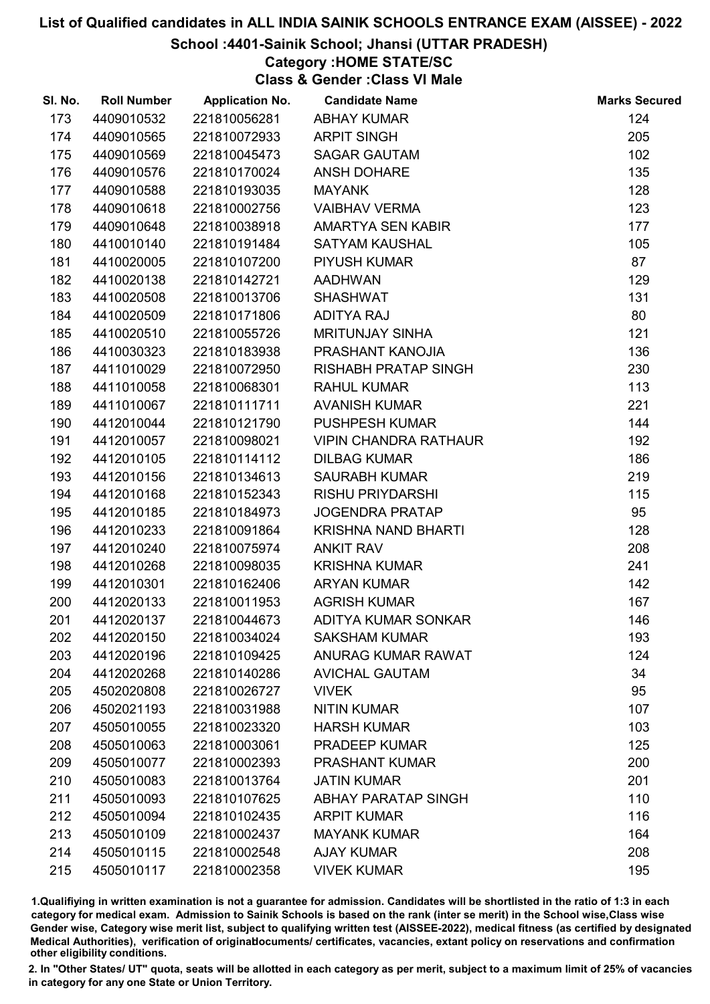## School :4401-Sainik School; Jhansi (UTTAR PRADESH)

## Category :HOME STATE/SC

Class & Gender :Class VI Male

| SI. No. | <b>Roll Number</b> | <b>Application No.</b> | <b>Candidate Name</b>        | <b>Marks Secured</b> |
|---------|--------------------|------------------------|------------------------------|----------------------|
| 173     | 4409010532         | 221810056281           | <b>ABHAY KUMAR</b>           | 124                  |
| 174     | 4409010565         | 221810072933           | <b>ARPIT SINGH</b>           | 205                  |
| 175     | 4409010569         | 221810045473           | <b>SAGAR GAUTAM</b>          | 102                  |
| 176     | 4409010576         | 221810170024           | <b>ANSH DOHARE</b>           | 135                  |
| 177     | 4409010588         | 221810193035           | <b>MAYANK</b>                | 128                  |
| 178     | 4409010618         | 221810002756           | <b>VAIBHAV VERMA</b>         | 123                  |
| 179     | 4409010648         | 221810038918           | AMARTYA SEN KABIR            | 177                  |
| 180     | 4410010140         | 221810191484           | <b>SATYAM KAUSHAL</b>        | 105                  |
| 181     | 4410020005         | 221810107200           | PIYUSH KUMAR                 | 87                   |
| 182     | 4410020138         | 221810142721           | <b>AADHWAN</b>               | 129                  |
| 183     | 4410020508         | 221810013706           | <b>SHASHWAT</b>              | 131                  |
| 184     | 4410020509         | 221810171806           | <b>ADITYA RAJ</b>            | 80                   |
| 185     | 4410020510         | 221810055726           | <b>MRITUNJAY SINHA</b>       | 121                  |
| 186     | 4410030323         | 221810183938           | PRASHANT KANOJIA             | 136                  |
| 187     | 4411010029         | 221810072950           | <b>RISHABH PRATAP SINGH</b>  | 230                  |
| 188     | 4411010058         | 221810068301           | <b>RAHUL KUMAR</b>           | 113                  |
| 189     | 4411010067         | 221810111711           | <b>AVANISH KUMAR</b>         | 221                  |
| 190     | 4412010044         | 221810121790           | <b>PUSHPESH KUMAR</b>        | 144                  |
| 191     | 4412010057         | 221810098021           | <b>VIPIN CHANDRA RATHAUR</b> | 192                  |
| 192     | 4412010105         | 221810114112           | <b>DILBAG KUMAR</b>          | 186                  |
| 193     | 4412010156         | 221810134613           | <b>SAURABH KUMAR</b>         | 219                  |
| 194     | 4412010168         | 221810152343           | <b>RISHU PRIYDARSHI</b>      | 115                  |
| 195     | 4412010185         | 221810184973           | <b>JOGENDRA PRATAP</b>       | 95                   |
| 196     | 4412010233         | 221810091864           | KRISHNA NAND BHARTI          | 128                  |
| 197     | 4412010240         | 221810075974           | <b>ANKIT RAV</b>             | 208                  |
| 198     | 4412010268         | 221810098035           | <b>KRISHNA KUMAR</b>         | 241                  |
| 199     | 4412010301         | 221810162406           | <b>ARYAN KUMAR</b>           | 142                  |
| 200     | 4412020133         | 221810011953           | <b>AGRISH KUMAR</b>          | 167                  |
| 201     | 4412020137         | 221810044673           | ADITYA KUMAR SONKAR          | 146                  |
| 202     | 4412020150         | 221810034024           | <b>SAKSHAM KUMAR</b>         | 193                  |
| 203     | 4412020196         | 221810109425           | <b>ANURAG KUMAR RAWAT</b>    | 124                  |
| 204     | 4412020268         | 221810140286           | <b>AVICHAL GAUTAM</b>        | 34                   |
| 205     | 4502020808         | 221810026727           | <b>VIVEK</b>                 | 95                   |
| 206     | 4502021193         | 221810031988           | <b>NITIN KUMAR</b>           | 107                  |
| 207     | 4505010055         | 221810023320           | <b>HARSH KUMAR</b>           | 103                  |
| 208     | 4505010063         | 221810003061           | <b>PRADEEP KUMAR</b>         | 125                  |
| 209     | 4505010077         | 221810002393           | <b>PRASHANT KUMAR</b>        | 200                  |
| 210     | 4505010083         | 221810013764           | <b>JATIN KUMAR</b>           | 201                  |
| 211     | 4505010093         | 221810107625           | <b>ABHAY PARATAP SINGH</b>   | 110                  |
| 212     | 4505010094         | 221810102435           | <b>ARPIT KUMAR</b>           | 116                  |
| 213     | 4505010109         | 221810002437           | <b>MAYANK KUMAR</b>          | 164                  |
| 214     | 4505010115         | 221810002548           | <b>AJAY KUMAR</b>            | 208                  |
| 215     | 4505010117         | 221810002358           | <b>VIVEK KUMAR</b>           | 195                  |

1.Qualifiying in written examination is not a guarantee for admission. Candidates will be shortlisted in the ratio of 1:3 in each category for medical exam. Admission to Sainik Schools is based on the rank (inter se merit) in the School wise,Class wise Gender wise, Category wise merit list, subject to qualifying written test (AISSEE-2022), medical fitness (as certified by designated Medical Authorities), verification of originablocuments/ certificates, vacancies, extant policy on reservations and confirmation other eligibility conditions.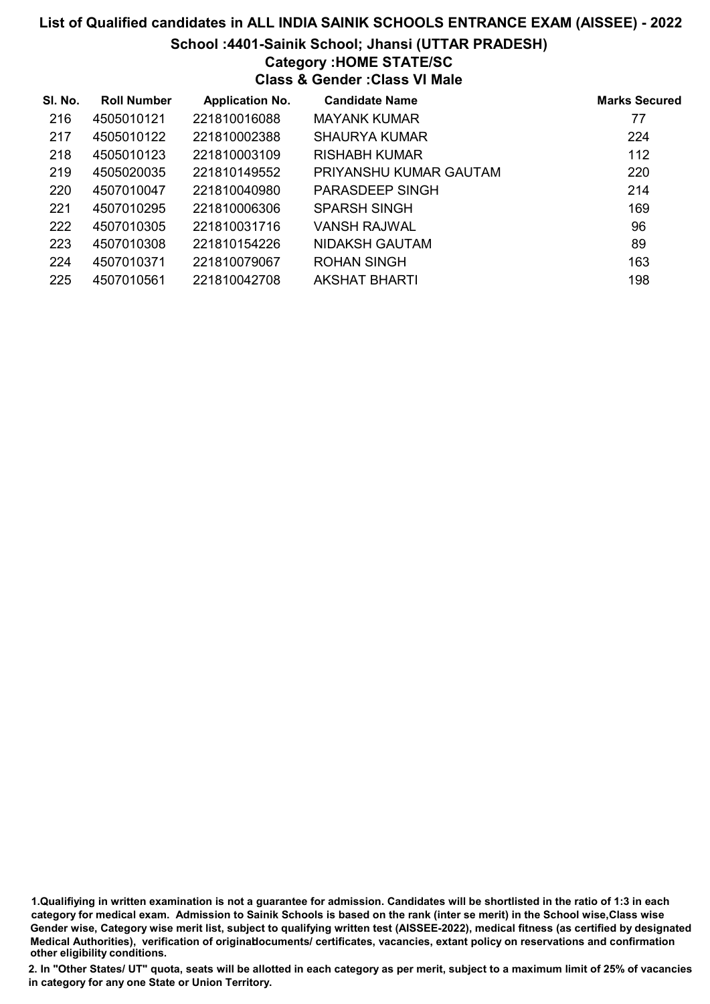## List of Qualified candidates in ALL INDIA SAINIK SCHOOLS ENTRANCE EXAM (AISSEE) - 2022 School :4401-Sainik School; Jhansi (UTTAR PRADESH) Category :HOME STATE/SC Class & Gender :Class VI Male

| SI. No. | <b>Roll Number</b> | <b>Application No.</b> | <b>Candidate Name</b>  | <b>Marks Secured</b> |
|---------|--------------------|------------------------|------------------------|----------------------|
| 216     | 4505010121         | 221810016088           | <b>MAYANK KUMAR</b>    | 77                   |
| 217     | 4505010122         | 221810002388           | <b>SHAURYA KUMAR</b>   | 224                  |
| 218     | 4505010123         | 221810003109           | <b>RISHABH KUMAR</b>   | 112                  |
| 219     | 4505020035         | 221810149552           | PRIYANSHU KUMAR GAUTAM | 220                  |
| 220     | 4507010047         | 221810040980           | PARASDEEP SINGH        | 214                  |
| 221     | 4507010295         | 221810006306           | <b>SPARSH SINGH</b>    | 169                  |
| 222     | 4507010305         | 221810031716           | VANSH RAJWAL           | 96                   |
| 223     | 4507010308         | 221810154226           | NIDAKSH GAUTAM         | 89                   |
| 224     | 4507010371         | 221810079067           | <b>ROHAN SINGH</b>     | 163                  |
| 225     | 4507010561         | 221810042708           | <b>AKSHAT BHARTI</b>   | 198                  |

1.Qualifiying in written examination is not a guarantee for admission. Candidates will be shortlisted in the ratio of 1:3 in each category for medical exam. Admission to Sainik Schools is based on the rank (inter se merit) in the School wise,Class wise Gender wise, Category wise merit list, subject to qualifying written test (AISSEE-2022), medical fitness (as certified by designated Medical Authorities), verification of originablocuments/ certificates, vacancies, extant policy on reservations and confirmation other eligibility conditions.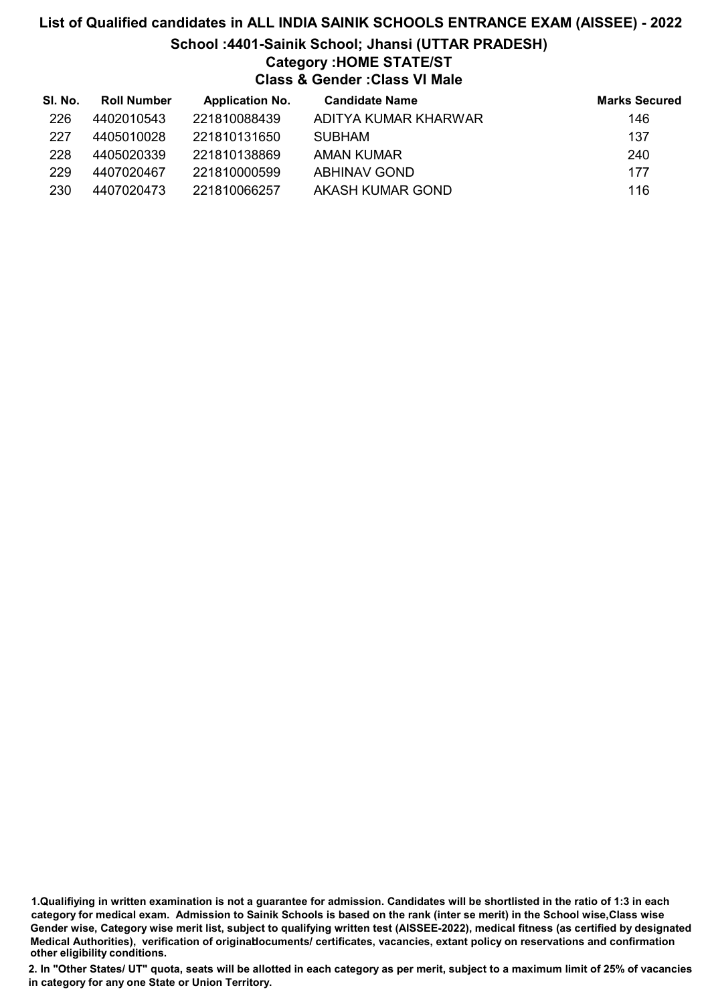# List of Qualified candidates in ALL INDIA SAINIK SCHOOLS ENTRANCE EXAM (AISSEE) - 2022 School :4401-Sainik School; Jhansi (UTTAR PRADESH) Category :HOME STATE/ST Class & Gender :Class VI Male

| SI. No. | <b>Roll Number</b> | <b>Application No.</b> | <b>Candidate Name</b> | <b>Marks Secured</b> |
|---------|--------------------|------------------------|-----------------------|----------------------|
| 226     | 4402010543         | 221810088439           | ADITYA KUMAR KHARWAR  | 146                  |
| 227     | 4405010028         | 221810131650           | <b>SUBHAM</b>         | 137                  |
| 228     | 4405020339         | 221810138869           | AMAN KUMAR            | 240                  |
| 229     | 4407020467         | 221810000599           | <b>ABHINAV GOND</b>   | 177                  |
| 230     | 4407020473         | 221810066257           | AKASH KUMAR GOND      | 116                  |

1.Qualifiying in written examination is not a guarantee for admission. Candidates will be shortlisted in the ratio of 1:3 in each category for medical exam. Admission to Sainik Schools is based on the rank (inter se merit) in the School wise,Class wise Gender wise, Category wise merit list, subject to qualifying written test (AISSEE-2022), medical fitness (as certified by designated Medical Authorities), verification of originablocuments/ certificates, vacancies, extant policy on reservations and confirmation other eligibility conditions.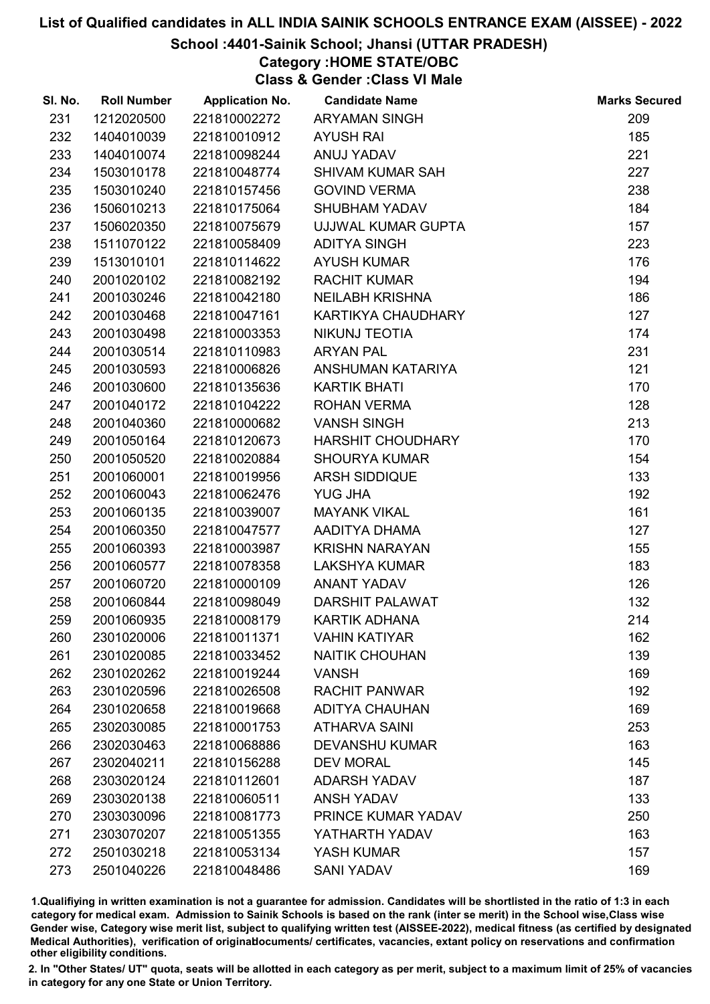### School :4401-Sainik School; Jhansi (UTTAR PRADESH)

Category :HOME STATE/OBC

Class & Gender :Class VI Male

| SI. No. | <b>Roll Number</b> | <b>Application No.</b> | <b>Candidate Name</b>    | <b>Marks Secured</b> |
|---------|--------------------|------------------------|--------------------------|----------------------|
| 231     | 1212020500         | 221810002272           | <b>ARYAMAN SINGH</b>     | 209                  |
| 232     | 1404010039         | 221810010912           | <b>AYUSH RAI</b>         | 185                  |
| 233     | 1404010074         | 221810098244           | ANUJ YADAV               | 221                  |
| 234     | 1503010178         | 221810048774           | <b>SHIVAM KUMAR SAH</b>  | 227                  |
| 235     | 1503010240         | 221810157456           | <b>GOVIND VERMA</b>      | 238                  |
| 236     | 1506010213         | 221810175064           | <b>SHUBHAM YADAV</b>     | 184                  |
| 237     | 1506020350         | 221810075679           | UJJWAL KUMAR GUPTA       | 157                  |
| 238     | 1511070122         | 221810058409           | <b>ADITYA SINGH</b>      | 223                  |
| 239     | 1513010101         | 221810114622           | <b>AYUSH KUMAR</b>       | 176                  |
| 240     | 2001020102         | 221810082192           | <b>RACHIT KUMAR</b>      | 194                  |
| 241     | 2001030246         | 221810042180           | <b>NEILABH KRISHNA</b>   | 186                  |
| 242     | 2001030468         | 221810047161           | KARTIKYA CHAUDHARY       | 127                  |
| 243     | 2001030498         | 221810003353           | NIKUNJ TEOTIA            | 174                  |
| 244     | 2001030514         | 221810110983           | <b>ARYAN PAL</b>         | 231                  |
| 245     | 2001030593         | 221810006826           | ANSHUMAN KATARIYA        | 121                  |
| 246     | 2001030600         | 221810135636           | <b>KARTIK BHATI</b>      | 170                  |
| 247     | 2001040172         | 221810104222           | <b>ROHAN VERMA</b>       | 128                  |
| 248     | 2001040360         | 221810000682           | <b>VANSH SINGH</b>       | 213                  |
| 249     | 2001050164         | 221810120673           | <b>HARSHIT CHOUDHARY</b> | 170                  |
| 250     | 2001050520         | 221810020884           | <b>SHOURYA KUMAR</b>     | 154                  |
| 251     | 2001060001         | 221810019956           | ARSH SIDDIQUE            | 133                  |
| 252     | 2001060043         | 221810062476           | <b>YUG JHA</b>           | 192                  |
| 253     | 2001060135         | 221810039007           | <b>MAYANK VIKAL</b>      | 161                  |
| 254     | 2001060350         | 221810047577           | AADITYA DHAMA            | 127                  |
| 255     | 2001060393         | 221810003987           | <b>KRISHN NARAYAN</b>    | 155                  |
| 256     | 2001060577         | 221810078358           | <b>LAKSHYA KUMAR</b>     | 183                  |
| 257     | 2001060720         | 221810000109           | <b>ANANT YADAV</b>       | 126                  |
| 258     | 2001060844         | 221810098049           | <b>DARSHIT PALAWAT</b>   | 132                  |
| 259     | 2001060935         | 221810008179           | <b>KARTIK ADHANA</b>     | 214                  |
| 260     | 2301020006         | 221810011371           | <b>VAHIN KATIYAR</b>     | 162                  |
| 261     | 2301020085         | 221810033452           | <b>NAITIK CHOUHAN</b>    | 139                  |
| 262     | 2301020262         | 221810019244           | <b>VANSH</b>             | 169                  |
| 263     | 2301020596         | 221810026508           | <b>RACHIT PANWAR</b>     | 192                  |
| 264     | 2301020658         | 221810019668           | <b>ADITYA CHAUHAN</b>    | 169                  |
| 265     | 2302030085         | 221810001753           | <b>ATHARVA SAINI</b>     | 253                  |
| 266     | 2302030463         | 221810068886           | <b>DEVANSHU KUMAR</b>    | 163                  |
| 267     | 2302040211         | 221810156288           | <b>DEV MORAL</b>         | 145                  |
| 268     | 2303020124         | 221810112601           | <b>ADARSH YADAV</b>      | 187                  |
| 269     | 2303020138         | 221810060511           | <b>ANSH YADAV</b>        | 133                  |
| 270     | 2303030096         | 221810081773           | PRINCE KUMAR YADAV       | 250                  |
| 271     | 2303070207         | 221810051355           | YATHARTH YADAV           | 163                  |
| 272     | 2501030218         | 221810053134           | YASH KUMAR               | 157                  |
| 273     | 2501040226         | 221810048486           | <b>SANI YADAV</b>        | 169                  |

1.Qualifiying in written examination is not a guarantee for admission. Candidates will be shortlisted in the ratio of 1:3 in each category for medical exam. Admission to Sainik Schools is based on the rank (inter se merit) in the School wise,Class wise Gender wise, Category wise merit list, subject to qualifying written test (AISSEE-2022), medical fitness (as certified by designated Medical Authorities), verification of originablocuments/ certificates, vacancies, extant policy on reservations and confirmation other eligibility conditions.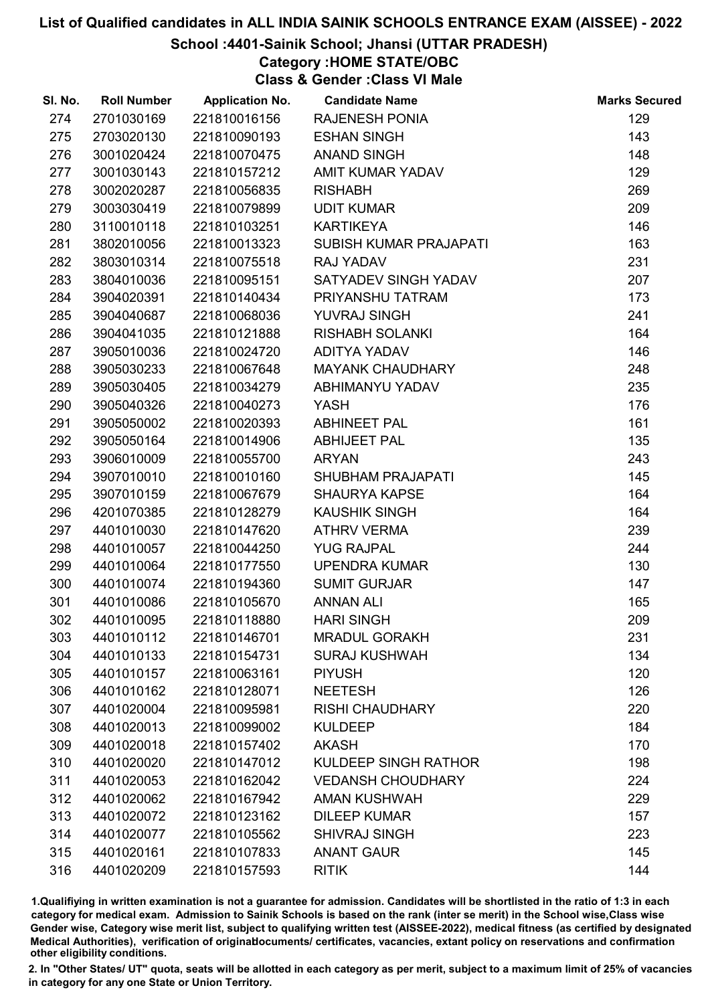## School :4401-Sainik School; Jhansi (UTTAR PRADESH)

Category :HOME STATE/OBC

Class & Gender :Class VI Male

| SI. No. | <b>Roll Number</b> | <b>Application No.</b> | <b>Candidate Name</b>       | <b>Marks Secured</b> |
|---------|--------------------|------------------------|-----------------------------|----------------------|
| 274     | 2701030169         | 221810016156           | <b>RAJENESH PONIA</b>       | 129                  |
| 275     | 2703020130         | 221810090193           | <b>ESHAN SINGH</b>          | 143                  |
| 276     | 3001020424         | 221810070475           | <b>ANAND SINGH</b>          | 148                  |
| 277     | 3001030143         | 221810157212           | <b>AMIT KUMAR YADAV</b>     | 129                  |
| 278     | 3002020287         | 221810056835           | <b>RISHABH</b>              | 269                  |
| 279     | 3003030419         | 221810079899           | <b>UDIT KUMAR</b>           | 209                  |
| 280     | 3110010118         | 221810103251           | <b>KARTIKEYA</b>            | 146                  |
| 281     | 3802010056         | 221810013323           | SUBISH KUMAR PRAJAPATI      | 163                  |
| 282     | 3803010314         | 221810075518           | RAJ YADAV                   | 231                  |
| 283     | 3804010036         | 221810095151           | SATYADEV SINGH YADAV        | 207                  |
| 284     | 3904020391         | 221810140434           | PRIYANSHU TATRAM            | 173                  |
| 285     | 3904040687         | 221810068036           | YUVRAJ SINGH                | 241                  |
| 286     | 3904041035         | 221810121888           | <b>RISHABH SOLANKI</b>      | 164                  |
| 287     | 3905010036         | 221810024720           | <b>ADITYA YADAV</b>         | 146                  |
| 288     | 3905030233         | 221810067648           | <b>MAYANK CHAUDHARY</b>     | 248                  |
| 289     | 3905030405         | 221810034279           | ABHIMANYU YADAV             | 235                  |
| 290     | 3905040326         | 221810040273           | <b>YASH</b>                 | 176                  |
| 291     | 3905050002         | 221810020393           | <b>ABHINEET PAL</b>         | 161                  |
| 292     | 3905050164         | 221810014906           | <b>ABHIJEET PAL</b>         | 135                  |
| 293     | 3906010009         | 221810055700           | <b>ARYAN</b>                | 243                  |
| 294     | 3907010010         | 221810010160           | <b>SHUBHAM PRAJAPATI</b>    | 145                  |
| 295     | 3907010159         | 221810067679           | <b>SHAURYA KAPSE</b>        | 164                  |
| 296     | 4201070385         | 221810128279           | <b>KAUSHIK SINGH</b>        | 164                  |
| 297     | 4401010030         | 221810147620           | <b>ATHRV VERMA</b>          | 239                  |
| 298     | 4401010057         | 221810044250           | <b>YUG RAJPAL</b>           | 244                  |
| 299     | 4401010064         | 221810177550           | <b>UPENDRA KUMAR</b>        | 130                  |
| 300     | 4401010074         | 221810194360           | <b>SUMIT GURJAR</b>         | 147                  |
| 301     | 4401010086         | 221810105670           | <b>ANNAN ALI</b>            | 165                  |
| 302     | 4401010095         | 221810118880           | <b>HARI SINGH</b>           | 209                  |
| 303     | 4401010112         | 221810146701           | <b>MRADUL GORAKH</b>        | 231                  |
| 304     | 4401010133         | 221810154731           | <b>SURAJ KUSHWAH</b>        | 134                  |
| 305     | 4401010157         | 221810063161           | <b>PIYUSH</b>               | 120                  |
| 306     | 4401010162         | 221810128071           | <b>NEETESH</b>              | 126                  |
| 307     | 4401020004         | 221810095981           | <b>RISHI CHAUDHARY</b>      | 220                  |
| 308     | 4401020013         | 221810099002           | <b>KULDEEP</b>              | 184                  |
| 309     | 4401020018         | 221810157402           | <b>AKASH</b>                | 170                  |
| 310     | 4401020020         | 221810147012           | <b>KULDEEP SINGH RATHOR</b> | 198                  |
| 311     | 4401020053         | 221810162042           | <b>VEDANSH CHOUDHARY</b>    | 224                  |
| 312     | 4401020062         | 221810167942           | <b>AMAN KUSHWAH</b>         | 229                  |
| 313     | 4401020072         | 221810123162           | <b>DILEEP KUMAR</b>         | 157                  |
| 314     | 4401020077         | 221810105562           | <b>SHIVRAJ SINGH</b>        | 223                  |
| 315     | 4401020161         | 221810107833           | <b>ANANT GAUR</b>           | 145                  |
| 316     | 4401020209         | 221810157593           | <b>RITIK</b>                | 144                  |

1.Qualifiying in written examination is not a guarantee for admission. Candidates will be shortlisted in the ratio of 1:3 in each category for medical exam. Admission to Sainik Schools is based on the rank (inter se merit) in the School wise,Class wise Gender wise, Category wise merit list, subject to qualifying written test (AISSEE-2022), medical fitness (as certified by designated Medical Authorities), verification of originablocuments/ certificates, vacancies, extant policy on reservations and confirmation other eligibility conditions.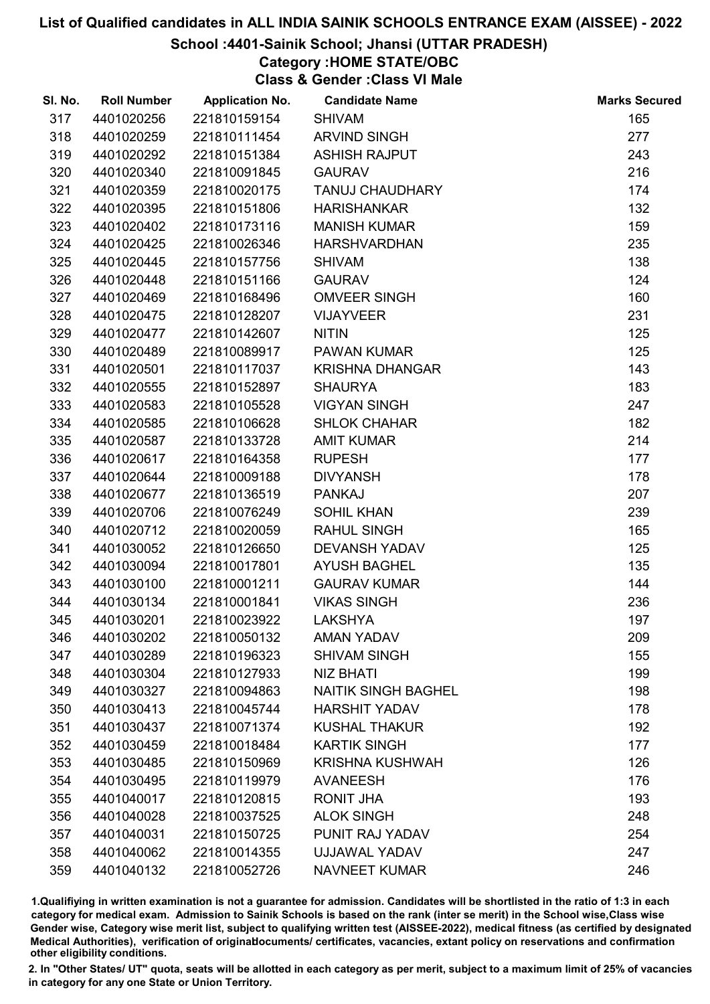### School :4401-Sainik School; Jhansi (UTTAR PRADESH)

## Category :HOME STATE/OBC

Class & Gender :Class VI Male

| SI. No. | <b>Roll Number</b> | <b>Application No.</b> | <b>Candidate Name</b>      | <b>Marks Secured</b> |
|---------|--------------------|------------------------|----------------------------|----------------------|
| 317     | 4401020256         | 221810159154           | <b>SHIVAM</b>              | 165                  |
| 318     | 4401020259         | 221810111454           | <b>ARVIND SINGH</b>        | 277                  |
| 319     | 4401020292         | 221810151384           | <b>ASHISH RAJPUT</b>       | 243                  |
| 320     | 4401020340         | 221810091845           | <b>GAURAV</b>              | 216                  |
| 321     | 4401020359         | 221810020175           | <b>TANUJ CHAUDHARY</b>     | 174                  |
| 322     | 4401020395         | 221810151806           | <b>HARISHANKAR</b>         | 132                  |
| 323     | 4401020402         | 221810173116           | <b>MANISH KUMAR</b>        | 159                  |
| 324     | 4401020425         | 221810026346           | <b>HARSHVARDHAN</b>        | 235                  |
| 325     | 4401020445         | 221810157756           | <b>SHIVAM</b>              | 138                  |
| 326     | 4401020448         | 221810151166           | <b>GAURAV</b>              | 124                  |
| 327     | 4401020469         | 221810168496           | <b>OMVEER SINGH</b>        | 160                  |
| 328     | 4401020475         | 221810128207           | <b>VIJAYVEER</b>           | 231                  |
| 329     | 4401020477         | 221810142607           | <b>NITIN</b>               | 125                  |
| 330     | 4401020489         | 221810089917           | <b>PAWAN KUMAR</b>         | 125                  |
| 331     | 4401020501         | 221810117037           | <b>KRISHNA DHANGAR</b>     | 143                  |
| 332     | 4401020555         | 221810152897           | <b>SHAURYA</b>             | 183                  |
| 333     | 4401020583         | 221810105528           | <b>VIGYAN SINGH</b>        | 247                  |
| 334     | 4401020585         | 221810106628           | <b>SHLOK CHAHAR</b>        | 182                  |
| 335     | 4401020587         | 221810133728           | <b>AMIT KUMAR</b>          | 214                  |
| 336     | 4401020617         | 221810164358           | <b>RUPESH</b>              | 177                  |
| 337     | 4401020644         | 221810009188           | <b>DIVYANSH</b>            | 178                  |
| 338     | 4401020677         | 221810136519           | <b>PANKAJ</b>              | 207                  |
| 339     | 4401020706         | 221810076249           | <b>SOHIL KHAN</b>          | 239                  |
| 340     | 4401020712         | 221810020059           | <b>RAHUL SINGH</b>         | 165                  |
| 341     | 4401030052         | 221810126650           | <b>DEVANSH YADAV</b>       | 125                  |
| 342     | 4401030094         | 221810017801           | <b>AYUSH BAGHEL</b>        | 135                  |
| 343     | 4401030100         | 221810001211           | <b>GAURAV KUMAR</b>        | 144                  |
| 344     | 4401030134         | 221810001841           | <b>VIKAS SINGH</b>         | 236                  |
| 345     | 4401030201         | 221810023922           | <b>LAKSHYA</b>             | 197                  |
| 346     | 4401030202         | 221810050132           | <b>AMAN YADAV</b>          | 209                  |
| 347     | 4401030289         | 221810196323           | <b>SHIVAM SINGH</b>        | 155                  |
| 348     | 4401030304         | 221810127933           | <b>NIZ BHATI</b>           | 199                  |
| 349     | 4401030327         | 221810094863           | <b>NAITIK SINGH BAGHEL</b> | 198                  |
| 350     | 4401030413         | 221810045744           | <b>HARSHIT YADAV</b>       | 178                  |
| 351     | 4401030437         | 221810071374           | <b>KUSHAL THAKUR</b>       | 192                  |
| 352     | 4401030459         | 221810018484           | <b>KARTIK SINGH</b>        | 177                  |
| 353     | 4401030485         | 221810150969           | <b>KRISHNA KUSHWAH</b>     | 126                  |
| 354     | 4401030495         | 221810119979           | <b>AVANEESH</b>            | 176                  |
| 355     | 4401040017         | 221810120815           | RONIT JHA                  | 193                  |
| 356     | 4401040028         | 221810037525           | <b>ALOK SINGH</b>          | 248                  |
| 357     | 4401040031         | 221810150725           | PUNIT RAJ YADAV            | 254                  |
| 358     | 4401040062         | 221810014355           | UJJAWAL YADAV              | 247                  |
| 359     | 4401040132         | 221810052726           | <b>NAVNEET KUMAR</b>       | 246                  |

1.Qualifiying in written examination is not a guarantee for admission. Candidates will be shortlisted in the ratio of 1:3 in each category for medical exam. Admission to Sainik Schools is based on the rank (inter se merit) in the School wise,Class wise Gender wise, Category wise merit list, subject to qualifying written test (AISSEE-2022), medical fitness (as certified by designated Medical Authorities), verification of originablocuments/ certificates, vacancies, extant policy on reservations and confirmation other eligibility conditions.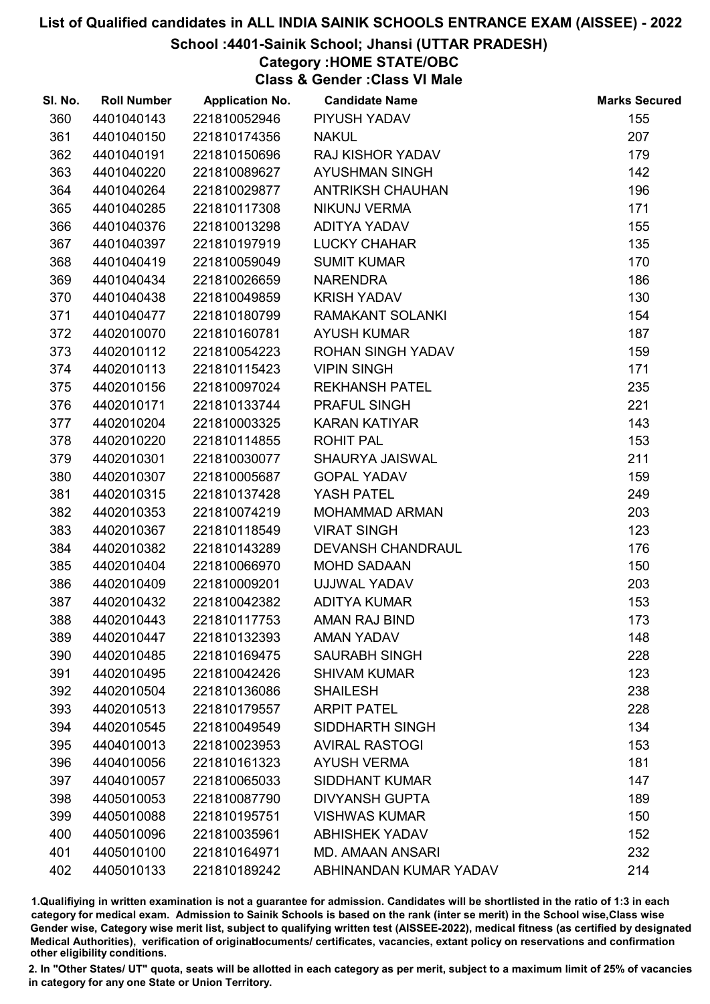### School :4401-Sainik School; Jhansi (UTTAR PRADESH)

## Category :HOME STATE/OBC

Class & Gender :Class VI Male

| SI. No. | <b>Roll Number</b> | <b>Application No.</b> | <b>Candidate Name</b>    | <b>Marks Secured</b> |
|---------|--------------------|------------------------|--------------------------|----------------------|
| 360     | 4401040143         | 221810052946           | PIYUSH YADAV             | 155                  |
| 361     | 4401040150         | 221810174356           | <b>NAKUL</b>             | 207                  |
| 362     | 4401040191         | 221810150696           | <b>RAJ KISHOR YADAV</b>  | 179                  |
| 363     | 4401040220         | 221810089627           | <b>AYUSHMAN SINGH</b>    | 142                  |
| 364     | 4401040264         | 221810029877           | <b>ANTRIKSH CHAUHAN</b>  | 196                  |
| 365     | 4401040285         | 221810117308           | <b>NIKUNJ VERMA</b>      | 171                  |
| 366     | 4401040376         | 221810013298           | ADITYA YADAV             | 155                  |
| 367     | 4401040397         | 221810197919           | <b>LUCKY CHAHAR</b>      | 135                  |
| 368     | 4401040419         | 221810059049           | <b>SUMIT KUMAR</b>       | 170                  |
| 369     | 4401040434         | 221810026659           | <b>NARENDRA</b>          | 186                  |
| 370     | 4401040438         | 221810049859           | <b>KRISH YADAV</b>       | 130                  |
| 371     | 4401040477         | 221810180799           | RAMAKANT SOLANKI         | 154                  |
| 372     | 4402010070         | 221810160781           | <b>AYUSH KUMAR</b>       | 187                  |
| 373     | 4402010112         | 221810054223           | <b>ROHAN SINGH YADAV</b> | 159                  |
| 374     | 4402010113         | 221810115423           | <b>VIPIN SINGH</b>       | 171                  |
| 375     | 4402010156         | 221810097024           | <b>REKHANSH PATEL</b>    | 235                  |
| 376     | 4402010171         | 221810133744           | <b>PRAFUL SINGH</b>      | 221                  |
| 377     | 4402010204         | 221810003325           | <b>KARAN KATIYAR</b>     | 143                  |
| 378     | 4402010220         | 221810114855           | <b>ROHIT PAL</b>         | 153                  |
| 379     | 4402010301         | 221810030077           | SHAURYA JAISWAL          | 211                  |
| 380     | 4402010307         | 221810005687           | <b>GOPAL YADAV</b>       | 159                  |
| 381     | 4402010315         | 221810137428           | YASH PATEL               | 249                  |
| 382     | 4402010353         | 221810074219           | MOHAMMAD ARMAN           | 203                  |
| 383     | 4402010367         | 221810118549           | <b>VIRAT SINGH</b>       | 123                  |
| 384     | 4402010382         | 221810143289           | <b>DEVANSH CHANDRAUL</b> | 176                  |
| 385     | 4402010404         | 221810066970           | <b>MOHD SADAAN</b>       | 150                  |
| 386     | 4402010409         | 221810009201           | UJJWAL YADAV             | 203                  |
| 387     | 4402010432         | 221810042382           | <b>ADITYA KUMAR</b>      | 153                  |
| 388     | 4402010443         | 221810117753           | <b>AMAN RAJ BIND</b>     | 173                  |
| 389     | 4402010447         | 221810132393           | <b>AMAN YADAV</b>        | 148                  |
| 390     | 4402010485         | 221810169475           | <b>SAURABH SINGH</b>     | 228                  |
| 391     | 4402010495         | 221810042426           | <b>SHIVAM KUMAR</b>      | 123                  |
| 392     | 4402010504         | 221810136086           | <b>SHAILESH</b>          | 238                  |
| 393     | 4402010513         | 221810179557           | <b>ARPIT PATEL</b>       | 228                  |
| 394     | 4402010545         | 221810049549           | SIDDHARTH SINGH          | 134                  |
| 395     | 4404010013         | 221810023953           | <b>AVIRAL RASTOGI</b>    | 153                  |
| 396     | 4404010056         | 221810161323           | <b>AYUSH VERMA</b>       | 181                  |
| 397     | 4404010057         | 221810065033           | <b>SIDDHANT KUMAR</b>    | 147                  |
| 398     | 4405010053         | 221810087790           | <b>DIVYANSH GUPTA</b>    | 189                  |
| 399     | 4405010088         | 221810195751           | <b>VISHWAS KUMAR</b>     | 150                  |
| 400     | 4405010096         | 221810035961           | <b>ABHISHEK YADAV</b>    | 152                  |
| 401     | 4405010100         | 221810164971           | <b>MD. AMAAN ANSARI</b>  | 232                  |
| 402     | 4405010133         | 221810189242           | ABHINANDAN KUMAR YADAV   | 214                  |

1.Qualifiying in written examination is not a guarantee for admission. Candidates will be shortlisted in the ratio of 1:3 in each category for medical exam. Admission to Sainik Schools is based on the rank (inter se merit) in the School wise,Class wise Gender wise, Category wise merit list, subject to qualifying written test (AISSEE-2022), medical fitness (as certified by designated Medical Authorities), verification of originablocuments/ certificates, vacancies, extant policy on reservations and confirmation other eligibility conditions.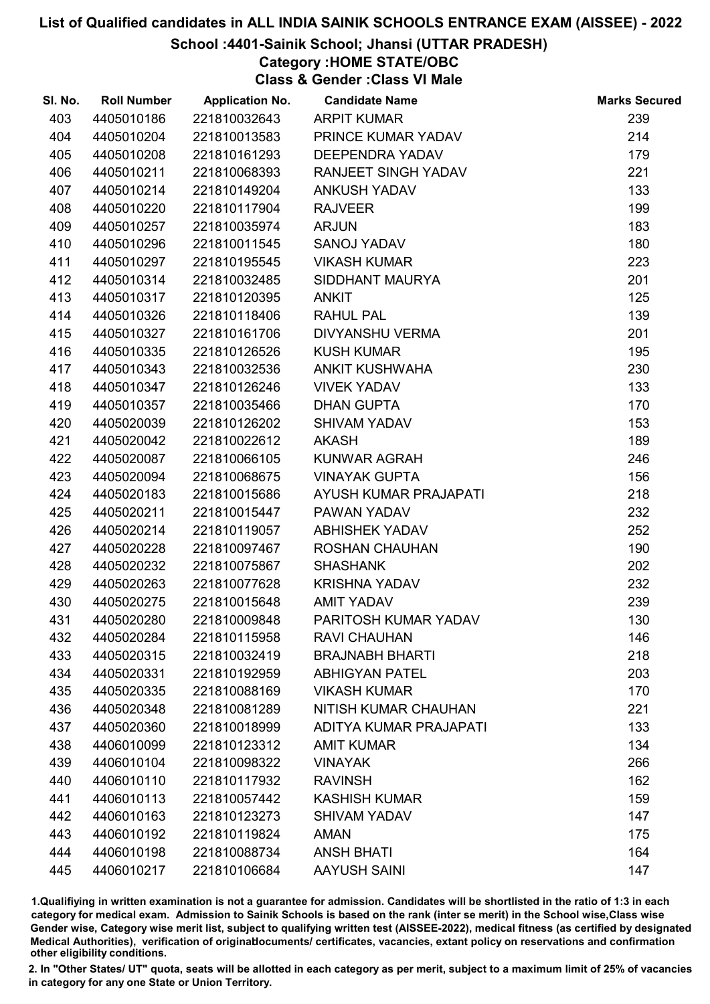## School :4401-Sainik School; Jhansi (UTTAR PRADESH)

Category :HOME STATE/OBC

Class & Gender :Class VI Male

| SI. No. | <b>Roll Number</b> | <b>Application No.</b> | <b>Candidate Name</b>       | <b>Marks Secured</b> |
|---------|--------------------|------------------------|-----------------------------|----------------------|
| 403     | 4405010186         | 221810032643           | <b>ARPIT KUMAR</b>          | 239                  |
| 404     | 4405010204         | 221810013583           | PRINCE KUMAR YADAV          | 214                  |
| 405     | 4405010208         | 221810161293           | <b>DEEPENDRA YADAV</b>      | 179                  |
| 406     | 4405010211         | 221810068393           | RANJEET SINGH YADAV         | 221                  |
| 407     | 4405010214         | 221810149204           | <b>ANKUSH YADAV</b>         | 133                  |
| 408     | 4405010220         | 221810117904           | <b>RAJVEER</b>              | 199                  |
| 409     | 4405010257         | 221810035974           | <b>ARJUN</b>                | 183                  |
| 410     | 4405010296         | 221810011545           | SANOJ YADAV                 | 180                  |
| 411     | 4405010297         | 221810195545           | <b>VIKASH KUMAR</b>         | 223                  |
| 412     | 4405010314         | 221810032485           | SIDDHANT MAURYA             | 201                  |
| 413     | 4405010317         | 221810120395           | <b>ANKIT</b>                | 125                  |
| 414     | 4405010326         | 221810118406           | <b>RAHUL PAL</b>            | 139                  |
| 415     | 4405010327         | 221810161706           | DIVYANSHU VERMA             | 201                  |
| 416     | 4405010335         | 221810126526           | <b>KUSH KUMAR</b>           | 195                  |
| 417     | 4405010343         | 221810032536           | <b>ANKIT KUSHWAHA</b>       | 230                  |
| 418     | 4405010347         | 221810126246           | <b>VIVEK YADAV</b>          | 133                  |
| 419     | 4405010357         | 221810035466           | <b>DHAN GUPTA</b>           | 170                  |
| 420     | 4405020039         | 221810126202           | <b>SHIVAM YADAV</b>         | 153                  |
| 421     | 4405020042         | 221810022612           | <b>AKASH</b>                | 189                  |
| 422     | 4405020087         | 221810066105           | KUNWAR AGRAH                | 246                  |
| 423     | 4405020094         | 221810068675           | <b>VINAYAK GUPTA</b>        | 156                  |
| 424     | 4405020183         | 221810015686           | AYUSH KUMAR PRAJAPATI       | 218                  |
| 425     | 4405020211         | 221810015447           | PAWAN YADAV                 | 232                  |
| 426     | 4405020214         | 221810119057           | <b>ABHISHEK YADAV</b>       | 252                  |
| 427     | 4405020228         | 221810097467           | <b>ROSHAN CHAUHAN</b>       | 190                  |
| 428     | 4405020232         | 221810075867           | <b>SHASHANK</b>             | 202                  |
| 429     | 4405020263         | 221810077628           | <b>KRISHNA YADAV</b>        | 232                  |
| 430     | 4405020275         | 221810015648           | <b>AMIT YADAV</b>           | 239                  |
| 431     | 4405020280         | 221810009848           | PARITOSH KUMAR YADAV        | 130                  |
| 432     | 4405020284         | 221810115958           | <b>RAVI CHAUHAN</b>         | 146                  |
| 433     | 4405020315         | 221810032419           | <b>BRAJNABH BHARTI</b>      | 218                  |
| 434     | 4405020331         | 221810192959           | <b>ABHIGYAN PATEL</b>       | 203                  |
| 435     | 4405020335         | 221810088169           | <b>VIKASH KUMAR</b>         | 170                  |
| 436     | 4405020348         | 221810081289           | <b>NITISH KUMAR CHAUHAN</b> | 221                  |
| 437     | 4405020360         | 221810018999           | ADITYA KUMAR PRAJAPATI      | 133                  |
| 438     | 4406010099         | 221810123312           | <b>AMIT KUMAR</b>           | 134                  |
| 439     | 4406010104         | 221810098322           | <b>VINAYAK</b>              | 266                  |
| 440     | 4406010110         | 221810117932           | <b>RAVINSH</b>              | 162                  |
| 441     | 4406010113         | 221810057442           | <b>KASHISH KUMAR</b>        | 159                  |
| 442     | 4406010163         | 221810123273           | <b>SHIVAM YADAV</b>         | 147                  |
| 443     | 4406010192         | 221810119824           | <b>AMAN</b>                 | 175                  |
| 444     | 4406010198         | 221810088734           | <b>ANSH BHATI</b>           | 164                  |
| 445     | 4406010217         | 221810106684           | <b>AAYUSH SAINI</b>         | 147                  |

1.Qualifiying in written examination is not a guarantee for admission. Candidates will be shortlisted in the ratio of 1:3 in each category for medical exam. Admission to Sainik Schools is based on the rank (inter se merit) in the School wise,Class wise Gender wise, Category wise merit list, subject to qualifying written test (AISSEE-2022), medical fitness (as certified by designated Medical Authorities), verification of originablocuments/ certificates, vacancies, extant policy on reservations and confirmation other eligibility conditions.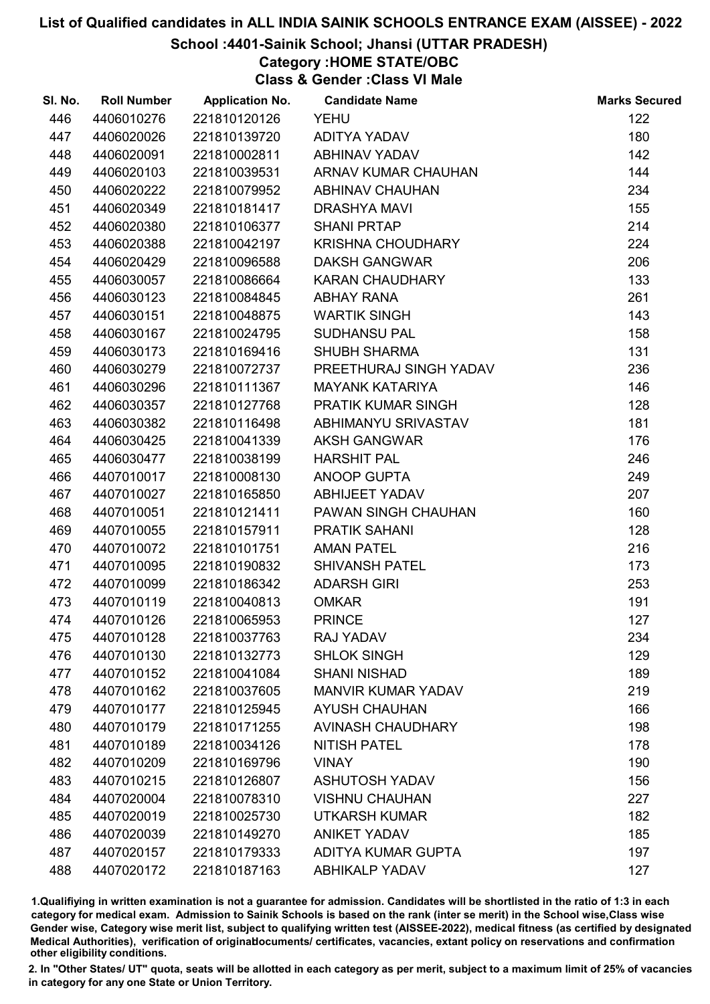### School :4401-Sainik School; Jhansi (UTTAR PRADESH)

## Category :HOME STATE/OBC

Class & Gender :Class VI Male

| SI. No. | <b>Roll Number</b> | <b>Application No.</b> | <b>Candidate Name</b>     | <b>Marks Secured</b> |
|---------|--------------------|------------------------|---------------------------|----------------------|
| 446     | 4406010276         | 221810120126           | <b>YEHU</b>               | 122                  |
| 447     | 4406020026         | 221810139720           | ADITYA YADAV              | 180                  |
| 448     | 4406020091         | 221810002811           | ABHINAV YADAV             | 142                  |
| 449     | 4406020103         | 221810039531           | ARNAV KUMAR CHAUHAN       | 144                  |
| 450     | 4406020222         | 221810079952           | <b>ABHINAV CHAUHAN</b>    | 234                  |
| 451     | 4406020349         | 221810181417           | <b>DRASHYA MAVI</b>       | 155                  |
| 452     | 4406020380         | 221810106377           | <b>SHANI PRTAP</b>        | 214                  |
| 453     | 4406020388         | 221810042197           | <b>KRISHNA CHOUDHARY</b>  | 224                  |
| 454     | 4406020429         | 221810096588           | <b>DAKSH GANGWAR</b>      | 206                  |
| 455     | 4406030057         | 221810086664           | <b>KARAN CHAUDHARY</b>    | 133                  |
| 456     | 4406030123         | 221810084845           | <b>ABHAY RANA</b>         | 261                  |
| 457     | 4406030151         | 221810048875           | <b>WARTIK SINGH</b>       | 143                  |
| 458     | 4406030167         | 221810024795           | <b>SUDHANSU PAL</b>       | 158                  |
| 459     | 4406030173         | 221810169416           | <b>SHUBH SHARMA</b>       | 131                  |
| 460     | 4406030279         | 221810072737           | PREETHURAJ SINGH YADAV    | 236                  |
| 461     | 4406030296         | 221810111367           | <b>MAYANK KATARIYA</b>    | 146                  |
| 462     | 4406030357         | 221810127768           | PRATIK KUMAR SINGH        | 128                  |
| 463     | 4406030382         | 221810116498           | ABHIMANYU SRIVASTAV       | 181                  |
| 464     | 4406030425         | 221810041339           | <b>AKSH GANGWAR</b>       | 176                  |
| 465     | 4406030477         | 221810038199           | <b>HARSHIT PAL</b>        | 246                  |
| 466     | 4407010017         | 221810008130           | ANOOP GUPTA               | 249                  |
| 467     | 4407010027         | 221810165850           | <b>ABHIJEET YADAV</b>     | 207                  |
| 468     | 4407010051         | 221810121411           | PAWAN SINGH CHAUHAN       | 160                  |
| 469     | 4407010055         | 221810157911           | <b>PRATIK SAHANI</b>      | 128                  |
| 470     | 4407010072         | 221810101751           | <b>AMAN PATEL</b>         | 216                  |
| 471     | 4407010095         | 221810190832           | <b>SHIVANSH PATEL</b>     | 173                  |
| 472     | 4407010099         | 221810186342           | <b>ADARSH GIRI</b>        | 253                  |
| 473     | 4407010119         | 221810040813           | <b>OMKAR</b>              | 191                  |
| 474     | 4407010126         | 221810065953           | <b>PRINCE</b>             | 127                  |
| 475     | 4407010128         | 221810037763           | <b>RAJ YADAV</b>          | 234                  |
| 476     | 4407010130         | 221810132773           | <b>SHLOK SINGH</b>        | 129                  |
| 477     | 4407010152         | 221810041084           | <b>SHANI NISHAD</b>       | 189                  |
| 478     | 4407010162         | 221810037605           | <b>MANVIR KUMAR YADAV</b> | 219                  |
| 479     | 4407010177         | 221810125945           | <b>AYUSH CHAUHAN</b>      | 166                  |
| 480     | 4407010179         | 221810171255           | <b>AVINASH CHAUDHARY</b>  | 198                  |
| 481     | 4407010189         | 221810034126           | <b>NITISH PATEL</b>       | 178                  |
| 482     | 4407010209         | 221810169796           | <b>VINAY</b>              | 190                  |
| 483     | 4407010215         | 221810126807           | <b>ASHUTOSH YADAV</b>     | 156                  |
| 484     | 4407020004         | 221810078310           | <b>VISHNU CHAUHAN</b>     | 227                  |
| 485     | 4407020019         | 221810025730           | <b>UTKARSH KUMAR</b>      | 182                  |
| 486     | 4407020039         | 221810149270           | <b>ANIKET YADAV</b>       | 185                  |
| 487     | 4407020157         | 221810179333           | ADITYA KUMAR GUPTA        | 197                  |
| 488     | 4407020172         | 221810187163           | <b>ABHIKALP YADAV</b>     | 127                  |

1.Qualifiying in written examination is not a guarantee for admission. Candidates will be shortlisted in the ratio of 1:3 in each category for medical exam. Admission to Sainik Schools is based on the rank (inter se merit) in the School wise,Class wise Gender wise, Category wise merit list, subject to qualifying written test (AISSEE-2022), medical fitness (as certified by designated Medical Authorities), verification of originablocuments/ certificates, vacancies, extant policy on reservations and confirmation other eligibility conditions.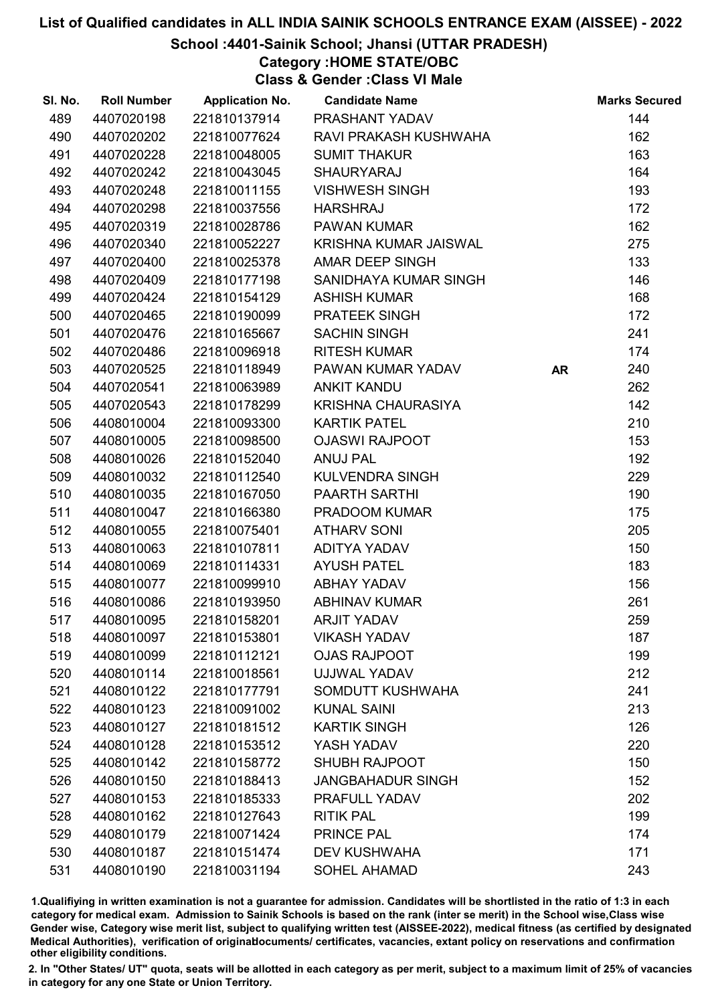## School :4401-Sainik School; Jhansi (UTTAR PRADESH)

## Category :HOME STATE/OBC

Class & Gender :Class VI Male

| SI. No. | <b>Roll Number</b> | <b>Application No.</b> | <b>Candidate Name</b>    |           | <b>Marks Secured</b> |
|---------|--------------------|------------------------|--------------------------|-----------|----------------------|
| 489     | 4407020198         | 221810137914           | PRASHANT YADAV           |           | 144                  |
| 490     | 4407020202         | 221810077624           | RAVI PRAKASH KUSHWAHA    |           | 162                  |
| 491     | 4407020228         | 221810048005           | <b>SUMIT THAKUR</b>      |           | 163                  |
| 492     | 4407020242         | 221810043045           | <b>SHAURYARAJ</b>        |           | 164                  |
| 493     | 4407020248         | 221810011155           | <b>VISHWESH SINGH</b>    |           | 193                  |
| 494     | 4407020298         | 221810037556           | <b>HARSHRAJ</b>          |           | 172                  |
| 495     | 4407020319         | 221810028786           | <b>PAWAN KUMAR</b>       |           | 162                  |
| 496     | 4407020340         | 221810052227           | KRISHNA KUMAR JAISWAL    |           | 275                  |
| 497     | 4407020400         | 221810025378           | <b>AMAR DEEP SINGH</b>   |           | 133                  |
| 498     | 4407020409         | 221810177198           | SANIDHAYA KUMAR SINGH    |           | 146                  |
| 499     | 4407020424         | 221810154129           | <b>ASHISH KUMAR</b>      |           | 168                  |
| 500     | 4407020465         | 221810190099           | PRATEEK SINGH            |           | 172                  |
| 501     | 4407020476         | 221810165667           | <b>SACHIN SINGH</b>      |           | 241                  |
| 502     | 4407020486         | 221810096918           | <b>RITESH KUMAR</b>      |           | 174                  |
| 503     | 4407020525         | 221810118949           | PAWAN KUMAR YADAV        | <b>AR</b> | 240                  |
| 504     | 4407020541         | 221810063989           | <b>ANKIT KANDU</b>       |           | 262                  |
| 505     | 4407020543         | 221810178299           | KRISHNA CHAURASIYA       |           | 142                  |
| 506     | 4408010004         | 221810093300           | <b>KARTIK PATEL</b>      |           | 210                  |
| 507     | 4408010005         | 221810098500           | <b>OJASWI RAJPOOT</b>    |           | 153                  |
| 508     | 4408010026         | 221810152040           | <b>ANUJ PAL</b>          |           | 192                  |
| 509     | 4408010032         | 221810112540           | <b>KULVENDRA SINGH</b>   |           | 229                  |
| 510     | 4408010035         | 221810167050           | <b>PAARTH SARTHI</b>     |           | 190                  |
| 511     | 4408010047         | 221810166380           | PRADOOM KUMAR            |           | 175                  |
| 512     | 4408010055         | 221810075401           | <b>ATHARV SONI</b>       |           | 205                  |
| 513     | 4408010063         | 221810107811           | ADITYA YADAV             |           | 150                  |
| 514     | 4408010069         | 221810114331           | <b>AYUSH PATEL</b>       |           | 183                  |
| 515     | 4408010077         | 221810099910           | <b>ABHAY YADAV</b>       |           | 156                  |
| 516     | 4408010086         | 221810193950           | <b>ABHINAV KUMAR</b>     |           | 261                  |
| 517     | 4408010095         | 221810158201           | <b>ARJIT YADAV</b>       |           | 259                  |
| 518     | 4408010097         | 221810153801           | <b>VIKASH YADAV</b>      |           | 187                  |
| 519     | 4408010099         | 221810112121           | <b>OJAS RAJPOOT</b>      |           | 199                  |
| 520     | 4408010114         | 221810018561           | UJJWAL YADAV             |           | 212                  |
| 521     | 4408010122         | 221810177791           | SOMDUTT KUSHWAHA         |           | 241                  |
| 522     | 4408010123         | 221810091002           | <b>KUNAL SAINI</b>       |           | 213                  |
| 523     | 4408010127         | 221810181512           | <b>KARTIK SINGH</b>      |           | 126                  |
| 524     | 4408010128         | 221810153512           | YASH YADAV               |           | 220                  |
| 525     | 4408010142         | 221810158772           | <b>SHUBH RAJPOOT</b>     |           | 150                  |
| 526     | 4408010150         | 221810188413           | <b>JANGBAHADUR SINGH</b> |           | 152                  |
| 527     | 4408010153         | 221810185333           | PRAFULL YADAV            |           | 202                  |
| 528     | 4408010162         | 221810127643           | <b>RITIK PAL</b>         |           | 199                  |
| 529     | 4408010179         | 221810071424           | PRINCE PAL               |           | 174                  |
| 530     | 4408010187         | 221810151474           | <b>DEV KUSHWAHA</b>      |           | 171                  |
| 531     | 4408010190         | 221810031194           | <b>SOHEL AHAMAD</b>      |           | 243                  |

1.Qualifiying in written examination is not a guarantee for admission. Candidates will be shortlisted in the ratio of 1:3 in each category for medical exam. Admission to Sainik Schools is based on the rank (inter se merit) in the School wise,Class wise Gender wise, Category wise merit list, subject to qualifying written test (AISSEE-2022), medical fitness (as certified by designated Medical Authorities), verification of originablocuments/ certificates, vacancies, extant policy on reservations and confirmation other eligibility conditions.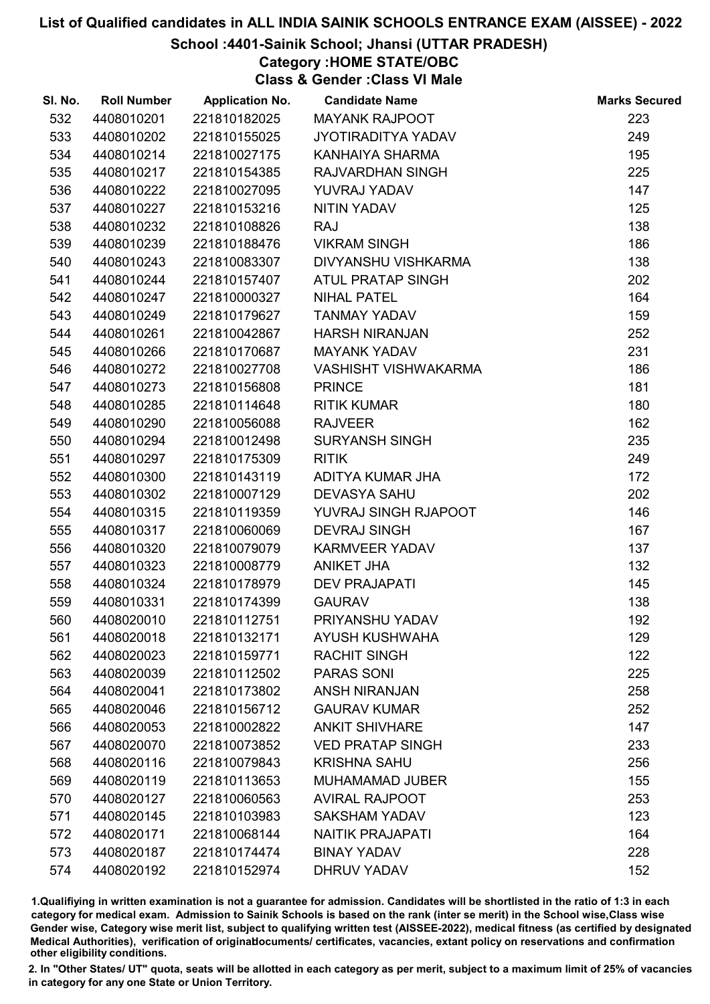## School :4401-Sainik School; Jhansi (UTTAR PRADESH)

## Category :HOME STATE/OBC

Class & Gender :Class VI Male

| SI. No. | <b>Roll Number</b> | <b>Application No.</b> | <b>Candidate Name</b>       | <b>Marks Secured</b> |
|---------|--------------------|------------------------|-----------------------------|----------------------|
| 532     | 4408010201         | 221810182025           | <b>MAYANK RAJPOOT</b>       | 223                  |
| 533     | 4408010202         | 221810155025           | JYOTIRADITYA YADAV          | 249                  |
| 534     | 4408010214         | 221810027175           | KANHAIYA SHARMA             | 195                  |
| 535     | 4408010217         | 221810154385           | RAJVARDHAN SINGH            | 225                  |
| 536     | 4408010222         | 221810027095           | YUVRAJ YADAV                | 147                  |
| 537     | 4408010227         | 221810153216           | NITIN YADAV                 | 125                  |
| 538     | 4408010232         | 221810108826           | <b>RAJ</b>                  | 138                  |
| 539     | 4408010239         | 221810188476           | <b>VIKRAM SINGH</b>         | 186                  |
| 540     | 4408010243         | 221810083307           | DIVYANSHU VISHKARMA         | 138                  |
| 541     | 4408010244         | 221810157407           | <b>ATUL PRATAP SINGH</b>    | 202                  |
| 542     | 4408010247         | 221810000327           | <b>NIHAL PATEL</b>          | 164                  |
| 543     | 4408010249         | 221810179627           | <b>TANMAY YADAV</b>         | 159                  |
| 544     | 4408010261         | 221810042867           | <b>HARSH NIRANJAN</b>       | 252                  |
| 545     | 4408010266         | 221810170687           | <b>MAYANK YADAV</b>         | 231                  |
| 546     | 4408010272         | 221810027708           | <b>VASHISHT VISHWAKARMA</b> | 186                  |
| 547     | 4408010273         | 221810156808           | <b>PRINCE</b>               | 181                  |
| 548     | 4408010285         | 221810114648           | <b>RITIK KUMAR</b>          | 180                  |
| 549     | 4408010290         | 221810056088           | <b>RAJVEER</b>              | 162                  |
| 550     | 4408010294         | 221810012498           | <b>SURYANSH SINGH</b>       | 235                  |
| 551     | 4408010297         | 221810175309           | <b>RITIK</b>                | 249                  |
| 552     | 4408010300         | 221810143119           | ADITYA KUMAR JHA            | 172                  |
| 553     | 4408010302         | 221810007129           | <b>DEVASYA SAHU</b>         | 202                  |
| 554     | 4408010315         | 221810119359           | YUVRAJ SINGH RJAPOOT        | 146                  |
| 555     | 4408010317         | 221810060069           | <b>DEVRAJ SINGH</b>         | 167                  |
| 556     | 4408010320         | 221810079079           | <b>KARMVEER YADAV</b>       | 137                  |
| 557     | 4408010323         | 221810008779           | <b>ANIKET JHA</b>           | 132                  |
| 558     | 4408010324         | 221810178979           | <b>DEV PRAJAPATI</b>        | 145                  |
| 559     | 4408010331         | 221810174399           | <b>GAURAV</b>               | 138                  |
| 560     | 4408020010         | 221810112751           | PRIYANSHU YADAV             | 192                  |
| 561     | 4408020018         | 221810132171           | <b>AYUSH KUSHWAHA</b>       | 129                  |
| 562     | 4408020023         | 221810159771           | <b>RACHIT SINGH</b>         | 122                  |
| 563     | 4408020039         | 221810112502           | <b>PARAS SONI</b>           | 225                  |
| 564     | 4408020041         | 221810173802           | <b>ANSH NIRANJAN</b>        | 258                  |
| 565     | 4408020046         | 221810156712           | <b>GAURAV KUMAR</b>         | 252                  |
| 566     | 4408020053         | 221810002822           | <b>ANKIT SHIVHARE</b>       | 147                  |
| 567     | 4408020070         | 221810073852           | <b>VED PRATAP SINGH</b>     | 233                  |
| 568     | 4408020116         | 221810079843           | <b>KRISHNA SAHU</b>         | 256                  |
| 569     | 4408020119         | 221810113653           | <b>MUHAMAMAD JUBER</b>      | 155                  |
| 570     | 4408020127         | 221810060563           | <b>AVIRAL RAJPOOT</b>       | 253                  |
| 571     | 4408020145         | 221810103983           | <b>SAKSHAM YADAV</b>        | 123                  |
| 572     | 4408020171         | 221810068144           | <b>NAITIK PRAJAPATI</b>     | 164                  |
| 573     | 4408020187         | 221810174474           | <b>BINAY YADAV</b>          | 228                  |
| 574     | 4408020192         | 221810152974           | <b>DHRUV YADAV</b>          | 152                  |

1.Qualifiying in written examination is not a guarantee for admission. Candidates will be shortlisted in the ratio of 1:3 in each category for medical exam. Admission to Sainik Schools is based on the rank (inter se merit) in the School wise,Class wise Gender wise, Category wise merit list, subject to qualifying written test (AISSEE-2022), medical fitness (as certified by designated Medical Authorities), verification of originablocuments/ certificates, vacancies, extant policy on reservations and confirmation other eligibility conditions.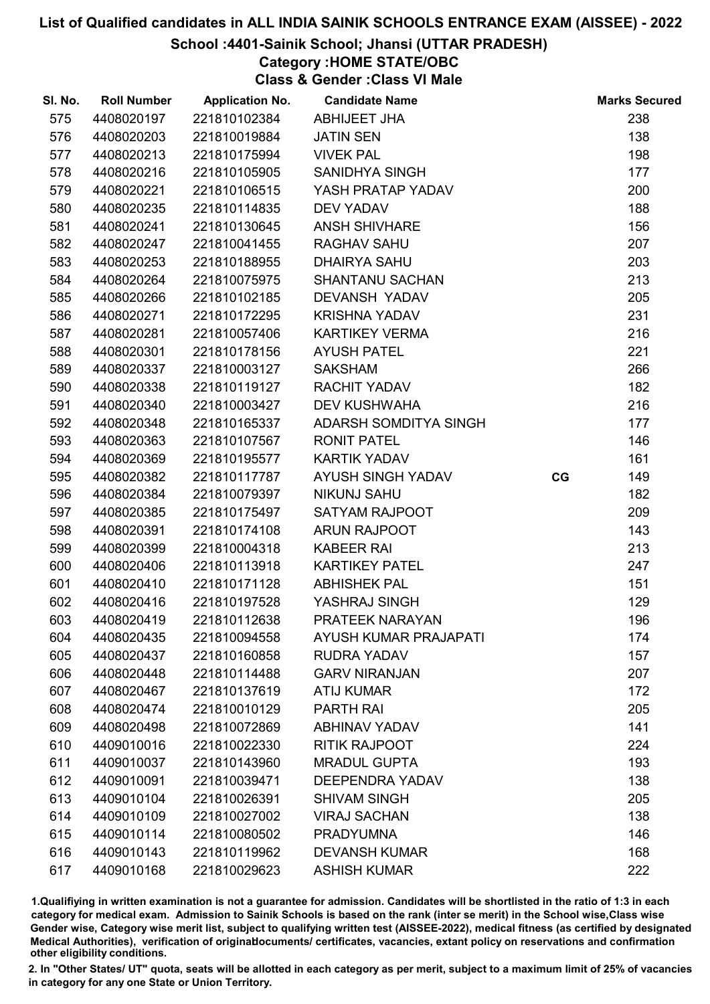### School :4401-Sainik School; Jhansi (UTTAR PRADESH)

## Category :HOME STATE/OBC

Class & Gender :Class VI Male

| 575<br>238<br>4408020197<br>221810102384<br><b>ABHIJEET JHA</b><br>576<br>4408020203<br>221810019884<br>138<br><b>JATIN SEN</b><br>198<br>577<br>4408020213<br>221810175994<br><b>VIVEK PAL</b><br>578<br>4408020216<br>SANIDHYA SINGH<br>177<br>221810105905<br>200<br>579<br>4408020221<br>221810106515<br>YASH PRATAP YADAV<br>188<br>580<br>4408020235<br>221810114835<br><b>DEV YADAV</b><br>581<br><b>ANSH SHIVHARE</b><br>156<br>4408020241<br>221810130645<br>207<br>582<br>4408020247<br>221810041455<br><b>RAGHAV SAHU</b><br>203<br>583<br>4408020253<br>221810188955<br><b>DHAIRYA SAHU</b><br>213<br>SHANTANU SACHAN<br>584<br>4408020264<br>221810075975<br>585<br>221810102185<br>DEVANSH YADAV<br>205<br>4408020266<br>231<br>586<br>4408020271<br>221810172295<br><b>KRISHNA YADAV</b><br>216<br>587<br>4408020281<br>221810057406<br><b>KARTIKEY VERMA</b><br>221<br>588<br>4408020301<br>221810178156<br><b>AYUSH PATEL</b><br>589<br>221810003127<br><b>SAKSHAM</b><br>266<br>4408020337<br>182<br>4408020338<br><b>RACHIT YADAV</b><br>590<br>221810119127<br>216<br>591<br>4408020340<br>221810003427<br><b>DEV KUSHWAHA</b><br>4408020348<br>ADARSH SOMDITYA SINGH<br>177<br>592<br>221810165337<br>593<br>4408020363<br>221810107567<br><b>RONIT PATEL</b><br>146<br><b>KARTIK YADAV</b><br>161<br>594<br>4408020369<br>221810195577<br>149<br>595<br>AYUSH SINGH YADAV<br>4408020382<br>221810117787<br>CG<br><b>NIKUNJ SAHU</b><br>182<br>596<br>4408020384<br>221810079397<br>597<br>221810175497<br><b>SATYAM RAJPOOT</b><br>209<br>4408020385<br><b>ARUN RAJPOOT</b><br>143<br>598<br>4408020391<br>221810174108<br>213<br>599<br>4408020399<br>221810004318<br><b>KABEER RAI</b><br>247<br>600<br>4408020406<br>221810113918<br><b>KARTIKEY PATEL</b><br><b>ABHISHEK PAL</b><br>151<br>601<br>4408020410<br>221810171128<br>129<br>602<br>4408020416<br>221810197528<br>YASHRAJ SINGH<br>196<br>603<br>4408020419<br>221810112638<br>PRATEEK NARAYAN<br><b>AYUSH KUMAR PRAJAPATI</b><br>174<br>604<br>4408020435<br>221810094558<br>157<br>605<br>4408020437<br>221810160858<br><b>RUDRA YADAV</b><br>207<br>606<br>4408020448<br>221810114488<br><b>GARV NIRANJAN</b><br>607<br>172<br>4408020467<br>221810137619<br><b>ATIJ KUMAR</b><br>608<br>4408020474<br>221810010129<br><b>PARTH RAI</b><br>205<br>141<br>609<br>4408020498<br>221810072869<br><b>ABHINAV YADAV</b><br><b>RITIK RAJPOOT</b><br>224<br>610<br>4409010016<br>221810022330<br><b>MRADUL GUPTA</b><br>193<br>611<br>4409010037<br>221810143960<br>138<br>612<br>4409010091<br>221810039471<br><b>DEEPENDRA YADAV</b><br>613<br>205<br>4409010104<br>221810026391<br><b>SHIVAM SINGH</b><br>138<br>614<br>4409010109<br>221810027002<br><b>VIRAJ SACHAN</b><br>615<br>4409010114<br>221810080502<br><b>PRADYUMNA</b><br>146<br>168<br>616<br>4409010143<br>221810119962<br><b>DEVANSH KUMAR</b><br>222<br>617<br>4409010168<br>221810029623<br><b>ASHISH KUMAR</b> | SI. No. | <b>Roll Number</b> | <b>Application No.</b> | <b>Candidate Name</b> | <b>Marks Secured</b> |
|---------------------------------------------------------------------------------------------------------------------------------------------------------------------------------------------------------------------------------------------------------------------------------------------------------------------------------------------------------------------------------------------------------------------------------------------------------------------------------------------------------------------------------------------------------------------------------------------------------------------------------------------------------------------------------------------------------------------------------------------------------------------------------------------------------------------------------------------------------------------------------------------------------------------------------------------------------------------------------------------------------------------------------------------------------------------------------------------------------------------------------------------------------------------------------------------------------------------------------------------------------------------------------------------------------------------------------------------------------------------------------------------------------------------------------------------------------------------------------------------------------------------------------------------------------------------------------------------------------------------------------------------------------------------------------------------------------------------------------------------------------------------------------------------------------------------------------------------------------------------------------------------------------------------------------------------------------------------------------------------------------------------------------------------------------------------------------------------------------------------------------------------------------------------------------------------------------------------------------------------------------------------------------------------------------------------------------------------------------------------------------------------------------------------------------------------------------------------------------------------------------------------------------------------------------------------------------------------------------------------------------------------------------------------------------------------------------------------------------------------------------------------------------------------------------------------------------------------------------------------------------------------------------------------------------------------------------------------|---------|--------------------|------------------------|-----------------------|----------------------|
|                                                                                                                                                                                                                                                                                                                                                                                                                                                                                                                                                                                                                                                                                                                                                                                                                                                                                                                                                                                                                                                                                                                                                                                                                                                                                                                                                                                                                                                                                                                                                                                                                                                                                                                                                                                                                                                                                                                                                                                                                                                                                                                                                                                                                                                                                                                                                                                                                                                                                                                                                                                                                                                                                                                                                                                                                                                                                                                                                                     |         |                    |                        |                       |                      |
|                                                                                                                                                                                                                                                                                                                                                                                                                                                                                                                                                                                                                                                                                                                                                                                                                                                                                                                                                                                                                                                                                                                                                                                                                                                                                                                                                                                                                                                                                                                                                                                                                                                                                                                                                                                                                                                                                                                                                                                                                                                                                                                                                                                                                                                                                                                                                                                                                                                                                                                                                                                                                                                                                                                                                                                                                                                                                                                                                                     |         |                    |                        |                       |                      |
|                                                                                                                                                                                                                                                                                                                                                                                                                                                                                                                                                                                                                                                                                                                                                                                                                                                                                                                                                                                                                                                                                                                                                                                                                                                                                                                                                                                                                                                                                                                                                                                                                                                                                                                                                                                                                                                                                                                                                                                                                                                                                                                                                                                                                                                                                                                                                                                                                                                                                                                                                                                                                                                                                                                                                                                                                                                                                                                                                                     |         |                    |                        |                       |                      |
|                                                                                                                                                                                                                                                                                                                                                                                                                                                                                                                                                                                                                                                                                                                                                                                                                                                                                                                                                                                                                                                                                                                                                                                                                                                                                                                                                                                                                                                                                                                                                                                                                                                                                                                                                                                                                                                                                                                                                                                                                                                                                                                                                                                                                                                                                                                                                                                                                                                                                                                                                                                                                                                                                                                                                                                                                                                                                                                                                                     |         |                    |                        |                       |                      |
|                                                                                                                                                                                                                                                                                                                                                                                                                                                                                                                                                                                                                                                                                                                                                                                                                                                                                                                                                                                                                                                                                                                                                                                                                                                                                                                                                                                                                                                                                                                                                                                                                                                                                                                                                                                                                                                                                                                                                                                                                                                                                                                                                                                                                                                                                                                                                                                                                                                                                                                                                                                                                                                                                                                                                                                                                                                                                                                                                                     |         |                    |                        |                       |                      |
|                                                                                                                                                                                                                                                                                                                                                                                                                                                                                                                                                                                                                                                                                                                                                                                                                                                                                                                                                                                                                                                                                                                                                                                                                                                                                                                                                                                                                                                                                                                                                                                                                                                                                                                                                                                                                                                                                                                                                                                                                                                                                                                                                                                                                                                                                                                                                                                                                                                                                                                                                                                                                                                                                                                                                                                                                                                                                                                                                                     |         |                    |                        |                       |                      |
|                                                                                                                                                                                                                                                                                                                                                                                                                                                                                                                                                                                                                                                                                                                                                                                                                                                                                                                                                                                                                                                                                                                                                                                                                                                                                                                                                                                                                                                                                                                                                                                                                                                                                                                                                                                                                                                                                                                                                                                                                                                                                                                                                                                                                                                                                                                                                                                                                                                                                                                                                                                                                                                                                                                                                                                                                                                                                                                                                                     |         |                    |                        |                       |                      |
|                                                                                                                                                                                                                                                                                                                                                                                                                                                                                                                                                                                                                                                                                                                                                                                                                                                                                                                                                                                                                                                                                                                                                                                                                                                                                                                                                                                                                                                                                                                                                                                                                                                                                                                                                                                                                                                                                                                                                                                                                                                                                                                                                                                                                                                                                                                                                                                                                                                                                                                                                                                                                                                                                                                                                                                                                                                                                                                                                                     |         |                    |                        |                       |                      |
|                                                                                                                                                                                                                                                                                                                                                                                                                                                                                                                                                                                                                                                                                                                                                                                                                                                                                                                                                                                                                                                                                                                                                                                                                                                                                                                                                                                                                                                                                                                                                                                                                                                                                                                                                                                                                                                                                                                                                                                                                                                                                                                                                                                                                                                                                                                                                                                                                                                                                                                                                                                                                                                                                                                                                                                                                                                                                                                                                                     |         |                    |                        |                       |                      |
|                                                                                                                                                                                                                                                                                                                                                                                                                                                                                                                                                                                                                                                                                                                                                                                                                                                                                                                                                                                                                                                                                                                                                                                                                                                                                                                                                                                                                                                                                                                                                                                                                                                                                                                                                                                                                                                                                                                                                                                                                                                                                                                                                                                                                                                                                                                                                                                                                                                                                                                                                                                                                                                                                                                                                                                                                                                                                                                                                                     |         |                    |                        |                       |                      |
|                                                                                                                                                                                                                                                                                                                                                                                                                                                                                                                                                                                                                                                                                                                                                                                                                                                                                                                                                                                                                                                                                                                                                                                                                                                                                                                                                                                                                                                                                                                                                                                                                                                                                                                                                                                                                                                                                                                                                                                                                                                                                                                                                                                                                                                                                                                                                                                                                                                                                                                                                                                                                                                                                                                                                                                                                                                                                                                                                                     |         |                    |                        |                       |                      |
|                                                                                                                                                                                                                                                                                                                                                                                                                                                                                                                                                                                                                                                                                                                                                                                                                                                                                                                                                                                                                                                                                                                                                                                                                                                                                                                                                                                                                                                                                                                                                                                                                                                                                                                                                                                                                                                                                                                                                                                                                                                                                                                                                                                                                                                                                                                                                                                                                                                                                                                                                                                                                                                                                                                                                                                                                                                                                                                                                                     |         |                    |                        |                       |                      |
|                                                                                                                                                                                                                                                                                                                                                                                                                                                                                                                                                                                                                                                                                                                                                                                                                                                                                                                                                                                                                                                                                                                                                                                                                                                                                                                                                                                                                                                                                                                                                                                                                                                                                                                                                                                                                                                                                                                                                                                                                                                                                                                                                                                                                                                                                                                                                                                                                                                                                                                                                                                                                                                                                                                                                                                                                                                                                                                                                                     |         |                    |                        |                       |                      |
|                                                                                                                                                                                                                                                                                                                                                                                                                                                                                                                                                                                                                                                                                                                                                                                                                                                                                                                                                                                                                                                                                                                                                                                                                                                                                                                                                                                                                                                                                                                                                                                                                                                                                                                                                                                                                                                                                                                                                                                                                                                                                                                                                                                                                                                                                                                                                                                                                                                                                                                                                                                                                                                                                                                                                                                                                                                                                                                                                                     |         |                    |                        |                       |                      |
|                                                                                                                                                                                                                                                                                                                                                                                                                                                                                                                                                                                                                                                                                                                                                                                                                                                                                                                                                                                                                                                                                                                                                                                                                                                                                                                                                                                                                                                                                                                                                                                                                                                                                                                                                                                                                                                                                                                                                                                                                                                                                                                                                                                                                                                                                                                                                                                                                                                                                                                                                                                                                                                                                                                                                                                                                                                                                                                                                                     |         |                    |                        |                       |                      |
|                                                                                                                                                                                                                                                                                                                                                                                                                                                                                                                                                                                                                                                                                                                                                                                                                                                                                                                                                                                                                                                                                                                                                                                                                                                                                                                                                                                                                                                                                                                                                                                                                                                                                                                                                                                                                                                                                                                                                                                                                                                                                                                                                                                                                                                                                                                                                                                                                                                                                                                                                                                                                                                                                                                                                                                                                                                                                                                                                                     |         |                    |                        |                       |                      |
|                                                                                                                                                                                                                                                                                                                                                                                                                                                                                                                                                                                                                                                                                                                                                                                                                                                                                                                                                                                                                                                                                                                                                                                                                                                                                                                                                                                                                                                                                                                                                                                                                                                                                                                                                                                                                                                                                                                                                                                                                                                                                                                                                                                                                                                                                                                                                                                                                                                                                                                                                                                                                                                                                                                                                                                                                                                                                                                                                                     |         |                    |                        |                       |                      |
|                                                                                                                                                                                                                                                                                                                                                                                                                                                                                                                                                                                                                                                                                                                                                                                                                                                                                                                                                                                                                                                                                                                                                                                                                                                                                                                                                                                                                                                                                                                                                                                                                                                                                                                                                                                                                                                                                                                                                                                                                                                                                                                                                                                                                                                                                                                                                                                                                                                                                                                                                                                                                                                                                                                                                                                                                                                                                                                                                                     |         |                    |                        |                       |                      |
|                                                                                                                                                                                                                                                                                                                                                                                                                                                                                                                                                                                                                                                                                                                                                                                                                                                                                                                                                                                                                                                                                                                                                                                                                                                                                                                                                                                                                                                                                                                                                                                                                                                                                                                                                                                                                                                                                                                                                                                                                                                                                                                                                                                                                                                                                                                                                                                                                                                                                                                                                                                                                                                                                                                                                                                                                                                                                                                                                                     |         |                    |                        |                       |                      |
|                                                                                                                                                                                                                                                                                                                                                                                                                                                                                                                                                                                                                                                                                                                                                                                                                                                                                                                                                                                                                                                                                                                                                                                                                                                                                                                                                                                                                                                                                                                                                                                                                                                                                                                                                                                                                                                                                                                                                                                                                                                                                                                                                                                                                                                                                                                                                                                                                                                                                                                                                                                                                                                                                                                                                                                                                                                                                                                                                                     |         |                    |                        |                       |                      |
|                                                                                                                                                                                                                                                                                                                                                                                                                                                                                                                                                                                                                                                                                                                                                                                                                                                                                                                                                                                                                                                                                                                                                                                                                                                                                                                                                                                                                                                                                                                                                                                                                                                                                                                                                                                                                                                                                                                                                                                                                                                                                                                                                                                                                                                                                                                                                                                                                                                                                                                                                                                                                                                                                                                                                                                                                                                                                                                                                                     |         |                    |                        |                       |                      |
|                                                                                                                                                                                                                                                                                                                                                                                                                                                                                                                                                                                                                                                                                                                                                                                                                                                                                                                                                                                                                                                                                                                                                                                                                                                                                                                                                                                                                                                                                                                                                                                                                                                                                                                                                                                                                                                                                                                                                                                                                                                                                                                                                                                                                                                                                                                                                                                                                                                                                                                                                                                                                                                                                                                                                                                                                                                                                                                                                                     |         |                    |                        |                       |                      |
|                                                                                                                                                                                                                                                                                                                                                                                                                                                                                                                                                                                                                                                                                                                                                                                                                                                                                                                                                                                                                                                                                                                                                                                                                                                                                                                                                                                                                                                                                                                                                                                                                                                                                                                                                                                                                                                                                                                                                                                                                                                                                                                                                                                                                                                                                                                                                                                                                                                                                                                                                                                                                                                                                                                                                                                                                                                                                                                                                                     |         |                    |                        |                       |                      |
|                                                                                                                                                                                                                                                                                                                                                                                                                                                                                                                                                                                                                                                                                                                                                                                                                                                                                                                                                                                                                                                                                                                                                                                                                                                                                                                                                                                                                                                                                                                                                                                                                                                                                                                                                                                                                                                                                                                                                                                                                                                                                                                                                                                                                                                                                                                                                                                                                                                                                                                                                                                                                                                                                                                                                                                                                                                                                                                                                                     |         |                    |                        |                       |                      |
|                                                                                                                                                                                                                                                                                                                                                                                                                                                                                                                                                                                                                                                                                                                                                                                                                                                                                                                                                                                                                                                                                                                                                                                                                                                                                                                                                                                                                                                                                                                                                                                                                                                                                                                                                                                                                                                                                                                                                                                                                                                                                                                                                                                                                                                                                                                                                                                                                                                                                                                                                                                                                                                                                                                                                                                                                                                                                                                                                                     |         |                    |                        |                       |                      |
|                                                                                                                                                                                                                                                                                                                                                                                                                                                                                                                                                                                                                                                                                                                                                                                                                                                                                                                                                                                                                                                                                                                                                                                                                                                                                                                                                                                                                                                                                                                                                                                                                                                                                                                                                                                                                                                                                                                                                                                                                                                                                                                                                                                                                                                                                                                                                                                                                                                                                                                                                                                                                                                                                                                                                                                                                                                                                                                                                                     |         |                    |                        |                       |                      |
|                                                                                                                                                                                                                                                                                                                                                                                                                                                                                                                                                                                                                                                                                                                                                                                                                                                                                                                                                                                                                                                                                                                                                                                                                                                                                                                                                                                                                                                                                                                                                                                                                                                                                                                                                                                                                                                                                                                                                                                                                                                                                                                                                                                                                                                                                                                                                                                                                                                                                                                                                                                                                                                                                                                                                                                                                                                                                                                                                                     |         |                    |                        |                       |                      |
|                                                                                                                                                                                                                                                                                                                                                                                                                                                                                                                                                                                                                                                                                                                                                                                                                                                                                                                                                                                                                                                                                                                                                                                                                                                                                                                                                                                                                                                                                                                                                                                                                                                                                                                                                                                                                                                                                                                                                                                                                                                                                                                                                                                                                                                                                                                                                                                                                                                                                                                                                                                                                                                                                                                                                                                                                                                                                                                                                                     |         |                    |                        |                       |                      |
|                                                                                                                                                                                                                                                                                                                                                                                                                                                                                                                                                                                                                                                                                                                                                                                                                                                                                                                                                                                                                                                                                                                                                                                                                                                                                                                                                                                                                                                                                                                                                                                                                                                                                                                                                                                                                                                                                                                                                                                                                                                                                                                                                                                                                                                                                                                                                                                                                                                                                                                                                                                                                                                                                                                                                                                                                                                                                                                                                                     |         |                    |                        |                       |                      |
|                                                                                                                                                                                                                                                                                                                                                                                                                                                                                                                                                                                                                                                                                                                                                                                                                                                                                                                                                                                                                                                                                                                                                                                                                                                                                                                                                                                                                                                                                                                                                                                                                                                                                                                                                                                                                                                                                                                                                                                                                                                                                                                                                                                                                                                                                                                                                                                                                                                                                                                                                                                                                                                                                                                                                                                                                                                                                                                                                                     |         |                    |                        |                       |                      |
|                                                                                                                                                                                                                                                                                                                                                                                                                                                                                                                                                                                                                                                                                                                                                                                                                                                                                                                                                                                                                                                                                                                                                                                                                                                                                                                                                                                                                                                                                                                                                                                                                                                                                                                                                                                                                                                                                                                                                                                                                                                                                                                                                                                                                                                                                                                                                                                                                                                                                                                                                                                                                                                                                                                                                                                                                                                                                                                                                                     |         |                    |                        |                       |                      |
|                                                                                                                                                                                                                                                                                                                                                                                                                                                                                                                                                                                                                                                                                                                                                                                                                                                                                                                                                                                                                                                                                                                                                                                                                                                                                                                                                                                                                                                                                                                                                                                                                                                                                                                                                                                                                                                                                                                                                                                                                                                                                                                                                                                                                                                                                                                                                                                                                                                                                                                                                                                                                                                                                                                                                                                                                                                                                                                                                                     |         |                    |                        |                       |                      |
|                                                                                                                                                                                                                                                                                                                                                                                                                                                                                                                                                                                                                                                                                                                                                                                                                                                                                                                                                                                                                                                                                                                                                                                                                                                                                                                                                                                                                                                                                                                                                                                                                                                                                                                                                                                                                                                                                                                                                                                                                                                                                                                                                                                                                                                                                                                                                                                                                                                                                                                                                                                                                                                                                                                                                                                                                                                                                                                                                                     |         |                    |                        |                       |                      |
|                                                                                                                                                                                                                                                                                                                                                                                                                                                                                                                                                                                                                                                                                                                                                                                                                                                                                                                                                                                                                                                                                                                                                                                                                                                                                                                                                                                                                                                                                                                                                                                                                                                                                                                                                                                                                                                                                                                                                                                                                                                                                                                                                                                                                                                                                                                                                                                                                                                                                                                                                                                                                                                                                                                                                                                                                                                                                                                                                                     |         |                    |                        |                       |                      |
|                                                                                                                                                                                                                                                                                                                                                                                                                                                                                                                                                                                                                                                                                                                                                                                                                                                                                                                                                                                                                                                                                                                                                                                                                                                                                                                                                                                                                                                                                                                                                                                                                                                                                                                                                                                                                                                                                                                                                                                                                                                                                                                                                                                                                                                                                                                                                                                                                                                                                                                                                                                                                                                                                                                                                                                                                                                                                                                                                                     |         |                    |                        |                       |                      |
|                                                                                                                                                                                                                                                                                                                                                                                                                                                                                                                                                                                                                                                                                                                                                                                                                                                                                                                                                                                                                                                                                                                                                                                                                                                                                                                                                                                                                                                                                                                                                                                                                                                                                                                                                                                                                                                                                                                                                                                                                                                                                                                                                                                                                                                                                                                                                                                                                                                                                                                                                                                                                                                                                                                                                                                                                                                                                                                                                                     |         |                    |                        |                       |                      |
|                                                                                                                                                                                                                                                                                                                                                                                                                                                                                                                                                                                                                                                                                                                                                                                                                                                                                                                                                                                                                                                                                                                                                                                                                                                                                                                                                                                                                                                                                                                                                                                                                                                                                                                                                                                                                                                                                                                                                                                                                                                                                                                                                                                                                                                                                                                                                                                                                                                                                                                                                                                                                                                                                                                                                                                                                                                                                                                                                                     |         |                    |                        |                       |                      |
|                                                                                                                                                                                                                                                                                                                                                                                                                                                                                                                                                                                                                                                                                                                                                                                                                                                                                                                                                                                                                                                                                                                                                                                                                                                                                                                                                                                                                                                                                                                                                                                                                                                                                                                                                                                                                                                                                                                                                                                                                                                                                                                                                                                                                                                                                                                                                                                                                                                                                                                                                                                                                                                                                                                                                                                                                                                                                                                                                                     |         |                    |                        |                       |                      |
|                                                                                                                                                                                                                                                                                                                                                                                                                                                                                                                                                                                                                                                                                                                                                                                                                                                                                                                                                                                                                                                                                                                                                                                                                                                                                                                                                                                                                                                                                                                                                                                                                                                                                                                                                                                                                                                                                                                                                                                                                                                                                                                                                                                                                                                                                                                                                                                                                                                                                                                                                                                                                                                                                                                                                                                                                                                                                                                                                                     |         |                    |                        |                       |                      |
|                                                                                                                                                                                                                                                                                                                                                                                                                                                                                                                                                                                                                                                                                                                                                                                                                                                                                                                                                                                                                                                                                                                                                                                                                                                                                                                                                                                                                                                                                                                                                                                                                                                                                                                                                                                                                                                                                                                                                                                                                                                                                                                                                                                                                                                                                                                                                                                                                                                                                                                                                                                                                                                                                                                                                                                                                                                                                                                                                                     |         |                    |                        |                       |                      |
|                                                                                                                                                                                                                                                                                                                                                                                                                                                                                                                                                                                                                                                                                                                                                                                                                                                                                                                                                                                                                                                                                                                                                                                                                                                                                                                                                                                                                                                                                                                                                                                                                                                                                                                                                                                                                                                                                                                                                                                                                                                                                                                                                                                                                                                                                                                                                                                                                                                                                                                                                                                                                                                                                                                                                                                                                                                                                                                                                                     |         |                    |                        |                       |                      |
|                                                                                                                                                                                                                                                                                                                                                                                                                                                                                                                                                                                                                                                                                                                                                                                                                                                                                                                                                                                                                                                                                                                                                                                                                                                                                                                                                                                                                                                                                                                                                                                                                                                                                                                                                                                                                                                                                                                                                                                                                                                                                                                                                                                                                                                                                                                                                                                                                                                                                                                                                                                                                                                                                                                                                                                                                                                                                                                                                                     |         |                    |                        |                       |                      |
|                                                                                                                                                                                                                                                                                                                                                                                                                                                                                                                                                                                                                                                                                                                                                                                                                                                                                                                                                                                                                                                                                                                                                                                                                                                                                                                                                                                                                                                                                                                                                                                                                                                                                                                                                                                                                                                                                                                                                                                                                                                                                                                                                                                                                                                                                                                                                                                                                                                                                                                                                                                                                                                                                                                                                                                                                                                                                                                                                                     |         |                    |                        |                       |                      |

1.Qualifiying in written examination is not a guarantee for admission. Candidates will be shortlisted in the ratio of 1:3 in each category for medical exam. Admission to Sainik Schools is based on the rank (inter se merit) in the School wise,Class wise Gender wise, Category wise merit list, subject to qualifying written test (AISSEE-2022), medical fitness (as certified by designated Medical Authorities), verification of originablocuments/ certificates, vacancies, extant policy on reservations and confirmation other eligibility conditions.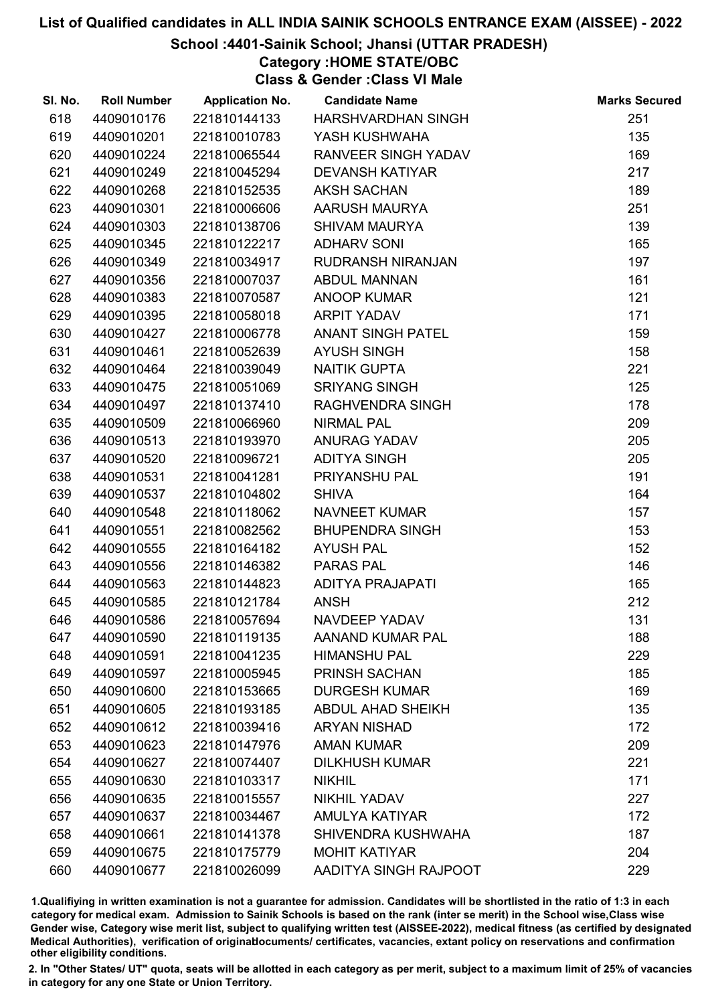## School :4401-Sainik School; Jhansi (UTTAR PRADESH)

Category :HOME STATE/OBC

Class & Gender :Class VI Male

| SI. No. | <b>Roll Number</b> | <b>Application No.</b> | <b>Candidate Name</b>    | <b>Marks Secured</b> |
|---------|--------------------|------------------------|--------------------------|----------------------|
| 618     | 4409010176         | 221810144133           | HARSHVARDHAN SINGH       | 251                  |
| 619     | 4409010201         | 221810010783           | YASH KUSHWAHA            | 135                  |
| 620     | 4409010224         | 221810065544           | RANVEER SINGH YADAV      | 169                  |
| 621     | 4409010249         | 221810045294           | <b>DEVANSH KATIYAR</b>   | 217                  |
| 622     | 4409010268         | 221810152535           | <b>AKSH SACHAN</b>       | 189                  |
| 623     | 4409010301         | 221810006606           | AARUSH MAURYA            | 251                  |
| 624     | 4409010303         | 221810138706           | <b>SHIVAM MAURYA</b>     | 139                  |
| 625     | 4409010345         | 221810122217           | <b>ADHARV SONI</b>       | 165                  |
| 626     | 4409010349         | 221810034917           | <b>RUDRANSH NIRANJAN</b> | 197                  |
| 627     | 4409010356         | 221810007037           | <b>ABDUL MANNAN</b>      | 161                  |
| 628     | 4409010383         | 221810070587           | <b>ANOOP KUMAR</b>       | 121                  |
| 629     | 4409010395         | 221810058018           | <b>ARPIT YADAV</b>       | 171                  |
| 630     | 4409010427         | 221810006778           | <b>ANANT SINGH PATEL</b> | 159                  |
| 631     | 4409010461         | 221810052639           | <b>AYUSH SINGH</b>       | 158                  |
| 632     | 4409010464         | 221810039049           | <b>NAITIK GUPTA</b>      | 221                  |
| 633     | 4409010475         | 221810051069           | <b>SRIYANG SINGH</b>     | 125                  |
| 634     | 4409010497         | 221810137410           | RAGHVENDRA SINGH         | 178                  |
| 635     | 4409010509         | 221810066960           | <b>NIRMAL PAL</b>        | 209                  |
| 636     | 4409010513         | 221810193970           | <b>ANURAG YADAV</b>      | 205                  |
| 637     | 4409010520         | 221810096721           | <b>ADITYA SINGH</b>      | 205                  |
| 638     | 4409010531         | 221810041281           | PRIYANSHU PAL            | 191                  |
| 639     | 4409010537         | 221810104802           | <b>SHIVA</b>             | 164                  |
| 640     | 4409010548         | 221810118062           | <b>NAVNEET KUMAR</b>     | 157                  |
| 641     | 4409010551         | 221810082562           | <b>BHUPENDRA SINGH</b>   | 153                  |
| 642     | 4409010555         | 221810164182           | <b>AYUSH PAL</b>         | 152                  |
| 643     | 4409010556         | 221810146382           | PARAS PAL                | 146                  |
| 644     | 4409010563         | 221810144823           | <b>ADITYA PRAJAPATI</b>  | 165                  |
| 645     | 4409010585         | 221810121784           | <b>ANSH</b>              | 212                  |
| 646     | 4409010586         | 221810057694           | <b>NAVDEEP YADAV</b>     | 131                  |
| 647     | 4409010590         | 221810119135           | AANAND KUMAR PAL         | 188                  |
| 648     | 4409010591         | 221810041235           | <b>HIMANSHU PAL</b>      | 229                  |
| 649     | 4409010597         | 221810005945           | <b>PRINSH SACHAN</b>     | 185                  |
| 650     | 4409010600         | 221810153665           | <b>DURGESH KUMAR</b>     | 169                  |
| 651     | 4409010605         | 221810193185           | <b>ABDUL AHAD SHEIKH</b> | 135                  |
| 652     | 4409010612         | 221810039416           | <b>ARYAN NISHAD</b>      | 172                  |
| 653     | 4409010623         | 221810147976           | <b>AMAN KUMAR</b>        | 209                  |
| 654     | 4409010627         | 221810074407           | <b>DILKHUSH KUMAR</b>    | 221                  |
| 655     | 4409010630         | 221810103317           | <b>NIKHIL</b>            | 171                  |
| 656     | 4409010635         | 221810015557           | <b>NIKHIL YADAV</b>      | 227                  |
| 657     | 4409010637         | 221810034467           | <b>AMULYA KATIYAR</b>    | 172                  |
| 658     | 4409010661         | 221810141378           | SHIVENDRA KUSHWAHA       | 187                  |
| 659     | 4409010675         | 221810175779           | <b>MOHIT KATIYAR</b>     | 204                  |
| 660     | 4409010677         | 221810026099           | AADITYA SINGH RAJPOOT    | 229                  |

1.Qualifiying in written examination is not a guarantee for admission. Candidates will be shortlisted in the ratio of 1:3 in each category for medical exam. Admission to Sainik Schools is based on the rank (inter se merit) in the School wise,Class wise Gender wise, Category wise merit list, subject to qualifying written test (AISSEE-2022), medical fitness (as certified by designated Medical Authorities), verification of originablocuments/ certificates, vacancies, extant policy on reservations and confirmation other eligibility conditions.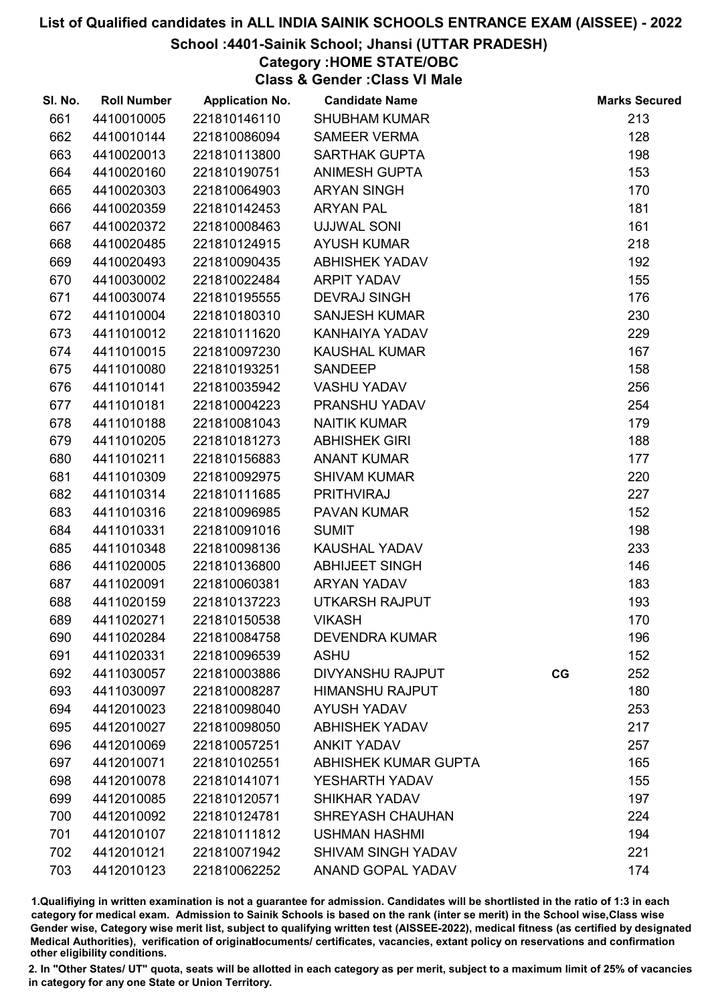## School :4401-Sainik School; Jhansi (UTTAR PRADESH)

## Category :HOME STATE/OBC

Class & Gender :Class VI Male

| SI. No. | <b>Roll Number</b> | <b>Application No.</b> | <b>Candidate Name</b>     |    | <b>Marks Secured</b> |
|---------|--------------------|------------------------|---------------------------|----|----------------------|
| 661     | 4410010005         | 221810146110           | <b>SHUBHAM KUMAR</b>      |    | 213                  |
| 662     | 4410010144         | 221810086094           | <b>SAMEER VERMA</b>       |    | 128                  |
| 663     | 4410020013         | 221810113800           | <b>SARTHAK GUPTA</b>      |    | 198                  |
| 664     | 4410020160         | 221810190751           | <b>ANIMESH GUPTA</b>      |    | 153                  |
| 665     | 4410020303         | 221810064903           | <b>ARYAN SINGH</b>        |    | 170                  |
| 666     | 4410020359         | 221810142453           | <b>ARYAN PAL</b>          |    | 181                  |
| 667     | 4410020372         | 221810008463           | <b>UJJWAL SONI</b>        |    | 161                  |
| 668     | 4410020485         | 221810124915           | <b>AYUSH KUMAR</b>        |    | 218                  |
| 669     | 4410020493         | 221810090435           | <b>ABHISHEK YADAV</b>     |    | 192                  |
| 670     | 4410030002         | 221810022484           | ARPIT YADAV               |    | 155                  |
| 671     | 4410030074         | 221810195555           | <b>DEVRAJ SINGH</b>       |    | 176                  |
| 672     | 4411010004         | 221810180310           | <b>SANJESH KUMAR</b>      |    | 230                  |
| 673     | 4411010012         | 221810111620           | KANHAIYA YADAV            |    | 229                  |
| 674     | 4411010015         | 221810097230           | <b>KAUSHAL KUMAR</b>      |    | 167                  |
| 675     | 4411010080         | 221810193251           | <b>SANDEEP</b>            |    | 158                  |
| 676     | 4411010141         | 221810035942           | <b>VASHU YADAV</b>        |    | 256                  |
| 677     | 4411010181         | 221810004223           | PRANSHU YADAV             |    | 254                  |
| 678     | 4411010188         | 221810081043           | <b>NAITIK KUMAR</b>       |    | 179                  |
| 679     | 4411010205         | 221810181273           | <b>ABHISHEK GIRI</b>      |    | 188                  |
| 680     | 4411010211         | 221810156883           | <b>ANANT KUMAR</b>        |    | 177                  |
| 681     | 4411010309         | 221810092975           | <b>SHIVAM KUMAR</b>       |    | 220                  |
| 682     | 4411010314         | 221810111685           | PRITHVIRAJ                |    | 227                  |
| 683     | 4411010316         | 221810096985           | PAVAN KUMAR               |    | 152                  |
| 684     | 4411010331         | 221810091016           | <b>SUMIT</b>              |    | 198                  |
| 685     | 4411010348         | 221810098136           | <b>KAUSHAL YADAV</b>      |    | 233                  |
| 686     | 4411020005         | 221810136800           | <b>ABHIJEET SINGH</b>     |    | 146                  |
| 687     | 4411020091         | 221810060381           | <b>ARYAN YADAV</b>        |    | 183                  |
| 688     | 4411020159         | 221810137223           | <b>UTKARSH RAJPUT</b>     |    | 193                  |
| 689     | 4411020271         | 221810150538           | <b>VIKASH</b>             |    | 170                  |
| 690     | 4411020284         | 221810084758           | <b>DEVENDRA KUMAR</b>     |    | 196                  |
| 691     | 4411020331         | 221810096539           | <b>ASHU</b>               |    | 152                  |
| 692     | 4411030057         | 221810003886           | <b>DIVYANSHU RAJPUT</b>   | CG | 252                  |
| 693     | 4411030097         | 221810008287           | <b>HIMANSHU RAJPUT</b>    |    | 180                  |
| 694     | 4412010023         | 221810098040           | <b>AYUSH YADAV</b>        |    | 253                  |
| 695     | 4412010027         | 221810098050           | <b>ABHISHEK YADAV</b>     |    | 217                  |
| 696     | 4412010069         | 221810057251           | <b>ANKIT YADAV</b>        |    | 257                  |
| 697     | 4412010071         | 221810102551           | ABHISHEK KUMAR GUPTA      |    | 165                  |
| 698     | 4412010078         | 221810141071           | YESHARTH YADAV            |    | 155                  |
| 699     | 4412010085         | 221810120571           | <b>SHIKHAR YADAV</b>      |    | 197                  |
| 700     | 4412010092         | 221810124781           | SHREYASH CHAUHAN          |    | 224                  |
| 701     | 4412010107         | 221810111812           | <b>USHMAN HASHMI</b>      |    | 194                  |
| 702     | 4412010121         | 221810071942           | <b>SHIVAM SINGH YADAV</b> |    | 221                  |
| 703     | 4412010123         | 221810062252           | ANAND GOPAL YADAV         |    | 174                  |

1.Qualifiying in written examination is not a guarantee for admission. Candidates will be shortlisted in the ratio of 1:3 in each category for medical exam. Admission to Sainik Schools is based on the rank (inter se merit) in the School wise,Class wise Gender wise, Category wise merit list, subject to qualifying written test (AISSEE-2022), medical fitness (as certified by designated Medical Authorities), verification of originablocuments/ certificates, vacancies, extant policy on reservations and confirmation other eligibility conditions.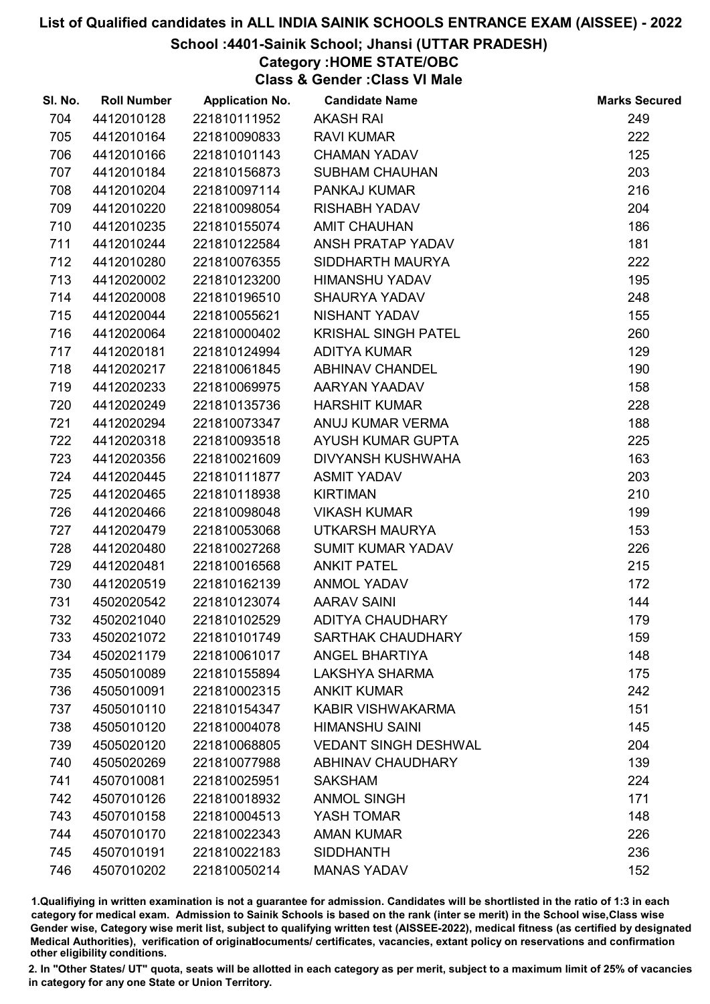### School :4401-Sainik School; Jhansi (UTTAR PRADESH)

Category :HOME STATE/OBC

Class & Gender :Class VI Male

| SI. No. | <b>Roll Number</b> | <b>Application No.</b> | <b>Candidate Name</b>       | <b>Marks Secured</b> |
|---------|--------------------|------------------------|-----------------------------|----------------------|
| 704     | 4412010128         | 221810111952           | <b>AKASH RAI</b>            | 249                  |
| 705     | 4412010164         | 221810090833           | <b>RAVI KUMAR</b>           | 222                  |
| 706     | 4412010166         | 221810101143           | <b>CHAMAN YADAV</b>         | 125                  |
| 707     | 4412010184         | 221810156873           | <b>SUBHAM CHAUHAN</b>       | 203                  |
| 708     | 4412010204         | 221810097114           | <b>PANKAJ KUMAR</b>         | 216                  |
| 709     | 4412010220         | 221810098054           | <b>RISHABH YADAV</b>        | 204                  |
| 710     | 4412010235         | 221810155074           | <b>AMIT CHAUHAN</b>         | 186                  |
| 711     | 4412010244         | 221810122584           | ANSH PRATAP YADAV           | 181                  |
| 712     | 4412010280         | 221810076355           | SIDDHARTH MAURYA            | 222                  |
| 713     | 4412020002         | 221810123200           | <b>HIMANSHU YADAV</b>       | 195                  |
| 714     | 4412020008         | 221810196510           | <b>SHAURYA YADAV</b>        | 248                  |
| 715     | 4412020044         | 221810055621           | NISHANT YADAV               | 155                  |
| 716     | 4412020064         | 221810000402           | <b>KRISHAL SINGH PATEL</b>  | 260                  |
| 717     | 4412020181         | 221810124994           | <b>ADITYA KUMAR</b>         | 129                  |
| 718     | 4412020217         | 221810061845           | <b>ABHINAV CHANDEL</b>      | 190                  |
| 719     | 4412020233         | 221810069975           | AARYAN YAADAV               | 158                  |
| 720     | 4412020249         | 221810135736           | <b>HARSHIT KUMAR</b>        | 228                  |
| 721     | 4412020294         | 221810073347           | ANUJ KUMAR VERMA            | 188                  |
| 722     | 4412020318         | 221810093518           | AYUSH KUMAR GUPTA           | 225                  |
| 723     | 4412020356         | 221810021609           | DIVYANSH KUSHWAHA           | 163                  |
| 724     | 4412020445         | 221810111877           | <b>ASMIT YADAV</b>          | 203                  |
| 725     | 4412020465         | 221810118938           | <b>KIRTIMAN</b>             | 210                  |
| 726     | 4412020466         | 221810098048           | <b>VIKASH KUMAR</b>         | 199                  |
| 727     | 4412020479         | 221810053068           | UTKARSH MAURYA              | 153                  |
| 728     | 4412020480         | 221810027268           | <b>SUMIT KUMAR YADAV</b>    | 226                  |
| 729     | 4412020481         | 221810016568           | <b>ANKIT PATEL</b>          | 215                  |
| 730     | 4412020519         | 221810162139           | <b>ANMOL YADAV</b>          | 172                  |
| 731     | 4502020542         | 221810123074           | <b>AARAV SAINI</b>          | 144                  |
| 732     | 4502021040         | 221810102529           | <b>ADITYA CHAUDHARY</b>     | 179                  |
| 733     | 4502021072         | 221810101749           | <b>SARTHAK CHAUDHARY</b>    | 159                  |
| 734     | 4502021179         | 221810061017           | <b>ANGEL BHARTIYA</b>       | 148                  |
| 735     | 4505010089         | 221810155894           | <b>LAKSHYA SHARMA</b>       | 175                  |
| 736     | 4505010091         | 221810002315           | <b>ANKIT KUMAR</b>          | 242                  |
| 737     | 4505010110         | 221810154347           | KABIR VISHWAKARMA           | 151                  |
| 738     | 4505010120         | 221810004078           | <b>HIMANSHU SAINI</b>       | 145                  |
| 739     | 4505020120         | 221810068805           | <b>VEDANT SINGH DESHWAL</b> | 204                  |
| 740     | 4505020269         | 221810077988           | <b>ABHINAV CHAUDHARY</b>    | 139                  |
| 741     | 4507010081         | 221810025951           | <b>SAKSHAM</b>              | 224                  |
| 742     | 4507010126         | 221810018932           | <b>ANMOL SINGH</b>          | 171                  |
| 743     | 4507010158         | 221810004513           | YASH TOMAR                  | 148                  |
| 744     | 4507010170         | 221810022343           | <b>AMAN KUMAR</b>           | 226                  |
| 745     | 4507010191         | 221810022183           | <b>SIDDHANTH</b>            | 236                  |
| 746     | 4507010202         | 221810050214           | <b>MANAS YADAV</b>          | 152                  |

1.Qualifiying in written examination is not a guarantee for admission. Candidates will be shortlisted in the ratio of 1:3 in each category for medical exam. Admission to Sainik Schools is based on the rank (inter se merit) in the School wise,Class wise Gender wise, Category wise merit list, subject to qualifying written test (AISSEE-2022), medical fitness (as certified by designated Medical Authorities), verification of originablocuments/ certificates, vacancies, extant policy on reservations and confirmation other eligibility conditions.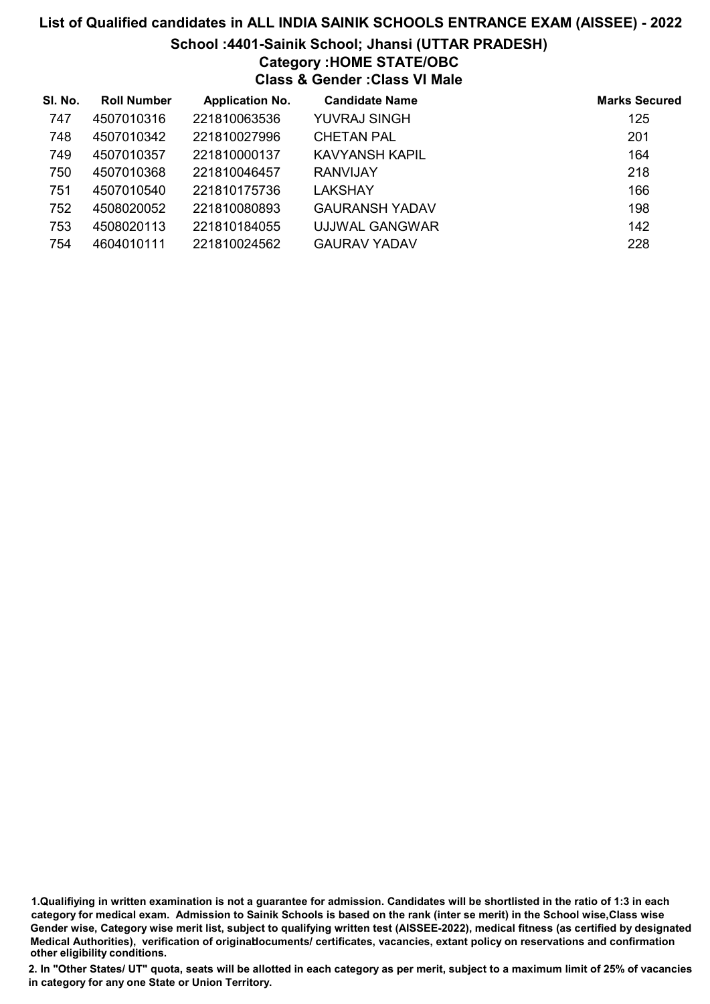# List of Qualified candidates in ALL INDIA SAINIK SCHOOLS ENTRANCE EXAM (AISSEE) - 2022 School :4401-Sainik School; Jhansi (UTTAR PRADESH) Category :HOME STATE/OBC Class & Gender :Class VI Male

| SI. No. | <b>Roll Number</b> | <b>Application No.</b> | <b>Candidate Name</b> | <b>Marks Secured</b> |
|---------|--------------------|------------------------|-----------------------|----------------------|
| 747     | 4507010316         | 221810063536           | YUVRAJ SINGH          | 125                  |
| 748     | 4507010342         | 221810027996           | <b>CHETAN PAL</b>     | 201                  |
| 749     | 4507010357         | 221810000137           | KAVYANSH KAPIL        | 164                  |
| 750     | 4507010368         | 221810046457           | <b>RANVIJAY</b>       | 218                  |
| 751     | 4507010540         | 221810175736           | LAKSHAY               | 166                  |
| 752     | 4508020052         | 221810080893           | <b>GAURANSH YADAV</b> | 198                  |
| 753     | 4508020113         | 221810184055           | UJJWAL GANGWAR        | 142                  |
| 754     | 4604010111         | 221810024562           | <b>GAURAV YADAV</b>   | 228                  |

<sup>1.</sup>Qualifiying in written examination is not a guarantee for admission. Candidates will be shortlisted in the ratio of 1:3 in each category for medical exam. Admission to Sainik Schools is based on the rank (inter se merit) in the School wise,Class wise Gender wise, Category wise merit list, subject to qualifying written test (AISSEE-2022), medical fitness (as certified by designated Medical Authorities), verification of originablocuments/ certificates, vacancies, extant policy on reservations and confirmation other eligibility conditions.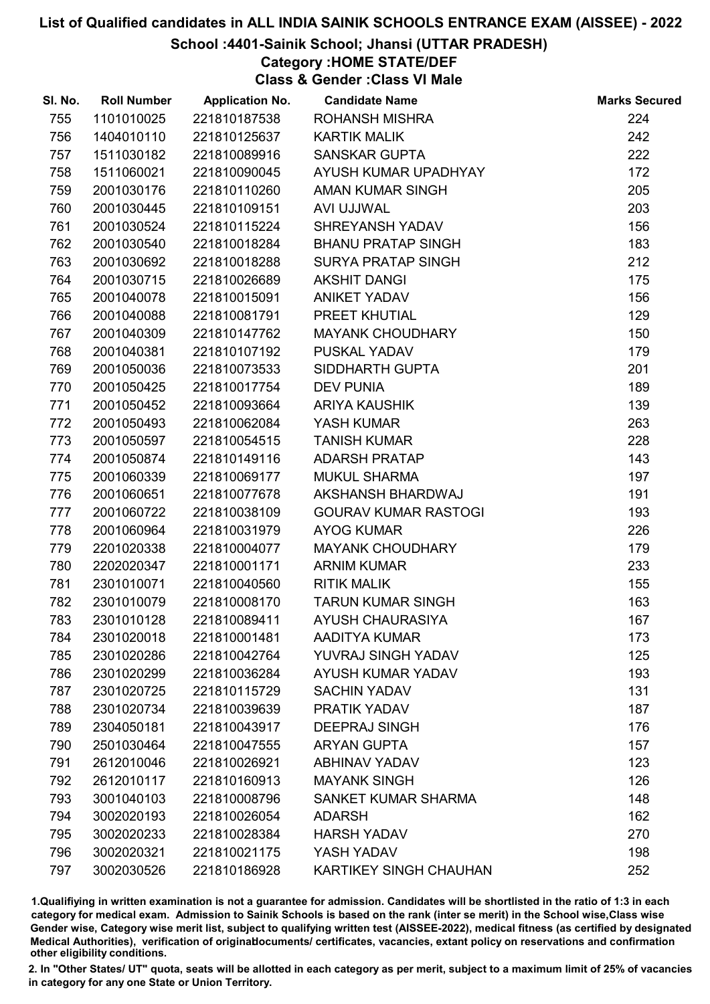## School :4401-Sainik School; Jhansi (UTTAR PRADESH)

## Category :HOME STATE/DEF

Class & Gender :Class VI Male

| SI. No. | <b>Roll Number</b> | <b>Application No.</b> | <b>Candidate Name</b>         | <b>Marks Secured</b> |
|---------|--------------------|------------------------|-------------------------------|----------------------|
| 755     | 1101010025         | 221810187538           | <b>ROHANSH MISHRA</b>         | 224                  |
| 756     | 1404010110         | 221810125637           | <b>KARTIK MALIK</b>           | 242                  |
| 757     | 1511030182         | 221810089916           | <b>SANSKAR GUPTA</b>          | 222                  |
| 758     | 1511060021         | 221810090045           | AYUSH KUMAR UPADHYAY          | 172                  |
| 759     | 2001030176         | 221810110260           | <b>AMAN KUMAR SINGH</b>       | 205                  |
| 760     | 2001030445         | 221810109151           | AVI UJJWAL                    | 203                  |
| 761     | 2001030524         | 221810115224           | SHREYANSH YADAV               | 156                  |
| 762     | 2001030540         | 221810018284           | <b>BHANU PRATAP SINGH</b>     | 183                  |
| 763     | 2001030692         | 221810018288           | SURYA PRATAP SINGH            | 212                  |
| 764     | 2001030715         | 221810026689           | <b>AKSHIT DANGI</b>           | 175                  |
| 765     | 2001040078         | 221810015091           | <b>ANIKET YADAV</b>           | 156                  |
| 766     | 2001040088         | 221810081791           | PREET KHUTIAL                 | 129                  |
| 767     | 2001040309         | 221810147762           | <b>MAYANK CHOUDHARY</b>       | 150                  |
| 768     | 2001040381         | 221810107192           | PUSKAL YADAV                  | 179                  |
| 769     | 2001050036         | 221810073533           | SIDDHARTH GUPTA               | 201                  |
| 770     | 2001050425         | 221810017754           | <b>DEV PUNIA</b>              | 189                  |
| 771     | 2001050452         | 221810093664           | <b>ARIYA KAUSHIK</b>          | 139                  |
| 772     | 2001050493         | 221810062084           | YASH KUMAR                    | 263                  |
| 773     | 2001050597         | 221810054515           | <b>TANISH KUMAR</b>           | 228                  |
| 774     | 2001050874         | 221810149116           | <b>ADARSH PRATAP</b>          | 143                  |
| 775     | 2001060339         | 221810069177           | <b>MUKUL SHARMA</b>           | 197                  |
| 776     | 2001060651         | 221810077678           | AKSHANSH BHARDWAJ             | 191                  |
| 777     | 2001060722         | 221810038109           | <b>GOURAV KUMAR RASTOGI</b>   | 193                  |
| 778     | 2001060964         | 221810031979           | <b>AYOG KUMAR</b>             | 226                  |
| 779     | 2201020338         | 221810004077           | <b>MAYANK CHOUDHARY</b>       | 179                  |
| 780     | 2202020347         | 221810001171           | <b>ARNIM KUMAR</b>            | 233                  |
| 781     | 2301010071         | 221810040560           | <b>RITIK MALIK</b>            | 155                  |
| 782     | 2301010079         | 221810008170           | <b>TARUN KUMAR SINGH</b>      | 163                  |
| 783     | 2301010128         | 221810089411           | <b>AYUSH CHAURASIYA</b>       | 167                  |
| 784     | 2301020018         | 221810001481           | AADITYA KUMAR                 | 173                  |
| 785     | 2301020286         | 221810042764           | YUVRAJ SINGH YADAV            | 125                  |
| 786     | 2301020299         | 221810036284           | AYUSH KUMAR YADAV             | 193                  |
| 787     | 2301020725         | 221810115729           | <b>SACHIN YADAV</b>           | 131                  |
| 788     | 2301020734         | 221810039639           | PRATIK YADAV                  | 187                  |
| 789     | 2304050181         | 221810043917           | <b>DEEPRAJ SINGH</b>          | 176                  |
| 790     | 2501030464         | 221810047555           | <b>ARYAN GUPTA</b>            | 157                  |
| 791     | 2612010046         | 221810026921           | <b>ABHINAV YADAV</b>          | 123                  |
| 792     | 2612010117         | 221810160913           | <b>MAYANK SINGH</b>           | 126                  |
| 793     | 3001040103         | 221810008796           | SANKET KUMAR SHARMA           | 148                  |
| 794     | 3002020193         | 221810026054           | <b>ADARSH</b>                 | 162                  |
| 795     | 3002020233         | 221810028384           | <b>HARSH YADAV</b>            | 270                  |
| 796     | 3002020321         | 221810021175           | YASH YADAV                    | 198                  |
| 797     | 3002030526         | 221810186928           | <b>KARTIKEY SINGH CHAUHAN</b> | 252                  |

1.Qualifiying in written examination is not a guarantee for admission. Candidates will be shortlisted in the ratio of 1:3 in each category for medical exam. Admission to Sainik Schools is based on the rank (inter se merit) in the School wise,Class wise Gender wise, Category wise merit list, subject to qualifying written test (AISSEE-2022), medical fitness (as certified by designated Medical Authorities), verification of originablocuments/ certificates, vacancies, extant policy on reservations and confirmation other eligibility conditions.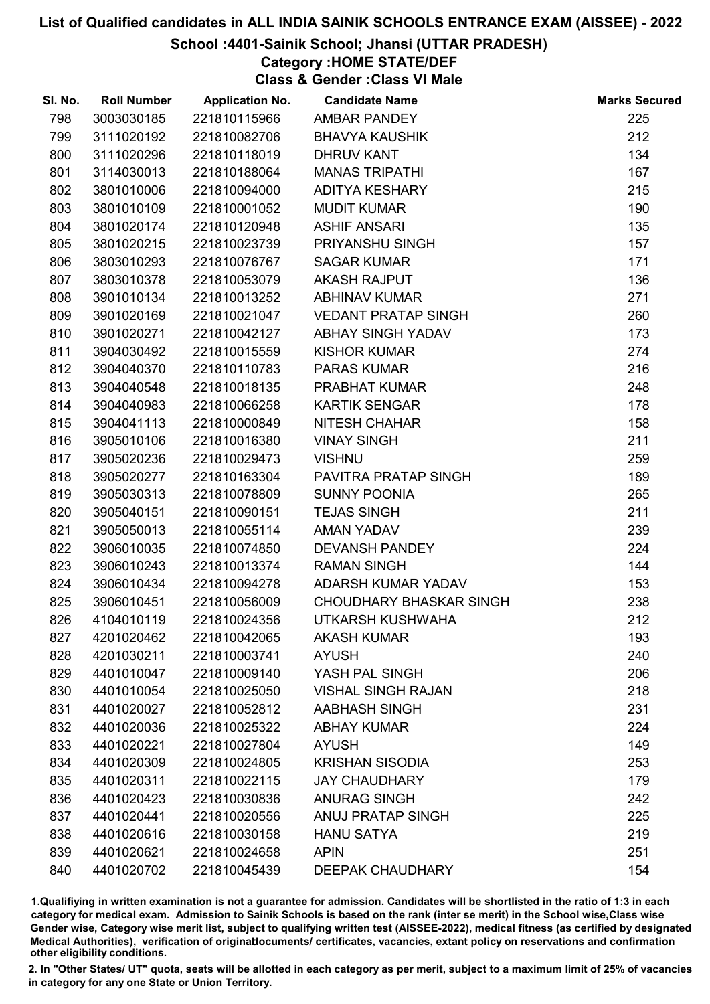## School :4401-Sainik School; Jhansi (UTTAR PRADESH)

## Category :HOME STATE/DEF

Class & Gender :Class VI Male

| SI. No. | <b>Roll Number</b> | <b>Application No.</b> | <b>Candidate Name</b>          | <b>Marks Secured</b> |
|---------|--------------------|------------------------|--------------------------------|----------------------|
| 798     | 3003030185         | 221810115966           | AMBAR PANDEY                   | 225                  |
| 799     | 3111020192         | 221810082706           | <b>BHAVYA KAUSHIK</b>          | 212                  |
| 800     | 3111020296         | 221810118019           | <b>DHRUV KANT</b>              | 134                  |
| 801     | 3114030013         | 221810188064           | <b>MANAS TRIPATHI</b>          | 167                  |
| 802     | 3801010006         | 221810094000           | <b>ADITYA KESHARY</b>          | 215                  |
| 803     | 3801010109         | 221810001052           | <b>MUDIT KUMAR</b>             | 190                  |
| 804     | 3801020174         | 221810120948           | <b>ASHIF ANSARI</b>            | 135                  |
| 805     | 3801020215         | 221810023739           | PRIYANSHU SINGH                | 157                  |
| 806     | 3803010293         | 221810076767           | <b>SAGAR KUMAR</b>             | 171                  |
| 807     | 3803010378         | 221810053079           | <b>AKASH RAJPUT</b>            | 136                  |
| 808     | 3901010134         | 221810013252           | <b>ABHINAV KUMAR</b>           | 271                  |
| 809     | 3901020169         | 221810021047           | <b>VEDANT PRATAP SINGH</b>     | 260                  |
| 810     | 3901020271         | 221810042127           | ABHAY SINGH YADAV              | 173                  |
| 811     | 3904030492         | 221810015559           | <b>KISHOR KUMAR</b>            | 274                  |
| 812     | 3904040370         | 221810110783           | <b>PARAS KUMAR</b>             | 216                  |
| 813     | 3904040548         | 221810018135           | PRABHAT KUMAR                  | 248                  |
| 814     | 3904040983         | 221810066258           | <b>KARTIK SENGAR</b>           | 178                  |
| 815     | 3904041113         | 221810000849           | <b>NITESH CHAHAR</b>           | 158                  |
| 816     | 3905010106         | 221810016380           | <b>VINAY SINGH</b>             | 211                  |
| 817     | 3905020236         | 221810029473           | <b>VISHNU</b>                  | 259                  |
| 818     | 3905020277         | 221810163304           | PAVITRA PRATAP SINGH           | 189                  |
| 819     | 3905030313         | 221810078809           | <b>SUNNY POONIA</b>            | 265                  |
| 820     | 3905040151         | 221810090151           | <b>TEJAS SINGH</b>             | 211                  |
| 821     | 3905050013         | 221810055114           | AMAN YADAV                     | 239                  |
| 822     | 3906010035         | 221810074850           | <b>DEVANSH PANDEY</b>          | 224                  |
| 823     | 3906010243         | 221810013374           | <b>RAMAN SINGH</b>             | 144                  |
| 824     | 3906010434         | 221810094278           | ADARSH KUMAR YADAV             | 153                  |
| 825     | 3906010451         | 221810056009           | <b>CHOUDHARY BHASKAR SINGH</b> | 238                  |
| 826     | 4104010119         | 221810024356           | UTKARSH KUSHWAHA               | 212                  |
| 827     | 4201020462         | 221810042065           | <b>AKASH KUMAR</b>             | 193                  |
| 828     | 4201030211         | 221810003741           | <b>AYUSH</b>                   | 240                  |
| 829     | 4401010047         | 221810009140           | YASH PAL SINGH                 | 206                  |
| 830     | 4401010054         | 221810025050           | <b>VISHAL SINGH RAJAN</b>      | 218                  |
| 831     | 4401020027         | 221810052812           | <b>AABHASH SINGH</b>           | 231                  |
| 832     | 4401020036         | 221810025322           | <b>ABHAY KUMAR</b>             | 224                  |
| 833     | 4401020221         | 221810027804           | <b>AYUSH</b>                   | 149                  |
| 834     | 4401020309         | 221810024805           | <b>KRISHAN SISODIA</b>         | 253                  |
| 835     | 4401020311         | 221810022115           | <b>JAY CHAUDHARY</b>           | 179                  |
| 836     | 4401020423         | 221810030836           | <b>ANURAG SINGH</b>            | 242                  |
| 837     | 4401020441         | 221810020556           | <b>ANUJ PRATAP SINGH</b>       | 225                  |
| 838     | 4401020616         | 221810030158           | <b>HANU SATYA</b>              | 219                  |
| 839     | 4401020621         | 221810024658           | <b>APIN</b>                    | 251                  |
| 840     | 4401020702         | 221810045439           | <b>DEEPAK CHAUDHARY</b>        | 154                  |

1.Qualifiying in written examination is not a guarantee for admission. Candidates will be shortlisted in the ratio of 1:3 in each category for medical exam. Admission to Sainik Schools is based on the rank (inter se merit) in the School wise,Class wise Gender wise, Category wise merit list, subject to qualifying written test (AISSEE-2022), medical fitness (as certified by designated Medical Authorities), verification of originablocuments/ certificates, vacancies, extant policy on reservations and confirmation other eligibility conditions.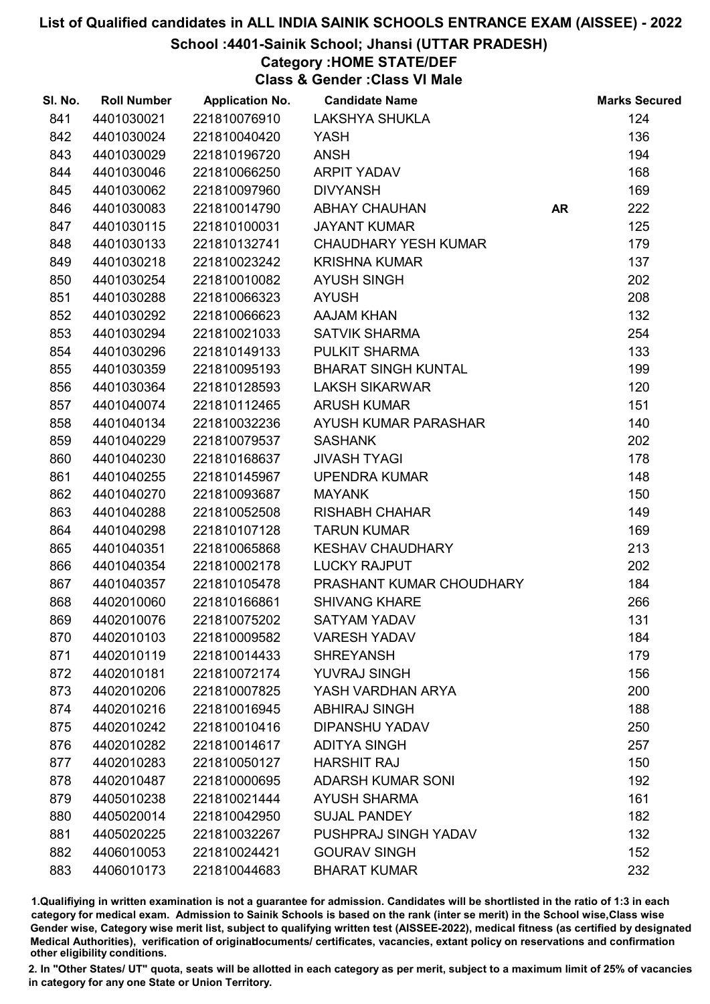#### School :4401-Sainik School; Jhansi (UTTAR PRADESH)

## Category :HOME STATE/DEF

Class & Gender :Class VI Male

| SI. No. | <b>Roll Number</b> | <b>Application No.</b> | <b>Candidate Name</b>       |           | <b>Marks Secured</b> |
|---------|--------------------|------------------------|-----------------------------|-----------|----------------------|
| 841     | 4401030021         | 221810076910           | <b>LAKSHYA SHUKLA</b>       |           | 124                  |
| 842     | 4401030024         | 221810040420           | YASH                        |           | 136                  |
| 843     | 4401030029         | 221810196720           | <b>ANSH</b>                 |           | 194                  |
| 844     | 4401030046         | 221810066250           | ARPIT YADAV                 |           | 168                  |
| 845     | 4401030062         | 221810097960           | <b>DIVYANSH</b>             |           | 169                  |
| 846     | 4401030083         | 221810014790           | <b>ABHAY CHAUHAN</b>        | <b>AR</b> | 222                  |
| 847     | 4401030115         | 221810100031           | <b>JAYANT KUMAR</b>         |           | 125                  |
| 848     | 4401030133         | 221810132741           | <b>CHAUDHARY YESH KUMAR</b> |           | 179                  |
| 849     | 4401030218         | 221810023242           | <b>KRISHNA KUMAR</b>        |           | 137                  |
| 850     | 4401030254         | 221810010082           | <b>AYUSH SINGH</b>          |           | 202                  |
| 851     | 4401030288         | 221810066323           | <b>AYUSH</b>                |           | 208                  |
| 852     | 4401030292         | 221810066623           | <b>AAJAM KHAN</b>           |           | 132                  |
| 853     | 4401030294         | 221810021033           | <b>SATVIK SHARMA</b>        |           | 254                  |
| 854     | 4401030296         | 221810149133           | PULKIT SHARMA               |           | 133                  |
| 855     | 4401030359         | 221810095193           | <b>BHARAT SINGH KUNTAL</b>  |           | 199                  |
| 856     | 4401030364         | 221810128593           | <b>LAKSH SIKARWAR</b>       |           | 120                  |
| 857     | 4401040074         | 221810112465           | <b>ARUSH KUMAR</b>          |           | 151                  |
| 858     | 4401040134         | 221810032236           | AYUSH KUMAR PARASHAR        |           | 140                  |
| 859     | 4401040229         | 221810079537           | <b>SASHANK</b>              |           | 202                  |
| 860     | 4401040230         | 221810168637           | <b>JIVASH TYAGI</b>         |           | 178                  |
| 861     | 4401040255         | 221810145967           | <b>UPENDRA KUMAR</b>        |           | 148                  |
| 862     | 4401040270         | 221810093687           | <b>MAYANK</b>               |           | 150                  |
| 863     | 4401040288         | 221810052508           | <b>RISHABH CHAHAR</b>       |           | 149                  |
| 864     | 4401040298         | 221810107128           | <b>TARUN KUMAR</b>          |           | 169                  |
| 865     | 4401040351         | 221810065868           | <b>KESHAV CHAUDHARY</b>     |           | 213                  |
| 866     | 4401040354         | 221810002178           | <b>LUCKY RAJPUT</b>         |           | 202                  |
| 867     | 4401040357         | 221810105478           | PRASHANT KUMAR CHOUDHARY    |           | 184                  |
| 868     | 4402010060         | 221810166861           | <b>SHIVANG KHARE</b>        |           | 266                  |
| 869     | 4402010076         | 221810075202           | <b>SATYAM YADAV</b>         |           | 131                  |
| 870     | 4402010103         | 221810009582           | <b>VARESH YADAV</b>         |           | 184                  |
| 871     | 4402010119         | 221810014433           | <b>SHREYANSH</b>            |           | 179                  |
| 872     | 4402010181         | 221810072174           | <b>YUVRAJ SINGH</b>         |           | 156                  |
| 873     | 4402010206         | 221810007825           | YASH VARDHAN ARYA           |           | 200                  |
| 874     | 4402010216         | 221810016945           | <b>ABHIRAJ SINGH</b>        |           | 188                  |
| 875     | 4402010242         | 221810010416           | <b>DIPANSHU YADAV</b>       |           | 250                  |
| 876     | 4402010282         | 221810014617           | <b>ADITYA SINGH</b>         |           | 257                  |
| 877     | 4402010283         | 221810050127           | <b>HARSHIT RAJ</b>          |           | 150                  |
| 878     | 4402010487         | 221810000695           | <b>ADARSH KUMAR SONI</b>    |           | 192                  |
| 879     | 4405010238         | 221810021444           | <b>AYUSH SHARMA</b>         |           | 161                  |
| 880     | 4405020014         | 221810042950           | <b>SUJAL PANDEY</b>         |           | 182                  |
| 881     | 4405020225         | 221810032267           | PUSHPRAJ SINGH YADAV        |           | 132                  |
| 882     | 4406010053         | 221810024421           | <b>GOURAV SINGH</b>         |           | 152                  |
| 883     | 4406010173         | 221810044683           | <b>BHARAT KUMAR</b>         |           | 232                  |

1.Qualifiying in written examination is not a guarantee for admission. Candidates will be shortlisted in the ratio of 1:3 in each category for medical exam. Admission to Sainik Schools is based on the rank (inter se merit) in the School wise,Class wise Gender wise, Category wise merit list, subject to qualifying written test (AISSEE-2022), medical fitness (as certified by designated Medical Authorities), verification of originablocuments/ certificates, vacancies, extant policy on reservations and confirmation other eligibility conditions.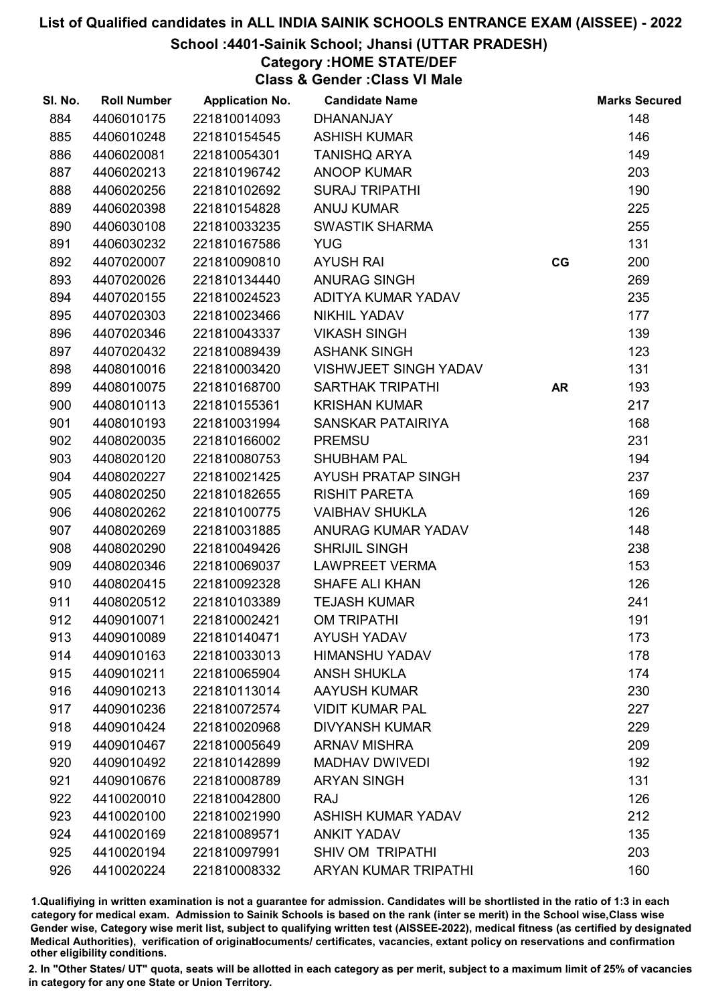### School :4401-Sainik School; Jhansi (UTTAR PRADESH)

## Category :HOME STATE/DEF

Class & Gender :Class VI Male

| SI. No. | <b>Roll Number</b> | <b>Application No.</b> | <b>Candidate Name</b>        |           | <b>Marks Secured</b> |
|---------|--------------------|------------------------|------------------------------|-----------|----------------------|
| 884     | 4406010175         | 221810014093           | <b>DHANANJAY</b>             |           | 148                  |
| 885     | 4406010248         | 221810154545           | <b>ASHISH KUMAR</b>          |           | 146                  |
| 886     | 4406020081         | 221810054301           | <b>TANISHQ ARYA</b>          |           | 149                  |
| 887     | 4406020213         | 221810196742           | <b>ANOOP KUMAR</b>           |           | 203                  |
| 888     | 4406020256         | 221810102692           | <b>SURAJ TRIPATHI</b>        |           | 190                  |
| 889     | 4406020398         | 221810154828           | <b>ANUJ KUMAR</b>            |           | 225                  |
| 890     | 4406030108         | 221810033235           | <b>SWASTIK SHARMA</b>        |           | 255                  |
| 891     | 4406030232         | 221810167586           | <b>YUG</b>                   |           | 131                  |
| 892     | 4407020007         | 221810090810           | <b>AYUSH RAI</b>             | CG        | 200                  |
| 893     | 4407020026         | 221810134440           | <b>ANURAG SINGH</b>          |           | 269                  |
| 894     | 4407020155         | 221810024523           | ADITYA KUMAR YADAV           |           | 235                  |
| 895     | 4407020303         | 221810023466           | <b>NIKHIL YADAV</b>          |           | 177                  |
| 896     | 4407020346         | 221810043337           | <b>VIKASH SINGH</b>          |           | 139                  |
| 897     | 4407020432         | 221810089439           | <b>ASHANK SINGH</b>          |           | 123                  |
| 898     | 4408010016         | 221810003420           | <b>VISHWJEET SINGH YADAV</b> |           | 131                  |
| 899     | 4408010075         | 221810168700           | <b>SARTHAK TRIPATHI</b>      | <b>AR</b> | 193                  |
| 900     | 4408010113         | 221810155361           | <b>KRISHAN KUMAR</b>         |           | 217                  |
| 901     | 4408010193         | 221810031994           | SANSKAR PATAIRIYA            |           | 168                  |
| 902     | 4408020035         | 221810166002           | <b>PREMSU</b>                |           | 231                  |
| 903     | 4408020120         | 221810080753           | <b>SHUBHAM PAL</b>           |           | 194                  |
| 904     | 4408020227         | 221810021425           | AYUSH PRATAP SINGH           |           | 237                  |
| 905     | 4408020250         | 221810182655           | <b>RISHIT PARETA</b>         |           | 169                  |
| 906     | 4408020262         | 221810100775           | <b>VAIBHAV SHUKLA</b>        |           | 126                  |
| 907     | 4408020269         | 221810031885           | ANURAG KUMAR YADAV           |           | 148                  |
| 908     | 4408020290         | 221810049426           | <b>SHRIJIL SINGH</b>         |           | 238                  |
| 909     | 4408020346         | 221810069037           | <b>LAWPREET VERMA</b>        |           | 153                  |
| 910     | 4408020415         | 221810092328           | SHAFE ALI KHAN               |           | 126                  |
| 911     | 4408020512         | 221810103389           | <b>TEJASH KUMAR</b>          |           | 241                  |
| 912     | 4409010071         | 221810002421           | <b>OM TRIPATHI</b>           |           | 191                  |
| 913     | 4409010089         | 221810140471           | <b>AYUSH YADAV</b>           |           | 173                  |
| 914     | 4409010163         | 221810033013           | <b>HIMANSHU YADAV</b>        |           | 178                  |
| 915     | 4409010211         | 221810065904           | <b>ANSH SHUKLA</b>           |           | 174                  |
| 916     | 4409010213         | 221810113014           | <b>AAYUSH KUMAR</b>          |           | 230                  |
| 917     | 4409010236         | 221810072574           | <b>VIDIT KUMAR PAL</b>       |           | 227                  |
| 918     | 4409010424         | 221810020968           | <b>DIVYANSH KUMAR</b>        |           | 229                  |
| 919     | 4409010467         | 221810005649           | <b>ARNAV MISHRA</b>          |           | 209                  |
| 920     | 4409010492         | 221810142899           | <b>MADHAV DWIVEDI</b>        |           | 192                  |
| 921     | 4409010676         | 221810008789           | <b>ARYAN SINGH</b>           |           | 131                  |
| 922     | 4410020010         | 221810042800           | <b>RAJ</b>                   |           | 126                  |
| 923     | 4410020100         | 221810021990           | <b>ASHISH KUMAR YADAV</b>    |           | 212                  |
| 924     | 4410020169         | 221810089571           | <b>ANKIT YADAV</b>           |           | 135                  |
| 925     | 4410020194         | 221810097991           | <b>SHIV OM TRIPATHI</b>      |           | 203                  |
| 926     | 4410020224         | 221810008332           | <b>ARYAN KUMAR TRIPATHI</b>  |           | 160                  |

1.Qualifiying in written examination is not a guarantee for admission. Candidates will be shortlisted in the ratio of 1:3 in each category for medical exam. Admission to Sainik Schools is based on the rank (inter se merit) in the School wise,Class wise Gender wise, Category wise merit list, subject to qualifying written test (AISSEE-2022), medical fitness (as certified by designated Medical Authorities), verification of originablocuments/ certificates, vacancies, extant policy on reservations and confirmation other eligibility conditions.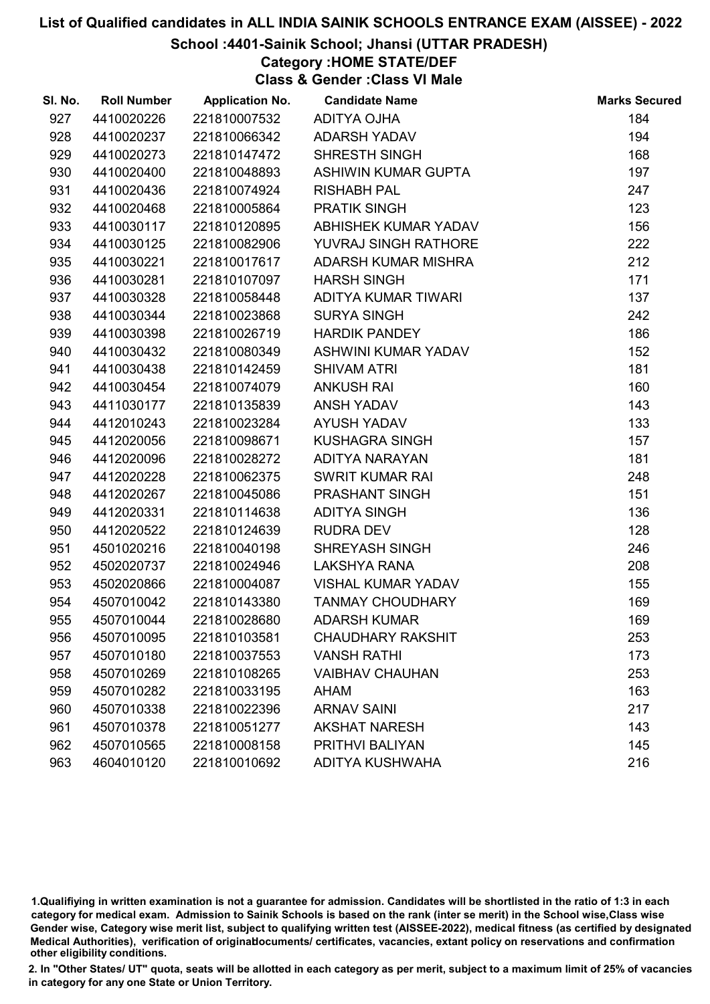#### School :4401-Sainik School; Jhansi (UTTAR PRADESH)

## Category :HOME STATE/DEF

Class & Gender :Class VI Male

| SI. No. | <b>Roll Number</b> | <b>Application No.</b> | <b>Candidate Name</b>     | <b>Marks Secured</b> |
|---------|--------------------|------------------------|---------------------------|----------------------|
| 927     | 4410020226         | 221810007532           | ADITYA OJHA               | 184                  |
| 928     | 4410020237         | 221810066342           | <b>ADARSH YADAV</b>       | 194                  |
| 929     | 4410020273         | 221810147472           | SHRESTH SINGH             | 168                  |
| 930     | 4410020400         | 221810048893           | ASHIWIN KUMAR GUPTA       | 197                  |
| 931     | 4410020436         | 221810074924           | <b>RISHABH PAL</b>        | 247                  |
| 932     | 4410020468         | 221810005864           | <b>PRATIK SINGH</b>       | 123                  |
| 933     | 4410030117         | 221810120895           | ABHISHEK KUMAR YADAV      | 156                  |
| 934     | 4410030125         | 221810082906           | YUVRAJ SINGH RATHORE      | 222                  |
| 935     | 4410030221         | 221810017617           | ADARSH KUMAR MISHRA       | 212                  |
| 936     | 4410030281         | 221810107097           | <b>HARSH SINGH</b>        | 171                  |
| 937     | 4410030328         | 221810058448           | ADITYA KUMAR TIWARI       | 137                  |
| 938     | 4410030344         | 221810023868           | <b>SURYA SINGH</b>        | 242                  |
| 939     | 4410030398         | 221810026719           | <b>HARDIK PANDEY</b>      | 186                  |
| 940     | 4410030432         | 221810080349           | ASHWINI KUMAR YADAV       | 152                  |
| 941     | 4410030438         | 221810142459           | <b>SHIVAM ATRI</b>        | 181                  |
| 942     | 4410030454         | 221810074079           | <b>ANKUSH RAI</b>         | 160                  |
| 943     | 4411030177         | 221810135839           | ANSH YADAV                | 143                  |
| 944     | 4412010243         | 221810023284           | <b>AYUSH YADAV</b>        | 133                  |
| 945     | 4412020056         | 221810098671           | <b>KUSHAGRA SINGH</b>     | 157                  |
| 946     | 4412020096         | 221810028272           | ADITYA NARAYAN            | 181                  |
| 947     | 4412020228         | 221810062375           | <b>SWRIT KUMAR RAI</b>    | 248                  |
| 948     | 4412020267         | 221810045086           | PRASHANT SINGH            | 151                  |
| 949     | 4412020331         | 221810114638           | <b>ADITYA SINGH</b>       | 136                  |
| 950     | 4412020522         | 221810124639           | <b>RUDRA DEV</b>          | 128                  |
| 951     | 4501020216         | 221810040198           | <b>SHREYASH SINGH</b>     | 246                  |
| 952     | 4502020737         | 221810024946           | <b>LAKSHYA RANA</b>       | 208                  |
| 953     | 4502020866         | 221810004087           | <b>VISHAL KUMAR YADAV</b> | 155                  |
| 954     | 4507010042         | 221810143380           | <b>TANMAY CHOUDHARY</b>   | 169                  |
| 955     | 4507010044         | 221810028680           | <b>ADARSH KUMAR</b>       | 169                  |
| 956     | 4507010095         | 221810103581           | <b>CHAUDHARY RAKSHIT</b>  | 253                  |
| 957     | 4507010180         | 221810037553           | <b>VANSH RATHI</b>        | 173                  |
| 958     | 4507010269         | 221810108265           | <b>VAIBHAV CHAUHAN</b>    | 253                  |
| 959     | 4507010282         | 221810033195           | <b>AHAM</b>               | 163                  |
| 960     | 4507010338         | 221810022396           | <b>ARNAV SAINI</b>        | 217                  |
| 961     | 4507010378         | 221810051277           | <b>AKSHAT NARESH</b>      | 143                  |
| 962     | 4507010565         | 221810008158           | PRITHVI BALIYAN           | 145                  |
| 963     | 4604010120         | 221810010692           | <b>ADITYA KUSHWAHA</b>    | 216                  |

1.Qualifiying in written examination is not a guarantee for admission. Candidates will be shortlisted in the ratio of 1:3 in each category for medical exam. Admission to Sainik Schools is based on the rank (inter se merit) in the School wise,Class wise Gender wise, Category wise merit list, subject to qualifying written test (AISSEE-2022), medical fitness (as certified by designated Medical Authorities), verification of originablocuments/ certificates, vacancies, extant policy on reservations and confirmation other eligibility conditions.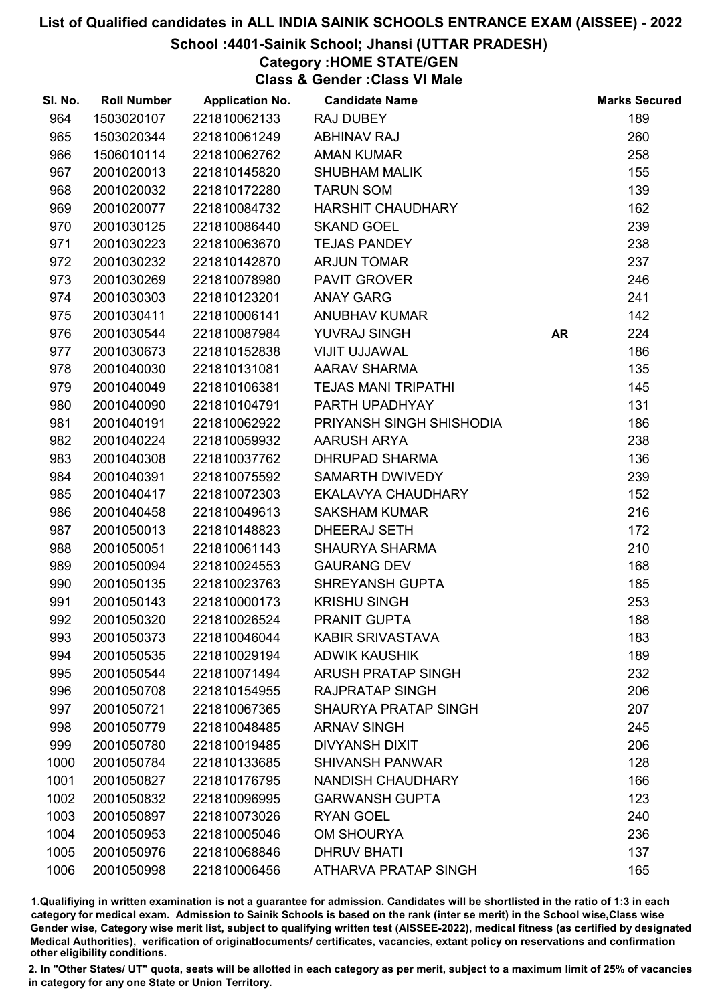### School :4401-Sainik School; Jhansi (UTTAR PRADESH)

## Category :HOME STATE/GEN

Class & Gender :Class VI Male

| SI. No. | <b>Roll Number</b> | <b>Application No.</b> | <b>Candidate Name</b>       |           | <b>Marks Secured</b> |
|---------|--------------------|------------------------|-----------------------------|-----------|----------------------|
| 964     | 1503020107         | 221810062133           | <b>RAJ DUBEY</b>            |           | 189                  |
| 965     | 1503020344         | 221810061249           | <b>ABHINAV RAJ</b>          |           | 260                  |
| 966     | 1506010114         | 221810062762           | <b>AMAN KUMAR</b>           |           | 258                  |
| 967     | 2001020013         | 221810145820           | <b>SHUBHAM MALIK</b>        |           | 155                  |
| 968     | 2001020032         | 221810172280           | <b>TARUN SOM</b>            |           | 139                  |
| 969     | 2001020077         | 221810084732           | <b>HARSHIT CHAUDHARY</b>    |           | 162                  |
| 970     | 2001030125         | 221810086440           | <b>SKAND GOEL</b>           |           | 239                  |
| 971     | 2001030223         | 221810063670           | <b>TEJAS PANDEY</b>         |           | 238                  |
| 972     | 2001030232         | 221810142870           | <b>ARJUN TOMAR</b>          |           | 237                  |
| 973     | 2001030269         | 221810078980           | <b>PAVIT GROVER</b>         |           | 246                  |
| 974     | 2001030303         | 221810123201           | <b>ANAY GARG</b>            |           | 241                  |
| 975     | 2001030411         | 221810006141           | <b>ANUBHAV KUMAR</b>        |           | 142                  |
| 976     | 2001030544         | 221810087984           | YUVRAJ SINGH                | <b>AR</b> | 224                  |
| 977     | 2001030673         | 221810152838           | <b>VIJIT UJJAWAL</b>        |           | 186                  |
| 978     | 2001040030         | 221810131081           | <b>AARAV SHARMA</b>         |           | 135                  |
| 979     | 2001040049         | 221810106381           | <b>TEJAS MANI TRIPATHI</b>  |           | 145                  |
| 980     | 2001040090         | 221810104791           | PARTH UPADHYAY              |           | 131                  |
| 981     | 2001040191         | 221810062922           | PRIYANSH SINGH SHISHODIA    |           | 186                  |
| 982     | 2001040224         | 221810059932           | <b>AARUSH ARYA</b>          |           | 238                  |
| 983     | 2001040308         | 221810037762           | <b>DHRUPAD SHARMA</b>       |           | 136                  |
| 984     | 2001040391         | 221810075592           | SAMARTH DWIVEDY             |           | 239                  |
| 985     | 2001040417         | 221810072303           | EKALAVYA CHAUDHARY          |           | 152                  |
| 986     | 2001040458         | 221810049613           | <b>SAKSHAM KUMAR</b>        |           | 216                  |
| 987     | 2001050013         | 221810148823           | <b>DHEERAJ SETH</b>         |           | 172                  |
| 988     | 2001050051         | 221810061143           | <b>SHAURYA SHARMA</b>       |           | 210                  |
| 989     | 2001050094         | 221810024553           | <b>GAURANG DEV</b>          |           | 168                  |
| 990     | 2001050135         | 221810023763           | SHREYANSH GUPTA             |           | 185                  |
| 991     | 2001050143         | 221810000173           | <b>KRISHU SINGH</b>         |           | 253                  |
| 992     | 2001050320         | 221810026524           | PRANIT GUPTA                |           | 188                  |
| 993     | 2001050373         | 221810046044           | <b>KABIR SRIVASTAVA</b>     |           | 183                  |
| 994     | 2001050535         | 221810029194           | <b>ADWIK KAUSHIK</b>        |           | 189                  |
| 995     | 2001050544         | 221810071494           | <b>ARUSH PRATAP SINGH</b>   |           | 232                  |
| 996     | 2001050708         | 221810154955           | <b>RAJPRATAP SINGH</b>      |           | 206                  |
| 997     | 2001050721         | 221810067365           | <b>SHAURYA PRATAP SINGH</b> |           | 207                  |
| 998     | 2001050779         | 221810048485           | <b>ARNAV SINGH</b>          |           | 245                  |
| 999     | 2001050780         | 221810019485           | <b>DIVYANSH DIXIT</b>       |           | 206                  |
| 1000    | 2001050784         | 221810133685           | <b>SHIVANSH PANWAR</b>      |           | 128                  |
| 1001    | 2001050827         | 221810176795           | <b>NANDISH CHAUDHARY</b>    |           | 166                  |
| 1002    | 2001050832         | 221810096995           | <b>GARWANSH GUPTA</b>       |           | 123                  |
| 1003    | 2001050897         | 221810073026           | <b>RYAN GOEL</b>            |           | 240                  |
| 1004    | 2001050953         | 221810005046           | <b>OM SHOURYA</b>           |           | 236                  |
| 1005    | 2001050976         | 221810068846           | <b>DHRUV BHATI</b>          |           | 137                  |
| 1006    | 2001050998         | 221810006456           | ATHARVA PRATAP SINGH        |           | 165                  |

1.Qualifiying in written examination is not a guarantee for admission. Candidates will be shortlisted in the ratio of 1:3 in each category for medical exam. Admission to Sainik Schools is based on the rank (inter se merit) in the School wise,Class wise Gender wise, Category wise merit list, subject to qualifying written test (AISSEE-2022), medical fitness (as certified by designated Medical Authorities), verification of originablocuments/ certificates, vacancies, extant policy on reservations and confirmation other eligibility conditions.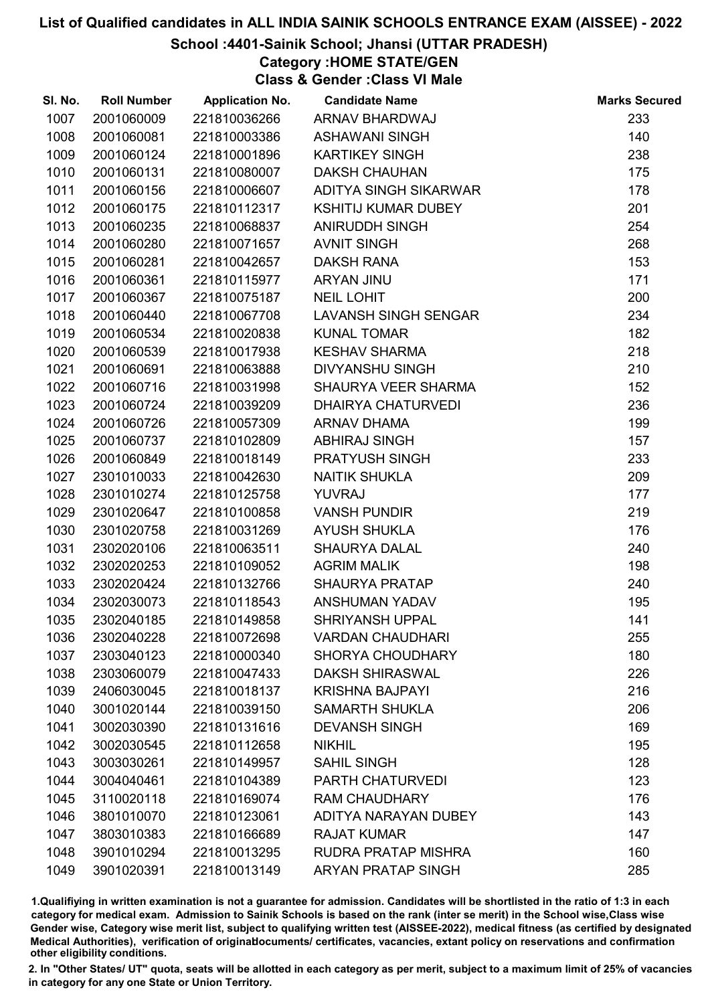## School :4401-Sainik School; Jhansi (UTTAR PRADESH)

## Category :HOME STATE/GEN

Class & Gender :Class VI Male

| SI. No. | <b>Roll Number</b> | <b>Application No.</b> | <b>Candidate Name</b>       | <b>Marks Secured</b> |
|---------|--------------------|------------------------|-----------------------------|----------------------|
| 1007    | 2001060009         | 221810036266           | ARNAV BHARDWAJ              | 233                  |
| 1008    | 2001060081         | 221810003386           | <b>ASHAWANI SINGH</b>       | 140                  |
| 1009    | 2001060124         | 221810001896           | <b>KARTIKEY SINGH</b>       | 238                  |
| 1010    | 2001060131         | 221810080007           | <b>DAKSH CHAUHAN</b>        | 175                  |
| 1011    | 2001060156         | 221810006607           | ADITYA SINGH SIKARWAR       | 178                  |
| 1012    | 2001060175         | 221810112317           | <b>KSHITIJ KUMAR DUBEY</b>  | 201                  |
| 1013    | 2001060235         | 221810068837           | <b>ANIRUDDH SINGH</b>       | 254                  |
| 1014    | 2001060280         | 221810071657           | <b>AVNIT SINGH</b>          | 268                  |
| 1015    | 2001060281         | 221810042657           | <b>DAKSH RANA</b>           | 153                  |
| 1016    | 2001060361         | 221810115977           | ARYAN JINU                  | 171                  |
| 1017    | 2001060367         | 221810075187           | <b>NEIL LOHIT</b>           | 200                  |
| 1018    | 2001060440         | 221810067708           | <b>LAVANSH SINGH SENGAR</b> | 234                  |
| 1019    | 2001060534         | 221810020838           | <b>KUNAL TOMAR</b>          | 182                  |
| 1020    | 2001060539         | 221810017938           | <b>KESHAV SHARMA</b>        | 218                  |
| 1021    | 2001060691         | 221810063888           | <b>DIVYANSHU SINGH</b>      | 210                  |
| 1022    | 2001060716         | 221810031998           | SHAURYA VEER SHARMA         | 152                  |
| 1023    | 2001060724         | 221810039209           | <b>DHAIRYA CHATURVEDI</b>   | 236                  |
| 1024    | 2001060726         | 221810057309           | <b>ARNAV DHAMA</b>          | 199                  |
| 1025    | 2001060737         | 221810102809           | <b>ABHIRAJ SINGH</b>        | 157                  |
| 1026    | 2001060849         | 221810018149           | PRATYUSH SINGH              | 233                  |
| 1027    | 2301010033         | 221810042630           | <b>NAITIK SHUKLA</b>        | 209                  |
| 1028    | 2301010274         | 221810125758           | <b>YUVRAJ</b>               | 177                  |
| 1029    | 2301020647         | 221810100858           | <b>VANSH PUNDIR</b>         | 219                  |
| 1030    | 2301020758         | 221810031269           | <b>AYUSH SHUKLA</b>         | 176                  |
| 1031    | 2302020106         | 221810063511           | <b>SHAURYA DALAL</b>        | 240                  |
| 1032    | 2302020253         | 221810109052           | <b>AGRIM MALIK</b>          | 198                  |
| 1033    | 2302020424         | 221810132766           | <b>SHAURYA PRATAP</b>       | 240                  |
| 1034    | 2302030073         | 221810118543           | ANSHUMAN YADAV              | 195                  |
| 1035    | 2302040185         | 221810149858           | <b>SHRIYANSH UPPAL</b>      | 141                  |
| 1036    | 2302040228         | 221810072698           | <b>VARDAN CHAUDHARI</b>     | 255                  |
| 1037    | 2303040123         | 221810000340           | <b>SHORYA CHOUDHARY</b>     | 180                  |
| 1038    | 2303060079         | 221810047433           | <b>DAKSH SHIRASWAL</b>      | 226                  |
| 1039    | 2406030045         | 221810018137           | <b>KRISHNA BAJPAYI</b>      | 216                  |
| 1040    | 3001020144         | 221810039150           | <b>SAMARTH SHUKLA</b>       | 206                  |
| 1041    | 3002030390         | 221810131616           | <b>DEVANSH SINGH</b>        | 169                  |
| 1042    | 3002030545         | 221810112658           | <b>NIKHIL</b>               | 195                  |
| 1043    | 3003030261         | 221810149957           | <b>SAHIL SINGH</b>          | 128                  |
| 1044    | 3004040461         | 221810104389           | <b>PARTH CHATURVEDI</b>     | 123                  |
| 1045    | 3110020118         | 221810169074           | <b>RAM CHAUDHARY</b>        | 176                  |
| 1046    | 3801010070         | 221810123061           | ADITYA NARAYAN DUBEY        | 143                  |
| 1047    | 3803010383         | 221810166689           | <b>RAJAT KUMAR</b>          | 147                  |
| 1048    | 3901010294         | 221810013295           | <b>RUDRA PRATAP MISHRA</b>  | 160                  |
| 1049    | 3901020391         | 221810013149           | <b>ARYAN PRATAP SINGH</b>   | 285                  |

1.Qualifiying in written examination is not a guarantee for admission. Candidates will be shortlisted in the ratio of 1:3 in each category for medical exam. Admission to Sainik Schools is based on the rank (inter se merit) in the School wise,Class wise Gender wise, Category wise merit list, subject to qualifying written test (AISSEE-2022), medical fitness (as certified by designated Medical Authorities), verification of originablocuments/ certificates, vacancies, extant policy on reservations and confirmation other eligibility conditions.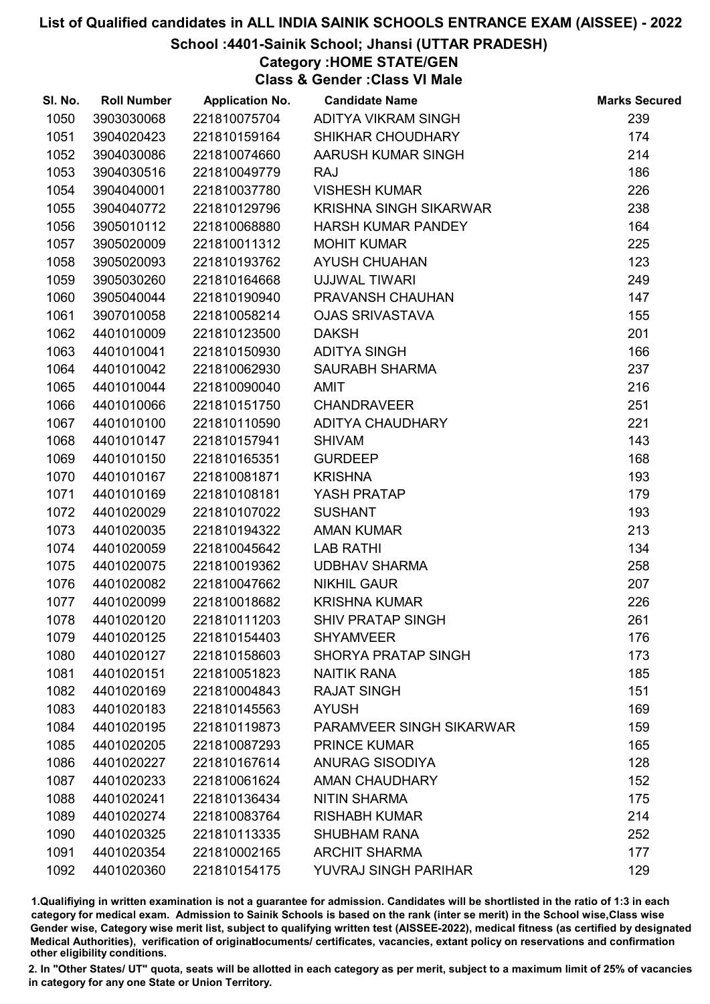## School :4401-Sainik School; Jhansi (UTTAR PRADESH)

Category :HOME STATE/GEN

Class & Gender :Class VI Male

| SI. No. | <b>Roll Number</b> | <b>Application No.</b> | <b>Candidate Name</b>         | <b>Marks Secured</b> |
|---------|--------------------|------------------------|-------------------------------|----------------------|
| 1050    | 3903030068         | 221810075704           | ADITYA VIKRAM SINGH           | 239                  |
| 1051    | 3904020423         | 221810159164           | SHIKHAR CHOUDHARY             | 174                  |
| 1052    | 3904030086         | 221810074660           | AARUSH KUMAR SINGH            | 214                  |
| 1053    | 3904030516         | 221810049779           | <b>RAJ</b>                    | 186                  |
| 1054    | 3904040001         | 221810037780           | <b>VISHESH KUMAR</b>          | 226                  |
| 1055    | 3904040772         | 221810129796           | <b>KRISHNA SINGH SIKARWAR</b> | 238                  |
| 1056    | 3905010112         | 221810068880           | <b>HARSH KUMAR PANDEY</b>     | 164                  |
| 1057    | 3905020009         | 221810011312           | <b>MOHIT KUMAR</b>            | 225                  |
| 1058    | 3905020093         | 221810193762           | <b>AYUSH CHUAHAN</b>          | 123                  |
| 1059    | 3905030260         | 221810164668           | UJJWAL TIWARI                 | 249                  |
| 1060    | 3905040044         | 221810190940           | PRAVANSH CHAUHAN              | 147                  |
| 1061    | 3907010058         | 221810058214           | <b>OJAS SRIVASTAVA</b>        | 155                  |
| 1062    | 4401010009         | 221810123500           | <b>DAKSH</b>                  | 201                  |
| 1063    | 4401010041         | 221810150930           | <b>ADITYA SINGH</b>           | 166                  |
| 1064    | 4401010042         | 221810062930           | <b>SAURABH SHARMA</b>         | 237                  |
| 1065    | 4401010044         | 221810090040           | <b>AMIT</b>                   | 216                  |
| 1066    | 4401010066         | 221810151750           | <b>CHANDRAVEER</b>            | 251                  |
| 1067    | 4401010100         | 221810110590           | <b>ADITYA CHAUDHARY</b>       | 221                  |
| 1068    | 4401010147         | 221810157941           | <b>SHIVAM</b>                 | 143                  |
| 1069    | 4401010150         | 221810165351           | <b>GURDEEP</b>                | 168                  |
| 1070    | 4401010167         | 221810081871           | <b>KRISHNA</b>                | 193                  |
| 1071    | 4401010169         | 221810108181           | YASH PRATAP                   | 179                  |
| 1072    | 4401020029         | 221810107022           | <b>SUSHANT</b>                | 193                  |
| 1073    | 4401020035         | 221810194322           | <b>AMAN KUMAR</b>             | 213                  |
| 1074    | 4401020059         | 221810045642           | <b>LAB RATHI</b>              | 134                  |
| 1075    | 4401020075         | 221810019362           | <b>UDBHAV SHARMA</b>          | 258                  |
| 1076    | 4401020082         | 221810047662           | <b>NIKHIL GAUR</b>            | 207                  |
| 1077    | 4401020099         | 221810018682           | <b>KRISHNA KUMAR</b>          | 226                  |
| 1078    | 4401020120         | 221810111203           | <b>SHIV PRATAP SINGH</b>      | 261                  |
| 1079    | 4401020125         | 221810154403           | <b>SHYAMVEER</b>              | 176                  |
| 1080    | 4401020127         | 221810158603           | <b>SHORYA PRATAP SINGH</b>    | 173                  |
| 1081    | 4401020151         | 221810051823           | <b>NAITIK RANA</b>            | 185                  |
| 1082    | 4401020169         | 221810004843           | <b>RAJAT SINGH</b>            | 151                  |
| 1083    | 4401020183         | 221810145563           | <b>AYUSH</b>                  | 169                  |
| 1084    | 4401020195         | 221810119873           | PARAMVEER SINGH SIKARWAR      | 159                  |
| 1085    | 4401020205         | 221810087293           | <b>PRINCE KUMAR</b>           | 165                  |
| 1086    | 4401020227         | 221810167614           | <b>ANURAG SISODIYA</b>        | 128                  |
| 1087    | 4401020233         | 221810061624           | AMAN CHAUDHARY                | 152                  |
| 1088    | 4401020241         | 221810136434           | <b>NITIN SHARMA</b>           | 175                  |
| 1089    | 4401020274         | 221810083764           | <b>RISHABH KUMAR</b>          | 214                  |
| 1090    | 4401020325         | 221810113335           | <b>SHUBHAM RANA</b>           | 252                  |
| 1091    | 4401020354         | 221810002165           | <b>ARCHIT SHARMA</b>          | 177                  |
| 1092    | 4401020360         | 221810154175           | YUVRAJ SINGH PARIHAR          | 129                  |

1.Qualifiying in written examination is not a guarantee for admission. Candidates will be shortlisted in the ratio of 1:3 in each category for medical exam. Admission to Sainik Schools is based on the rank (inter se merit) in the School wise,Class wise Gender wise, Category wise merit list, subject to qualifying written test (AISSEE-2022), medical fitness (as certified by designated Medical Authorities), verification of originablocuments/ certificates, vacancies, extant policy on reservations and confirmation other eligibility conditions.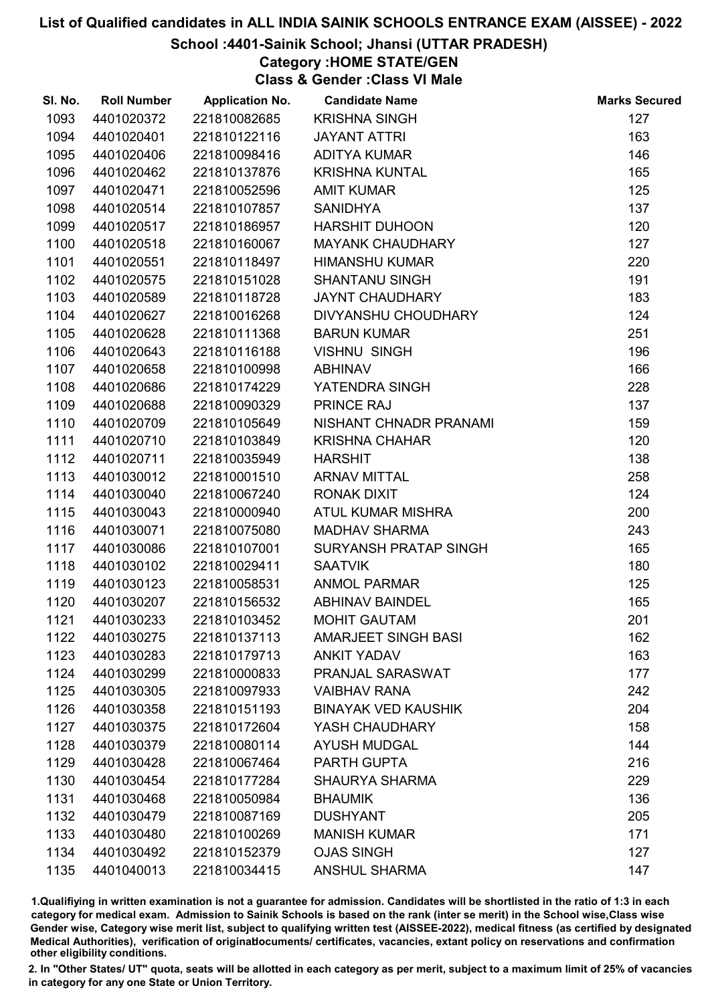### School :4401-Sainik School; Jhansi (UTTAR PRADESH)

Category :HOME STATE/GEN

Class & Gender :Class VI Male

| SI. No. | <b>Roll Number</b> | <b>Application No.</b> | <b>Candidate Name</b>      | <b>Marks Secured</b> |
|---------|--------------------|------------------------|----------------------------|----------------------|
| 1093    | 4401020372         | 221810082685           | <b>KRISHNA SINGH</b>       | 127                  |
| 1094    | 4401020401         | 221810122116           | <b>JAYANT ATTRI</b>        | 163                  |
| 1095    | 4401020406         | 221810098416           | <b>ADITYA KUMAR</b>        | 146                  |
| 1096    | 4401020462         | 221810137876           | <b>KRISHNA KUNTAL</b>      | 165                  |
| 1097    | 4401020471         | 221810052596           | <b>AMIT KUMAR</b>          | 125                  |
| 1098    | 4401020514         | 221810107857           | <b>SANIDHYA</b>            | 137                  |
| 1099    | 4401020517         | 221810186957           | <b>HARSHIT DUHOON</b>      | 120                  |
| 1100    | 4401020518         | 221810160067           | <b>MAYANK CHAUDHARY</b>    | 127                  |
| 1101    | 4401020551         | 221810118497           | <b>HIMANSHU KUMAR</b>      | 220                  |
| 1102    | 4401020575         | 221810151028           | <b>SHANTANU SINGH</b>      | 191                  |
| 1103    | 4401020589         | 221810118728           | <b>JAYNT CHAUDHARY</b>     | 183                  |
| 1104    | 4401020627         | 221810016268           | DIVYANSHU CHOUDHARY        | 124                  |
| 1105    | 4401020628         | 221810111368           | <b>BARUN KUMAR</b>         | 251                  |
| 1106    | 4401020643         | 221810116188           | <b>VISHNU SINGH</b>        | 196                  |
| 1107    | 4401020658         | 221810100998           | <b>ABHINAV</b>             | 166                  |
| 1108    | 4401020686         | 221810174229           | YATENDRA SINGH             | 228                  |
| 1109    | 4401020688         | 221810090329           | PRINCE RAJ                 | 137                  |
| 1110    | 4401020709         | 221810105649           | NISHANT CHNADR PRANAMI     | 159                  |
| 1111    | 4401020710         | 221810103849           | <b>KRISHNA CHAHAR</b>      | 120                  |
| 1112    | 4401020711         | 221810035949           | <b>HARSHIT</b>             | 138                  |
| 1113    | 4401030012         | 221810001510           | <b>ARNAV MITTAL</b>        | 258                  |
| 1114    | 4401030040         | 221810067240           | <b>RONAK DIXIT</b>         | 124                  |
| 1115    | 4401030043         | 221810000940           | ATUL KUMAR MISHRA          | 200                  |
| 1116    | 4401030071         | 221810075080           | <b>MADHAV SHARMA</b>       | 243                  |
| 1117    | 4401030086         | 221810107001           | SURYANSH PRATAP SINGH      | 165                  |
| 1118    | 4401030102         | 221810029411           | <b>SAATVIK</b>             | 180                  |
| 1119    | 4401030123         | 221810058531           | <b>ANMOL PARMAR</b>        | 125                  |
| 1120    | 4401030207         | 221810156532           | <b>ABHINAV BAINDEL</b>     | 165                  |
| 1121    | 4401030233         | 221810103452           | <b>MOHIT GAUTAM</b>        | 201                  |
| 1122    | 4401030275         | 221810137113           | <b>AMARJEET SINGH BASI</b> | 162                  |
| 1123    | 4401030283         | 221810179713           | <b>ANKIT YADAV</b>         | 163                  |
| 1124    | 4401030299         | 221810000833           | PRANJAL SARASWAT           | 177                  |
| 1125    | 4401030305         | 221810097933           | <b>VAIBHAV RANA</b>        | 242                  |
| 1126    | 4401030358         | 221810151193           | <b>BINAYAK VED KAUSHIK</b> | 204                  |
| 1127    | 4401030375         | 221810172604           | YASH CHAUDHARY             | 158                  |
| 1128    | 4401030379         | 221810080114           | <b>AYUSH MUDGAL</b>        | 144                  |
| 1129    | 4401030428         | 221810067464           | PARTH GUPTA                | 216                  |
| 1130    | 4401030454         | 221810177284           | <b>SHAURYA SHARMA</b>      | 229                  |
| 1131    | 4401030468         | 221810050984           | <b>BHAUMIK</b>             | 136                  |
| 1132    | 4401030479         | 221810087169           | <b>DUSHYANT</b>            | 205                  |
| 1133    | 4401030480         | 221810100269           | <b>MANISH KUMAR</b>        | 171                  |
| 1134    | 4401030492         | 221810152379           | <b>OJAS SINGH</b>          | 127                  |
| 1135    | 4401040013         | 221810034415           | <b>ANSHUL SHARMA</b>       | 147                  |

1.Qualifiying in written examination is not a guarantee for admission. Candidates will be shortlisted in the ratio of 1:3 in each category for medical exam. Admission to Sainik Schools is based on the rank (inter se merit) in the School wise,Class wise Gender wise, Category wise merit list, subject to qualifying written test (AISSEE-2022), medical fitness (as certified by designated Medical Authorities), verification of originablocuments/ certificates, vacancies, extant policy on reservations and confirmation other eligibility conditions.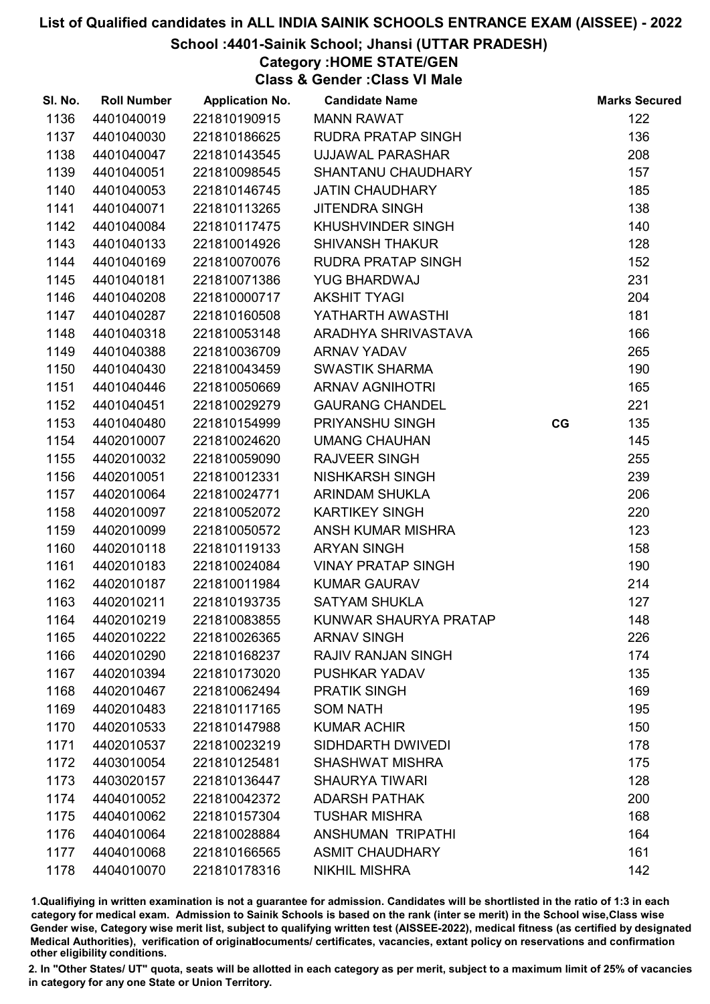## School :4401-Sainik School; Jhansi (UTTAR PRADESH)

Category :HOME STATE/GEN

Class & Gender :Class VI Male

| SI. No. | <b>Roll Number</b> | <b>Application No.</b> | <b>Candidate Name</b>     |    | <b>Marks Secured</b> |
|---------|--------------------|------------------------|---------------------------|----|----------------------|
| 1136    | 4401040019         | 221810190915           | <b>MANN RAWAT</b>         |    | 122                  |
| 1137    | 4401040030         | 221810186625           | <b>RUDRA PRATAP SINGH</b> |    | 136                  |
| 1138    | 4401040047         | 221810143545           | <b>UJJAWAL PARASHAR</b>   |    | 208                  |
| 1139    | 4401040051         | 221810098545           | SHANTANU CHAUDHARY        |    | 157                  |
| 1140    | 4401040053         | 221810146745           | <b>JATIN CHAUDHARY</b>    |    | 185                  |
| 1141    | 4401040071         | 221810113265           | <b>JITENDRA SINGH</b>     |    | 138                  |
| 1142    | 4401040084         | 221810117475           | KHUSHVINDER SINGH         |    | 140                  |
| 1143    | 4401040133         | 221810014926           | <b>SHIVANSH THAKUR</b>    |    | 128                  |
| 1144    | 4401040169         | 221810070076           | <b>RUDRA PRATAP SINGH</b> |    | 152                  |
| 1145    | 4401040181         | 221810071386           | <b>YUG BHARDWAJ</b>       |    | 231                  |
| 1146    | 4401040208         | 221810000717           | <b>AKSHIT TYAGI</b>       |    | 204                  |
| 1147    | 4401040287         | 221810160508           | YATHARTH AWASTHI          |    | 181                  |
| 1148    | 4401040318         | 221810053148           | ARADHYA SHRIVASTAVA       |    | 166                  |
| 1149    | 4401040388         | 221810036709           | <b>ARNAV YADAV</b>        |    | 265                  |
| 1150    | 4401040430         | 221810043459           | <b>SWASTIK SHARMA</b>     |    | 190                  |
| 1151    | 4401040446         | 221810050669           | <b>ARNAV AGNIHOTRI</b>    |    | 165                  |
| 1152    | 4401040451         | 221810029279           | <b>GAURANG CHANDEL</b>    |    | 221                  |
| 1153    | 4401040480         | 221810154999           | PRIYANSHU SINGH           | CG | 135                  |
| 1154    | 4402010007         | 221810024620           | <b>UMANG CHAUHAN</b>      |    | 145                  |
| 1155    | 4402010032         | 221810059090           | <b>RAJVEER SINGH</b>      |    | 255                  |
| 1156    | 4402010051         | 221810012331           | NISHKARSH SINGH           |    | 239                  |
| 1157    | 4402010064         | 221810024771           | <b>ARINDAM SHUKLA</b>     |    | 206                  |
| 1158    | 4402010097         | 221810052072           | <b>KARTIKEY SINGH</b>     |    | 220                  |
| 1159    | 4402010099         | 221810050572           | ANSH KUMAR MISHRA         |    | 123                  |
| 1160    | 4402010118         | 221810119133           | <b>ARYAN SINGH</b>        |    | 158                  |
| 1161    | 4402010183         | 221810024084           | <b>VINAY PRATAP SINGH</b> |    | 190                  |
| 1162    | 4402010187         | 221810011984           | <b>KUMAR GAURAV</b>       |    | 214                  |
| 1163    | 4402010211         | 221810193735           | <b>SATYAM SHUKLA</b>      |    | 127                  |
| 1164    | 4402010219         | 221810083855           | KUNWAR SHAURYA PRATAP     |    | 148                  |
| 1165    | 4402010222         | 221810026365           | <b>ARNAV SINGH</b>        |    | 226                  |
| 1166    | 4402010290         | 221810168237           | <b>RAJIV RANJAN SINGH</b> |    | 174                  |
| 1167    | 4402010394         | 221810173020           | PUSHKAR YADAV             |    | 135                  |
| 1168    | 4402010467         | 221810062494           | <b>PRATIK SINGH</b>       |    | 169                  |
| 1169    | 4402010483         | 221810117165           | <b>SOM NATH</b>           |    | 195                  |
| 1170    | 4402010533         | 221810147988           | <b>KUMAR ACHIR</b>        |    | 150                  |
| 1171    | 4402010537         | 221810023219           | SIDHDARTH DWIVEDI         |    | 178                  |
| 1172    | 4403010054         | 221810125481           | <b>SHASHWAT MISHRA</b>    |    | 175                  |
| 1173    | 4403020157         | 221810136447           | <b>SHAURYA TIWARI</b>     |    | 128                  |
| 1174    | 4404010052         | 221810042372           | <b>ADARSH PATHAK</b>      |    | 200                  |
| 1175    | 4404010062         | 221810157304           | <b>TUSHAR MISHRA</b>      |    | 168                  |
| 1176    | 4404010064         | 221810028884           | <b>ANSHUMAN TRIPATHI</b>  |    | 164                  |
| 1177    | 4404010068         | 221810166565           | <b>ASMIT CHAUDHARY</b>    |    | 161                  |
| 1178    | 4404010070         | 221810178316           | <b>NIKHIL MISHRA</b>      |    | 142                  |

1.Qualifiying in written examination is not a guarantee for admission. Candidates will be shortlisted in the ratio of 1:3 in each category for medical exam. Admission to Sainik Schools is based on the rank (inter se merit) in the School wise,Class wise Gender wise, Category wise merit list, subject to qualifying written test (AISSEE-2022), medical fitness (as certified by designated Medical Authorities), verification of originablocuments/ certificates, vacancies, extant policy on reservations and confirmation other eligibility conditions.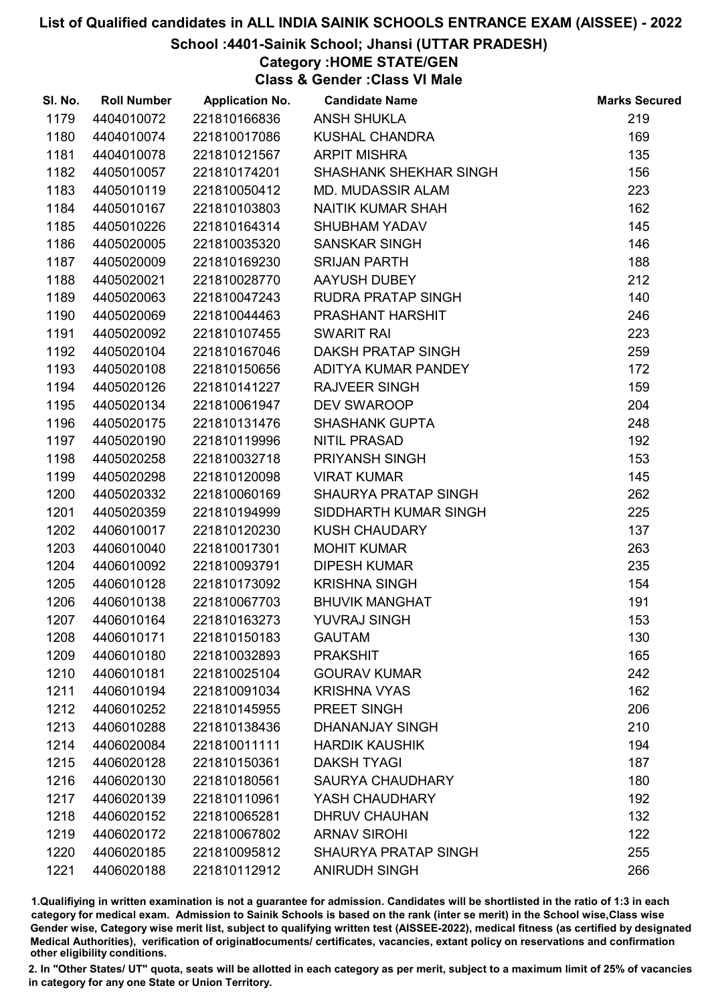### School :4401-Sainik School; Jhansi (UTTAR PRADESH)

## Category :HOME STATE/GEN

Class & Gender :Class VI Male

| SI. No. | <b>Roll Number</b> | <b>Application No.</b> | <b>Candidate Name</b>         | <b>Marks Secured</b> |
|---------|--------------------|------------------------|-------------------------------|----------------------|
| 1179    | 4404010072         | 221810166836           | <b>ANSH SHUKLA</b>            | 219                  |
| 1180    | 4404010074         | 221810017086           | <b>KUSHAL CHANDRA</b>         | 169                  |
| 1181    | 4404010078         | 221810121567           | <b>ARPIT MISHRA</b>           | 135                  |
| 1182    | 4405010057         | 221810174201           | <b>SHASHANK SHEKHAR SINGH</b> | 156                  |
| 1183    | 4405010119         | 221810050412           | <b>MD. MUDASSIR ALAM</b>      | 223                  |
| 1184    | 4405010167         | 221810103803           | NAITIK KUMAR SHAH             | 162                  |
| 1185    | 4405010226         | 221810164314           | <b>SHUBHAM YADAV</b>          | 145                  |
| 1186    | 4405020005         | 221810035320           | <b>SANSKAR SINGH</b>          | 146                  |
| 1187    | 4405020009         | 221810169230           | <b>SRIJAN PARTH</b>           | 188                  |
| 1188    | 4405020021         | 221810028770           | AAYUSH DUBEY                  | 212                  |
| 1189    | 4405020063         | 221810047243           | RUDRA PRATAP SINGH            | 140                  |
| 1190    | 4405020069         | 221810044463           | PRASHANT HARSHIT              | 246                  |
| 1191    | 4405020092         | 221810107455           | <b>SWARIT RAI</b>             | 223                  |
| 1192    | 4405020104         | 221810167046           | DAKSH PRATAP SINGH            | 259                  |
| 1193    | 4405020108         | 221810150656           | ADITYA KUMAR PANDEY           | 172                  |
| 1194    | 4405020126         | 221810141227           | <b>RAJVEER SINGH</b>          | 159                  |
| 1195    | 4405020134         | 221810061947           | DEV SWAROOP                   | 204                  |
| 1196    | 4405020175         | 221810131476           | <b>SHASHANK GUPTA</b>         | 248                  |
| 1197    | 4405020190         | 221810119996           | <b>NITIL PRASAD</b>           | 192                  |
| 1198    | 4405020258         | 221810032718           | PRIYANSH SINGH                | 153                  |
| 1199    | 4405020298         | 221810120098           | <b>VIRAT KUMAR</b>            | 145                  |
| 1200    | 4405020332         | 221810060169           | SHAURYA PRATAP SINGH          | 262                  |
| 1201    | 4405020359         | 221810194999           | SIDDHARTH KUMAR SINGH         | 225                  |
| 1202    | 4406010017         | 221810120230           | <b>KUSH CHAUDARY</b>          | 137                  |
| 1203    | 4406010040         | 221810017301           | <b>MOHIT KUMAR</b>            | 263                  |
| 1204    | 4406010092         | 221810093791           | <b>DIPESH KUMAR</b>           | 235                  |
| 1205    | 4406010128         | 221810173092           | <b>KRISHNA SINGH</b>          | 154                  |
| 1206    | 4406010138         | 221810067703           | <b>BHUVIK MANGHAT</b>         | 191                  |
| 1207    | 4406010164         | 221810163273           | <b>YUVRAJ SINGH</b>           | 153                  |
| 1208    | 4406010171         | 221810150183           | <b>GAUTAM</b>                 | 130                  |
| 1209    | 4406010180         | 221810032893           | <b>PRAKSHIT</b>               | 165                  |
| 1210    | 4406010181         | 221810025104           | <b>GOURAV KUMAR</b>           | 242                  |
| 1211    | 4406010194         | 221810091034           | <b>KRISHNA VYAS</b>           | 162                  |
| 1212    | 4406010252         | 221810145955           | PREET SINGH                   | 206                  |
| 1213    | 4406010288         | 221810138436           | <b>DHANANJAY SINGH</b>        | 210                  |
| 1214    | 4406020084         | 221810011111           | <b>HARDIK KAUSHIK</b>         | 194                  |
| 1215    | 4406020128         | 221810150361           | <b>DAKSH TYAGI</b>            | 187                  |
| 1216    | 4406020130         | 221810180561           | <b>SAURYA CHAUDHARY</b>       | 180                  |
| 1217    | 4406020139         | 221810110961           | YASH CHAUDHARY                | 192                  |
| 1218    | 4406020152         | 221810065281           | <b>DHRUV CHAUHAN</b>          | 132                  |
| 1219    | 4406020172         | 221810067802           | <b>ARNAV SIROHI</b>           | 122                  |
| 1220    | 4406020185         | 221810095812           | <b>SHAURYA PRATAP SINGH</b>   | 255                  |
| 1221    | 4406020188         | 221810112912           | <b>ANIRUDH SINGH</b>          | 266                  |

1.Qualifiying in written examination is not a guarantee for admission. Candidates will be shortlisted in the ratio of 1:3 in each category for medical exam. Admission to Sainik Schools is based on the rank (inter se merit) in the School wise,Class wise Gender wise, Category wise merit list, subject to qualifying written test (AISSEE-2022), medical fitness (as certified by designated Medical Authorities), verification of originablocuments/ certificates, vacancies, extant policy on reservations and confirmation other eligibility conditions.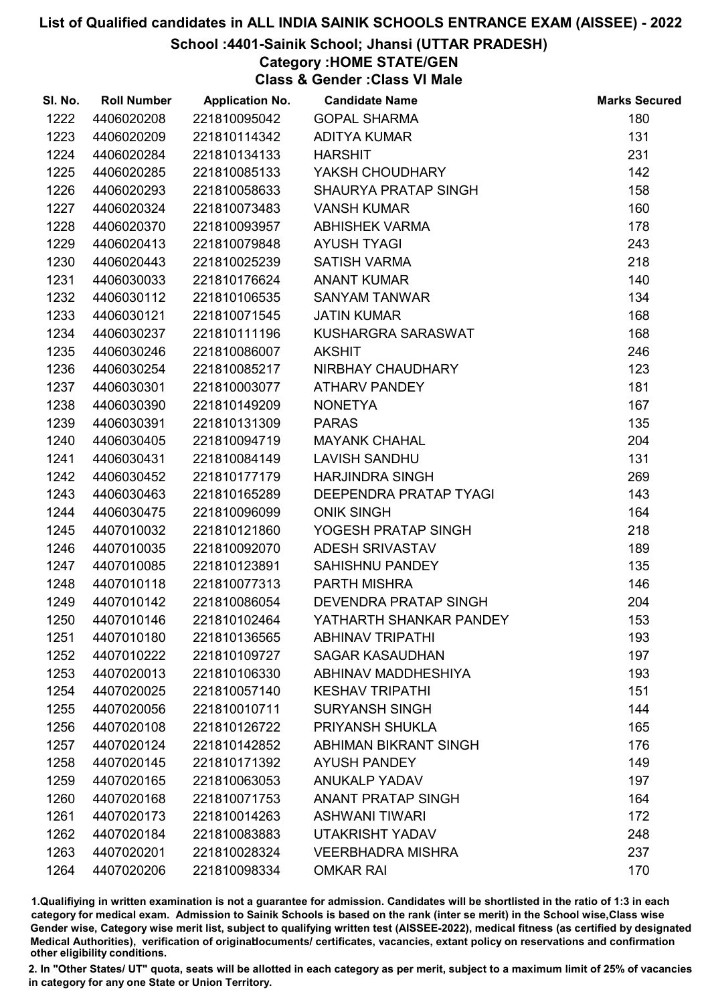### School :4401-Sainik School; Jhansi (UTTAR PRADESH)

## Category :HOME STATE/GEN

Class & Gender :Class VI Male

| SI. No. | <b>Roll Number</b> | <b>Application No.</b> | <b>Candidate Name</b>        | <b>Marks Secured</b> |
|---------|--------------------|------------------------|------------------------------|----------------------|
| 1222    | 4406020208         | 221810095042           | <b>GOPAL SHARMA</b>          | 180                  |
| 1223    | 4406020209         | 221810114342           | <b>ADITYA KUMAR</b>          | 131                  |
| 1224    | 4406020284         | 221810134133           | <b>HARSHIT</b>               | 231                  |
| 1225    | 4406020285         | 221810085133           | YAKSH CHOUDHARY              | 142                  |
| 1226    | 4406020293         | 221810058633           | SHAURYA PRATAP SINGH         | 158                  |
| 1227    | 4406020324         | 221810073483           | <b>VANSH KUMAR</b>           | 160                  |
| 1228    | 4406020370         | 221810093957           | <b>ABHISHEK VARMA</b>        | 178                  |
| 1229    | 4406020413         | 221810079848           | <b>AYUSH TYAGI</b>           | 243                  |
| 1230    | 4406020443         | 221810025239           | <b>SATISH VARMA</b>          | 218                  |
| 1231    | 4406030033         | 221810176624           | <b>ANANT KUMAR</b>           | 140                  |
| 1232    | 4406030112         | 221810106535           | <b>SANYAM TANWAR</b>         | 134                  |
| 1233    | 4406030121         | 221810071545           | <b>JATIN KUMAR</b>           | 168                  |
| 1234    | 4406030237         | 221810111196           | KUSHARGRA SARASWAT           | 168                  |
| 1235    | 4406030246         | 221810086007           | <b>AKSHIT</b>                | 246                  |
| 1236    | 4406030254         | 221810085217           | NIRBHAY CHAUDHARY            | 123                  |
| 1237    | 4406030301         | 221810003077           | <b>ATHARV PANDEY</b>         | 181                  |
| 1238    | 4406030390         | 221810149209           | <b>NONETYA</b>               | 167                  |
| 1239    | 4406030391         | 221810131309           | <b>PARAS</b>                 | 135                  |
| 1240    | 4406030405         | 221810094719           | <b>MAYANK CHAHAL</b>         | 204                  |
| 1241    | 4406030431         | 221810084149           | <b>LAVISH SANDHU</b>         | 131                  |
| 1242    | 4406030452         | 221810177179           | <b>HARJINDRA SINGH</b>       | 269                  |
| 1243    | 4406030463         | 221810165289           | DEEPENDRA PRATAP TYAGI       | 143                  |
| 1244    | 4406030475         | 221810096099           | <b>ONIK SINGH</b>            | 164                  |
| 1245    | 4407010032         | 221810121860           | YOGESH PRATAP SINGH          | 218                  |
| 1246    | 4407010035         | 221810092070           | ADESH SRIVASTAV              | 189                  |
| 1247    | 4407010085         | 221810123891           | <b>SAHISHNU PANDEY</b>       | 135                  |
| 1248    | 4407010118         | 221810077313           | PARTH MISHRA                 | 146                  |
| 1249    | 4407010142         | 221810086054           | DEVENDRA PRATAP SINGH        | 204                  |
| 1250    | 4407010146         | 221810102464           | YATHARTH SHANKAR PANDEY      | 153                  |
| 1251    | 4407010180         | 221810136565           | <b>ABHINAV TRIPATHI</b>      | 193                  |
| 1252    | 4407010222         | 221810109727           | <b>SAGAR KASAUDHAN</b>       | 197                  |
| 1253    | 4407020013         | 221810106330           | <b>ABHINAV MADDHESHIYA</b>   | 193                  |
| 1254    | 4407020025         | 221810057140           | <b>KESHAV TRIPATHI</b>       | 151                  |
| 1255    | 4407020056         | 221810010711           | <b>SURYANSH SINGH</b>        | 144                  |
| 1256    | 4407020108         | 221810126722           | <b>PRIYANSH SHUKLA</b>       | 165                  |
| 1257    | 4407020124         | 221810142852           | <b>ABHIMAN BIKRANT SINGH</b> | 176                  |
| 1258    | 4407020145         | 221810171392           | <b>AYUSH PANDEY</b>          | 149                  |
| 1259    | 4407020165         | 221810063053           | <b>ANUKALP YADAV</b>         | 197                  |
| 1260    | 4407020168         | 221810071753           | <b>ANANT PRATAP SINGH</b>    | 164                  |
| 1261    | 4407020173         | 221810014263           | <b>ASHWANI TIWARI</b>        | 172                  |
| 1262    | 4407020184         | 221810083883           | UTAKRISHT YADAV              | 248                  |
| 1263    | 4407020201         | 221810028324           | <b>VEERBHADRA MISHRA</b>     | 237                  |
| 1264    | 4407020206         | 221810098334           | <b>OMKAR RAI</b>             | 170                  |

1.Qualifiying in written examination is not a guarantee for admission. Candidates will be shortlisted in the ratio of 1:3 in each category for medical exam. Admission to Sainik Schools is based on the rank (inter se merit) in the School wise,Class wise Gender wise, Category wise merit list, subject to qualifying written test (AISSEE-2022), medical fitness (as certified by designated Medical Authorities), verification of originablocuments/ certificates, vacancies, extant policy on reservations and confirmation other eligibility conditions.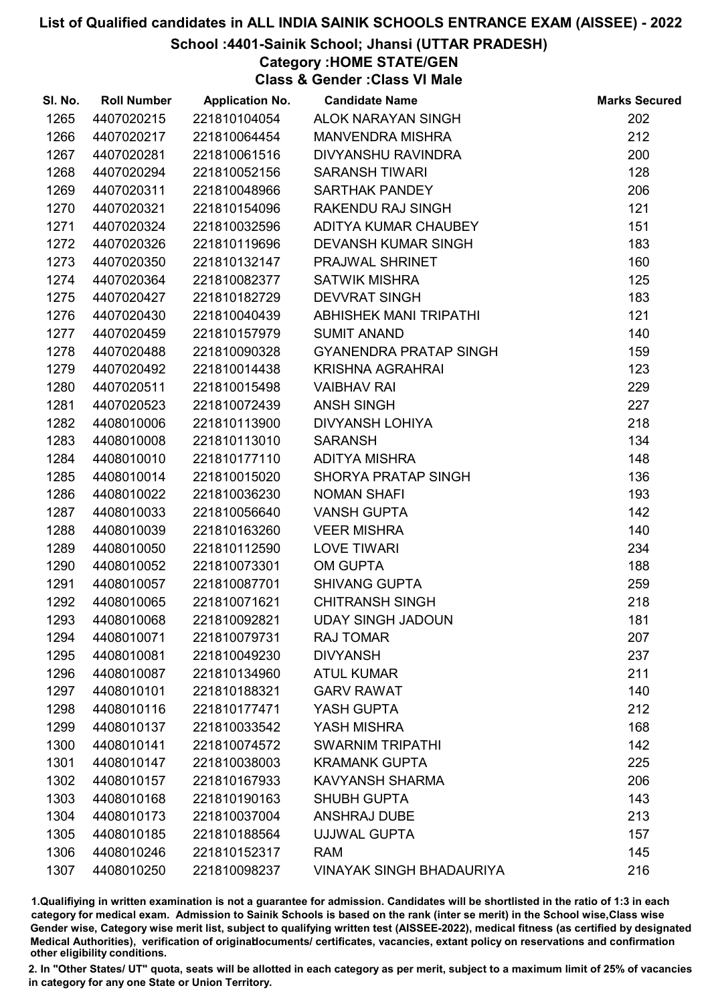## School :4401-Sainik School; Jhansi (UTTAR PRADESH)

Category :HOME STATE/GEN

Class & Gender :Class VI Male

| SI. No. | <b>Roll Number</b> | <b>Application No.</b> | <b>Candidate Name</b>           | <b>Marks Secured</b> |
|---------|--------------------|------------------------|---------------------------------|----------------------|
| 1265    | 4407020215         | 221810104054           | ALOK NARAYAN SINGH              | 202                  |
| 1266    | 4407020217         | 221810064454           | <b>MANVENDRA MISHRA</b>         | 212                  |
| 1267    | 4407020281         | 221810061516           | DIVYANSHU RAVINDRA              | 200                  |
| 1268    | 4407020294         | 221810052156           | <b>SARANSH TIWARI</b>           | 128                  |
| 1269    | 4407020311         | 221810048966           | <b>SARTHAK PANDEY</b>           | 206                  |
| 1270    | 4407020321         | 221810154096           | RAKENDU RAJ SINGH               | 121                  |
| 1271    | 4407020324         | 221810032596           | ADITYA KUMAR CHAUBEY            | 151                  |
| 1272    | 4407020326         | 221810119696           | <b>DEVANSH KUMAR SINGH</b>      | 183                  |
| 1273    | 4407020350         | 221810132147           | PRAJWAL SHRINET                 | 160                  |
| 1274    | 4407020364         | 221810082377           | <b>SATWIK MISHRA</b>            | 125                  |
| 1275    | 4407020427         | 221810182729           | <b>DEVVRAT SINGH</b>            | 183                  |
| 1276    | 4407020430         | 221810040439           | <b>ABHISHEK MANI TRIPATHI</b>   | 121                  |
| 1277    | 4407020459         | 221810157979           | <b>SUMIT ANAND</b>              | 140                  |
| 1278    | 4407020488         | 221810090328           | <b>GYANENDRA PRATAP SINGH</b>   | 159                  |
| 1279    | 4407020492         | 221810014438           | <b>KRISHNA AGRAHRAI</b>         | 123                  |
| 1280    | 4407020511         | 221810015498           | <b>VAIBHAV RAI</b>              | 229                  |
| 1281    | 4407020523         | 221810072439           | <b>ANSH SINGH</b>               | 227                  |
| 1282    | 4408010006         | 221810113900           | <b>DIVYANSH LOHIYA</b>          | 218                  |
| 1283    | 4408010008         | 221810113010           | <b>SARANSH</b>                  | 134                  |
| 1284    | 4408010010         | 221810177110           | <b>ADITYA MISHRA</b>            | 148                  |
| 1285    | 4408010014         | 221810015020           | <b>SHORYA PRATAP SINGH</b>      | 136                  |
| 1286    | 4408010022         | 221810036230           | <b>NOMAN SHAFI</b>              | 193                  |
| 1287    | 4408010033         | 221810056640           | <b>VANSH GUPTA</b>              | 142                  |
| 1288    | 4408010039         | 221810163260           | <b>VEER MISHRA</b>              | 140                  |
| 1289    | 4408010050         | 221810112590           | <b>LOVE TIWARI</b>              | 234                  |
| 1290    | 4408010052         | 221810073301           | <b>OM GUPTA</b>                 | 188                  |
| 1291    | 4408010057         | 221810087701           | <b>SHIVANG GUPTA</b>            | 259                  |
| 1292    | 4408010065         | 221810071621           | <b>CHITRANSH SINGH</b>          | 218                  |
| 1293    | 4408010068         | 221810092821           | <b>UDAY SINGH JADOUN</b>        | 181                  |
| 1294    | 4408010071         | 221810079731           | <b>RAJ TOMAR</b>                | 207                  |
| 1295    | 4408010081         | 221810049230           | <b>DIVYANSH</b>                 | 237                  |
| 1296    | 4408010087         | 221810134960           | <b>ATUL KUMAR</b>               | 211                  |
| 1297    | 4408010101         | 221810188321           | <b>GARV RAWAT</b>               | 140                  |
| 1298    | 4408010116         | 221810177471           | YASH GUPTA                      | 212                  |
| 1299    | 4408010137         | 221810033542           | YASH MISHRA                     | 168                  |
| 1300    | 4408010141         | 221810074572           | <b>SWARNIM TRIPATHI</b>         | 142                  |
| 1301    | 4408010147         | 221810038003           | <b>KRAMANK GUPTA</b>            | 225                  |
| 1302    | 4408010157         | 221810167933           | <b>KAVYANSH SHARMA</b>          | 206                  |
| 1303    | 4408010168         | 221810190163           | <b>SHUBH GUPTA</b>              | 143                  |
| 1304    | 4408010173         | 221810037004           | <b>ANSHRAJ DUBE</b>             | 213                  |
| 1305    | 4408010185         | 221810188564           | UJJWAL GUPTA                    | 157                  |
| 1306    | 4408010246         | 221810152317           | <b>RAM</b>                      | 145                  |
| 1307    | 4408010250         | 221810098237           | <b>VINAYAK SINGH BHADAURIYA</b> | 216                  |

1.Qualifiying in written examination is not a guarantee for admission. Candidates will be shortlisted in the ratio of 1:3 in each category for medical exam. Admission to Sainik Schools is based on the rank (inter se merit) in the School wise,Class wise Gender wise, Category wise merit list, subject to qualifying written test (AISSEE-2022), medical fitness (as certified by designated Medical Authorities), verification of originablocuments/ certificates, vacancies, extant policy on reservations and confirmation other eligibility conditions.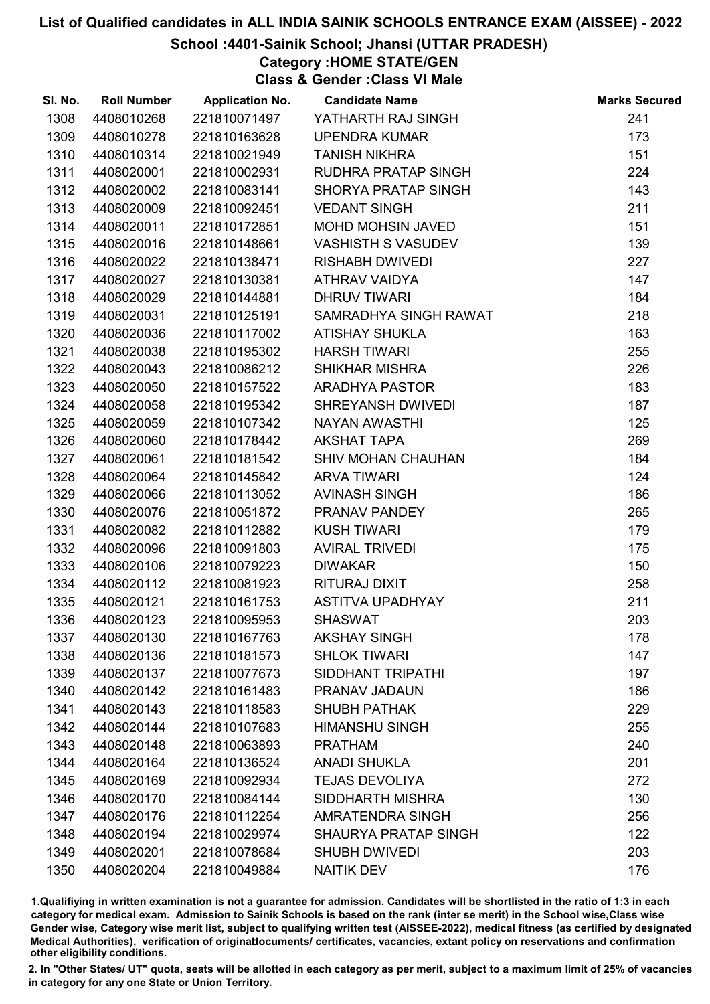## School :4401-Sainik School; Jhansi (UTTAR PRADESH)

Category :HOME STATE/GEN

Class & Gender :Class VI Male

| SI. No. | <b>Roll Number</b> | <b>Application No.</b> | <b>Candidate Name</b>       | <b>Marks Secured</b> |
|---------|--------------------|------------------------|-----------------------------|----------------------|
| 1308    | 4408010268         | 221810071497           | YATHARTH RAJ SINGH          | 241                  |
| 1309    | 4408010278         | 221810163628           | <b>UPENDRA KUMAR</b>        | 173                  |
| 1310    | 4408010314         | 221810021949           | <b>TANISH NIKHRA</b>        | 151                  |
| 1311    | 4408020001         | 221810002931           | RUDHRA PRATAP SINGH         | 224                  |
| 1312    | 4408020002         | 221810083141           | <b>SHORYA PRATAP SINGH</b>  | 143                  |
| 1313    | 4408020009         | 221810092451           | <b>VEDANT SINGH</b>         | 211                  |
| 1314    | 4408020011         | 221810172851           | MOHD MOHSIN JAVED           | 151                  |
| 1315    | 4408020016         | 221810148661           | <b>VASHISTH S VASUDEV</b>   | 139                  |
| 1316    | 4408020022         | 221810138471           | <b>RISHABH DWIVEDI</b>      | 227                  |
| 1317    | 4408020027         | 221810130381           | ATHRAV VAIDYA               | 147                  |
| 1318    | 4408020029         | 221810144881           | <b>DHRUV TIWARI</b>         | 184                  |
| 1319    | 4408020031         | 221810125191           | SAMRADHYA SINGH RAWAT       | 218                  |
| 1320    | 4408020036         | 221810117002           | <b>ATISHAY SHUKLA</b>       | 163                  |
| 1321    | 4408020038         | 221810195302           | <b>HARSH TIWARI</b>         | 255                  |
| 1322    | 4408020043         | 221810086212           | <b>SHIKHAR MISHRA</b>       | 226                  |
| 1323    | 4408020050         | 221810157522           | <b>ARADHYA PASTOR</b>       | 183                  |
| 1324    | 4408020058         | 221810195342           | SHREYANSH DWIVEDI           | 187                  |
| 1325    | 4408020059         | 221810107342           | NAYAN AWASTHI               | 125                  |
| 1326    | 4408020060         | 221810178442           | <b>AKSHAT TAPA</b>          | 269                  |
| 1327    | 4408020061         | 221810181542           | SHIV MOHAN CHAUHAN          | 184                  |
| 1328    | 4408020064         | 221810145842           | <b>ARVA TIWARI</b>          | 124                  |
| 1329    | 4408020066         | 221810113052           | <b>AVINASH SINGH</b>        | 186                  |
| 1330    | 4408020076         | 221810051872           | PRANAV PANDEY               | 265                  |
| 1331    | 4408020082         | 221810112882           | <b>KUSH TIWARI</b>          | 179                  |
| 1332    | 4408020096         | 221810091803           | <b>AVIRAL TRIVEDI</b>       | 175                  |
| 1333    | 4408020106         | 221810079223           | <b>DIWAKAR</b>              | 150                  |
| 1334    | 4408020112         | 221810081923           | RITURAJ DIXIT               | 258                  |
| 1335    | 4408020121         | 221810161753           | <b>ASTITVA UPADHYAY</b>     | 211                  |
| 1336    | 4408020123         | 221810095953           | <b>SHASWAT</b>              | 203                  |
| 1337    | 4408020130         | 221810167763           | <b>AKSHAY SINGH</b>         | 178                  |
| 1338    | 4408020136         | 221810181573           | <b>SHLOK TIWARI</b>         | 147                  |
| 1339    | 4408020137         | 221810077673           | SIDDHANT TRIPATHI           | 197                  |
| 1340    | 4408020142         | 221810161483           | PRANAV JADAUN               | 186                  |
| 1341    | 4408020143         | 221810118583           | <b>SHUBH PATHAK</b>         | 229                  |
| 1342    | 4408020144         | 221810107683           | <b>HIMANSHU SINGH</b>       | 255                  |
| 1343    | 4408020148         | 221810063893           | <b>PRATHAM</b>              | 240                  |
| 1344    | 4408020164         | 221810136524           | <b>ANADI SHUKLA</b>         | 201                  |
| 1345    | 4408020169         | 221810092934           | <b>TEJAS DEVOLIYA</b>       | 272                  |
| 1346    | 4408020170         | 221810084144           | <b>SIDDHARTH MISHRA</b>     | 130                  |
| 1347    | 4408020176         | 221810112254           | AMRATENDRA SINGH            | 256                  |
| 1348    | 4408020194         | 221810029974           | <b>SHAURYA PRATAP SINGH</b> | 122                  |
| 1349    | 4408020201         | 221810078684           | <b>SHUBH DWIVEDI</b>        | 203                  |
| 1350    | 4408020204         | 221810049884           | <b>NAITIK DEV</b>           | 176                  |

1.Qualifiying in written examination is not a guarantee for admission. Candidates will be shortlisted in the ratio of 1:3 in each category for medical exam. Admission to Sainik Schools is based on the rank (inter se merit) in the School wise,Class wise Gender wise, Category wise merit list, subject to qualifying written test (AISSEE-2022), medical fitness (as certified by designated Medical Authorities), verification of originablocuments/ certificates, vacancies, extant policy on reservations and confirmation other eligibility conditions.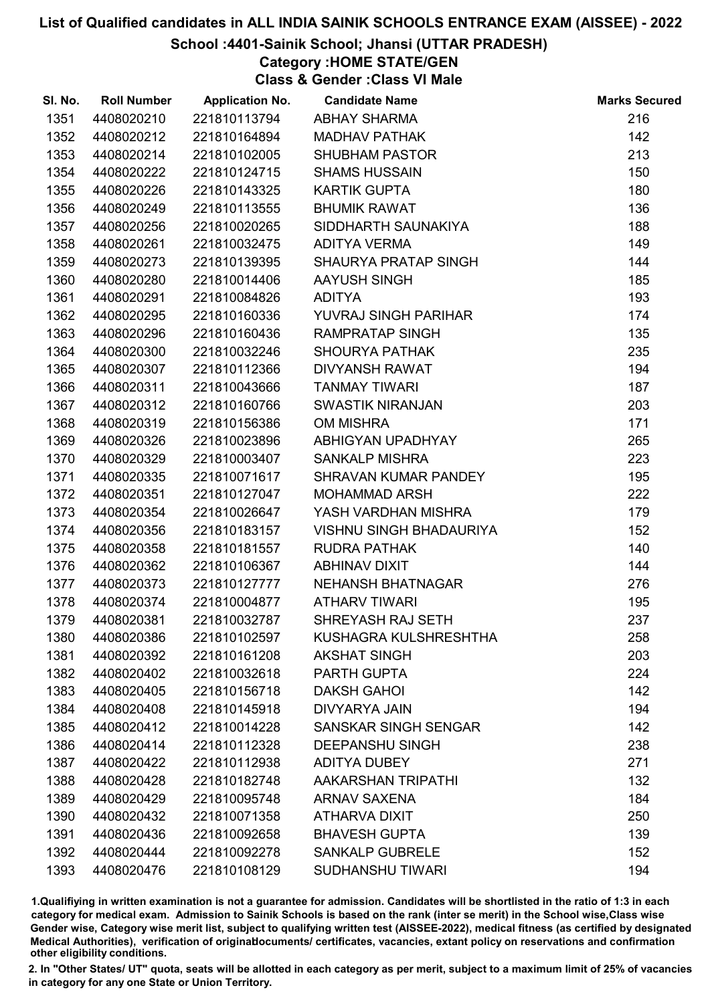### School :4401-Sainik School; Jhansi (UTTAR PRADESH)

Category :HOME STATE/GEN

Class & Gender :Class VI Male

| SI. No. | <b>Roll Number</b> | <b>Application No.</b> | <b>Candidate Name</b>          | <b>Marks Secured</b> |
|---------|--------------------|------------------------|--------------------------------|----------------------|
| 1351    | 4408020210         | 221810113794           | <b>ABHAY SHARMA</b>            | 216                  |
| 1352    | 4408020212         | 221810164894           | <b>MADHAV PATHAK</b>           | 142                  |
| 1353    | 4408020214         | 221810102005           | <b>SHUBHAM PASTOR</b>          | 213                  |
| 1354    | 4408020222         | 221810124715           | <b>SHAMS HUSSAIN</b>           | 150                  |
| 1355    | 4408020226         | 221810143325           | <b>KARTIK GUPTA</b>            | 180                  |
| 1356    | 4408020249         | 221810113555           | <b>BHUMIK RAWAT</b>            | 136                  |
| 1357    | 4408020256         | 221810020265           | SIDDHARTH SAUNAKIYA            | 188                  |
| 1358    | 4408020261         | 221810032475           | <b>ADITYA VERMA</b>            | 149                  |
| 1359    | 4408020273         | 221810139395           | <b>SHAURYA PRATAP SINGH</b>    | 144                  |
| 1360    | 4408020280         | 221810014406           | AAYUSH SINGH                   | 185                  |
| 1361    | 4408020291         | 221810084826           | <b>ADITYA</b>                  | 193                  |
| 1362    | 4408020295         | 221810160336           | YUVRAJ SINGH PARIHAR           | 174                  |
| 1363    | 4408020296         | 221810160436           | <b>RAMPRATAP SINGH</b>         | 135                  |
| 1364    | 4408020300         | 221810032246           | <b>SHOURYA PATHAK</b>          | 235                  |
| 1365    | 4408020307         | 221810112366           | <b>DIVYANSH RAWAT</b>          | 194                  |
| 1366    | 4408020311         | 221810043666           | <b>TANMAY TIWARI</b>           | 187                  |
| 1367    | 4408020312         | 221810160766           | <b>SWASTIK NIRANJAN</b>        | 203                  |
| 1368    | 4408020319         | 221810156386           | <b>OM MISHRA</b>               | 171                  |
| 1369    | 4408020326         | 221810023896           | ABHIGYAN UPADHYAY              | 265                  |
| 1370    | 4408020329         | 221810003407           | <b>SANKALP MISHRA</b>          | 223                  |
| 1371    | 4408020335         | 221810071617           | SHRAVAN KUMAR PANDEY           | 195                  |
| 1372    | 4408020351         | 221810127047           | <b>MOHAMMAD ARSH</b>           | 222                  |
| 1373    | 4408020354         | 221810026647           | YASH VARDHAN MISHRA            | 179                  |
| 1374    | 4408020356         | 221810183157           | <b>VISHNU SINGH BHADAURIYA</b> | 152                  |
| 1375    | 4408020358         | 221810181557           | <b>RUDRA PATHAK</b>            | 140                  |
| 1376    | 4408020362         | 221810106367           | <b>ABHINAV DIXIT</b>           | 144                  |
| 1377    | 4408020373         | 221810127777           | <b>NEHANSH BHATNAGAR</b>       | 276                  |
| 1378    | 4408020374         | 221810004877           | <b>ATHARV TIWARI</b>           | 195                  |
| 1379    | 4408020381         | 221810032787           | SHREYASH RAJ SETH              | 237                  |
| 1380    | 4408020386         | 221810102597           | KUSHAGRA KULSHRESHTHA          | 258                  |
| 1381    | 4408020392         | 221810161208           | <b>AKSHAT SINGH</b>            | 203                  |
| 1382    | 4408020402         | 221810032618           | PARTH GUPTA                    | 224                  |
| 1383    | 4408020405         | 221810156718           | <b>DAKSH GAHOI</b>             | 142                  |
| 1384    | 4408020408         | 221810145918           | <b>DIVYARYA JAIN</b>           | 194                  |
| 1385    | 4408020412         | 221810014228           | SANSKAR SINGH SENGAR           | 142                  |
| 1386    | 4408020414         | 221810112328           | <b>DEEPANSHU SINGH</b>         | 238                  |
| 1387    | 4408020422         | 221810112938           | <b>ADITYA DUBEY</b>            | 271                  |
| 1388    | 4408020428         | 221810182748           | AAKARSHAN TRIPATHI             | 132                  |
| 1389    | 4408020429         | 221810095748           | <b>ARNAV SAXENA</b>            | 184                  |
| 1390    | 4408020432         | 221810071358           | ATHARVA DIXIT                  | 250                  |
| 1391    | 4408020436         | 221810092658           | <b>BHAVESH GUPTA</b>           | 139                  |
| 1392    | 4408020444         | 221810092278           | <b>SANKALP GUBRELE</b>         | 152                  |
| 1393    | 4408020476         | 221810108129           | <b>SUDHANSHU TIWARI</b>        | 194                  |

1.Qualifiying in written examination is not a guarantee for admission. Candidates will be shortlisted in the ratio of 1:3 in each category for medical exam. Admission to Sainik Schools is based on the rank (inter se merit) in the School wise,Class wise Gender wise, Category wise merit list, subject to qualifying written test (AISSEE-2022), medical fitness (as certified by designated Medical Authorities), verification of originablocuments/ certificates, vacancies, extant policy on reservations and confirmation other eligibility conditions.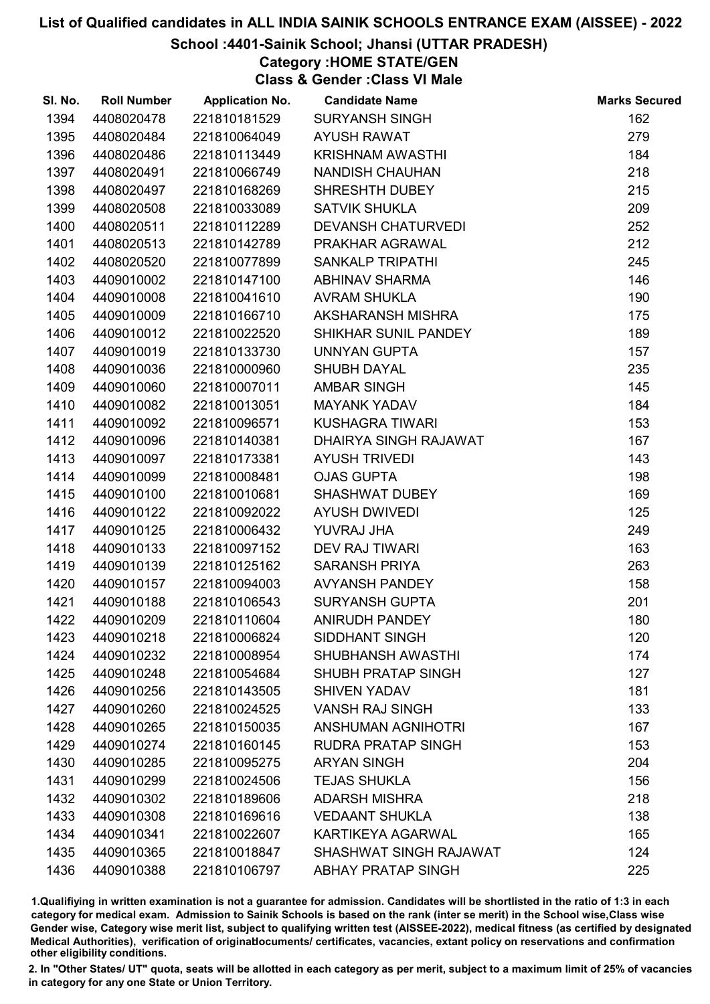## School :4401-Sainik School; Jhansi (UTTAR PRADESH)

Category :HOME STATE/GEN

Class & Gender :Class VI Male

| SI. No. | <b>Roll Number</b> | <b>Application No.</b> | <b>Candidate Name</b>     | <b>Marks Secured</b> |
|---------|--------------------|------------------------|---------------------------|----------------------|
| 1394    | 4408020478         | 221810181529           | <b>SURYANSH SINGH</b>     | 162                  |
| 1395    | 4408020484         | 221810064049           | <b>AYUSH RAWAT</b>        | 279                  |
| 1396    | 4408020486         | 221810113449           | <b>KRISHNAM AWASTHI</b>   | 184                  |
| 1397    | 4408020491         | 221810066749           | <b>NANDISH CHAUHAN</b>    | 218                  |
| 1398    | 4408020497         | 221810168269           | SHRESHTH DUBEY            | 215                  |
| 1399    | 4408020508         | 221810033089           | <b>SATVIK SHUKLA</b>      | 209                  |
| 1400    | 4408020511         | 221810112289           | <b>DEVANSH CHATURVEDI</b> | 252                  |
| 1401    | 4408020513         | 221810142789           | PRAKHAR AGRAWAL           | 212                  |
| 1402    | 4408020520         | 221810077899           | <b>SANKALP TRIPATHI</b>   | 245                  |
| 1403    | 4409010002         | 221810147100           | <b>ABHINAV SHARMA</b>     | 146                  |
| 1404    | 4409010008         | 221810041610           | <b>AVRAM SHUKLA</b>       | 190                  |
| 1405    | 4409010009         | 221810166710           | AKSHARANSH MISHRA         | 175                  |
| 1406    | 4409010012         | 221810022520           | SHIKHAR SUNIL PANDEY      | 189                  |
| 1407    | 4409010019         | 221810133730           | UNNYAN GUPTA              | 157                  |
| 1408    | 4409010036         | 221810000960           | <b>SHUBH DAYAL</b>        | 235                  |
| 1409    | 4409010060         | 221810007011           | <b>AMBAR SINGH</b>        | 145                  |
| 1410    | 4409010082         | 221810013051           | <b>MAYANK YADAV</b>       | 184                  |
| 1411    | 4409010092         | 221810096571           | <b>KUSHAGRA TIWARI</b>    | 153                  |
| 1412    | 4409010096         | 221810140381           | DHAIRYA SINGH RAJAWAT     | 167                  |
| 1413    | 4409010097         | 221810173381           | <b>AYUSH TRIVEDI</b>      | 143                  |
| 1414    | 4409010099         | 221810008481           | <b>OJAS GUPTA</b>         | 198                  |
| 1415    | 4409010100         | 221810010681           | <b>SHASHWAT DUBEY</b>     | 169                  |
| 1416    | 4409010122         | 221810092022           | <b>AYUSH DWIVEDI</b>      | 125                  |
| 1417    | 4409010125         | 221810006432           | YUVRAJ JHA                | 249                  |
| 1418    | 4409010133         | 221810097152           | DEV RAJ TIWARI            | 163                  |
| 1419    | 4409010139         | 221810125162           | <b>SARANSH PRIYA</b>      | 263                  |
| 1420    | 4409010157         | 221810094003           | <b>AVYANSH PANDEY</b>     | 158                  |
| 1421    | 4409010188         | 221810106543           | <b>SURYANSH GUPTA</b>     | 201                  |
| 1422    | 4409010209         | 221810110604           | <b>ANIRUDH PANDEY</b>     | 180                  |
| 1423    | 4409010218         | 221810006824           | <b>SIDDHANT SINGH</b>     | 120                  |
| 1424    | 4409010232         | 221810008954           | <b>SHUBHANSH AWASTHI</b>  | 174                  |
| 1425    | 4409010248         | 221810054684           | <b>SHUBH PRATAP SINGH</b> | 127                  |
| 1426    | 4409010256         | 221810143505           | <b>SHIVEN YADAV</b>       | 181                  |
| 1427    | 4409010260         | 221810024525           | <b>VANSH RAJ SINGH</b>    | 133                  |
| 1428    | 4409010265         | 221810150035           | <b>ANSHUMAN AGNIHOTRI</b> | 167                  |
| 1429    | 4409010274         | 221810160145           | <b>RUDRA PRATAP SINGH</b> | 153                  |
| 1430    | 4409010285         | 221810095275           | <b>ARYAN SINGH</b>        | 204                  |
| 1431    | 4409010299         | 221810024506           | <b>TEJAS SHUKLA</b>       | 156                  |
| 1432    | 4409010302         | 221810189606           | <b>ADARSH MISHRA</b>      | 218                  |
| 1433    | 4409010308         | 221810169616           | <b>VEDAANT SHUKLA</b>     | 138                  |
| 1434    | 4409010341         | 221810022607           | <b>KARTIKEYA AGARWAL</b>  | 165                  |
| 1435    | 4409010365         | 221810018847           | SHASHWAT SINGH RAJAWAT    | 124                  |
| 1436    | 4409010388         | 221810106797           | <b>ABHAY PRATAP SINGH</b> | 225                  |

1.Qualifiying in written examination is not a guarantee for admission. Candidates will be shortlisted in the ratio of 1:3 in each category for medical exam. Admission to Sainik Schools is based on the rank (inter se merit) in the School wise,Class wise Gender wise, Category wise merit list, subject to qualifying written test (AISSEE-2022), medical fitness (as certified by designated Medical Authorities), verification of originablocuments/ certificates, vacancies, extant policy on reservations and confirmation other eligibility conditions.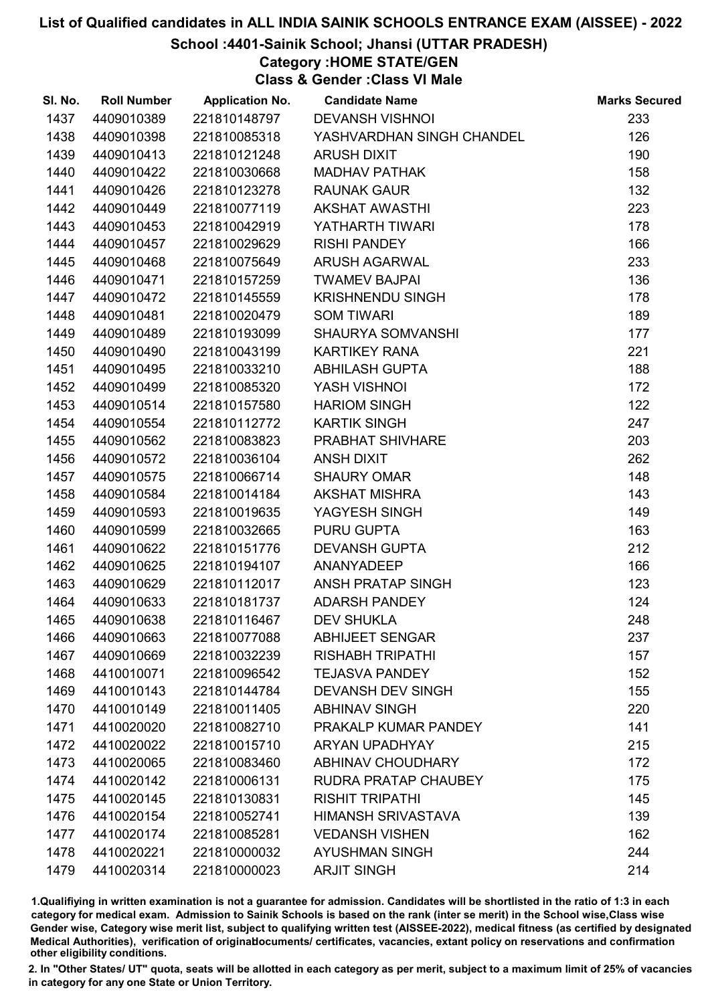## School :4401-Sainik School; Jhansi (UTTAR PRADESH)

## Category :HOME STATE/GEN

Class & Gender :Class VI Male

| SI. No. | <b>Roll Number</b> | <b>Application No.</b> | <b>Candidate Name</b>     | <b>Marks Secured</b> |
|---------|--------------------|------------------------|---------------------------|----------------------|
| 1437    | 4409010389         | 221810148797           | <b>DEVANSH VISHNOI</b>    | 233                  |
| 1438    | 4409010398         | 221810085318           | YASHVARDHAN SINGH CHANDEL | 126                  |
| 1439    | 4409010413         | 221810121248           | <b>ARUSH DIXIT</b>        | 190                  |
| 1440    | 4409010422         | 221810030668           | <b>MADHAV PATHAK</b>      | 158                  |
| 1441    | 4409010426         | 221810123278           | <b>RAUNAK GAUR</b>        | 132                  |
| 1442    | 4409010449         | 221810077119           | <b>AKSHAT AWASTHI</b>     | 223                  |
| 1443    | 4409010453         | 221810042919           | YATHARTH TIWARI           | 178                  |
| 1444    | 4409010457         | 221810029629           | <b>RISHI PANDEY</b>       | 166                  |
| 1445    | 4409010468         | 221810075649           | <b>ARUSH AGARWAL</b>      | 233                  |
| 1446    | 4409010471         | 221810157259           | <b>TWAMEV BAJPAI</b>      | 136                  |
| 1447    | 4409010472         | 221810145559           | <b>KRISHNENDU SINGH</b>   | 178                  |
| 1448    | 4409010481         | 221810020479           | <b>SOM TIWARI</b>         | 189                  |
| 1449    | 4409010489         | 221810193099           | SHAURYA SOMVANSHI         | 177                  |
| 1450    | 4409010490         | 221810043199           | <b>KARTIKEY RANA</b>      | 221                  |
| 1451    | 4409010495         | 221810033210           | <b>ABHILASH GUPTA</b>     | 188                  |
| 1452    | 4409010499         | 221810085320           | YASH VISHNOI              | 172                  |
| 1453    | 4409010514         | 221810157580           | <b>HARIOM SINGH</b>       | 122                  |
| 1454    | 4409010554         | 221810112772           | <b>KARTIK SINGH</b>       | 247                  |
| 1455    | 4409010562         | 221810083823           | PRABHAT SHIVHARE          | 203                  |
| 1456    | 4409010572         | 221810036104           | <b>ANSH DIXIT</b>         | 262                  |
| 1457    | 4409010575         | 221810066714           | <b>SHAURY OMAR</b>        | 148                  |
| 1458    | 4409010584         | 221810014184           | <b>AKSHAT MISHRA</b>      | 143                  |
| 1459    | 4409010593         | 221810019635           | YAGYESH SINGH             | 149                  |
| 1460    | 4409010599         | 221810032665           | <b>PURU GUPTA</b>         | 163                  |
| 1461    | 4409010622         | 221810151776           | <b>DEVANSH GUPTA</b>      | 212                  |
| 1462    | 4409010625         | 221810194107           | ANANYADEEP                | 166                  |
| 1463    | 4409010629         | 221810112017           | ANSH PRATAP SINGH         | 123                  |
| 1464    | 4409010633         | 221810181737           | <b>ADARSH PANDEY</b>      | 124                  |
| 1465    | 4409010638         | 221810116467           | <b>DEV SHUKLA</b>         | 248                  |
| 1466    | 4409010663         | 221810077088           | <b>ABHIJEET SENGAR</b>    | 237                  |
| 1467    | 4409010669         | 221810032239           | <b>RISHABH TRIPATHI</b>   | 157                  |
| 1468    | 4410010071         | 221810096542           | <b>TEJASVA PANDEY</b>     | 152                  |
| 1469    | 4410010143         | 221810144784           | <b>DEVANSH DEV SINGH</b>  | 155                  |
| 1470    | 4410010149         | 221810011405           | <b>ABHINAV SINGH</b>      | 220                  |
| 1471    | 4410020020         | 221810082710           | PRAKALP KUMAR PANDEY      | 141                  |
| 1472    | 4410020022         | 221810015710           | <b>ARYAN UPADHYAY</b>     | 215                  |
| 1473    | 4410020065         | 221810083460           | <b>ABHINAV CHOUDHARY</b>  | 172                  |
| 1474    | 4410020142         | 221810006131           | RUDRA PRATAP CHAUBEY      | 175                  |
| 1475    | 4410020145         | 221810130831           | <b>RISHIT TRIPATHI</b>    | 145                  |
| 1476    | 4410020154         | 221810052741           | <b>HIMANSH SRIVASTAVA</b> | 139                  |
| 1477    | 4410020174         | 221810085281           | <b>VEDANSH VISHEN</b>     | 162                  |
| 1478    | 4410020221         | 221810000032           | <b>AYUSHMAN SINGH</b>     | 244                  |
| 1479    | 4410020314         | 221810000023           | <b>ARJIT SINGH</b>        | 214                  |

1.Qualifiying in written examination is not a guarantee for admission. Candidates will be shortlisted in the ratio of 1:3 in each category for medical exam. Admission to Sainik Schools is based on the rank (inter se merit) in the School wise,Class wise Gender wise, Category wise merit list, subject to qualifying written test (AISSEE-2022), medical fitness (as certified by designated Medical Authorities), verification of originablocuments/ certificates, vacancies, extant policy on reservations and confirmation other eligibility conditions.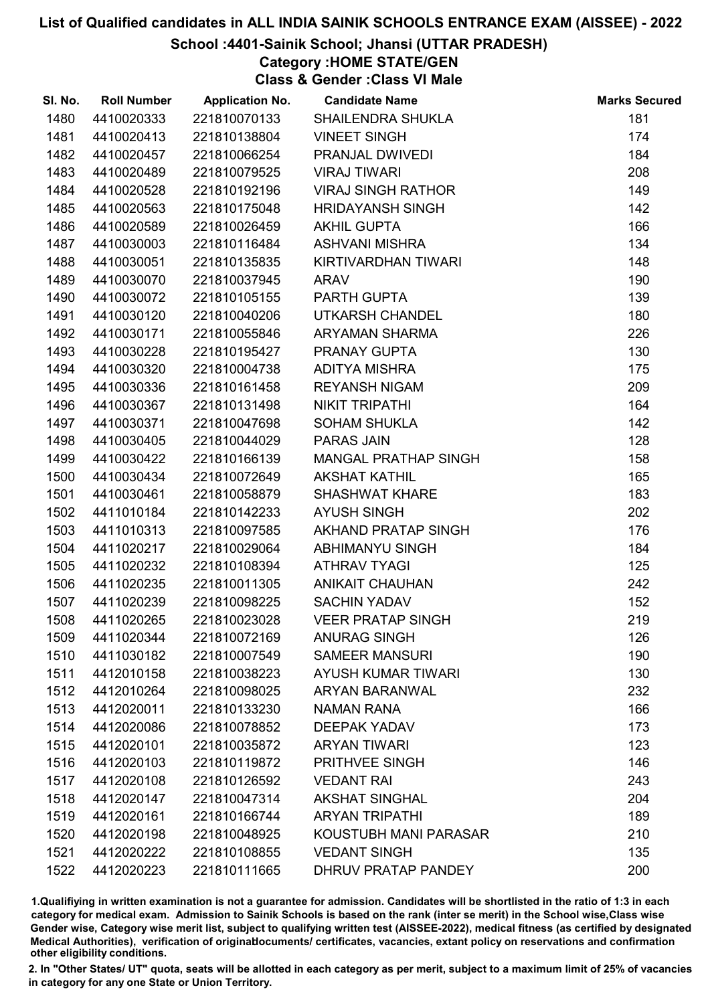## School :4401-Sainik School; Jhansi (UTTAR PRADESH)

## Category :HOME STATE/GEN

Class & Gender :Class VI Male

| SI. No. | <b>Roll Number</b> | <b>Application No.</b> | <b>Candidate Name</b>       | <b>Marks Secured</b> |
|---------|--------------------|------------------------|-----------------------------|----------------------|
| 1480    | 4410020333         | 221810070133           | <b>SHAILENDRA SHUKLA</b>    | 181                  |
| 1481    | 4410020413         | 221810138804           | <b>VINEET SINGH</b>         | 174                  |
| 1482    | 4410020457         | 221810066254           | PRANJAL DWIVEDI             | 184                  |
| 1483    | 4410020489         | 221810079525           | <b>VIRAJ TIWARI</b>         | 208                  |
| 1484    | 4410020528         | 221810192196           | <b>VIRAJ SINGH RATHOR</b>   | 149                  |
| 1485    | 4410020563         | 221810175048           | <b>HRIDAYANSH SINGH</b>     | 142                  |
| 1486    | 4410020589         | 221810026459           | <b>AKHIL GUPTA</b>          | 166                  |
| 1487    | 4410030003         | 221810116484           | <b>ASHVANI MISHRA</b>       | 134                  |
| 1488    | 4410030051         | 221810135835           | KIRTIVARDHAN TIWARI         | 148                  |
| 1489    | 4410030070         | 221810037945           | <b>ARAV</b>                 | 190                  |
| 1490    | 4410030072         | 221810105155           | PARTH GUPTA                 | 139                  |
| 1491    | 4410030120         | 221810040206           | UTKARSH CHANDEL             | 180                  |
| 1492    | 4410030171         | 221810055846           | ARYAMAN SHARMA              | 226                  |
| 1493    | 4410030228         | 221810195427           | PRANAY GUPTA                | 130                  |
| 1494    | 4410030320         | 221810004738           | <b>ADITYA MISHRA</b>        | 175                  |
| 1495    | 4410030336         | 221810161458           | <b>REYANSH NIGAM</b>        | 209                  |
| 1496    | 4410030367         | 221810131498           | <b>NIKIT TRIPATHI</b>       | 164                  |
| 1497    | 4410030371         | 221810047698           | <b>SOHAM SHUKLA</b>         | 142                  |
| 1498    | 4410030405         | 221810044029           | <b>PARAS JAIN</b>           | 128                  |
| 1499    | 4410030422         | 221810166139           | <b>MANGAL PRATHAP SINGH</b> | 158                  |
| 1500    | 4410030434         | 221810072649           | <b>AKSHAT KATHIL</b>        | 165                  |
| 1501    | 4410030461         | 221810058879           | <b>SHASHWAT KHARE</b>       | 183                  |
| 1502    | 4411010184         | 221810142233           | <b>AYUSH SINGH</b>          | 202                  |
| 1503    | 4411010313         | 221810097585           | AKHAND PRATAP SINGH         | 176                  |
| 1504    | 4411020217         | 221810029064           | <b>ABHIMANYU SINGH</b>      | 184                  |
| 1505    | 4411020232         | 221810108394           | <b>ATHRAV TYAGI</b>         | 125                  |
| 1506    | 4411020235         | 221810011305           | <b>ANIKAIT CHAUHAN</b>      | 242                  |
| 1507    | 4411020239         | 221810098225           | <b>SACHIN YADAV</b>         | 152                  |
| 1508    | 4411020265         | 221810023028           | <b>VEER PRATAP SINGH</b>    | 219                  |
| 1509    | 4411020344         | 221810072169           | <b>ANURAG SINGH</b>         | 126                  |
| 1510    | 4411030182         | 221810007549           | <b>SAMEER MANSURI</b>       | 190                  |
| 1511    | 4412010158         | 221810038223           | <b>AYUSH KUMAR TIWARI</b>   | 130                  |
| 1512    | 4412010264         | 221810098025           | <b>ARYAN BARANWAL</b>       | 232                  |
| 1513    | 4412020011         | 221810133230           | <b>NAMAN RANA</b>           | 166                  |
| 1514    | 4412020086         | 221810078852           | <b>DEEPAK YADAV</b>         | 173                  |
| 1515    | 4412020101         | 221810035872           | <b>ARYAN TIWARI</b>         | 123                  |
| 1516    | 4412020103         | 221810119872           | PRITHVEE SINGH              | 146                  |
| 1517    | 4412020108         | 221810126592           | <b>VEDANT RAI</b>           | 243                  |
| 1518    | 4412020147         | 221810047314           | <b>AKSHAT SINGHAL</b>       | 204                  |
| 1519    | 4412020161         | 221810166744           | <b>ARYAN TRIPATHI</b>       | 189                  |
| 1520    | 4412020198         | 221810048925           | KOUSTUBH MANI PARASAR       | 210                  |
| 1521    | 4412020222         | 221810108855           | <b>VEDANT SINGH</b>         | 135                  |
| 1522    | 4412020223         | 221810111665           | DHRUV PRATAP PANDEY         | 200                  |

1.Qualifiying in written examination is not a guarantee for admission. Candidates will be shortlisted in the ratio of 1:3 in each category for medical exam. Admission to Sainik Schools is based on the rank (inter se merit) in the School wise,Class wise Gender wise, Category wise merit list, subject to qualifying written test (AISSEE-2022), medical fitness (as certified by designated Medical Authorities), verification of originablocuments/ certificates, vacancies, extant policy on reservations and confirmation other eligibility conditions.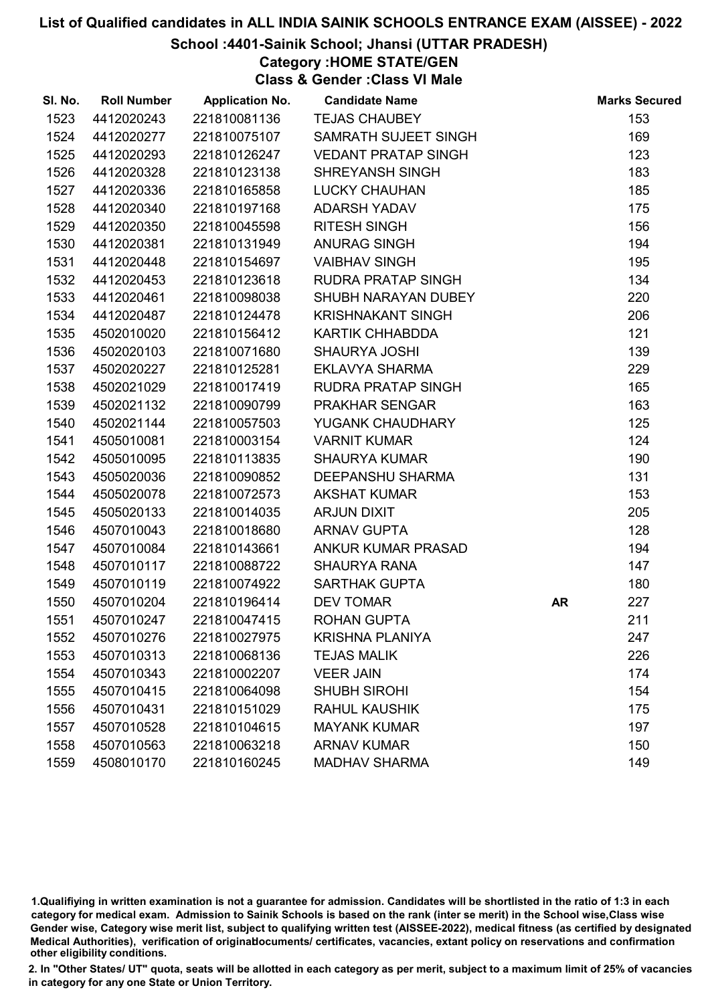### School :4401-Sainik School; Jhansi (UTTAR PRADESH)

Category :HOME STATE/GEN

Class & Gender :Class VI Male

| SI. No. | <b>Roll Number</b> | <b>Application No.</b> | <b>Candidate Name</b>      |           | <b>Marks Secured</b> |
|---------|--------------------|------------------------|----------------------------|-----------|----------------------|
| 1523    | 4412020243         | 221810081136           | <b>TEJAS CHAUBEY</b>       |           | 153                  |
| 1524    | 4412020277         | 221810075107           | SAMRATH SUJEET SINGH       |           | 169                  |
| 1525    | 4412020293         | 221810126247           | <b>VEDANT PRATAP SINGH</b> |           | 123                  |
| 1526    | 4412020328         | 221810123138           | <b>SHREYANSH SINGH</b>     |           | 183                  |
| 1527    | 4412020336         | 221810165858           | <b>LUCKY CHAUHAN</b>       |           | 185                  |
| 1528    | 4412020340         | 221810197168           | <b>ADARSH YADAV</b>        |           | 175                  |
| 1529    | 4412020350         | 221810045598           | <b>RITESH SINGH</b>        |           | 156                  |
| 1530    | 4412020381         | 221810131949           | ANURAG SINGH               |           | 194                  |
| 1531    | 4412020448         | 221810154697           | <b>VAIBHAV SINGH</b>       |           | 195                  |
| 1532    | 4412020453         | 221810123618           | RUDRA PRATAP SINGH         |           | 134                  |
| 1533    | 4412020461         | 221810098038           | SHUBH NARAYAN DUBEY        |           | 220                  |
| 1534    | 4412020487         | 221810124478           | <b>KRISHNAKANT SINGH</b>   |           | 206                  |
| 1535    | 4502010020         | 221810156412           | <b>KARTIK CHHABDDA</b>     |           | 121                  |
| 1536    | 4502020103         | 221810071680           | <b>SHAURYA JOSHI</b>       |           | 139                  |
| 1537    | 4502020227         | 221810125281           | <b>EKLAVYA SHARMA</b>      |           | 229                  |
| 1538    | 4502021029         | 221810017419           | RUDRA PRATAP SINGH         |           | 165                  |
| 1539    | 4502021132         | 221810090799           | <b>PRAKHAR SENGAR</b>      |           | 163                  |
| 1540    | 4502021144         | 221810057503           | YUGANK CHAUDHARY           |           | 125                  |
| 1541    | 4505010081         | 221810003154           | <b>VARNIT KUMAR</b>        |           | 124                  |
| 1542    | 4505010095         | 221810113835           | <b>SHAURYA KUMAR</b>       |           | 190                  |
| 1543    | 4505020036         | 221810090852           | <b>DEEPANSHU SHARMA</b>    |           | 131                  |
| 1544    | 4505020078         | 221810072573           | <b>AKSHAT KUMAR</b>        |           | 153                  |
| 1545    | 4505020133         | 221810014035           | <b>ARJUN DIXIT</b>         |           | 205                  |
| 1546    | 4507010043         | 221810018680           | <b>ARNAV GUPTA</b>         |           | 128                  |
| 1547    | 4507010084         | 221810143661           | ANKUR KUMAR PRASAD         |           | 194                  |
| 1548    | 4507010117         | 221810088722           | <b>SHAURYA RANA</b>        |           | 147                  |
| 1549    | 4507010119         | 221810074922           | <b>SARTHAK GUPTA</b>       |           | 180                  |
| 1550    | 4507010204         | 221810196414           | <b>DEV TOMAR</b>           | <b>AR</b> | 227                  |
| 1551    | 4507010247         | 221810047415           | <b>ROHAN GUPTA</b>         |           | 211                  |
| 1552    | 4507010276         | 221810027975           | <b>KRISHNA PLANIYA</b>     |           | 247                  |
| 1553    | 4507010313         | 221810068136           | <b>TEJAS MALIK</b>         |           | 226                  |
| 1554    | 4507010343         | 221810002207           | <b>VEER JAIN</b>           |           | 174                  |
| 1555    | 4507010415         | 221810064098           | <b>SHUBH SIROHI</b>        |           | 154                  |
| 1556    | 4507010431         | 221810151029           | <b>RAHUL KAUSHIK</b>       |           | 175                  |
| 1557    | 4507010528         | 221810104615           | <b>MAYANK KUMAR</b>        |           | 197                  |
| 1558    | 4507010563         | 221810063218           | <b>ARNAV KUMAR</b>         |           | 150                  |
| 1559    | 4508010170         | 221810160245           | <b>MADHAV SHARMA</b>       |           | 149                  |

1.Qualifiying in written examination is not a guarantee for admission. Candidates will be shortlisted in the ratio of 1:3 in each category for medical exam. Admission to Sainik Schools is based on the rank (inter se merit) in the School wise,Class wise Gender wise, Category wise merit list, subject to qualifying written test (AISSEE-2022), medical fitness (as certified by designated Medical Authorities), verification of originablocuments/ certificates, vacancies, extant policy on reservations and confirmation other eligibility conditions.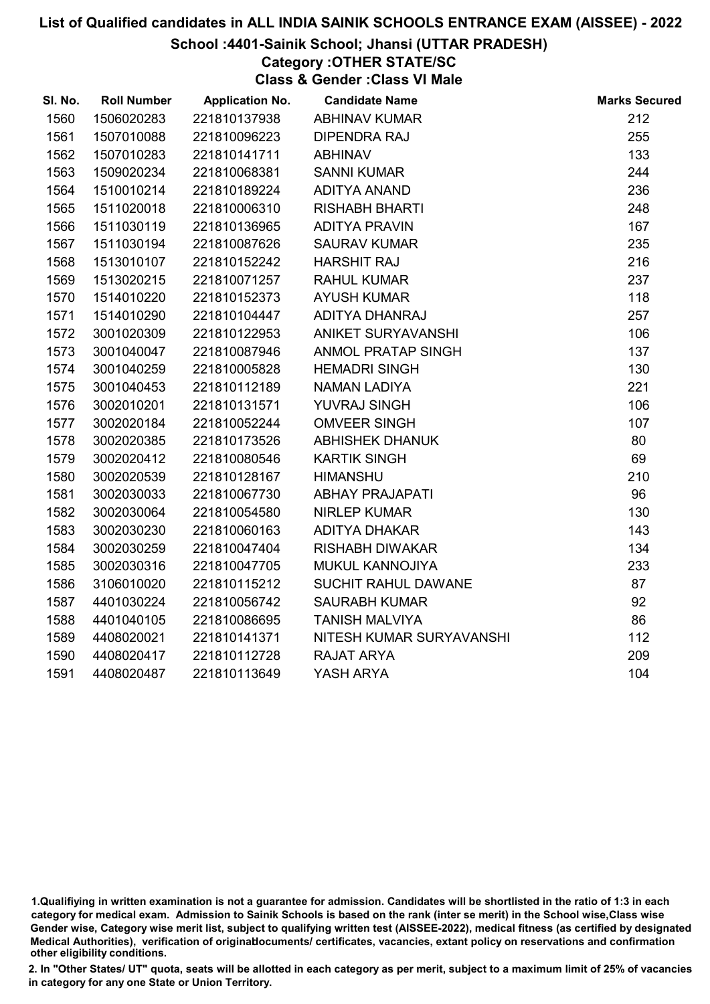#### School :4401-Sainik School; Jhansi (UTTAR PRADESH)

Category :OTHER STATE/SC Class & Gender :Class VI Male

| SI. No. | <b>Roll Number</b> | <b>Application No.</b> | <b>Candidate Name</b>     | <b>Marks Secured</b> |
|---------|--------------------|------------------------|---------------------------|----------------------|
| 1560    | 1506020283         | 221810137938           | <b>ABHINAV KUMAR</b>      | 212                  |
| 1561    | 1507010088         | 221810096223           | <b>DIPENDRA RAJ</b>       | 255                  |
| 1562    | 1507010283         | 221810141711           | <b>ABHINAV</b>            | 133                  |
| 1563    | 1509020234         | 221810068381           | <b>SANNI KUMAR</b>        | 244                  |
| 1564    | 1510010214         | 221810189224           | <b>ADITYA ANAND</b>       | 236                  |
| 1565    | 1511020018         | 221810006310           | <b>RISHABH BHARTI</b>     | 248                  |
| 1566    | 1511030119         | 221810136965           | <b>ADITYA PRAVIN</b>      | 167                  |
| 1567    | 1511030194         | 221810087626           | <b>SAURAV KUMAR</b>       | 235                  |
| 1568    | 1513010107         | 221810152242           | <b>HARSHIT RAJ</b>        | 216                  |
| 1569    | 1513020215         | 221810071257           | <b>RAHUL KUMAR</b>        | 237                  |
| 1570    | 1514010220         | 221810152373           | <b>AYUSH KUMAR</b>        | 118                  |
| 1571    | 1514010290         | 221810104447           | ADITYA DHANRAJ            | 257                  |
| 1572    | 3001020309         | 221810122953           | ANIKET SURYAVANSHI        | 106                  |
| 1573    | 3001040047         | 221810087946           | <b>ANMOL PRATAP SINGH</b> | 137                  |
| 1574    | 3001040259         | 221810005828           | <b>HEMADRI SINGH</b>      | 130                  |
| 1575    | 3001040453         | 221810112189           | <b>NAMAN LADIYA</b>       | 221                  |
| 1576    | 3002010201         | 221810131571           | YUVRAJ SINGH              | 106                  |
| 1577    | 3002020184         | 221810052244           | <b>OMVEER SINGH</b>       | 107                  |
| 1578    | 3002020385         | 221810173526           | <b>ABHISHEK DHANUK</b>    | 80                   |
| 1579    | 3002020412         | 221810080546           | <b>KARTIK SINGH</b>       | 69                   |
| 1580    | 3002020539         | 221810128167           | <b>HIMANSHU</b>           | 210                  |
| 1581    | 3002030033         | 221810067730           | <b>ABHAY PRAJAPATI</b>    | 96                   |
| 1582    | 3002030064         | 221810054580           | <b>NIRLEP KUMAR</b>       | 130                  |
| 1583    | 3002030230         | 221810060163           | <b>ADITYA DHAKAR</b>      | 143                  |
| 1584    | 3002030259         | 221810047404           | <b>RISHABH DIWAKAR</b>    | 134                  |
| 1585    | 3002030316         | 221810047705           | MUKUL KANNOJIYA           | 233                  |
| 1586    | 3106010020         | 221810115212           | SUCHIT RAHUL DAWANE       | 87                   |
| 1587    | 4401030224         | 221810056742           | <b>SAURABH KUMAR</b>      | 92                   |
| 1588    | 4401040105         | 221810086695           | <b>TANISH MALVIYA</b>     | 86                   |
| 1589    | 4408020021         | 221810141371           | NITESH KUMAR SURYAVANSHI  | 112                  |
| 1590    | 4408020417         | 221810112728           | RAJAT ARYA                | 209                  |
| 1591    | 4408020487         | 221810113649           | YASH ARYA                 | 104                  |

<sup>1.</sup>Qualifiying in written examination is not a guarantee for admission. Candidates will be shortlisted in the ratio of 1:3 in each category for medical exam. Admission to Sainik Schools is based on the rank (inter se merit) in the School wise,Class wise Gender wise, Category wise merit list, subject to qualifying written test (AISSEE-2022), medical fitness (as certified by designated Medical Authorities), verification of originablocuments/ certificates, vacancies, extant policy on reservations and confirmation other eligibility conditions.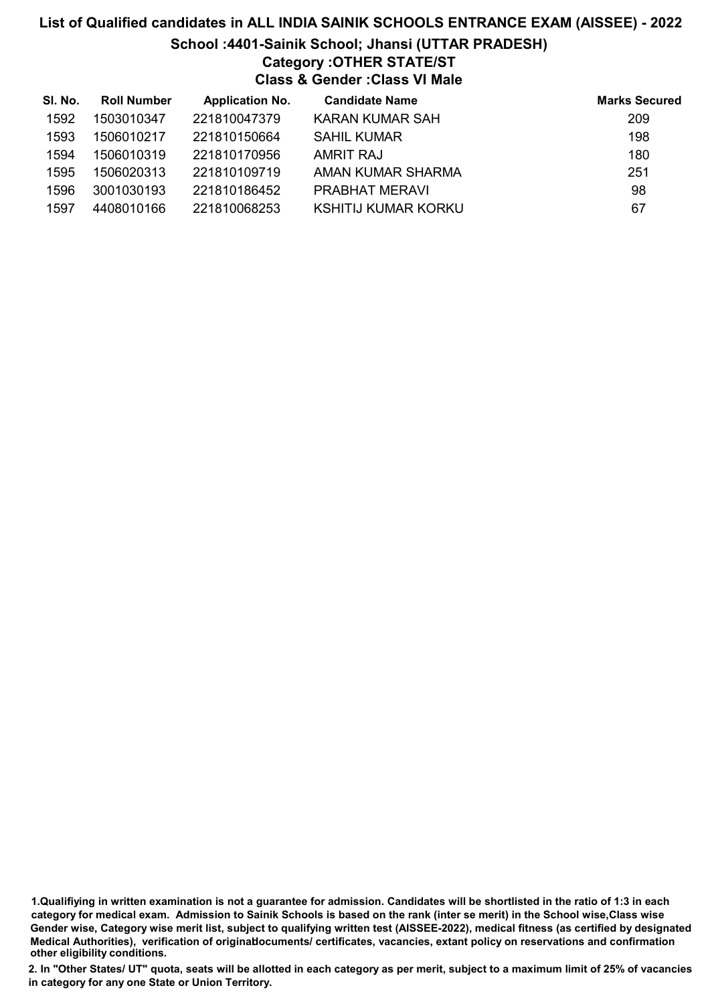# List of Qualified candidates in ALL INDIA SAINIK SCHOOLS ENTRANCE EXAM (AISSEE) - 2022 School :4401-Sainik School; Jhansi (UTTAR PRADESH) Category :OTHER STATE/ST Class & Gender :Class VI Male

| SI. No. | <b>Roll Number</b> | <b>Application No.</b> | <b>Candidate Name</b>  | <b>Marks Secured</b> |
|---------|--------------------|------------------------|------------------------|----------------------|
| 1592    | 1503010347         | 221810047379           | <b>KARAN KUMAR SAH</b> | 209                  |
| 1593    | 1506010217         | 221810150664           | <b>SAHIL KUMAR</b>     | 198                  |
| 1594    | 1506010319         | 221810170956           | AMRIT RAJ              | 180                  |
| 1595    | 1506020313         | 221810109719           | AMAN KUMAR SHARMA      | 251                  |
| 1596    | 3001030193         | 221810186452           | <b>PRABHAT MERAVI</b>  | 98                   |
| 1597    | 4408010166         | 221810068253           | KSHITIJ KUMAR KORKU    | 67                   |

1.Qualifiying in written examination is not a guarantee for admission. Candidates will be shortlisted in the ratio of 1:3 in each category for medical exam. Admission to Sainik Schools is based on the rank (inter se merit) in the School wise,Class wise Gender wise, Category wise merit list, subject to qualifying written test (AISSEE-2022), medical fitness (as certified by designated Medical Authorities), verification of originablocuments/ certificates, vacancies, extant policy on reservations and confirmation other eligibility conditions.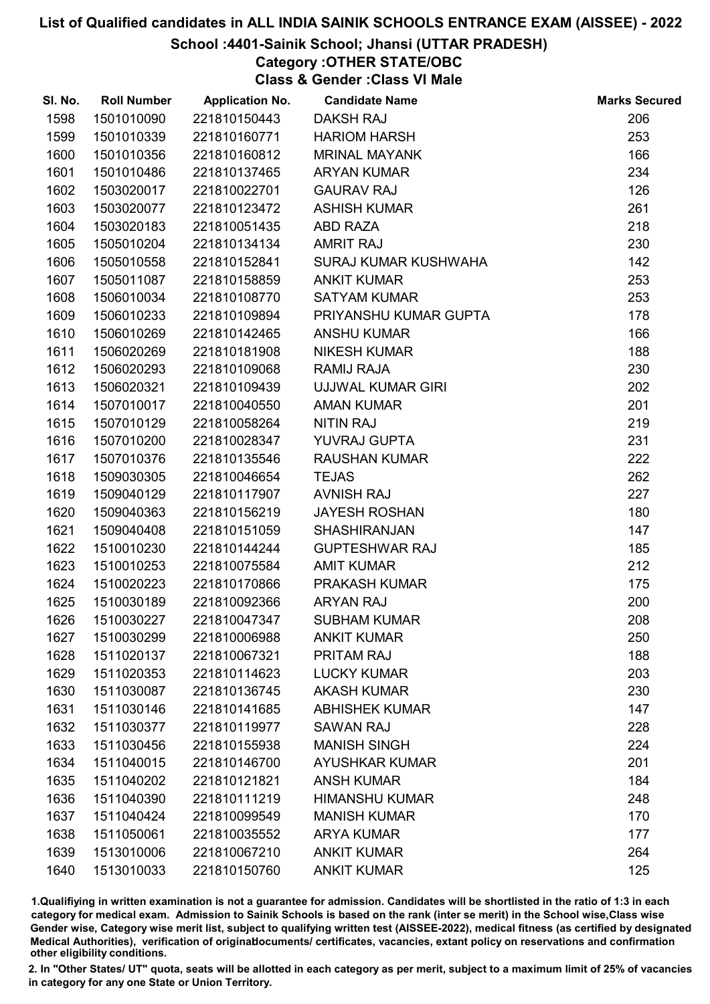#### School :4401-Sainik School; Jhansi (UTTAR PRADESH)

Category :OTHER STATE/OBC

Class & Gender :Class VI Male

| SI. No. | <b>Roll Number</b> | <b>Application No.</b> | <b>Candidate Name</b> | <b>Marks Secured</b> |
|---------|--------------------|------------------------|-----------------------|----------------------|
| 1598    | 1501010090         | 221810150443           | <b>DAKSH RAJ</b>      | 206                  |
| 1599    | 1501010339         | 221810160771           | <b>HARIOM HARSH</b>   | 253                  |
| 1600    | 1501010356         | 221810160812           | <b>MRINAL MAYANK</b>  | 166                  |
| 1601    | 1501010486         | 221810137465           | <b>ARYAN KUMAR</b>    | 234                  |
| 1602    | 1503020017         | 221810022701           | <b>GAURAV RAJ</b>     | 126                  |
| 1603    | 1503020077         | 221810123472           | <b>ASHISH KUMAR</b>   | 261                  |
| 1604    | 1503020183         | 221810051435           | <b>ABD RAZA</b>       | 218                  |
| 1605    | 1505010204         | 221810134134           | <b>AMRIT RAJ</b>      | 230                  |
| 1606    | 1505010558         | 221810152841           | SURAJ KUMAR KUSHWAHA  | 142                  |
| 1607    | 1505011087         | 221810158859           | <b>ANKIT KUMAR</b>    | 253                  |
| 1608    | 1506010034         | 221810108770           | <b>SATYAM KUMAR</b>   | 253                  |
| 1609    | 1506010233         | 221810109894           | PRIYANSHU KUMAR GUPTA | 178                  |
| 1610    | 1506010269         | 221810142465           | <b>ANSHU KUMAR</b>    | 166                  |
| 1611    | 1506020269         | 221810181908           | <b>NIKESH KUMAR</b>   | 188                  |
| 1612    | 1506020293         | 221810109068           | <b>RAMIJ RAJA</b>     | 230                  |
| 1613    | 1506020321         | 221810109439           | UJJWAL KUMAR GIRI     | 202                  |
| 1614    | 1507010017         | 221810040550           | <b>AMAN KUMAR</b>     | 201                  |
| 1615    | 1507010129         | 221810058264           | <b>NITIN RAJ</b>      | 219                  |
| 1616    | 1507010200         | 221810028347           | YUVRAJ GUPTA          | 231                  |
| 1617    | 1507010376         | 221810135546           | <b>RAUSHAN KUMAR</b>  | 222                  |
| 1618    | 1509030305         | 221810046654           | <b>TEJAS</b>          | 262                  |
| 1619    | 1509040129         | 221810117907           | <b>AVNISH RAJ</b>     | 227                  |
| 1620    | 1509040363         | 221810156219           | <b>JAYESH ROSHAN</b>  | 180                  |
| 1621    | 1509040408         | 221810151059           | <b>SHASHIRANJAN</b>   | 147                  |
| 1622    | 1510010230         | 221810144244           | <b>GUPTESHWAR RAJ</b> | 185                  |
| 1623    | 1510010253         | 221810075584           | <b>AMIT KUMAR</b>     | 212                  |
| 1624    | 1510020223         | 221810170866           | PRAKASH KUMAR         | 175                  |
| 1625    | 1510030189         | 221810092366           | <b>ARYAN RAJ</b>      | 200                  |
| 1626    | 1510030227         | 221810047347           | <b>SUBHAM KUMAR</b>   | 208                  |
| 1627    | 1510030299         | 221810006988           | <b>ANKIT KUMAR</b>    | 250                  |
| 1628    | 1511020137         | 221810067321           | <b>PRITAM RAJ</b>     | 188                  |
| 1629    | 1511020353         | 221810114623           | <b>LUCKY KUMAR</b>    | 203                  |
| 1630    | 1511030087         | 221810136745           | <b>AKASH KUMAR</b>    | 230                  |
| 1631    | 1511030146         | 221810141685           | <b>ABHISHEK KUMAR</b> | 147                  |
| 1632    | 1511030377         | 221810119977           | <b>SAWAN RAJ</b>      | 228                  |
| 1633    | 1511030456         | 221810155938           | <b>MANISH SINGH</b>   | 224                  |
| 1634    | 1511040015         | 221810146700           | <b>AYUSHKAR KUMAR</b> | 201                  |
| 1635    | 1511040202         | 221810121821           | <b>ANSH KUMAR</b>     | 184                  |
| 1636    | 1511040390         | 221810111219           | <b>HIMANSHU KUMAR</b> | 248                  |
| 1637    | 1511040424         | 221810099549           | <b>MANISH KUMAR</b>   | 170                  |
| 1638    | 1511050061         | 221810035552           | <b>ARYA KUMAR</b>     | 177                  |
| 1639    | 1513010006         | 221810067210           | <b>ANKIT KUMAR</b>    | 264                  |
| 1640    | 1513010033         | 221810150760           | <b>ANKIT KUMAR</b>    | 125                  |

1.Qualifiying in written examination is not a guarantee for admission. Candidates will be shortlisted in the ratio of 1:3 in each category for medical exam. Admission to Sainik Schools is based on the rank (inter se merit) in the School wise,Class wise Gender wise, Category wise merit list, subject to qualifying written test (AISSEE-2022), medical fitness (as certified by designated Medical Authorities), verification of originablocuments/ certificates, vacancies, extant policy on reservations and confirmation other eligibility conditions.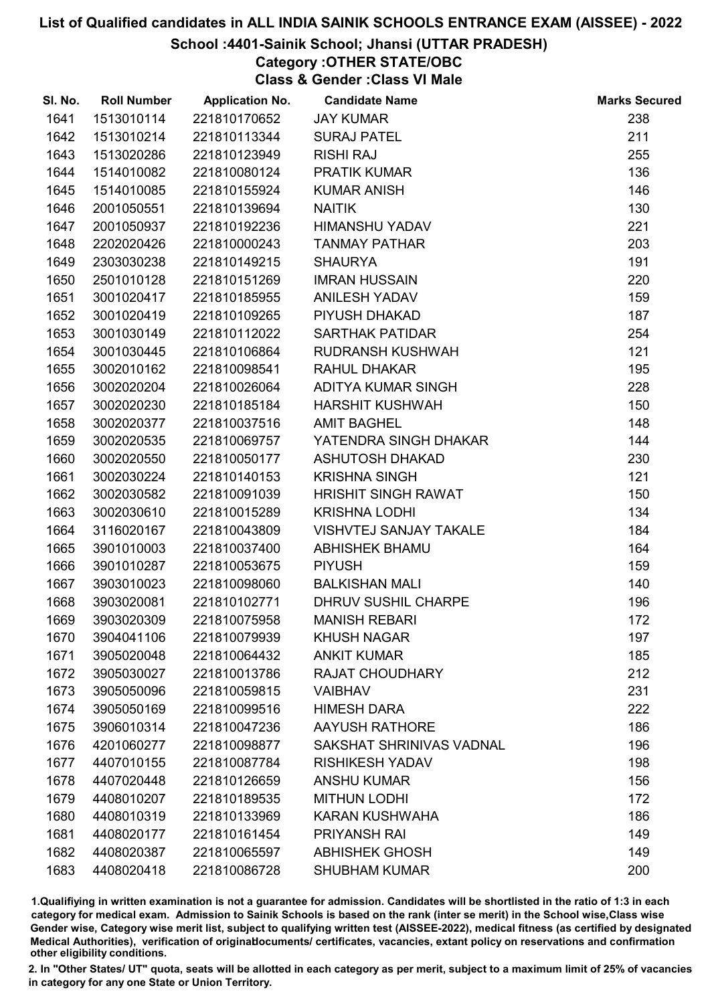#### School :4401-Sainik School; Jhansi (UTTAR PRADESH)

# Category :OTHER STATE/OBC

Class & Gender :Class VI Male

| SI. No. | <b>Roll Number</b> | <b>Application No.</b> | <b>Candidate Name</b>         | <b>Marks Secured</b> |
|---------|--------------------|------------------------|-------------------------------|----------------------|
| 1641    | 1513010114         | 221810170652           | <b>JAY KUMAR</b>              | 238                  |
| 1642    | 1513010214         | 221810113344           | <b>SURAJ PATEL</b>            | 211                  |
| 1643    | 1513020286         | 221810123949           | <b>RISHI RAJ</b>              | 255                  |
| 1644    | 1514010082         | 221810080124           | <b>PRATIK KUMAR</b>           | 136                  |
| 1645    | 1514010085         | 221810155924           | <b>KUMAR ANISH</b>            | 146                  |
| 1646    | 2001050551         | 221810139694           | <b>NAITIK</b>                 | 130                  |
| 1647    | 2001050937         | 221810192236           | <b>HIMANSHU YADAV</b>         | 221                  |
| 1648    | 2202020426         | 221810000243           | <b>TANMAY PATHAR</b>          | 203                  |
| 1649    | 2303030238         | 221810149215           | <b>SHAURYA</b>                | 191                  |
| 1650    | 2501010128         | 221810151269           | <b>IMRAN HUSSAIN</b>          | 220                  |
| 1651    | 3001020417         | 221810185955           | <b>ANILESH YADAV</b>          | 159                  |
| 1652    | 3001020419         | 221810109265           | PIYUSH DHAKAD                 | 187                  |
| 1653    | 3001030149         | 221810112022           | <b>SARTHAK PATIDAR</b>        | 254                  |
| 1654    | 3001030445         | 221810106864           | RUDRANSH KUSHWAH              | 121                  |
| 1655    | 3002010162         | 221810098541           | <b>RAHUL DHAKAR</b>           | 195                  |
| 1656    | 3002020204         | 221810026064           | ADITYA KUMAR SINGH            | 228                  |
| 1657    | 3002020230         | 221810185184           | <b>HARSHIT KUSHWAH</b>        | 150                  |
| 1658    | 3002020377         | 221810037516           | <b>AMIT BAGHEL</b>            | 148                  |
| 1659    | 3002020535         | 221810069757           | YATENDRA SINGH DHAKAR         | 144                  |
| 1660    | 3002020550         | 221810050177           | <b>ASHUTOSH DHAKAD</b>        | 230                  |
| 1661    | 3002030224         | 221810140153           | <b>KRISHNA SINGH</b>          | 121                  |
| 1662    | 3002030582         | 221810091039           | <b>HRISHIT SINGH RAWAT</b>    | 150                  |
| 1663    | 3002030610         | 221810015289           | <b>KRISHNA LODHI</b>          | 134                  |
| 1664    | 3116020167         | 221810043809           | <b>VISHVTEJ SANJAY TAKALE</b> | 184                  |
| 1665    | 3901010003         | 221810037400           | <b>ABHISHEK BHAMU</b>         | 164                  |
| 1666    | 3901010287         | 221810053675           | <b>PIYUSH</b>                 | 159                  |
| 1667    | 3903010023         | 221810098060           | <b>BALKISHAN MALI</b>         | 140                  |
| 1668    | 3903020081         | 221810102771           | DHRUV SUSHIL CHARPE           | 196                  |
| 1669    | 3903020309         | 221810075958           | <b>MANISH REBARI</b>          | 172                  |
| 1670    | 3904041106         | 221810079939           | <b>KHUSH NAGAR</b>            | 197                  |
| 1671    | 3905020048         | 221810064432           | <b>ANKIT KUMAR</b>            | 185                  |
| 1672    | 3905030027         | 221810013786           | <b>RAJAT CHOUDHARY</b>        | 212                  |
| 1673    | 3905050096         | 221810059815           | <b>VAIBHAV</b>                | 231                  |
| 1674    | 3905050169         | 221810099516           | <b>HIMESH DARA</b>            | 222                  |
| 1675    | 3906010314         | 221810047236           | <b>AAYUSH RATHORE</b>         | 186                  |
| 1676    | 4201060277         | 221810098877           | SAKSHAT SHRINIVAS VADNAL      | 196                  |
| 1677    | 4407010155         | 221810087784           | <b>RISHIKESH YADAV</b>        | 198                  |
| 1678    | 4407020448         | 221810126659           | <b>ANSHU KUMAR</b>            | 156                  |
| 1679    | 4408010207         | 221810189535           | <b>MITHUN LODHI</b>           | 172                  |
| 1680    | 4408010319         | 221810133969           | KARAN KUSHWAHA                | 186                  |
| 1681    | 4408020177         | 221810161454           | <b>PRIYANSH RAI</b>           | 149                  |
| 1682    | 4408020387         | 221810065597           | <b>ABHISHEK GHOSH</b>         | 149                  |
| 1683    | 4408020418         | 221810086728           | <b>SHUBHAM KUMAR</b>          | 200                  |

1.Qualifiying in written examination is not a guarantee for admission. Candidates will be shortlisted in the ratio of 1:3 in each category for medical exam. Admission to Sainik Schools is based on the rank (inter se merit) in the School wise,Class wise Gender wise, Category wise merit list, subject to qualifying written test (AISSEE-2022), medical fitness (as certified by designated Medical Authorities), verification of originablocuments/ certificates, vacancies, extant policy on reservations and confirmation other eligibility conditions.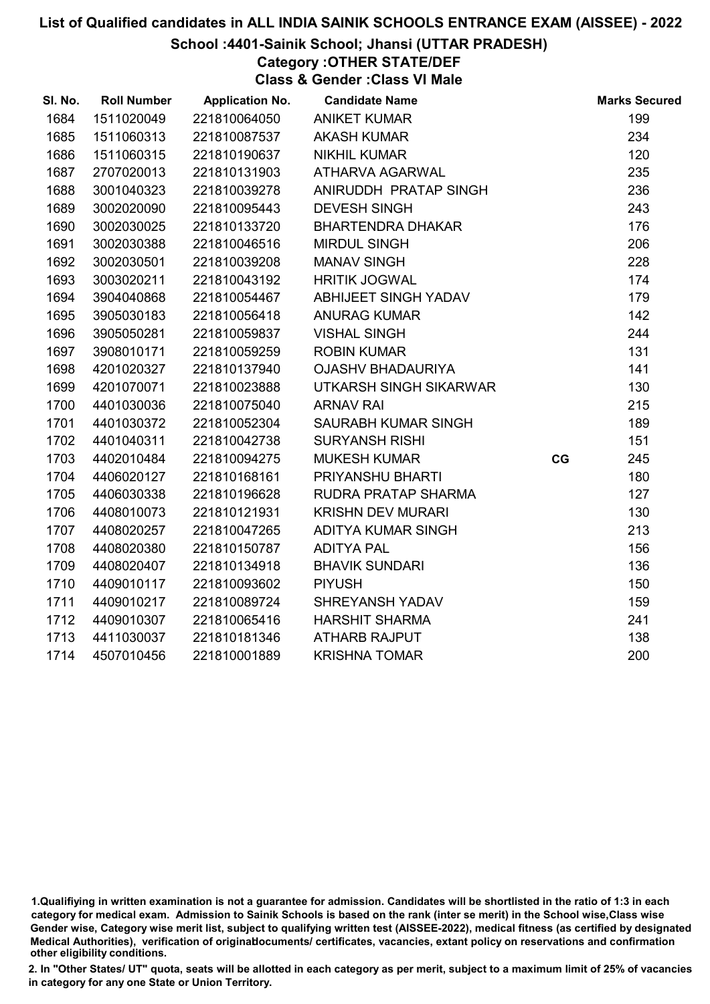### School :4401-Sainik School; Jhansi (UTTAR PRADESH)

# Category :OTHER STATE/DEF

Class & Gender :Class VI Male

| SI. No. | <b>Roll Number</b> | <b>Application No.</b> | <b>Candidate Name</b>    |    | <b>Marks Secured</b> |
|---------|--------------------|------------------------|--------------------------|----|----------------------|
| 1684    | 1511020049         | 221810064050           | <b>ANIKET KUMAR</b>      |    | 199                  |
| 1685    | 1511060313         | 221810087537           | <b>AKASH KUMAR</b>       |    | 234                  |
| 1686    | 1511060315         | 221810190637           | <b>NIKHIL KUMAR</b>      |    | 120                  |
| 1687    | 2707020013         | 221810131903           | <b>ATHARVA AGARWAL</b>   |    | 235                  |
| 1688    | 3001040323         | 221810039278           | ANIRUDDH PRATAP SINGH    |    | 236                  |
| 1689    | 3002020090         | 221810095443           | <b>DEVESH SINGH</b>      |    | 243                  |
| 1690    | 3002030025         | 221810133720           | <b>BHARTENDRA DHAKAR</b> |    | 176                  |
| 1691    | 3002030388         | 221810046516           | <b>MIRDUL SINGH</b>      |    | 206                  |
| 1692    | 3002030501         | 221810039208           | <b>MANAV SINGH</b>       |    | 228                  |
| 1693    | 3003020211         | 221810043192           | <b>HRITIK JOGWAL</b>     |    | 174                  |
| 1694    | 3904040868         | 221810054467           | ABHIJEET SINGH YADAV     |    | 179                  |
| 1695    | 3905030183         | 221810056418           | <b>ANURAG KUMAR</b>      |    | 142                  |
| 1696    | 3905050281         | 221810059837           | <b>VISHAL SINGH</b>      |    | 244                  |
| 1697    | 3908010171         | 221810059259           | <b>ROBIN KUMAR</b>       |    | 131                  |
| 1698    | 4201020327         | 221810137940           | <b>OJASHV BHADAURIYA</b> |    | 141                  |
| 1699    | 4201070071         | 221810023888           | UTKARSH SINGH SIKARWAR   |    | 130                  |
| 1700    | 4401030036         | 221810075040           | <b>ARNAV RAI</b>         |    | 215                  |
| 1701    | 4401030372         | 221810052304           | SAURABH KUMAR SINGH      |    | 189                  |
| 1702    | 4401040311         | 221810042738           | <b>SURYANSH RISHI</b>    |    | 151                  |
| 1703    | 4402010484         | 221810094275           | <b>MUKESH KUMAR</b>      | CG | 245                  |
| 1704    | 4406020127         | 221810168161           | PRIYANSHU BHARTI         |    | 180                  |
| 1705    | 4406030338         | 221810196628           | RUDRA PRATAP SHARMA      |    | 127                  |
| 1706    | 4408010073         | 221810121931           | <b>KRISHN DEV MURARI</b> |    | 130                  |
| 1707    | 4408020257         | 221810047265           | ADITYA KUMAR SINGH       |    | 213                  |
| 1708    | 4408020380         | 221810150787           | <b>ADITYA PAL</b>        |    | 156                  |
| 1709    | 4408020407         | 221810134918           | <b>BHAVIK SUNDARI</b>    |    | 136                  |
| 1710    | 4409010117         | 221810093602           | <b>PIYUSH</b>            |    | 150                  |
| 1711    | 4409010217         | 221810089724           | SHREYANSH YADAV          |    | 159                  |
| 1712    | 4409010307         | 221810065416           | <b>HARSHIT SHARMA</b>    |    | 241                  |
| 1713    | 4411030037         | 221810181346           | <b>ATHARB RAJPUT</b>     |    | 138                  |
| 1714    | 4507010456         | 221810001889           | <b>KRISHNA TOMAR</b>     |    | 200                  |

<sup>1.</sup>Qualifiying in written examination is not a guarantee for admission. Candidates will be shortlisted in the ratio of 1:3 in each category for medical exam. Admission to Sainik Schools is based on the rank (inter se merit) in the School wise,Class wise Gender wise, Category wise merit list, subject to qualifying written test (AISSEE-2022), medical fitness (as certified by designated Medical Authorities), verification of originablocuments/ certificates, vacancies, extant policy on reservations and confirmation other eligibility conditions.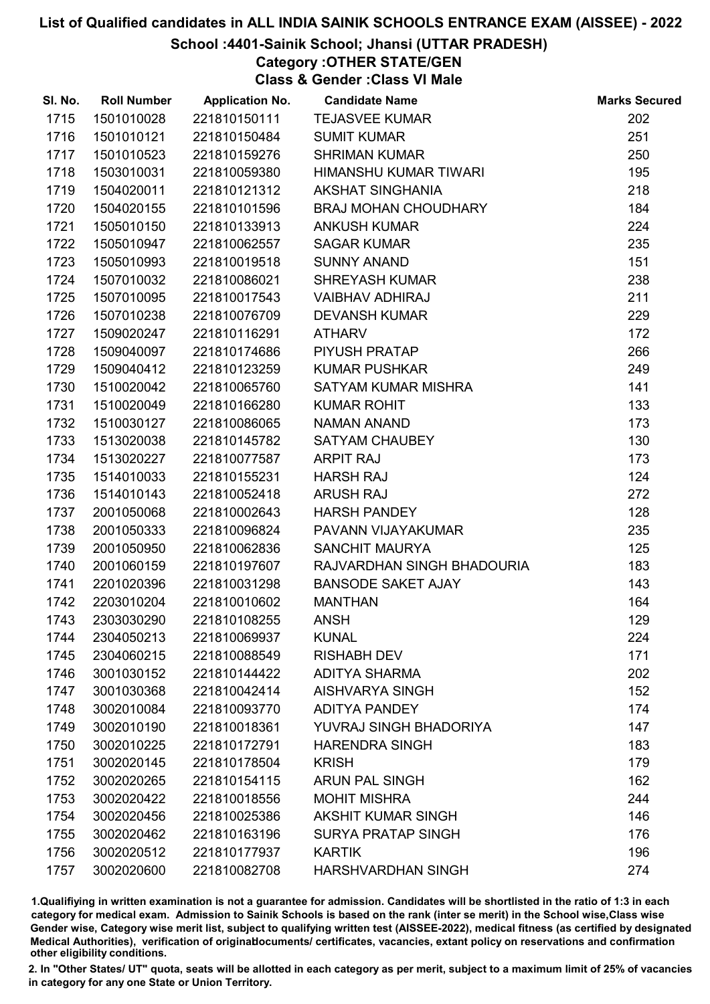#### School :4401-Sainik School; Jhansi (UTTAR PRADESH)

Category :OTHER STATE/GEN

Class & Gender :Class VI Male

| SI. No. | <b>Roll Number</b> | <b>Application No.</b> | <b>Candidate Name</b>       | <b>Marks Secured</b> |
|---------|--------------------|------------------------|-----------------------------|----------------------|
| 1715    | 1501010028         | 221810150111           | <b>TEJASVEE KUMAR</b>       | 202                  |
| 1716    | 1501010121         | 221810150484           | <b>SUMIT KUMAR</b>          | 251                  |
| 1717    | 1501010523         | 221810159276           | <b>SHRIMAN KUMAR</b>        | 250                  |
| 1718    | 1503010031         | 221810059380           | HIMANSHU KUMAR TIWARI       | 195                  |
| 1719    | 1504020011         | 221810121312           | <b>AKSHAT SINGHANIA</b>     | 218                  |
| 1720    | 1504020155         | 221810101596           | <b>BRAJ MOHAN CHOUDHARY</b> | 184                  |
| 1721    | 1505010150         | 221810133913           | <b>ANKUSH KUMAR</b>         | 224                  |
| 1722    | 1505010947         | 221810062557           | <b>SAGAR KUMAR</b>          | 235                  |
| 1723    | 1505010993         | 221810019518           | <b>SUNNY ANAND</b>          | 151                  |
| 1724    | 1507010032         | 221810086021           | <b>SHREYASH KUMAR</b>       | 238                  |
| 1725    | 1507010095         | 221810017543           | <b>VAIBHAV ADHIRAJ</b>      | 211                  |
| 1726    | 1507010238         | 221810076709           | <b>DEVANSH KUMAR</b>        | 229                  |
| 1727    | 1509020247         | 221810116291           | <b>ATHARV</b>               | 172                  |
| 1728    | 1509040097         | 221810174686           | PIYUSH PRATAP               | 266                  |
| 1729    | 1509040412         | 221810123259           | <b>KUMAR PUSHKAR</b>        | 249                  |
| 1730    | 1510020042         | 221810065760           | SATYAM KUMAR MISHRA         | 141                  |
| 1731    | 1510020049         | 221810166280           | <b>KUMAR ROHIT</b>          | 133                  |
| 1732    | 1510030127         | 221810086065           | <b>NAMAN ANAND</b>          | 173                  |
| 1733    | 1513020038         | 221810145782           | SATYAM CHAUBEY              | 130                  |
| 1734    | 1513020227         | 221810077587           | <b>ARPIT RAJ</b>            | 173                  |
| 1735    | 1514010033         | 221810155231           | <b>HARSH RAJ</b>            | 124                  |
| 1736    | 1514010143         | 221810052418           | <b>ARUSH RAJ</b>            | 272                  |
| 1737    | 2001050068         | 221810002643           | <b>HARSH PANDEY</b>         | 128                  |
| 1738    | 2001050333         | 221810096824           | PAVANN VIJAYAKUMAR          | 235                  |
| 1739    | 2001050950         | 221810062836           | <b>SANCHIT MAURYA</b>       | 125                  |
| 1740    | 2001060159         | 221810197607           | RAJVARDHAN SINGH BHADOURIA  | 183                  |
| 1741    | 2201020396         | 221810031298           | <b>BANSODE SAKET AJAY</b>   | 143                  |
| 1742    | 2203010204         | 221810010602           | <b>MANTHAN</b>              | 164                  |
| 1743    | 2303030290         | 221810108255           | <b>ANSH</b>                 | 129                  |
| 1744    | 2304050213         | 221810069937           | <b>KUNAL</b>                | 224                  |
| 1745    | 2304060215         | 221810088549           | <b>RISHABH DEV</b>          | 171                  |
| 1746    | 3001030152         | 221810144422           | <b>ADITYA SHARMA</b>        | 202                  |
| 1747    | 3001030368         | 221810042414           | <b>AISHVARYA SINGH</b>      | 152                  |
| 1748    | 3002010084         | 221810093770           | <b>ADITYA PANDEY</b>        | 174                  |
| 1749    | 3002010190         | 221810018361           | YUVRAJ SINGH BHADORIYA      | 147                  |
| 1750    | 3002010225         | 221810172791           | <b>HARENDRA SINGH</b>       | 183                  |
| 1751    | 3002020145         | 221810178504           | <b>KRISH</b>                | 179                  |
| 1752    | 3002020265         | 221810154115           | <b>ARUN PAL SINGH</b>       | 162                  |
| 1753    | 3002020422         | 221810018556           | <b>MOHIT MISHRA</b>         | 244                  |
| 1754    | 3002020456         | 221810025386           | <b>AKSHIT KUMAR SINGH</b>   | 146                  |
| 1755    | 3002020462         | 221810163196           | <b>SURYA PRATAP SINGH</b>   | 176                  |
| 1756    | 3002020512         | 221810177937           | <b>KARTIK</b>               | 196                  |
| 1757    | 3002020600         | 221810082708           | HARSHVARDHAN SINGH          | 274                  |

1.Qualifiying in written examination is not a guarantee for admission. Candidates will be shortlisted in the ratio of 1:3 in each category for medical exam. Admission to Sainik Schools is based on the rank (inter se merit) in the School wise,Class wise Gender wise, Category wise merit list, subject to qualifying written test (AISSEE-2022), medical fitness (as certified by designated Medical Authorities), verification of originablocuments/ certificates, vacancies, extant policy on reservations and confirmation other eligibility conditions.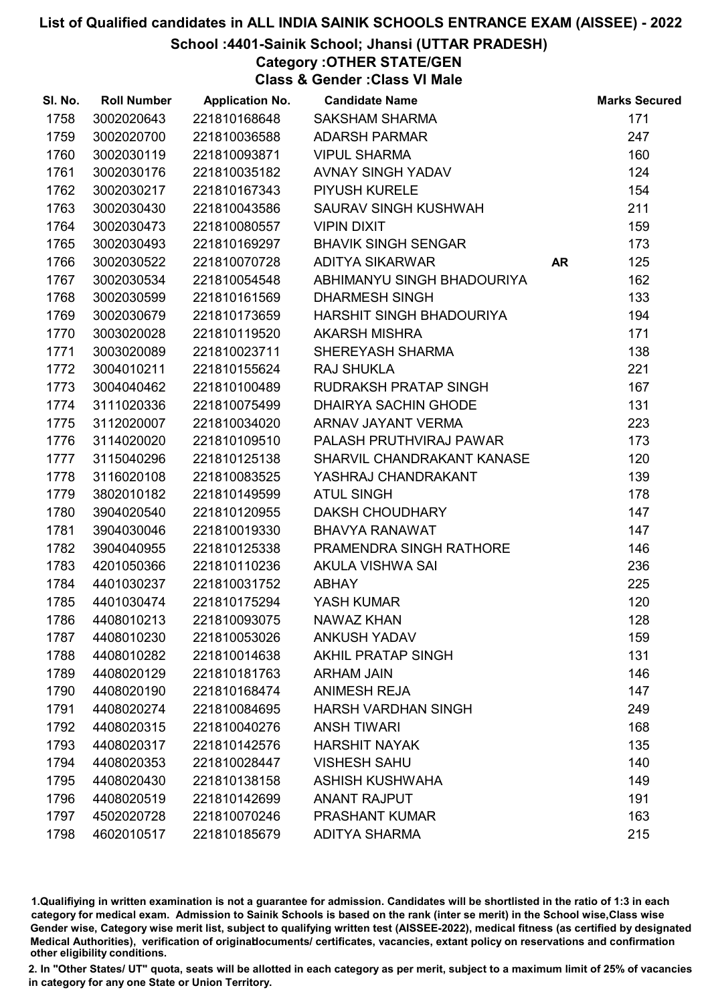## School :4401-Sainik School; Jhansi (UTTAR PRADESH)

Category :OTHER STATE/GEN

Class & Gender :Class VI Male

| SI. No. | <b>Roll Number</b> | <b>Application No.</b> | <b>Candidate Name</b>       |           | <b>Marks Secured</b> |
|---------|--------------------|------------------------|-----------------------------|-----------|----------------------|
| 1758    | 3002020643         | 221810168648           | <b>SAKSHAM SHARMA</b>       |           | 171                  |
| 1759    | 3002020700         | 221810036588           | <b>ADARSH PARMAR</b>        |           | 247                  |
| 1760    | 3002030119         | 221810093871           | <b>VIPUL SHARMA</b>         |           | 160                  |
| 1761    | 3002030176         | 221810035182           | AVNAY SINGH YADAV           |           | 124                  |
| 1762    | 3002030217         | 221810167343           | <b>PIYUSH KURELE</b>        |           | 154                  |
| 1763    | 3002030430         | 221810043586           | SAURAV SINGH KUSHWAH        |           | 211                  |
| 1764    | 3002030473         | 221810080557           | <b>VIPIN DIXIT</b>          |           | 159                  |
| 1765    | 3002030493         | 221810169297           | <b>BHAVIK SINGH SENGAR</b>  |           | 173                  |
| 1766    | 3002030522         | 221810070728           | <b>ADITYA SIKARWAR</b>      | <b>AR</b> | 125                  |
| 1767    | 3002030534         | 221810054548           | ABHIMANYU SINGH BHADOURIYA  |           | 162                  |
| 1768    | 3002030599         | 221810161569           | <b>DHARMESH SINGH</b>       |           | 133                  |
| 1769    | 3002030679         | 221810173659           | HARSHIT SINGH BHADOURIYA    |           | 194                  |
| 1770    | 3003020028         | 221810119520           | <b>AKARSH MISHRA</b>        |           | 171                  |
| 1771    | 3003020089         | 221810023711           | SHEREYASH SHARMA            |           | 138                  |
| 1772    | 3004010211         | 221810155624           | <b>RAJ SHUKLA</b>           |           | 221                  |
| 1773    | 3004040462         | 221810100489           | RUDRAKSH PRATAP SINGH       |           | 167                  |
| 1774    | 3111020336         | 221810075499           | <b>DHAIRYA SACHIN GHODE</b> |           | 131                  |
| 1775    | 3112020007         | 221810034020           | ARNAV JAYANT VERMA          |           | 223                  |
| 1776    | 3114020020         | 221810109510           | PALASH PRUTHVIRAJ PAWAR     |           | 173                  |
| 1777    | 3115040296         | 221810125138           | SHARVIL CHANDRAKANT KANASE  |           | 120                  |
| 1778    | 3116020108         | 221810083525           | YASHRAJ CHANDRAKANT         |           | 139                  |
| 1779    | 3802010182         | 221810149599           | <b>ATUL SINGH</b>           |           | 178                  |
| 1780    | 3904020540         | 221810120955           | <b>DAKSH CHOUDHARY</b>      |           | 147                  |
| 1781    | 3904030046         | 221810019330           | <b>BHAVYA RANAWAT</b>       |           | 147                  |
| 1782    | 3904040955         | 221810125338           | PRAMENDRA SINGH RATHORE     |           | 146                  |
| 1783    | 4201050366         | 221810110236           | AKULA VISHWA SAI            |           | 236                  |
| 1784    | 4401030237         | 221810031752           | <b>ABHAY</b>                |           | 225                  |
| 1785    | 4401030474         | 221810175294           | YASH KUMAR                  |           | 120                  |
| 1786    | 4408010213         | 221810093075           | <b>NAWAZ KHAN</b>           |           | 128                  |
| 1787    | 4408010230         | 221810053026           | <b>ANKUSH YADAV</b>         |           | 159                  |
| 1788    | 4408010282         | 221810014638           | <b>AKHIL PRATAP SINGH</b>   |           | 131                  |
| 1789    | 4408020129         | 221810181763           | <b>ARHAM JAIN</b>           |           | 146                  |
| 1790    | 4408020190         | 221810168474           | <b>ANIMESH REJA</b>         |           | 147                  |
| 1791    | 4408020274         | 221810084695           | <b>HARSH VARDHAN SINGH</b>  |           | 249                  |
| 1792    | 4408020315         | 221810040276           | <b>ANSH TIWARI</b>          |           | 168                  |
| 1793    | 4408020317         | 221810142576           | <b>HARSHIT NAYAK</b>        |           | 135                  |
| 1794    | 4408020353         | 221810028447           | <b>VISHESH SAHU</b>         |           | 140                  |
| 1795    | 4408020430         | 221810138158           | <b>ASHISH KUSHWAHA</b>      |           | 149                  |
| 1796    | 4408020519         | 221810142699           | <b>ANANT RAJPUT</b>         |           | 191                  |
| 1797    | 4502020728         | 221810070246           | <b>PRASHANT KUMAR</b>       |           | 163                  |
| 1798    | 4602010517         | 221810185679           | <b>ADITYA SHARMA</b>        |           | 215                  |

1.Qualifiying in written examination is not a guarantee for admission. Candidates will be shortlisted in the ratio of 1:3 in each category for medical exam. Admission to Sainik Schools is based on the rank (inter se merit) in the School wise,Class wise Gender wise, Category wise merit list, subject to qualifying written test (AISSEE-2022), medical fitness (as certified by designated Medical Authorities), verification of originablocuments/ certificates, vacancies, extant policy on reservations and confirmation other eligibility conditions.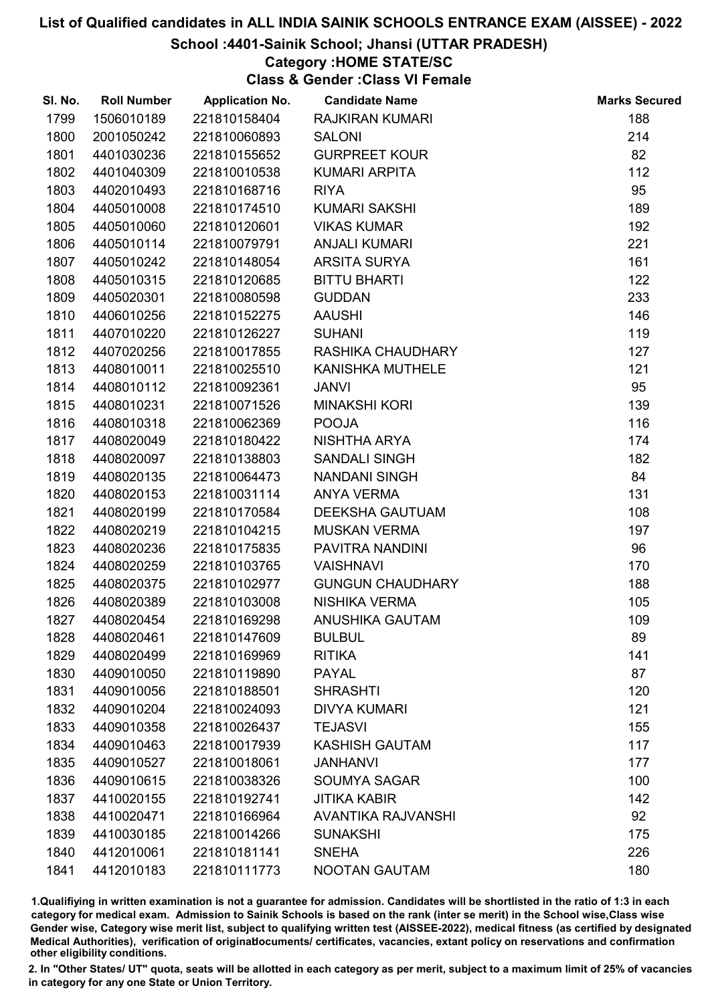### School :4401-Sainik School; Jhansi (UTTAR PRADESH)

### Category :HOME STATE/SC

Class & Gender :Class VI Female

| SI. No. | <b>Roll Number</b> | <b>Application No.</b> | <b>Candidate Name</b>     | <b>Marks Secured</b> |
|---------|--------------------|------------------------|---------------------------|----------------------|
| 1799    | 1506010189         | 221810158404           | <b>RAJKIRAN KUMARI</b>    | 188                  |
| 1800    | 2001050242         | 221810060893           | <b>SALONI</b>             | 214                  |
| 1801    | 4401030236         | 221810155652           | <b>GURPREET KOUR</b>      | 82                   |
| 1802    | 4401040309         | 221810010538           | <b>KUMARI ARPITA</b>      | 112                  |
| 1803    | 4402010493         | 221810168716           | <b>RIYA</b>               | 95                   |
| 1804    | 4405010008         | 221810174510           | <b>KUMARI SAKSHI</b>      | 189                  |
| 1805    | 4405010060         | 221810120601           | <b>VIKAS KUMAR</b>        | 192                  |
| 1806    | 4405010114         | 221810079791           | <b>ANJALI KUMARI</b>      | 221                  |
| 1807    | 4405010242         | 221810148054           | ARSITA SURYA              | 161                  |
| 1808    | 4405010315         | 221810120685           | <b>BITTU BHARTI</b>       | 122                  |
| 1809    | 4405020301         | 221810080598           | <b>GUDDAN</b>             | 233                  |
| 1810    | 4406010256         | 221810152275           | <b>AAUSHI</b>             | 146                  |
| 1811    | 4407010220         | 221810126227           | <b>SUHANI</b>             | 119                  |
| 1812    | 4407020256         | 221810017855           | RASHIKA CHAUDHARY         | 127                  |
| 1813    | 4408010011         | 221810025510           | KANISHKA MUTHELE          | 121                  |
| 1814    | 4408010112         | 221810092361           | <b>JANVI</b>              | 95                   |
| 1815    | 4408010231         | 221810071526           | <b>MINAKSHI KORI</b>      | 139                  |
| 1816    | 4408010318         | 221810062369           | <b>POOJA</b>              | 116                  |
| 1817    | 4408020049         | 221810180422           | NISHTHA ARYA              | 174                  |
| 1818    | 4408020097         | 221810138803           | <b>SANDALI SINGH</b>      | 182                  |
| 1819    | 4408020135         | 221810064473           | <b>NANDANI SINGH</b>      | 84                   |
| 1820    | 4408020153         | 221810031114           | <b>ANYA VERMA</b>         | 131                  |
| 1821    | 4408020199         | 221810170584           | <b>DEEKSHA GAUTUAM</b>    | 108                  |
| 1822    | 4408020219         | 221810104215           | <b>MUSKAN VERMA</b>       | 197                  |
| 1823    | 4408020236         | 221810175835           | PAVITRA NANDINI           | 96                   |
| 1824    | 4408020259         | 221810103765           | <b>VAISHNAVI</b>          | 170                  |
| 1825    | 4408020375         | 221810102977           | <b>GUNGUN CHAUDHARY</b>   | 188                  |
| 1826    | 4408020389         | 221810103008           | NISHIKA VERMA             | 105                  |
| 1827    | 4408020454         | 221810169298           | <b>ANUSHIKA GAUTAM</b>    | 109                  |
| 1828    | 4408020461         | 221810147609           | <b>BULBUL</b>             | 89                   |
| 1829    | 4408020499         | 221810169969           | <b>RITIKA</b>             | 141                  |
| 1830    | 4409010050         | 221810119890           | <b>PAYAL</b>              | 87                   |
| 1831    | 4409010056         | 221810188501           | <b>SHRASHTI</b>           | 120                  |
| 1832    | 4409010204         | 221810024093           | <b>DIVYA KUMARI</b>       | 121                  |
| 1833    | 4409010358         | 221810026437           | <b>TEJASVI</b>            | 155                  |
| 1834    | 4409010463         | 221810017939           | <b>KASHISH GAUTAM</b>     | 117                  |
| 1835    | 4409010527         | 221810018061           | <b>JANHANVI</b>           | 177                  |
| 1836    | 4409010615         | 221810038326           | <b>SOUMYA SAGAR</b>       | 100                  |
| 1837    | 4410020155         | 221810192741           | <b>JITIKA KABIR</b>       | 142                  |
| 1838    | 4410020471         | 221810166964           | <b>AVANTIKA RAJVANSHI</b> | 92                   |
| 1839    | 4410030185         | 221810014266           | <b>SUNAKSHI</b>           | 175                  |
| 1840    | 4412010061         | 221810181141           | <b>SNEHA</b>              | 226                  |
| 1841    | 4412010183         | 221810111773           | NOOTAN GAUTAM             | 180                  |

1.Qualifiying in written examination is not a guarantee for admission. Candidates will be shortlisted in the ratio of 1:3 in each category for medical exam. Admission to Sainik Schools is based on the rank (inter se merit) in the School wise,Class wise Gender wise, Category wise merit list, subject to qualifying written test (AISSEE-2022), medical fitness (as certified by designated Medical Authorities), verification of originablocuments/ certificates, vacancies, extant policy on reservations and confirmation other eligibility conditions.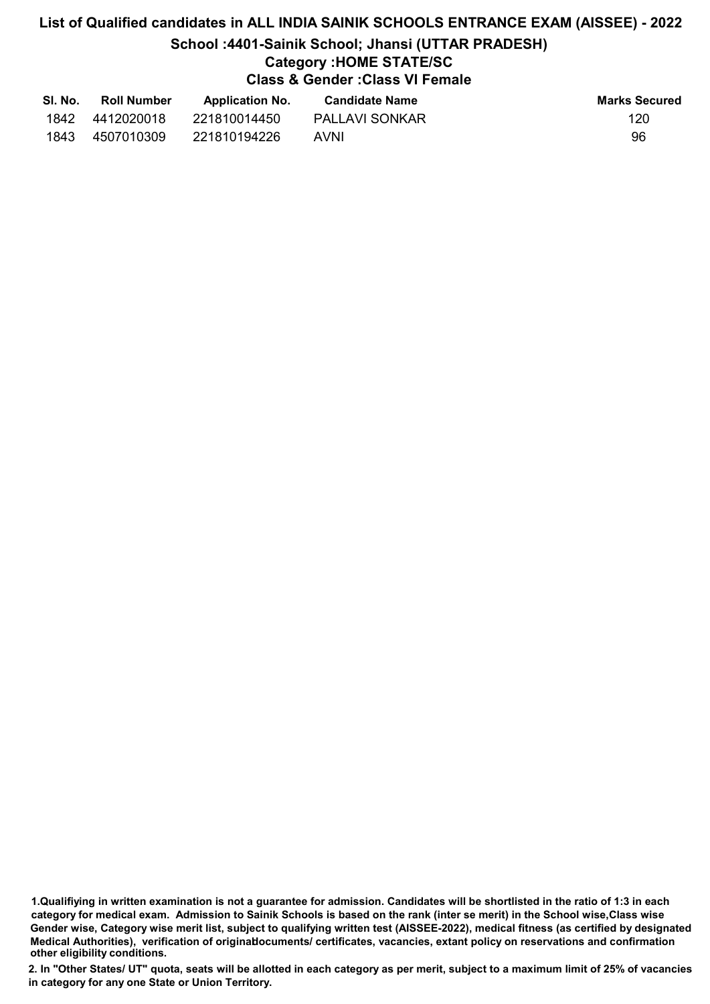# List of Qualified candidates in ALL INDIA SAINIK SCHOOLS ENTRANCE EXAM (AISSEE) - 2022 School :4401-Sainik School; Jhansi (UTTAR PRADESH) Category :HOME STATE/SC Class & Gender :Class VI Female

| SI. No. | <b>Roll Number</b> | <b>Application No.</b> | <b>Candidate Name</b> | <b>Marks Secured</b> |
|---------|--------------------|------------------------|-----------------------|----------------------|
| 1842    | 4412020018         | 221810014450           | <b>PALLAVI SONKAR</b> | 120                  |
| 1843    | 4507010309         | 221810194226           | AVNI                  | 96                   |

<sup>1.</sup>Qualifiying in written examination is not a guarantee for admission. Candidates will be shortlisted in the ratio of 1:3 in each category for medical exam. Admission to Sainik Schools is based on the rank (inter se merit) in the School wise,Class wise Gender wise, Category wise merit list, subject to qualifying written test (AISSEE-2022), medical fitness (as certified by designated Medical Authorities), verification of originablocuments/ certificates, vacancies, extant policy on reservations and confirmation other eligibility conditions.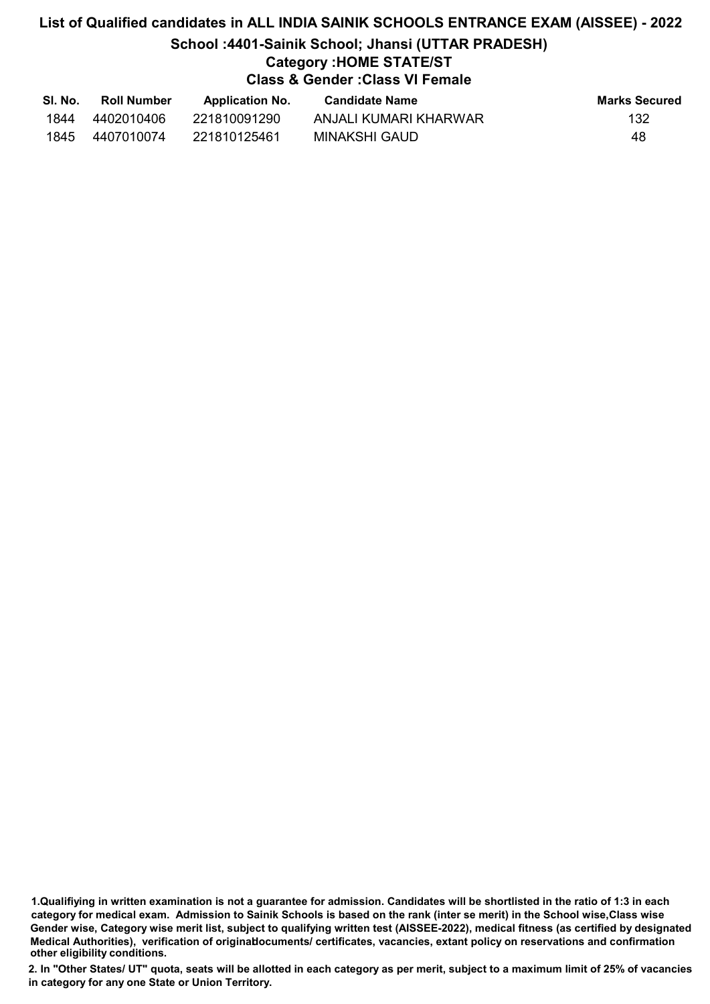## List of Qualified candidates in ALL INDIA SAINIK SCHOOLS ENTRANCE EXAM (AISSEE) - 2022 School :4401-Sainik School; Jhansi (UTTAR PRADESH) Category :HOME STATE/ST Class & Gender :Class VI Female

| SI. No. | <b>Roll Number</b> | <b>Application No.</b> | Candidate Name        | <b>Marks Secured</b> |
|---------|--------------------|------------------------|-----------------------|----------------------|
| 1844    | 4402010406         | 221810091290           | ANJALI KUMARI KHARWAR | 132                  |
| 1845    | 4407010074         | 221810125461           | MINAKSHI GAUD         | 48                   |

<sup>1.</sup>Qualifiying in written examination is not a guarantee for admission. Candidates will be shortlisted in the ratio of 1:3 in each category for medical exam. Admission to Sainik Schools is based on the rank (inter se merit) in the School wise,Class wise Gender wise, Category wise merit list, subject to qualifying written test (AISSEE-2022), medical fitness (as certified by designated Medical Authorities), verification of originablocuments/ certificates, vacancies, extant policy on reservations and confirmation other eligibility conditions.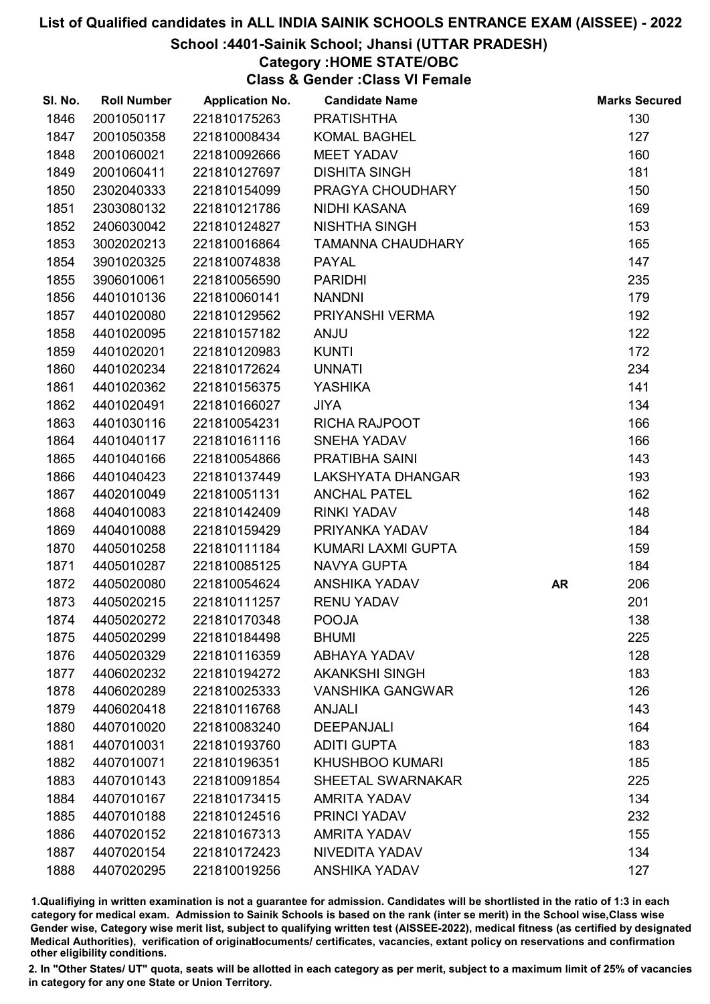#### School :4401-Sainik School; Jhansi (UTTAR PRADESH)

## Category :HOME STATE/OBC

Class & Gender :Class VI Female

| SI. No. | <b>Roll Number</b> | <b>Application No.</b> | <b>Candidate Name</b>    |    | <b>Marks Secured</b> |
|---------|--------------------|------------------------|--------------------------|----|----------------------|
| 1846    | 2001050117         | 221810175263           | <b>PRATISHTHA</b>        |    | 130                  |
| 1847    | 2001050358         | 221810008434           | <b>KOMAL BAGHEL</b>      |    | 127                  |
| 1848    | 2001060021         | 221810092666           | <b>MEET YADAV</b>        |    | 160                  |
| 1849    | 2001060411         | 221810127697           | <b>DISHITA SINGH</b>     |    | 181                  |
| 1850    | 2302040333         | 221810154099           | PRAGYA CHOUDHARY         |    | 150                  |
| 1851    | 2303080132         | 221810121786           | NIDHI KASANA             |    | 169                  |
| 1852    | 2406030042         | 221810124827           | <b>NISHTHA SINGH</b>     |    | 153                  |
| 1853    | 3002020213         | 221810016864           | <b>TAMANNA CHAUDHARY</b> |    | 165                  |
| 1854    | 3901020325         | 221810074838           | <b>PAYAL</b>             |    | 147                  |
| 1855    | 3906010061         | 221810056590           | <b>PARIDHI</b>           |    | 235                  |
| 1856    | 4401010136         | 221810060141           | <b>NANDNI</b>            |    | 179                  |
| 1857    | 4401020080         | 221810129562           | PRIYANSHI VERMA          |    | 192                  |
| 1858    | 4401020095         | 221810157182           | <b>ANJU</b>              |    | 122                  |
| 1859    | 4401020201         | 221810120983           | <b>KUNTI</b>             |    | 172                  |
| 1860    | 4401020234         | 221810172624           | <b>UNNATI</b>            |    | 234                  |
| 1861    | 4401020362         | 221810156375           | YASHIKA                  |    | 141                  |
| 1862    | 4401020491         | 221810166027           | <b>JIYA</b>              |    | 134                  |
| 1863    | 4401030116         | 221810054231           | <b>RICHA RAJPOOT</b>     |    | 166                  |
| 1864    | 4401040117         | 221810161116           | <b>SNEHA YADAV</b>       |    | 166                  |
| 1865    | 4401040166         | 221810054866           | PRATIBHA SAINI           |    | 143                  |
| 1866    | 4401040423         | 221810137449           | LAKSHYATA DHANGAR        |    | 193                  |
| 1867    | 4402010049         | 221810051131           | <b>ANCHAL PATEL</b>      |    | 162                  |
| 1868    | 4404010083         | 221810142409           | <b>RINKI YADAV</b>       |    | 148                  |
| 1869    | 4404010088         | 221810159429           | PRIYANKA YADAV           |    | 184                  |
| 1870    | 4405010258         | 221810111184           | KUMARI LAXMI GUPTA       |    | 159                  |
| 1871    | 4405010287         | 221810085125           | <b>NAVYA GUPTA</b>       |    | 184                  |
| 1872    | 4405020080         | 221810054624           | <b>ANSHIKA YADAV</b>     | AR | 206                  |
| 1873    | 4405020215         | 221810111257           | <b>RENU YADAV</b>        |    | 201                  |
| 1874    | 4405020272         | 221810170348           | <b>POOJA</b>             |    | 138                  |
| 1875    | 4405020299         | 221810184498           | <b>BHUMI</b>             |    | 225                  |
| 1876    | 4405020329         | 221810116359           | <b>ABHAYA YADAV</b>      |    | 128                  |
| 1877    | 4406020232         | 221810194272           | <b>AKANKSHI SINGH</b>    |    | 183                  |
| 1878    | 4406020289         | 221810025333           | <b>VANSHIKA GANGWAR</b>  |    | 126                  |
| 1879    | 4406020418         | 221810116768           | <b>ANJALI</b>            |    | 143                  |
| 1880    | 4407010020         | 221810083240           | <b>DEEPANJALI</b>        |    | 164                  |
| 1881    | 4407010031         | 221810193760           | <b>ADITI GUPTA</b>       |    | 183                  |
| 1882    | 4407010071         | 221810196351           | <b>KHUSHBOO KUMARI</b>   |    | 185                  |
| 1883    | 4407010143         | 221810091854           | <b>SHEETAL SWARNAKAR</b> |    | 225                  |
| 1884    | 4407010167         | 221810173415           | <b>AMRITA YADAV</b>      |    | 134                  |
| 1885    | 4407010188         | 221810124516           | <b>PRINCI YADAV</b>      |    | 232                  |
| 1886    | 4407020152         | 221810167313           | <b>AMRITA YADAV</b>      |    | 155                  |
| 1887    | 4407020154         | 221810172423           | NIVEDITA YADAV           |    | 134                  |
| 1888    | 4407020295         | 221810019256           | <b>ANSHIKA YADAV</b>     |    | 127                  |

1.Qualifiying in written examination is not a guarantee for admission. Candidates will be shortlisted in the ratio of 1:3 in each category for medical exam. Admission to Sainik Schools is based on the rank (inter se merit) in the School wise,Class wise Gender wise, Category wise merit list, subject to qualifying written test (AISSEE-2022), medical fitness (as certified by designated Medical Authorities), verification of originablocuments/ certificates, vacancies, extant policy on reservations and confirmation other eligibility conditions.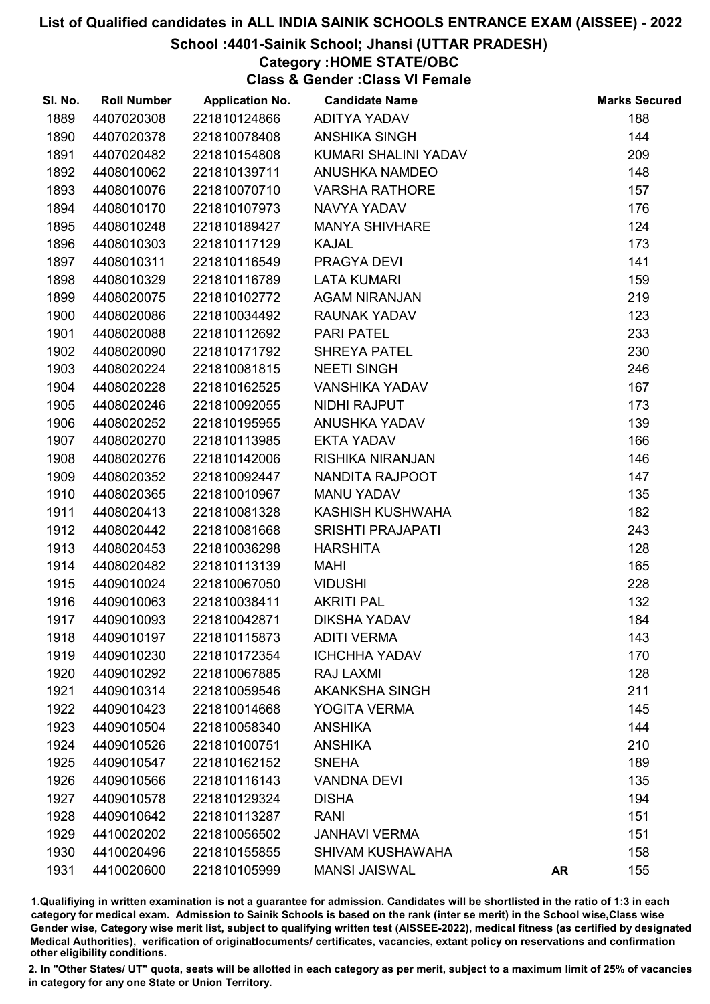### School :4401-Sainik School; Jhansi (UTTAR PRADESH)

## Category :HOME STATE/OBC

Class & Gender :Class VI Female

| SI. No. | <b>Roll Number</b> | <b>Application No.</b> | <b>Candidate Name</b>    |           | <b>Marks Secured</b> |
|---------|--------------------|------------------------|--------------------------|-----------|----------------------|
| 1889    | 4407020308         | 221810124866           | <b>ADITYA YADAV</b>      |           | 188                  |
| 1890    | 4407020378         | 221810078408           | <b>ANSHIKA SINGH</b>     |           | 144                  |
| 1891    | 4407020482         | 221810154808           | KUMARI SHALINI YADAV     |           | 209                  |
| 1892    | 4408010062         | 221810139711           | <b>ANUSHKA NAMDEO</b>    |           | 148                  |
| 1893    | 4408010076         | 221810070710           | <b>VARSHA RATHORE</b>    |           | 157                  |
| 1894    | 4408010170         | 221810107973           | <b>NAVYA YADAV</b>       |           | 176                  |
| 1895    | 4408010248         | 221810189427           | <b>MANYA SHIVHARE</b>    |           | 124                  |
| 1896    | 4408010303         | 221810117129           | <b>KAJAL</b>             |           | 173                  |
| 1897    | 4408010311         | 221810116549           | PRAGYA DEVI              |           | 141                  |
| 1898    | 4408010329         | 221810116789           | <b>LATA KUMARI</b>       |           | 159                  |
| 1899    | 4408020075         | 221810102772           | <b>AGAM NIRANJAN</b>     |           | 219                  |
| 1900    | 4408020086         | 221810034492           | <b>RAUNAK YADAV</b>      |           | 123                  |
| 1901    | 4408020088         | 221810112692           | <b>PARI PATEL</b>        |           | 233                  |
| 1902    | 4408020090         | 221810171792           | <b>SHREYA PATEL</b>      |           | 230                  |
| 1903    | 4408020224         | 221810081815           | <b>NEETI SINGH</b>       |           | 246                  |
| 1904    | 4408020228         | 221810162525           | <b>VANSHIKA YADAV</b>    |           | 167                  |
| 1905    | 4408020246         | 221810092055           | NIDHI RAJPUT             |           | 173                  |
| 1906    | 4408020252         | 221810195955           | ANUSHKA YADAV            |           | 139                  |
| 1907    | 4408020270         | 221810113985           | <b>EKTA YADAV</b>        |           | 166                  |
| 1908    | 4408020276         | 221810142006           | RISHIKA NIRANJAN         |           | 146                  |
| 1909    | 4408020352         | 221810092447           | NANDITA RAJPOOT          |           | 147                  |
| 1910    | 4408020365         | 221810010967           | <b>MANU YADAV</b>        |           | 135                  |
| 1911    | 4408020413         | 221810081328           | KASHISH KUSHWAHA         |           | 182                  |
| 1912    | 4408020442         | 221810081668           | <b>SRISHTI PRAJAPATI</b> |           | 243                  |
| 1913    | 4408020453         | 221810036298           | <b>HARSHITA</b>          |           | 128                  |
| 1914    | 4408020482         | 221810113139           | <b>MAHI</b>              |           | 165                  |
| 1915    | 4409010024         | 221810067050           | <b>VIDUSHI</b>           |           | 228                  |
| 1916    | 4409010063         | 221810038411           | <b>AKRITI PAL</b>        |           | 132                  |
| 1917    | 4409010093         | 221810042871           | <b>DIKSHA YADAV</b>      |           | 184                  |
| 1918    | 4409010197         | 221810115873           | <b>ADITI VERMA</b>       |           | 143                  |
| 1919    | 4409010230         | 221810172354           | <b>ICHCHHA YADAV</b>     |           | 170                  |
| 1920    | 4409010292         | 221810067885           | RAJ LAXMI                |           | 128                  |
| 1921    | 4409010314         | 221810059546           | <b>AKANKSHA SINGH</b>    |           | 211                  |
| 1922    | 4409010423         | 221810014668           | YOGITA VERMA             |           | 145                  |
| 1923    | 4409010504         | 221810058340           | <b>ANSHIKA</b>           |           | 144                  |
| 1924    | 4409010526         | 221810100751           | <b>ANSHIKA</b>           |           | 210                  |
| 1925    | 4409010547         | 221810162152           | <b>SNEHA</b>             |           | 189                  |
| 1926    | 4409010566         | 221810116143           | <b>VANDNA DEVI</b>       |           | 135                  |
| 1927    | 4409010578         | 221810129324           | <b>DISHA</b>             |           | 194                  |
| 1928    | 4409010642         | 221810113287           | <b>RANI</b>              |           | 151                  |
| 1929    | 4410020202         | 221810056502           | <b>JANHAVI VERMA</b>     |           | 151                  |
| 1930    | 4410020496         | 221810155855           | <b>SHIVAM KUSHAWAHA</b>  |           | 158                  |
| 1931    | 4410020600         | 221810105999           | <b>MANSI JAISWAL</b>     | <b>AR</b> | 155                  |

1.Qualifiying in written examination is not a guarantee for admission. Candidates will be shortlisted in the ratio of 1:3 in each category for medical exam. Admission to Sainik Schools is based on the rank (inter se merit) in the School wise,Class wise Gender wise, Category wise merit list, subject to qualifying written test (AISSEE-2022), medical fitness (as certified by designated Medical Authorities), verification of originablocuments/ certificates, vacancies, extant policy on reservations and confirmation other eligibility conditions.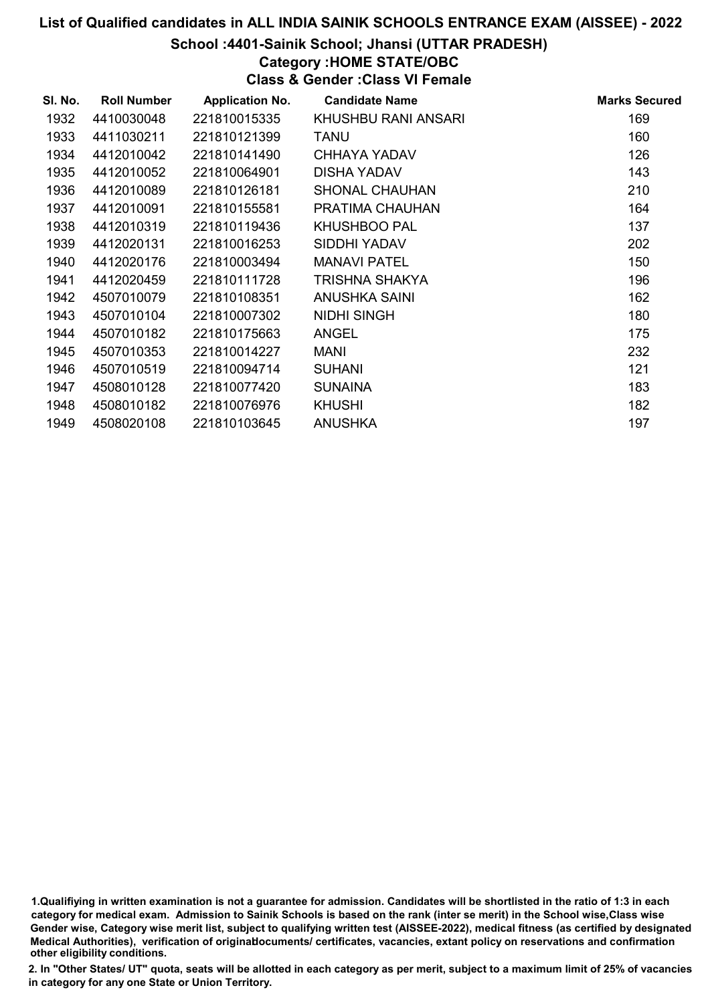#### School :4401-Sainik School; Jhansi (UTTAR PRADESH)

### Category :HOME STATE/OBC

Class & Gender :Class VI Female

| SI. No. | <b>Roll Number</b> | <b>Application No.</b> | <b>Candidate Name</b> | <b>Marks Secured</b> |
|---------|--------------------|------------------------|-----------------------|----------------------|
| 1932    | 4410030048         | 221810015335           | KHUSHBU RANI ANSARI   | 169                  |
| 1933    | 4411030211         | 221810121399           | <b>TANU</b>           | 160                  |
| 1934    | 4412010042         | 221810141490           | CHHAYA YADAV          | 126                  |
| 1935    | 4412010052         | 221810064901           | <b>DISHA YADAV</b>    | 143                  |
| 1936    | 4412010089         | 221810126181           | <b>SHONAL CHAUHAN</b> | 210                  |
| 1937    | 4412010091         | 221810155581           | PRATIMA CHAUHAN       | 164                  |
| 1938    | 4412010319         | 221810119436           | <b>KHUSHBOO PAL</b>   | 137                  |
| 1939    | 4412020131         | 221810016253           | SIDDHI YADAV          | 202                  |
| 1940    | 4412020176         | 221810003494           | <b>MANAVI PATEL</b>   | 150                  |
| 1941    | 4412020459         | 221810111728           | <b>TRISHNA SHAKYA</b> | 196                  |
| 1942    | 4507010079         | 221810108351           | <b>ANUSHKA SAINI</b>  | 162                  |
| 1943    | 4507010104         | 221810007302           | <b>NIDHI SINGH</b>    | 180                  |
| 1944    | 4507010182         | 221810175663           | <b>ANGEL</b>          | 175                  |
| 1945    | 4507010353         | 221810014227           | <b>MANI</b>           | 232                  |
| 1946    | 4507010519         | 221810094714           | <b>SUHANI</b>         | 121                  |
| 1947    | 4508010128         | 221810077420           | <b>SUNAINA</b>        | 183                  |
| 1948    | 4508010182         | 221810076976           | <b>KHUSHI</b>         | 182                  |
| 1949    | 4508020108         | 221810103645           | <b>ANUSHKA</b>        | 197                  |

1.Qualifiying in written examination is not a guarantee for admission. Candidates will be shortlisted in the ratio of 1:3 in each category for medical exam. Admission to Sainik Schools is based on the rank (inter se merit) in the School wise,Class wise Gender wise, Category wise merit list, subject to qualifying written test (AISSEE-2022), medical fitness (as certified by designated Medical Authorities), verification of originablocuments/ certificates, vacancies, extant policy on reservations and confirmation other eligibility conditions.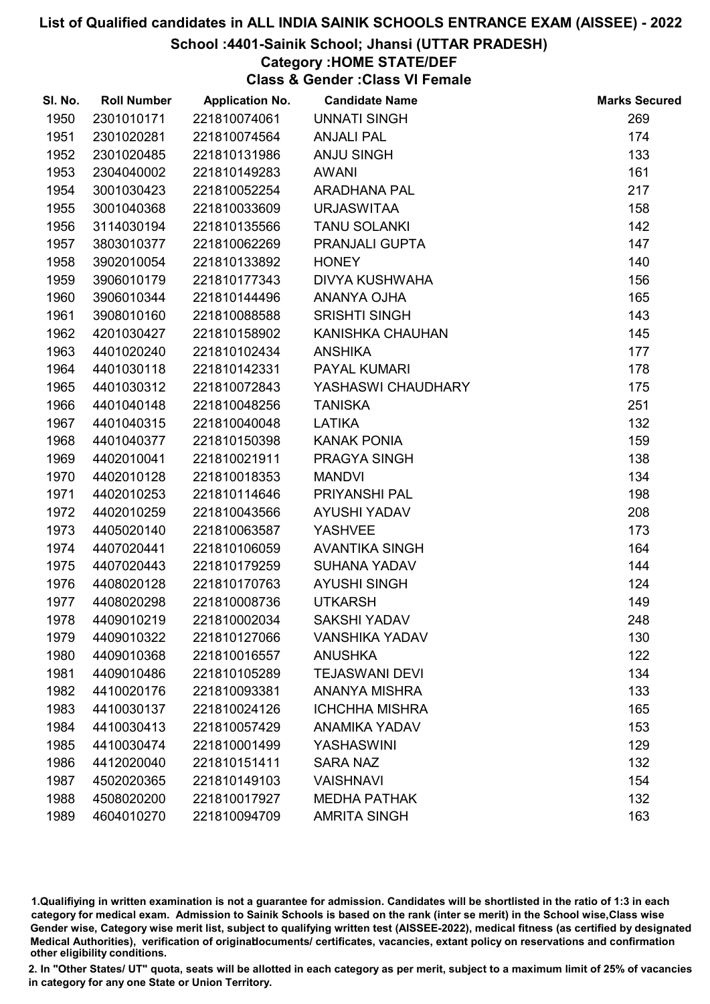#### School :4401-Sainik School; Jhansi (UTTAR PRADESH)

## Category :HOME STATE/DEF

Class & Gender :Class VI Female

| SI. No. | <b>Roll Number</b> | <b>Application No.</b> | <b>Candidate Name</b> | <b>Marks Secured</b> |
|---------|--------------------|------------------------|-----------------------|----------------------|
| 1950    | 2301010171         | 221810074061           | <b>UNNATI SINGH</b>   | 269                  |
| 1951    | 2301020281         | 221810074564           | <b>ANJALI PAL</b>     | 174                  |
| 1952    | 2301020485         | 221810131986           | ANJU SINGH            | 133                  |
| 1953    | 2304040002         | 221810149283           | <b>AWANI</b>          | 161                  |
| 1954    | 3001030423         | 221810052254           | <b>ARADHANA PAL</b>   | 217                  |
| 1955    | 3001040368         | 221810033609           | <b>URJASWITAA</b>     | 158                  |
| 1956    | 3114030194         | 221810135566           | <b>TANU SOLANKI</b>   | 142                  |
| 1957    | 3803010377         | 221810062269           | PRANJALI GUPTA        | 147                  |
| 1958    | 3902010054         | 221810133892           | <b>HONEY</b>          | 140                  |
| 1959    | 3906010179         | 221810177343           | <b>DIVYA KUSHWAHA</b> | 156                  |
| 1960    | 3906010344         | 221810144496           | ANANYA OJHA           | 165                  |
| 1961    | 3908010160         | 221810088588           | <b>SRISHTI SINGH</b>  | 143                  |
| 1962    | 4201030427         | 221810158902           | KANISHKA CHAUHAN      | 145                  |
| 1963    | 4401020240         | 221810102434           | <b>ANSHIKA</b>        | 177                  |
| 1964    | 4401030118         | 221810142331           | <b>PAYAL KUMARI</b>   | 178                  |
| 1965    | 4401030312         | 221810072843           | YASHASWI CHAUDHARY    | 175                  |
| 1966    | 4401040148         | 221810048256           | <b>TANISKA</b>        | 251                  |
| 1967    | 4401040315         | 221810040048           | <b>LATIKA</b>         | 132                  |
| 1968    | 4401040377         | 221810150398           | <b>KANAK PONIA</b>    | 159                  |
| 1969    | 4402010041         | 221810021911           | PRAGYA SINGH          | 138                  |
| 1970    | 4402010128         | 221810018353           | <b>MANDVI</b>         | 134                  |
| 1971    | 4402010253         | 221810114646           | PRIYANSHI PAL         | 198                  |
| 1972    | 4402010259         | 221810043566           | <b>AYUSHI YADAV</b>   | 208                  |
| 1973    | 4405020140         | 221810063587           | <b>YASHVEE</b>        | 173                  |
| 1974    | 4407020441         | 221810106059           | <b>AVANTIKA SINGH</b> | 164                  |
| 1975    | 4407020443         | 221810179259           | <b>SUHANA YADAV</b>   | 144                  |
| 1976    | 4408020128         | 221810170763           | <b>AYUSHI SINGH</b>   | 124                  |
| 1977    | 4408020298         | 221810008736           | <b>UTKARSH</b>        | 149                  |
| 1978    | 4409010219         | 221810002034           | <b>SAKSHI YADAV</b>   | 248                  |
| 1979    | 4409010322         | 221810127066           | <b>VANSHIKA YADAV</b> | 130                  |
| 1980    | 4409010368         | 221810016557           | <b>ANUSHKA</b>        | 122                  |
| 1981    | 4409010486         | 221810105289           | <b>TEJASWANI DEVI</b> | 134                  |
| 1982    | 4410020176         | 221810093381           | <b>ANANYA MISHRA</b>  | 133                  |
| 1983    | 4410030137         | 221810024126           | <b>ICHCHHA MISHRA</b> | 165                  |
| 1984    | 4410030413         | 221810057429           | <b>ANAMIKA YADAV</b>  | 153                  |
| 1985    | 4410030474         | 221810001499           | <b>YASHASWINI</b>     | 129                  |
| 1986    | 4412020040         | 221810151411           | <b>SARA NAZ</b>       | 132                  |
| 1987    | 4502020365         | 221810149103           | <b>VAISHNAVI</b>      | 154                  |
| 1988    | 4508020200         | 221810017927           | <b>MEDHA PATHAK</b>   | 132                  |
| 1989    | 4604010270         | 221810094709           | <b>AMRITA SINGH</b>   | 163                  |

1.Qualifiying in written examination is not a guarantee for admission. Candidates will be shortlisted in the ratio of 1:3 in each category for medical exam. Admission to Sainik Schools is based on the rank (inter se merit) in the School wise,Class wise Gender wise, Category wise merit list, subject to qualifying written test (AISSEE-2022), medical fitness (as certified by designated Medical Authorities), verification of originablocuments/ certificates, vacancies, extant policy on reservations and confirmation other eligibility conditions.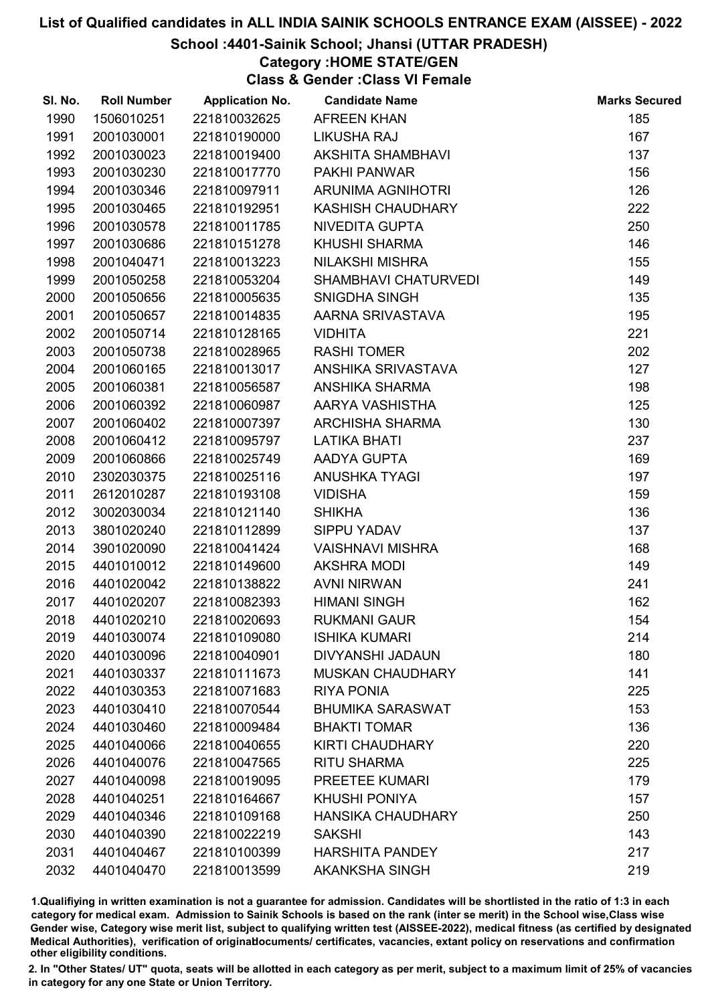### School :4401-Sainik School; Jhansi (UTTAR PRADESH)

### Category :HOME STATE/GEN

Class & Gender :Class VI Female

| SI. No. | <b>Roll Number</b> | <b>Application No.</b> | <b>Candidate Name</b>       | <b>Marks Secured</b> |
|---------|--------------------|------------------------|-----------------------------|----------------------|
| 1990    | 1506010251         | 221810032625           | <b>AFREEN KHAN</b>          | 185                  |
| 1991    | 2001030001         | 221810190000           | <b>LIKUSHA RAJ</b>          | 167                  |
| 1992    | 2001030023         | 221810019400           | <b>AKSHITA SHAMBHAVI</b>    | 137                  |
| 1993    | 2001030230         | 221810017770           | PAKHI PANWAR                | 156                  |
| 1994    | 2001030346         | 221810097911           | ARUNIMA AGNIHOTRI           | 126                  |
| 1995    | 2001030465         | 221810192951           | <b>KASHISH CHAUDHARY</b>    | 222                  |
| 1996    | 2001030578         | 221810011785           | NIVEDITA GUPTA              | 250                  |
| 1997    | 2001030686         | 221810151278           | <b>KHUSHI SHARMA</b>        | 146                  |
| 1998    | 2001040471         | 221810013223           | <b>NILAKSHI MISHRA</b>      | 155                  |
| 1999    | 2001050258         | 221810053204           | <b>SHAMBHAVI CHATURVEDI</b> | 149                  |
| 2000    | 2001050656         | 221810005635           | SNIGDHA SINGH               | 135                  |
| 2001    | 2001050657         | 221810014835           | AARNA SRIVASTAVA            | 195                  |
| 2002    | 2001050714         | 221810128165           | <b>VIDHITA</b>              | 221                  |
| 2003    | 2001050738         | 221810028965           | <b>RASHI TOMER</b>          | 202                  |
| 2004    | 2001060165         | 221810013017           | ANSHIKA SRIVASTAVA          | 127                  |
| 2005    | 2001060381         | 221810056587           | ANSHIKA SHARMA              | 198                  |
| 2006    | 2001060392         | 221810060987           | AARYA VASHISTHA             | 125                  |
| 2007    | 2001060402         | 221810007397           | <b>ARCHISHA SHARMA</b>      | 130                  |
| 2008    | 2001060412         | 221810095797           | <b>LATIKA BHATI</b>         | 237                  |
| 2009    | 2001060866         | 221810025749           | AADYA GUPTA                 | 169                  |
| 2010    | 2302030375         | 221810025116           | ANUSHKA TYAGI               | 197                  |
| 2011    | 2612010287         | 221810193108           | <b>VIDISHA</b>              | 159                  |
| 2012    | 3002030034         | 221810121140           | <b>SHIKHA</b>               | 136                  |
| 2013    | 3801020240         | 221810112899           | <b>SIPPU YADAV</b>          | 137                  |
| 2014    | 3901020090         | 221810041424           | <b>VAISHNAVI MISHRA</b>     | 168                  |
| 2015    | 4401010012         | 221810149600           | <b>AKSHRA MODI</b>          | 149                  |
| 2016    | 4401020042         | 221810138822           | <b>AVNI NIRWAN</b>          | 241                  |
| 2017    | 4401020207         | 221810082393           | <b>HIMANI SINGH</b>         | 162                  |
| 2018    | 4401020210         | 221810020693           | <b>RUKMANI GAUR</b>         | 154                  |
| 2019    | 4401030074         | 221810109080           | <b>ISHIKA KUMARI</b>        | 214                  |
| 2020    | 4401030096         | 221810040901           | <b>DIVYANSHI JADAUN</b>     | 180                  |
| 2021    | 4401030337         | 221810111673           | <b>MUSKAN CHAUDHARY</b>     | 141                  |
| 2022    | 4401030353         | 221810071683           | <b>RIYA PONIA</b>           | 225                  |
| 2023    | 4401030410         | 221810070544           | <b>BHUMIKA SARASWAT</b>     | 153                  |
| 2024    | 4401030460         | 221810009484           | <b>BHAKTI TOMAR</b>         | 136                  |
| 2025    | 4401040066         | 221810040655           | <b>KIRTI CHAUDHARY</b>      | 220                  |
| 2026    | 4401040076         | 221810047565           | <b>RITU SHARMA</b>          | 225                  |
| 2027    | 4401040098         | 221810019095           | PREETEE KUMARI              | 179                  |
| 2028    | 4401040251         | 221810164667           | <b>KHUSHI PONIYA</b>        | 157                  |
| 2029    | 4401040346         | 221810109168           | <b>HANSIKA CHAUDHARY</b>    | 250                  |
| 2030    | 4401040390         | 221810022219           | <b>SAKSHI</b>               | 143                  |
| 2031    | 4401040467         | 221810100399           | <b>HARSHITA PANDEY</b>      | 217                  |
| 2032    | 4401040470         | 221810013599           | <b>AKANKSHA SINGH</b>       | 219                  |

1.Qualifiying in written examination is not a guarantee for admission. Candidates will be shortlisted in the ratio of 1:3 in each category for medical exam. Admission to Sainik Schools is based on the rank (inter se merit) in the School wise,Class wise Gender wise, Category wise merit list, subject to qualifying written test (AISSEE-2022), medical fitness (as certified by designated Medical Authorities), verification of originablocuments/ certificates, vacancies, extant policy on reservations and confirmation other eligibility conditions.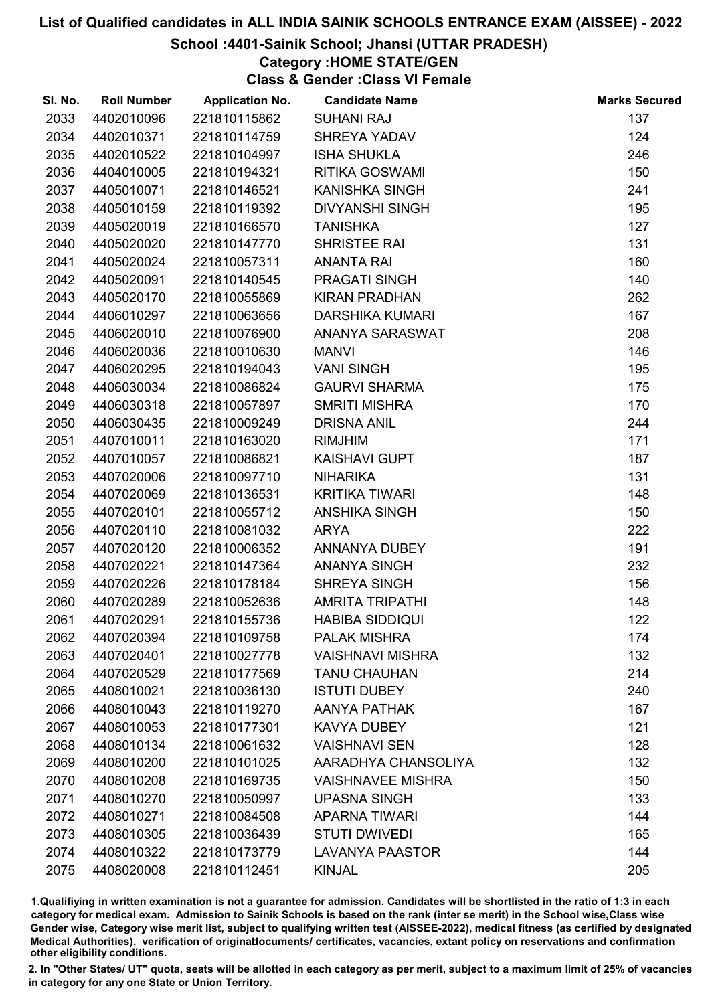## School :4401-Sainik School; Jhansi (UTTAR PRADESH)

## Category :HOME STATE/GEN

Class & Gender :Class VI Female

| SI. No. | <b>Roll Number</b> | <b>Application No.</b> | <b>Candidate Name</b>    | <b>Marks Secured</b> |
|---------|--------------------|------------------------|--------------------------|----------------------|
| 2033    | 4402010096         | 221810115862           | <b>SUHANI RAJ</b>        | 137                  |
| 2034    | 4402010371         | 221810114759           | <b>SHREYA YADAV</b>      | 124                  |
| 2035    | 4402010522         | 221810104997           | <b>ISHA SHUKLA</b>       | 246                  |
| 2036    | 4404010005         | 221810194321           | <b>RITIKA GOSWAMI</b>    | 150                  |
| 2037    | 4405010071         | 221810146521           | <b>KANISHKA SINGH</b>    | 241                  |
| 2038    | 4405010159         | 221810119392           | <b>DIVYANSHI SINGH</b>   | 195                  |
| 2039    | 4405020019         | 221810166570           | <b>TANISHKA</b>          | 127                  |
| 2040    | 4405020020         | 221810147770           | SHRISTEE RAI             | 131                  |
| 2041    | 4405020024         | 221810057311           | <b>ANANTA RAI</b>        | 160                  |
| 2042    | 4405020091         | 221810140545           | PRAGATI SINGH            | 140                  |
| 2043    | 4405020170         | 221810055869           | <b>KIRAN PRADHAN</b>     | 262                  |
| 2044    | 4406010297         | 221810063656           | <b>DARSHIKA KUMARI</b>   | 167                  |
| 2045    | 4406020010         | 221810076900           | ANANYA SARASWAT          | 208                  |
| 2046    | 4406020036         | 221810010630           | <b>MANVI</b>             | 146                  |
| 2047    | 4406020295         | 221810194043           | <b>VANI SINGH</b>        | 195                  |
| 2048    | 4406030034         | 221810086824           | <b>GAURVI SHARMA</b>     | 175                  |
| 2049    | 4406030318         | 221810057897           | <b>SMRITI MISHRA</b>     | 170                  |
| 2050    | 4406030435         | 221810009249           | <b>DRISNA ANIL</b>       | 244                  |
| 2051    | 4407010011         | 221810163020           | <b>RIMJHIM</b>           | 171                  |
| 2052    | 4407010057         | 221810086821           | <b>KAISHAVI GUPT</b>     | 187                  |
| 2053    | 4407020006         | 221810097710           | <b>NIHARIKA</b>          | 131                  |
| 2054    | 4407020069         | 221810136531           | <b>KRITIKA TIWARI</b>    | 148                  |
| 2055    | 4407020101         | 221810055712           | <b>ANSHIKA SINGH</b>     | 150                  |
| 2056    | 4407020110         | 221810081032           | <b>ARYA</b>              | 222                  |
| 2057    | 4407020120         | 221810006352           | ANNANYA DUBEY            | 191                  |
| 2058    | 4407020221         | 221810147364           | <b>ANANYA SINGH</b>      | 232                  |
| 2059    | 4407020226         | 221810178184           | <b>SHREYA SINGH</b>      | 156                  |
| 2060    | 4407020289         | 221810052636           | <b>AMRITA TRIPATHI</b>   | 148                  |
| 2061    | 4407020291         | 221810155736           | <b>HABIBA SIDDIQUI</b>   | 122                  |
| 2062    | 4407020394         | 221810109758           | <b>PALAK MISHRA</b>      | 174                  |
| 2063    | 4407020401         | 221810027778           | <b>VAISHNAVI MISHRA</b>  | 132                  |
| 2064    | 4407020529         | 221810177569           | <b>TANU CHAUHAN</b>      | 214                  |
| 2065    | 4408010021         | 221810036130           | <b>ISTUTI DUBEY</b>      | 240                  |
| 2066    | 4408010043         | 221810119270           | <b>AANYA PATHAK</b>      | 167                  |
| 2067    | 4408010053         | 221810177301           | <b>KAVYA DUBEY</b>       | 121                  |
| 2068    | 4408010134         | 221810061632           | <b>VAISHNAVI SEN</b>     | 128                  |
| 2069    | 4408010200         | 221810101025           | AARADHYA CHANSOLIYA      | 132                  |
| 2070    | 4408010208         | 221810169735           | <b>VAISHNAVEE MISHRA</b> | 150                  |
| 2071    | 4408010270         | 221810050997           | <b>UPASNA SINGH</b>      | 133                  |
| 2072    | 4408010271         | 221810084508           | <b>APARNA TIWARI</b>     | 144                  |
| 2073    | 4408010305         | 221810036439           | <b>STUTI DWIVEDI</b>     | 165                  |
| 2074    | 4408010322         | 221810173779           | <b>LAVANYA PAASTOR</b>   | 144                  |
| 2075    | 4408020008         | 221810112451           | <b>KINJAL</b>            | 205                  |

1.Qualifiying in written examination is not a guarantee for admission. Candidates will be shortlisted in the ratio of 1:3 in each category for medical exam. Admission to Sainik Schools is based on the rank (inter se merit) in the School wise,Class wise Gender wise, Category wise merit list, subject to qualifying written test (AISSEE-2022), medical fitness (as certified by designated Medical Authorities), verification of originablocuments/ certificates, vacancies, extant policy on reservations and confirmation other eligibility conditions.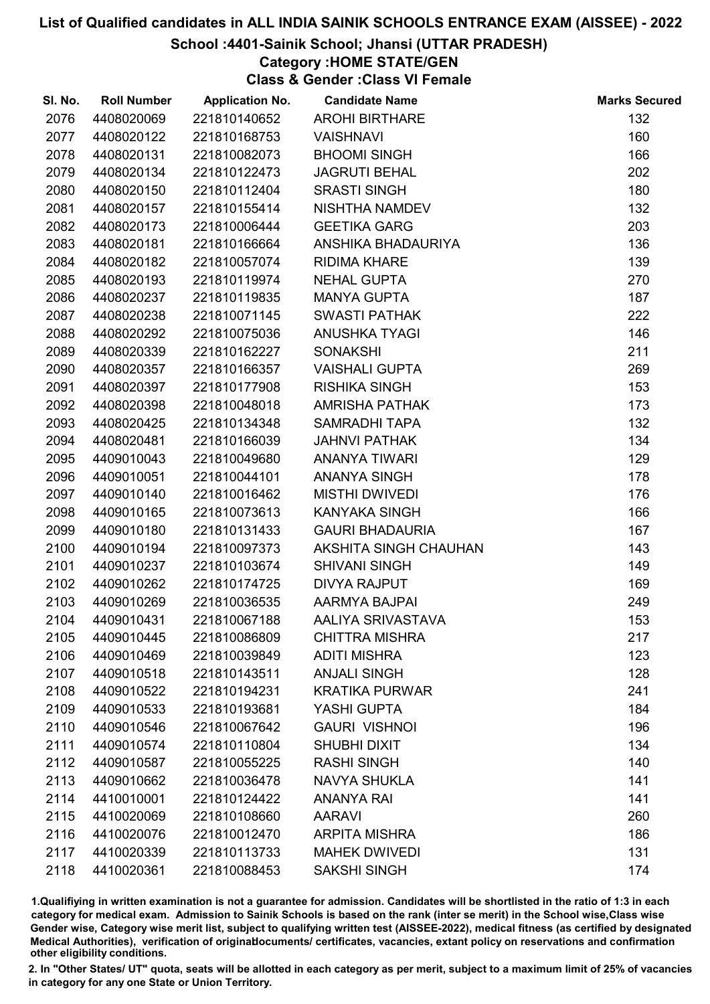### School :4401-Sainik School; Jhansi (UTTAR PRADESH)

### Category :HOME STATE/GEN

Class & Gender :Class VI Female

| SI. No. | <b>Roll Number</b> | <b>Application No.</b> | <b>Candidate Name</b>  | <b>Marks Secured</b> |
|---------|--------------------|------------------------|------------------------|----------------------|
| 2076    | 4408020069         | 221810140652           | <b>AROHI BIRTHARE</b>  | 132                  |
| 2077    | 4408020122         | 221810168753           | <b>VAISHNAVI</b>       | 160                  |
| 2078    | 4408020131         | 221810082073           | <b>BHOOMI SINGH</b>    | 166                  |
| 2079    | 4408020134         | 221810122473           | <b>JAGRUTI BEHAL</b>   | 202                  |
| 2080    | 4408020150         | 221810112404           | <b>SRASTI SINGH</b>    | 180                  |
| 2081    | 4408020157         | 221810155414           | NISHTHA NAMDEV         | 132                  |
| 2082    | 4408020173         | 221810006444           | <b>GEETIKA GARG</b>    | 203                  |
| 2083    | 4408020181         | 221810166664           | ANSHIKA BHADAURIYA     | 136                  |
| 2084    | 4408020182         | 221810057074           | <b>RIDIMA KHARE</b>    | 139                  |
| 2085    | 4408020193         | 221810119974           | <b>NEHAL GUPTA</b>     | 270                  |
| 2086    | 4408020237         | 221810119835           | <b>MANYA GUPTA</b>     | 187                  |
| 2087    | 4408020238         | 221810071145           | <b>SWASTI PATHAK</b>   | 222                  |
| 2088    | 4408020292         | 221810075036           | <b>ANUSHKA TYAGI</b>   | 146                  |
| 2089    | 4408020339         | 221810162227           | <b>SONAKSHI</b>        | 211                  |
| 2090    | 4408020357         | 221810166357           | <b>VAISHALI GUPTA</b>  | 269                  |
| 2091    | 4408020397         | 221810177908           | <b>RISHIKA SINGH</b>   | 153                  |
| 2092    | 4408020398         | 221810048018           | <b>AMRISHA PATHAK</b>  | 173                  |
| 2093    | 4408020425         | 221810134348           | <b>SAMRADHI TAPA</b>   | 132                  |
| 2094    | 4408020481         | 221810166039           | <b>JAHNVI PATHAK</b>   | 134                  |
| 2095    | 4409010043         | 221810049680           | <b>ANANYA TIWARI</b>   | 129                  |
| 2096    | 4409010051         | 221810044101           | ANANYA SINGH           | 178                  |
| 2097    | 4409010140         | 221810016462           | <b>MISTHI DWIVEDI</b>  | 176                  |
| 2098    | 4409010165         | 221810073613           | <b>KANYAKA SINGH</b>   | 166                  |
| 2099    | 4409010180         | 221810131433           | <b>GAURI BHADAURIA</b> | 167                  |
| 2100    | 4409010194         | 221810097373           | AKSHITA SINGH CHAUHAN  | 143                  |
| 2101    | 4409010237         | 221810103674           | <b>SHIVANI SINGH</b>   | 149                  |
| 2102    | 4409010262         | 221810174725           | <b>DIVYA RAJPUT</b>    | 169                  |
| 2103    | 4409010269         | 221810036535           | AARMYA BAJPAI          | 249                  |
| 2104    | 4409010431         | 221810067188           | AALIYA SRIVASTAVA      | 153                  |
| 2105    | 4409010445         | 221810086809           | <b>CHITTRA MISHRA</b>  | 217                  |
| 2106    | 4409010469         | 221810039849           | <b>ADITI MISHRA</b>    | 123                  |
| 2107    | 4409010518         | 221810143511           | <b>ANJALI SINGH</b>    | 128                  |
| 2108    | 4409010522         | 221810194231           | <b>KRATIKA PURWAR</b>  | 241                  |
| 2109    | 4409010533         | 221810193681           | YASHI GUPTA            | 184                  |
| 2110    | 4409010546         | 221810067642           | <b>GAURI VISHNOI</b>   | 196                  |
| 2111    | 4409010574         | 221810110804           | <b>SHUBHI DIXIT</b>    | 134                  |
| 2112    | 4409010587         | 221810055225           | <b>RASHI SINGH</b>     | 140                  |
| 2113    | 4409010662         | 221810036478           | <b>NAVYA SHUKLA</b>    | 141                  |
| 2114    | 4410010001         | 221810124422           | <b>ANANYA RAI</b>      | 141                  |
| 2115    | 4410020069         | 221810108660           | <b>AARAVI</b>          | 260                  |
| 2116    | 4410020076         | 221810012470           | <b>ARPITA MISHRA</b>   | 186                  |
| 2117    | 4410020339         | 221810113733           | <b>MAHEK DWIVEDI</b>   | 131                  |
| 2118    | 4410020361         | 221810088453           | <b>SAKSHI SINGH</b>    | 174                  |

1.Qualifiying in written examination is not a guarantee for admission. Candidates will be shortlisted in the ratio of 1:3 in each category for medical exam. Admission to Sainik Schools is based on the rank (inter se merit) in the School wise,Class wise Gender wise, Category wise merit list, subject to qualifying written test (AISSEE-2022), medical fitness (as certified by designated Medical Authorities), verification of originablocuments/ certificates, vacancies, extant policy on reservations and confirmation other eligibility conditions.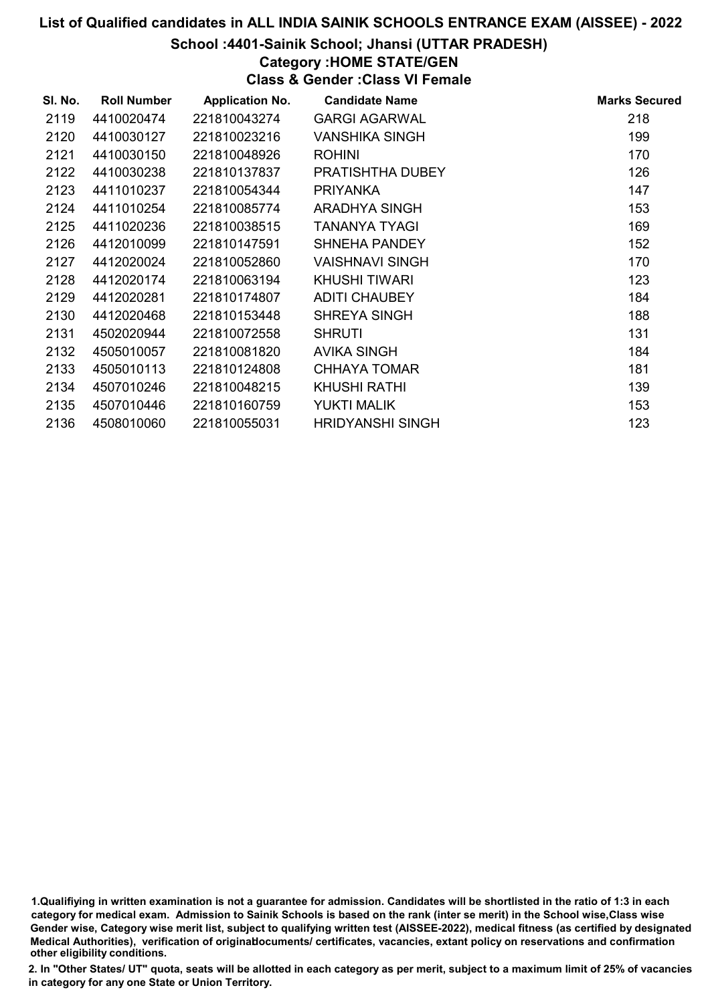#### School :4401-Sainik School; Jhansi (UTTAR PRADESH)

### Category :HOME STATE/GEN

Class & Gender :Class VI Female

| SI. No. | <b>Roll Number</b> | <b>Application No.</b> | <b>Candidate Name</b>   | <b>Marks Secured</b> |
|---------|--------------------|------------------------|-------------------------|----------------------|
| 2119    | 4410020474         | 221810043274           | <b>GARGI AGARWAL</b>    | 218                  |
| 2120    | 4410030127         | 221810023216           | <b>VANSHIKA SINGH</b>   | 199                  |
| 2121    | 4410030150         | 221810048926           | <b>ROHINI</b>           | 170                  |
| 2122    | 4410030238         | 221810137837           | PRATISHTHA DUBEY        | 126                  |
| 2123    | 4411010237         | 221810054344           | <b>PRIYANKA</b>         | 147                  |
| 2124    | 4411010254         | 221810085774           | ARADHYA SINGH           | 153                  |
| 2125    | 4411020236         | 221810038515           | <b>TANANYA TYAGI</b>    | 169                  |
| 2126    | 4412010099         | 221810147591           | <b>SHNEHA PANDEY</b>    | 152                  |
| 2127    | 4412020024         | 221810052860           | VAISHNAVI SINGH         | 170                  |
| 2128    | 4412020174         | 221810063194           | <b>KHUSHI TIWARI</b>    | 123                  |
| 2129    | 4412020281         | 221810174807           | <b>ADITI CHAUBEY</b>    | 184                  |
| 2130    | 4412020468         | 221810153448           | <b>SHREYA SINGH</b>     | 188                  |
| 2131    | 4502020944         | 221810072558           | <b>SHRUTI</b>           | 131                  |
| 2132    | 4505010057         | 221810081820           | <b>AVIKA SINGH</b>      | 184                  |
| 2133    | 4505010113         | 221810124808           | <b>CHHAYA TOMAR</b>     | 181                  |
| 2134    | 4507010246         | 221810048215           | <b>KHUSHI RATHI</b>     | 139                  |
| 2135    | 4507010446         | 221810160759           | YUKTI MALIK             | 153                  |
| 2136    | 4508010060         | 221810055031           | <b>HRIDYANSHI SINGH</b> | 123                  |

1.Qualifiying in written examination is not a guarantee for admission. Candidates will be shortlisted in the ratio of 1:3 in each category for medical exam. Admission to Sainik Schools is based on the rank (inter se merit) in the School wise,Class wise Gender wise, Category wise merit list, subject to qualifying written test (AISSEE-2022), medical fitness (as certified by designated Medical Authorities), verification of originablocuments/ certificates, vacancies, extant policy on reservations and confirmation other eligibility conditions.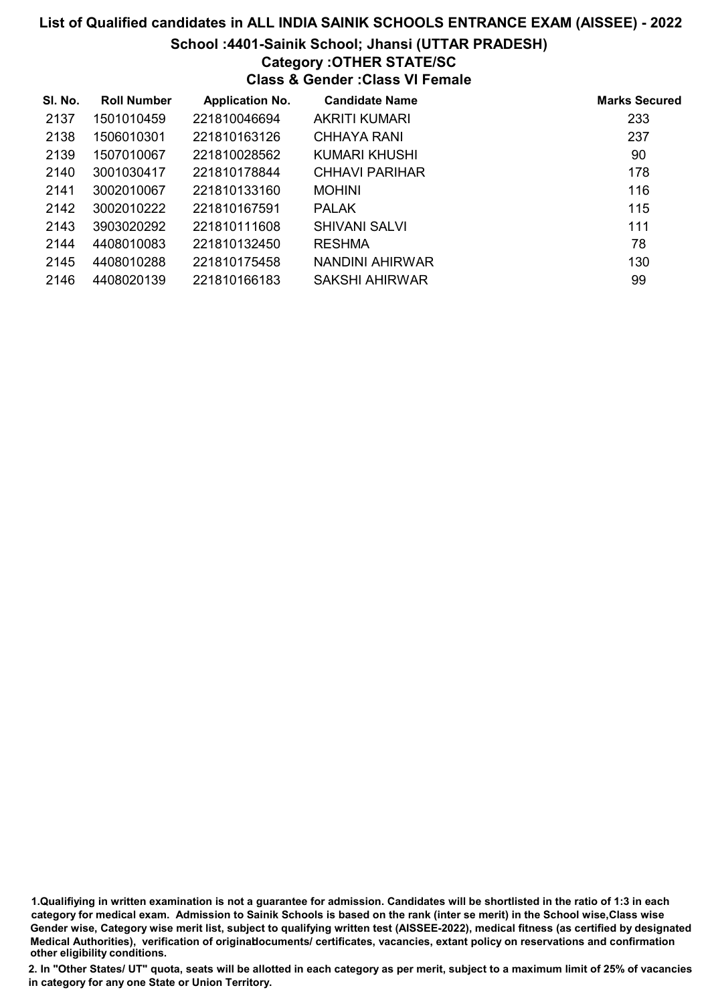## School :4401-Sainik School; Jhansi (UTTAR PRADESH)

### Category :OTHER STATE/SC

Class & Gender :Class VI Female

| SI. No. | <b>Roll Number</b> | <b>Application No.</b> | <b>Candidate Name</b> | <b>Marks Secured</b> |
|---------|--------------------|------------------------|-----------------------|----------------------|
| 2137    | 1501010459         | 221810046694           | <b>AKRITI KUMARI</b>  | 233                  |
| 2138    | 1506010301         | 221810163126           | <b>CHHAYA RANI</b>    | 237                  |
| 2139    | 1507010067         | 221810028562           | KUMARI KHUSHI         | 90                   |
| 2140    | 3001030417         | 221810178844           | CHHAVI PARIHAR        | 178                  |
| 2141    | 3002010067         | 221810133160           | <b>MOHINI</b>         | 116                  |
| 2142    | 3002010222         | 221810167591           | <b>PALAK</b>          | 115                  |
| 2143    | 3903020292         | 221810111608           | <b>SHIVANI SALVI</b>  | 111                  |
| 2144    | 4408010083         | 221810132450           | <b>RESHMA</b>         | 78                   |
| 2145    | 4408010288         | 221810175458           | NANDINI AHIRWAR       | 130                  |
| 2146    | 4408020139         | 221810166183           | SAKSHI AHIRWAR        | 99                   |

1.Qualifiying in written examination is not a guarantee for admission. Candidates will be shortlisted in the ratio of 1:3 in each category for medical exam. Admission to Sainik Schools is based on the rank (inter se merit) in the School wise,Class wise Gender wise, Category wise merit list, subject to qualifying written test (AISSEE-2022), medical fitness (as certified by designated Medical Authorities), verification of originablocuments/ certificates, vacancies, extant policy on reservations and confirmation other eligibility conditions.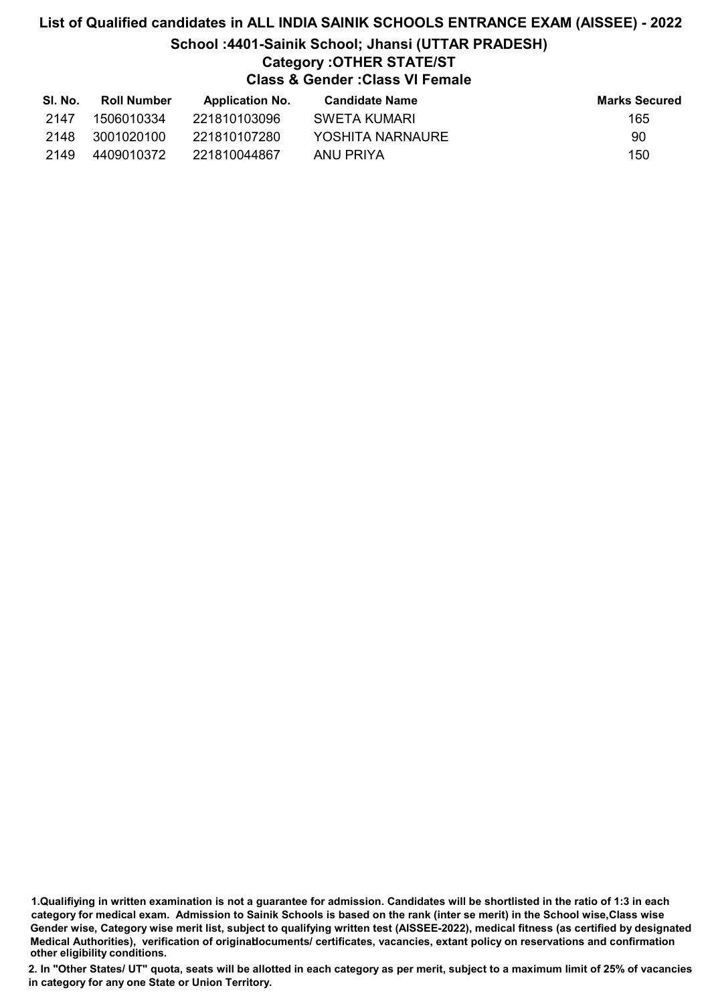# List of Qualified candidates in ALL INDIA SAINIK SCHOOLS ENTRANCE EXAM (AISSEE) - 2022 School :4401-Sainik School; Jhansi (UTTAR PRADESH) Category :OTHER STATE/ST Class & Gender :Class VI Female

| SI. No. | <b>Roll Number</b> | <b>Application No.</b> | <b>Candidate Name</b> | <b>Marks Secured</b> |
|---------|--------------------|------------------------|-----------------------|----------------------|
| 2147    | 1506010334         | 221810103096           | SWETA KUMARI          | 165                  |
| 2148    | 3001020100         | 221810107280           | YOSHITA NARNAURE      | 90                   |
| 2149    | 4409010372         | 221810044867           | ANU PRIYA             | 150                  |

1.Qualifiying in written examination is not a guarantee for admission. Candidates will be shortlisted in the ratio of 1:3 in each category for medical exam. Admission to Sainik Schools is based on the rank (inter se merit) in the School wise,Class wise Gender wise, Category wise merit list, subject to qualifying written test (AISSEE-2022), medical fitness (as certified by designated Medical Authorities), verification of originablocuments/ certificates, vacancies, extant policy on reservations and confirmation other eligibility conditions.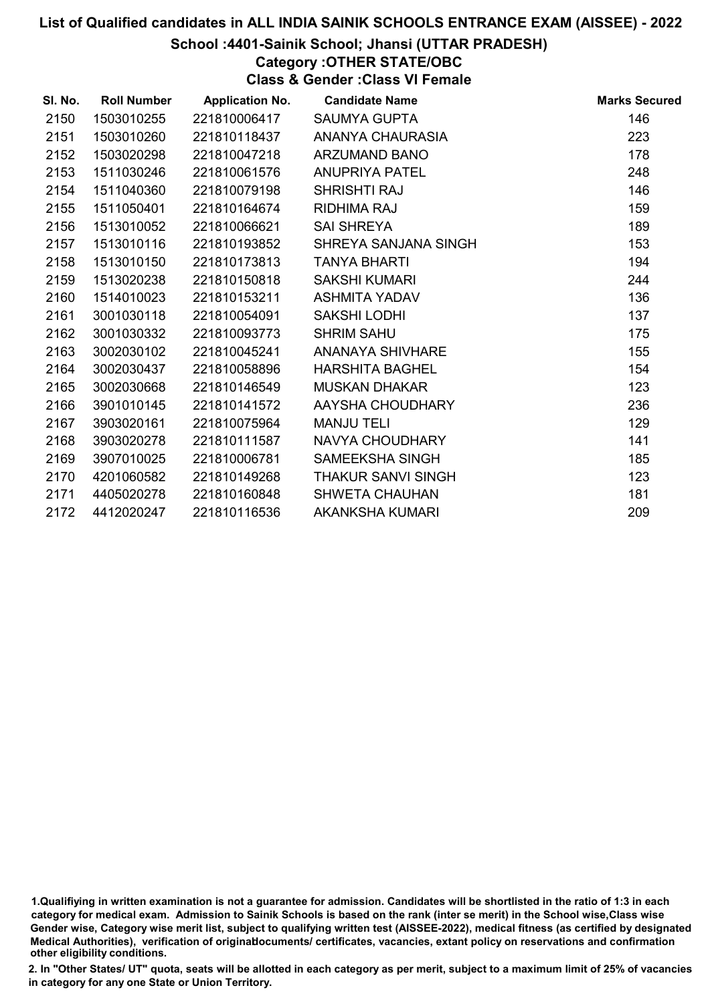#### School :4401-Sainik School; Jhansi (UTTAR PRADESH)

## Category :OTHER STATE/OBC

Class & Gender :Class VI Female

| SI. No. | <b>Roll Number</b> | <b>Application No.</b> | <b>Candidate Name</b>     | <b>Marks Secured</b> |
|---------|--------------------|------------------------|---------------------------|----------------------|
| 2150    | 1503010255         | 221810006417           | <b>SAUMYA GUPTA</b>       | 146                  |
| 2151    | 1503010260         | 221810118437           | ANANYA CHAURASIA          | 223                  |
| 2152    | 1503020298         | 221810047218           | <b>ARZUMAND BANO</b>      | 178                  |
| 2153    | 1511030246         | 221810061576           | <b>ANUPRIYA PATEL</b>     | 248                  |
| 2154    | 1511040360         | 221810079198           | <b>SHRISHTI RAJ</b>       | 146                  |
| 2155    | 1511050401         | 221810164674           | <b>RIDHIMA RAJ</b>        | 159                  |
| 2156    | 1513010052         | 221810066621           | <b>SAI SHREYA</b>         | 189                  |
| 2157    | 1513010116         | 221810193852           | SHREYA SANJANA SINGH      | 153                  |
| 2158    | 1513010150         | 221810173813           | <b>TANYA BHARTI</b>       | 194                  |
| 2159    | 1513020238         | 221810150818           | <b>SAKSHI KUMARI</b>      | 244                  |
| 2160    | 1514010023         | 221810153211           | ASHMITA YADAV             | 136                  |
| 2161    | 3001030118         | 221810054091           | <b>SAKSHI LODHI</b>       | 137                  |
| 2162    | 3001030332         | 221810093773           | <b>SHRIM SAHU</b>         | 175                  |
| 2163    | 3002030102         | 221810045241           | ANANAYA SHIVHARE          | 155                  |
| 2164    | 3002030437         | 221810058896           | <b>HARSHITA BAGHEL</b>    | 154                  |
| 2165    | 3002030668         | 221810146549           | <b>MUSKAN DHAKAR</b>      | 123                  |
| 2166    | 3901010145         | 221810141572           | AAYSHA CHOUDHARY          | 236                  |
| 2167    | 3903020161         | 221810075964           | <b>MANJU TELI</b>         | 129                  |
| 2168    | 3903020278         | 221810111587           | NAVYA CHOUDHARY           | 141                  |
| 2169    | 3907010025         | 221810006781           | <b>SAMEEKSHA SINGH</b>    | 185                  |
| 2170    | 4201060582         | 221810149268           | <b>THAKUR SANVI SINGH</b> | 123                  |
| 2171    | 4405020278         | 221810160848           | <b>SHWETA CHAUHAN</b>     | 181                  |
| 2172    | 4412020247         | 221810116536           | AKANKSHA KUMARI           | 209                  |

<sup>1.</sup>Qualifiying in written examination is not a guarantee for admission. Candidates will be shortlisted in the ratio of 1:3 in each category for medical exam. Admission to Sainik Schools is based on the rank (inter se merit) in the School wise,Class wise Gender wise, Category wise merit list, subject to qualifying written test (AISSEE-2022), medical fitness (as certified by designated Medical Authorities), verification of originablocuments/ certificates, vacancies, extant policy on reservations and confirmation other eligibility conditions.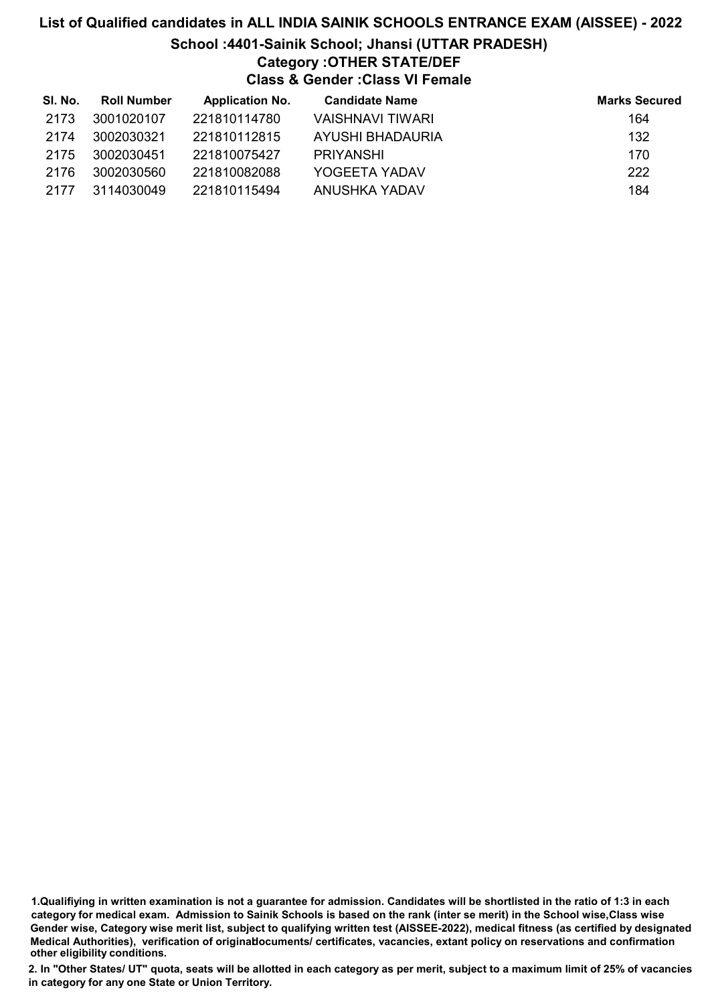# List of Qualified candidates in ALL INDIA SAINIK SCHOOLS ENTRANCE EXAM (AISSEE) - 2022 School :4401-Sainik School; Jhansi (UTTAR PRADESH) Category :OTHER STATE/DEF Class & Gender :Class VI Female

| SI. No. | <b>Roll Number</b> | <b>Application No.</b> | <b>Candidate Name</b> | <b>Marks Secured</b> |
|---------|--------------------|------------------------|-----------------------|----------------------|
| 2173    | 3001020107         | 221810114780           | VAISHNAVI TIWARI      | 164                  |
| 2174    | 3002030321         | 221810112815           | AYUSHI BHADAURIA      | 132                  |
| 2175    | 3002030451         | 221810075427           | <b>PRIYANSHI</b>      | 170                  |
| 2176    | 3002030560         | 221810082088           | YOGEETA YADAV         | 222                  |
| 2177    | 3114030049         | 221810115494           | ANUSHKA YADAV         | 184                  |

<sup>1.</sup>Qualifiying in written examination is not a guarantee for admission. Candidates will be shortlisted in the ratio of 1:3 in each category for medical exam. Admission to Sainik Schools is based on the rank (inter se merit) in the School wise,Class wise Gender wise, Category wise merit list, subject to qualifying written test (AISSEE-2022), medical fitness (as certified by designated Medical Authorities), verification of originablocuments/ certificates, vacancies, extant policy on reservations and confirmation other eligibility conditions.